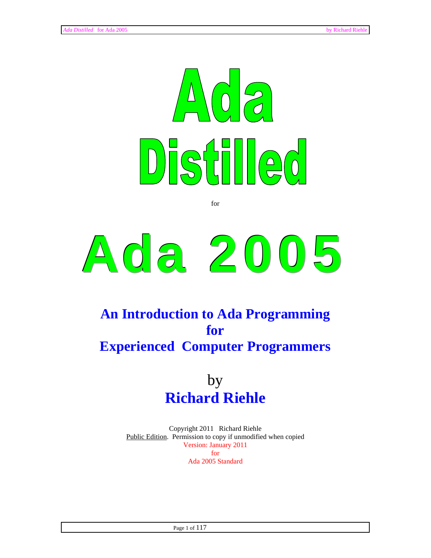

for



# **An Introduction to Ada Programming for Experienced Computer Programmers**

by **Richard Riehle** 

Copyright 2011 Richard Riehle Public Edition. Permission to copy if unmodified when copied Version: January 2011 for Ada 2005 Standard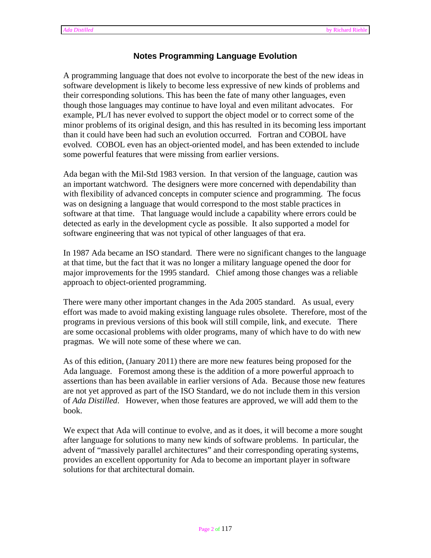### **Notes Programming Language Evolution**

A programming language that does not evolve to incorporate the best of the new ideas in software development is likely to become less expressive of new kinds of problems and their corresponding solutions. This has been the fate of many other languages, even though those languages may continue to have loyal and even militant advocates. For example, PL/I has never evolved to support the object model or to correct some of the minor problems of its original design, and this has resulted in its becoming less important than it could have been had such an evolution occurred. Fortran and COBOL have evolved. COBOL even has an object-oriented model, and has been extended to include some powerful features that were missing from earlier versions.

Ada began with the Mil-Std 1983 version. In that version of the language, caution was an important watchword. The designers were more concerned with dependability than with flexibility of advanced concepts in computer science and programming. The focus was on designing a language that would correspond to the most stable practices in software at that time. That language would include a capability where errors could be detected as early in the development cycle as possible. It also supported a model for software engineering that was not typical of other languages of that era.

In 1987 Ada became an ISO standard. There were no significant changes to the language at that time, but the fact that it was no longer a military language opened the door for major improvements for the 1995 standard. Chief among those changes was a reliable approach to object-oriented programming.

There were many other important changes in the Ada 2005 standard. As usual, every effort was made to avoid making existing language rules obsolete. Therefore, most of the programs in previous versions of this book will still compile, link, and execute. There are some occasional problems with older programs, many of which have to do with new pragmas. We will note some of these where we can.

As of this edition, (January 2011) there are more new features being proposed for the Ada language. Foremost among these is the addition of a more powerful approach to assertions than has been available in earlier versions of Ada. Because those new features are not yet approved as part of the ISO Standard, we do not include them in this version of *Ada Distilled*. However, when those features are approved, we will add them to the book.

We expect that Ada will continue to evolve, and as it does, it will become a more sought after language for solutions to many new kinds of software problems. In particular, the advent of "massively parallel architectures" and their corresponding operating systems, provides an excellent opportunity for Ada to become an important player in software solutions for that architectural domain.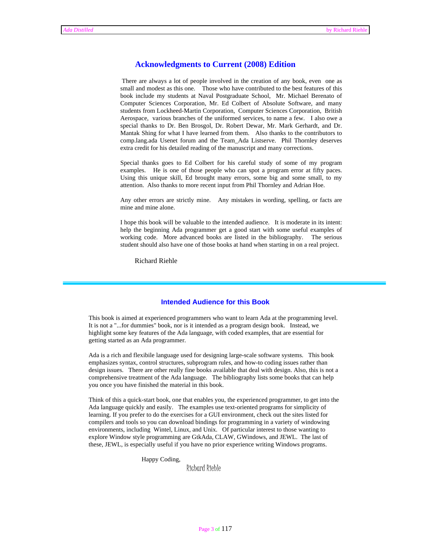### **Acknowledgments to Current (2008) Edition**

 There are always a lot of people involved in the creation of any book, even one as small and modest as this one. Those who have contributed to the best features of this book include my students at Naval Postgraduate School, Mr. Michael Berenato of Computer Sciences Corporation, Mr. Ed Colbert of Absolute Software, and many students from Lockheed-Martin Corporation, Computer Sciences Corporation, British Aerospace, various branches of the uniformed services, to name a few. I also owe a special thanks to Dr. Ben Brosgol, Dr. Robert Dewar, Mr. Mark Gerhardt, and Dr. Mantak Shing for what I have learned from them. Also thanks to the contributors to comp.lang.ada Usenet forum and the Team\_Ada Listserve. Phil Thornley deserves extra credit for his detailed reading of the manuscript and many corrections.

Special thanks goes to Ed Colbert for his careful study of some of my program examples. He is one of those people who can spot a program error at fifty paces. Using this unique skill, Ed brought many errors, some big and some small, to my attention. Also thanks to more recent input from Phil Thornley and Adrian Hoe.

Any other errors are strictly mine. Any mistakes in wording, spelling, or facts are mine and mine alone.

I hope this book will be valuable to the intended audience. It is moderate in its intent: help the beginning Ada programmer get a good start with some useful examples of working code. More advanced books are listed in the bibliography. The serious student should also have one of those books at hand when starting in on a real project.

Richard Riehle

#### **Intended Audience for this Book**

This book is aimed at experienced programmers who want to learn Ada at the programming level. It is not a "...for dummies" book, nor is it intended as a program design book. Instead, we highlight some key features of the Ada language, with coded examples, that are essential for getting started as an Ada programmer.

Ada is a rich and flexibile language used for designing large-scale software systems. This book emphasizes syntax, control structures, subprogram rules, and how-to coding issues rather than design issues. There are other really fine books available that deal with design. Also, this is not a comprehensive treatment of the Ada language. The bibliography lists some books that can help you once you have finished the material in this book.

Think of this a quick-start book, one that enables you, the experienced programmer, to get into the Ada language quickly and easily. The examples use text-oriented programs for simplicity of learning. If you prefer to do the exercises for a GUI environment, check out the sites listed for compilers and tools so you can download bindings for programming in a variety of windowing environments, including Wintel, Linux, and Unix. Of particular interest to those wanting to explore Window style programming are GtkAda, CLAW, GWindows, and JEWL. The last of these, JEWL, is especially useful if you have no prior experience writing Windows programs.

Happy Coding,

Richard Riehle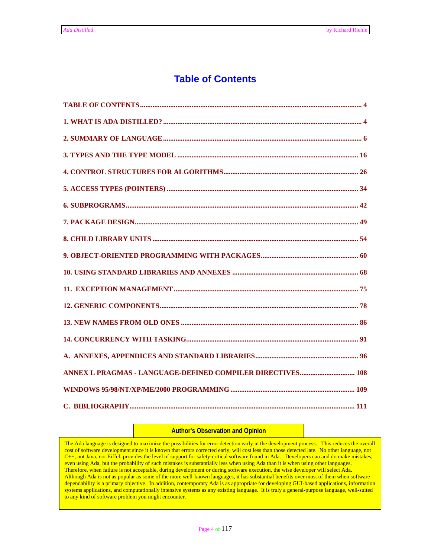# **Table of Contents**

#### **Author's Observation and Opinion**

**1. What is Ada Distilled?**  systems applications, and computationally intensive systems as any existing language. It is truly a general-purpose language, well-suited The Ada language is designed to maximize the possibilities for error detection early in the development process. This reduces the overall cost of software development since it is known that errors corrected early, will cost less than those detected late. No other language, not C++, not Java, not Eiffel, provides the level of support for safety-critical software found in Ada. Developers can and do make mistakes, even using Ada, but the probability of such mistakes is substantially less when using Ada than it is when using other languages. Therefore, when failure is not acceptable, during development or during software execution, the wise developer will select Ada. Although Ada is not as popular as some of the more well-known languages, it has substantial benefits over most of them when software dependability is a primary objective. In addition, contemporary Ada is as appropriate for developing GUI-based applications, information to any kind of software problem you might encounter.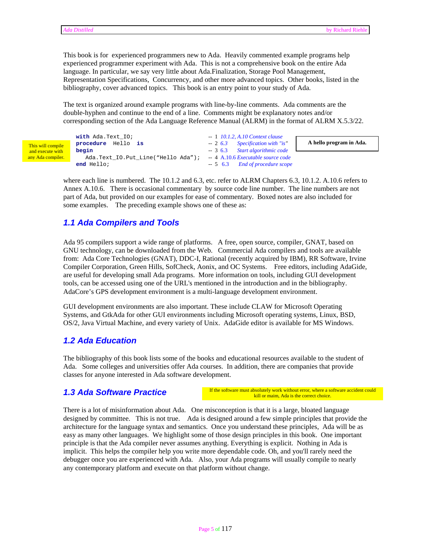This book is for experienced programmers new to Ada. Heavily commented example programs help experienced programmer experiment with Ada. This is not a comprehensive book on the entire Ada language. In particular, we say very little about Ada. Finalization, Storage Pool Management, Representation Specifications, Concurrency, and other more advanced topics. Other books, listed in the bibliography, cover advanced topics. This book is an entry point to your study of Ada.

The text is organized around example programs with line-by-line comments. Ada comments are the double-hyphen and continue to the end of a line. Comments might be explanatory notes and/or corresponding section of the Ada Language Reference Manual (ALRM) in the format of ALRM X.5.3/22.

```
with Ada.Text_IO; -- 1 10.1.2, A.10 Context clause
This will compile procedure Hello is -2 \cdot 6.3 Specification with "is" A hello program in Ada.
            begin -- 3 6.3 Start algorithmic code
               Ada.Text_IO.Put_Line("Hello Ada"); -- 4 A.10.6 Executable source code 
            end Hello; -5 6.3 End of procedure scope
and execute with 
any Ada compiler.
```
where each line is numbered. The 10.1.2 and 6.3, etc. refer to ALRM Chapters 6.3, 10.1.2. A.10.6 refers to Annex A.10.6. There is occasional commentary by source code line number. The line numbers are not part of Ada, but provided on our examples for ease of commentary. Boxed notes are also included for some examples. The preceding example shows one of these as:

### *1.1 Ada Compilers and Tools*

Ada 95 compilers support a wide range of platforms. A free, open source, compiler, GNAT, based on GNU technology, can be downloaded from the Web. Commercial Ada compilers and tools are available from: Ada Core Technologies (GNAT), DDC-I, Rational (recently acquired by IBM), RR Software, Irvine Compiler Corporation, Green Hills, SofCheck, Aonix, and OC Systems. Free editors, including AdaGide, are useful for developing small Ada programs. More information on tools, including GUI development tools, can be accessed using one of the URL's mentioned in the introduction and in the bibliography. AdaCore's GPS development environment is a multi-language development environment.

GUI development environments are also important. These include CLAW for Microsoft Operating Systems, and GtkAda for other GUI environments including Microsoft operating systems, Linux, BSD, OS/2, Java Virtual Machine, and every variety of Unix. AdaGide editor is available for MS Windows.

### *1.2 Ada Education*

The bibliography of this book lists some of the books and educational resources available to the student of Ada. Some colleges and universities offer Ada courses. In addition, there are companies that provide classes for anyone interested in Ada software development.

### *1.3 Ada Software Practice*

If the software must absolutely work without error, where a software accident could kill or maim, Ada is the correct choice.

There is a lot of misinformation about Ada. One misconception is that it is a large, bloated language designed by committee. This is not true. Ada is designed around a few simple principles that provide the architecture for the language syntax and semantics. Once you understand these principles, Ada will be as easy as many other languages. We highlight some of those design principles in this book. One important principle is that the Ada compiler never assumes anything. Everything is explicit. Nothing in Ada is implicit. This helps the compiler help you write more dependable code. Oh, and you'll rarely need the debugger once you are experienced with Ada. Also, your Ada programs will usually compile to nearly any contemporary platform and execute on that platform without change.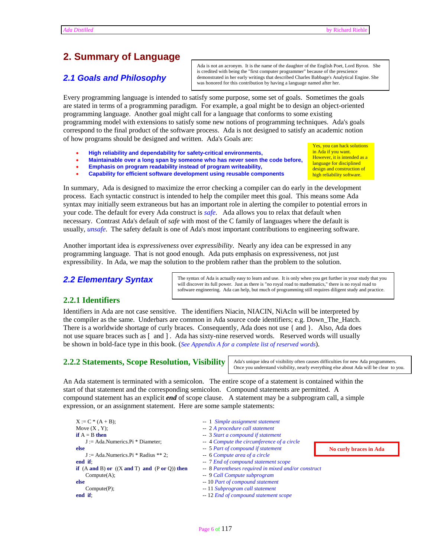in Ada if you want. However, it is intended as a language for disciplined design and construction of high reliability software.

# **2. Summary of Language**

## *2.1 Goals and Philosophy*

Ada is not an acronym. It is the name of the daughter of the English Poet, Lord Byron. She is credited with being the "first computer programmer" because of the prescience demonstrated in her early writings that described Charles Babbage's Analytical Engine. She was honored for this contribution by having a language named after her.

Every programming language is intended to satisfy some purpose, some set of goals. Sometimes the goals are stated in terms of a programming paradigm. For example, a goal might be to design an object-oriented programming language. Another goal might call for a language that conforms to some existing programming model with extensions to satisfy some new notions of programming techniques. Ada's goals correspond to the final product of the software process. Ada is not designed to satisfy an academic notion of how programs should be designed and written. Ada's Goals are: Yes, you can hack solutions

- **High reliability and dependability for safety-critical environments,**
- **Maintainable over a long span by someone who has never seen the code before,**
- **Emphasis on program readability instead of program writeability,**
- **Capability for efficient software development using reusable components**

In summary, Ada is designed to maximize the error checking a compiler can do early in the development process. Each syntactic construct is intended to help the compiler meet this goal. This means some Ada syntax may initially seem extraneous but has an important role in alerting the compiler to potential errors in your code. The default for every Ada construct is *safe*. Ada allows you to relax that default when necessary. Contrast Ada's default of *safe* with most of the C family of languages where the default is usually, *unsafe*. The safety default is one of Ada's most important contributions to engineering software.

Another important idea is *expressiveness* over *expressibility*. Nearly any idea can be expressed in any programming language. That is not good enough. Ada puts emphasis on expressiveness, not just expressibility. In Ada, we map the solution to the problem rather than the problem to the solution.

### *2.2 Elementary Syntax*

The syntax of Ada is actually easy to learn and use. It is only when you get further in your study that you will discover its full power. Just as there is "no royal road to mathematics," there is no royal road to software engineering. Ada can help, but much of programming still requires diligent study and practice.

### **2.2.1 Identifiers**

Identifiers in Ada are not case sensitive. The identifiers Niacin, NIACIN, NiAcIn will be interpreted by the compiler as the same. Underbars are common in Ada source code identifiers; e.g. Down\_The\_Hatch. There is a worldwide shortage of curly braces. Consequently, Ada does not use { and }. Also, Ada does not use square braces such as [ and ] . Ada has sixty-nine reserved words. Reserved words will usually be shown in bold-face type in this book. (*See Appendix A for a complete list of reserved words*).

### **2.2.2 Statements, Scope Resolution, Visibility**

Ada's unique idea of visibility often causes difficulties for new Ada programmers. Once you understand visibility, nearly everything else about Ada will be clear to you.

An Ada statement is terminated with a semicolon. The entire scope of a statement is contained within the start of that statement and the corresponding semicolon. Compound statements are permitted. A compound statement has an explicit *end* of scope clause. A statement may be a subprogram call, a simple expression, or an assignment statement. Here are some sample statements:

| $X := C * (A + B);$                                                                                                                          | -- 1 Simple assignment statement           |                        |  |
|----------------------------------------------------------------------------------------------------------------------------------------------|--------------------------------------------|------------------------|--|
| Move $(X, Y)$ ;                                                                                                                              | -- 2 A procedure call statement            |                        |  |
| if $A = B$ then                                                                                                                              | -- 3 Start a compound if statement         |                        |  |
| $J = Ada.Numerics.Pi * Diameter;$                                                                                                            | -- 4 Compute the circumference of a circle |                        |  |
| else                                                                                                                                         | -- 5 Part of compound if statement         | No curly braces in Ada |  |
| $J = Ada.Numerics.Pi * Radius ** 2;$                                                                                                         | -- 6 Compute area of a circle              |                        |  |
| end if:                                                                                                                                      | -- 7 End of compound statement scope       |                        |  |
| -- 8 Parentheses required in mixed and/or construct<br>if $(A \text{ and } B)$ or $((X \text{ and } T) \text{ and } (P \text{ or } Q))$ then |                                            |                        |  |
| Compute(A);                                                                                                                                  | -- 9 Call Compute subprogram               |                        |  |
| else                                                                                                                                         | -- 10 Part of compound statement           |                        |  |
| Compute(P);                                                                                                                                  | -- 11 Subprogram call statement            |                        |  |
| end if:                                                                                                                                      | -- 12 End of compound statement scope      |                        |  |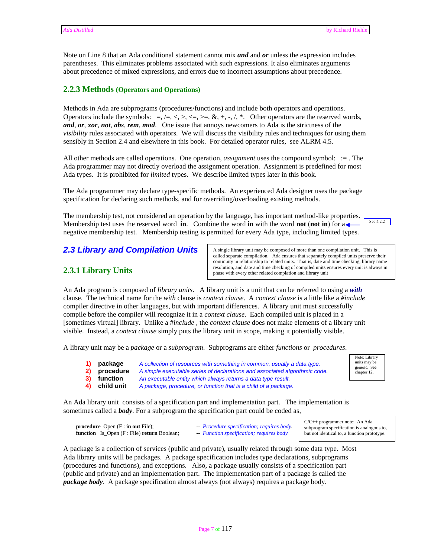Note on Line 8 that an Ada conditional statement cannot mix *and* and *or* unless the expression includes parentheses. This eliminates problems associated with such expressions. It also eliminates arguments about precedence of mixed expressions, and errors due to incorrect assumptions about precedence.

### **2.2.3 Methods (Operators and Operations)**

Methods in Ada are subprograms (procedures/functions) and include both operators and operations. Operators include the symbols:  $=$ ,  $/=$ ,  $\lt$ ,  $\gt$ ,  $\lt$  =,  $\gt$ ,  $\&$ , +, -,  $/$ ,  $*$ . Other operators are the reserved words, *and*, *or*, *xor*, *not*, *abs*, *rem*, *mod*. One issue that annoys newcomers to Ada is the strictness of the *visibility* rules associated with operators. We will discuss the visibility rules and techniques for using them sensibly in Section 2.4 and elsewhere in this book. For detailed operator rules, see ALRM 4.5.

All other methods are called operations. One operation, *assignment* uses the compound symbol: := . The Ada programmer may not directly overload the assignment operation. Assignment is predefined for most Ada types. It is prohibited for *limited* types. We describe limited types later in this book.

The Ada programmer may declare type-specific methods. An experienced Ada designer uses the package specification for declaring such methods, and for overriding/overloading existing methods.

The membership test, not considered an operation by the language, has important method-like properties. Membership test uses the reserved word **in**. Combine the word **in** with the word **not** (**not in**) for a negative membership test. Membership testing is permitted for every Ada type, including limited types. See 4.2.2

## *2.3 Library and Compilation Units*

### **2.3.1 Library Units**

A single library unit may be composed of more than one compilation unit. This is called separate compilation. Ada ensures that separately compiled units preserve their continuity in relationship to related units. That is, date and time checking, library name resolution, and date and time checking of compiled units ensures every unit is always in phase with every other related complation and library unit

An Ada program is composed of *library units*. A library unit is a unit that can be referred to using a *with* clause. The technical name for the *with* clause is *context clause*. A *context clause* is a little like a *#include* compiler directive in other languages, but with important differences. A library unit must successfully compile before the compiler will recognize it in a *context clause*. Each compiled unit is placed in a [sometimes virtual] library. Unlike a #*include* , the *context clause* does not make elements of a library unit visible. Instead, a *context clause* simply puts the library unit in scope, making it potentially visible.

A library unit may be a *package* or a *subprogram*. Subprograms are either *functions* or *procedures*.

- **1) package** *A collection of resources with something in common, usually a data type.*
- **2) procedure** *A simple executable series of declarations and associated algorithmic code.*
- **3) function** *An executable entity which always returns a data type result.*
- **4) child unit** *A package, procedure, or function that is a child of a package.*

An Ada library unit consists of a specification part and implementation part. The implementation is sometimes called a *body*. For a subprogram the specification part could be coded as,

**procedure** Open (F : **in out** File); -- *Procedure specification; requires body.* **function** Is\_Open (F : File) **return** Boolean; -- *Function specification; requires body*

C/C++ programmer note: An Ada subprogram specification is analogous to, but not identical to, a function prototype.

A package is a collection of services (public and private), usually related through some data type. Most Ada library units will be packages. A package specification includes type declarations, subprograms (procedures and functions), and exceptions. Also, a package usually consists of a specification part (public and private) and an implementation part. The implementation part of a package is called the *package body*. A package specification almost always (not always) requires a package body.

Note: Library units may be generic. See chapter 12.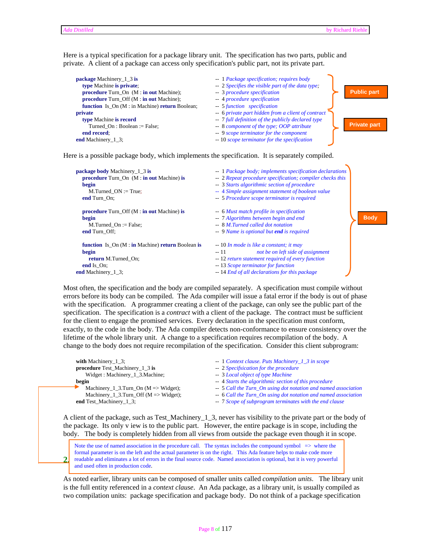Here is a typical specification for a package library unit. The specification has two parts, public and private. A client of a package can access only specification's public part, not its private part.

| <b>package</b> Machinery $1_{3}$ is                   | -- 1 Package specification; requires body          |                     |
|-------------------------------------------------------|----------------------------------------------------|---------------------|
| type Machine is private;                              | $-2$ Specifies the visible part of the data type;  |                     |
| <b>procedure</b> Turn_On (M : <b>in out</b> Machine); | -- 3 procedure specification                       | <b>Public part</b>  |
| procedure Turn_Off (M : in out Machine);              | -- 4 procedure specification                       |                     |
| function Is On (M : in Machine) return Boolean;       | -- 5 function specification                        |                     |
| private                                               | -- 6 private part hidden from a client of contract |                     |
| type Machine is record                                | -- 7 full definition of the publicly declared type |                     |
| Turned On : Boolean := False;                         | -- 8 component of the type; OOP attribute          | <b>Private part</b> |
| end record:                                           | -- 9 scope terminator for the component            |                     |
| end Machinery 1 3;                                    | -- 10 scope terminator for the specification       |                     |

Here is a possible package body, which implements the specification. It is separately compiled.

| package body Machinery_1_3 is                                              | -- 1 Package body; implements specification declarations  |             |
|----------------------------------------------------------------------------|-----------------------------------------------------------|-------------|
| <b>procedure</b> Turn On $(M : in out Machine)$ is                         | -- 2 Repeat procedure specification; compiler checks this |             |
| begin                                                                      | -- 3 Starts algorithmic section of procedure              |             |
| $M$ .Turned $ON := True$ ;                                                 | -- 4 Simple assignment statement of boolean value         |             |
| end Turn On:                                                               | -- 5 Procedure scope terminator is required               |             |
| <b>procedure</b> Turn Off $(M : in out Machine)$ is                        | -- 6 Must match profile in specification                  |             |
| begin                                                                      | -- 7 Algorithms between begin and end                     | <b>Body</b> |
| M.Turned $On := False$ ;                                                   | -- 8 M.Turned called dot notation                         |             |
| end Turn Off;                                                              | -- 9 Name is optional but <b>end</b> is required          |             |
| <b>function</b> Is On $(M : \textbf{in Machine})$ <b>return</b> Boolean is | -- 10 In mode is like a constant; it may                  |             |
| begin                                                                      | not be on left side of assignment<br>$-11$                |             |
| return M.Turned On:                                                        | -- 12 return statement required of every function         |             |
| end Is On:                                                                 | -- 13 Scope terminator for function                       |             |
| end Machinery 1 3;                                                         | -- 14 End of all declarations for this package            |             |

Most often, the specification and the body are compiled separately. A specification must compile without errors before its body can be compiled. The Ada compiler will issue a fatal error if the body is out of phase with the specification. A programmer creating a client of the package, can only see the public part of the specification. The specification is a *contract* with a client of the package. The contract must be sufficient for the client to engage the promised services. Every declaration in the specification must conform, exactly, to the code in the body. The Ada compiler detects non-conformance to ensure consistency over the lifetime of the whole library unit. A change to a specification requires recompilation of the body. A change to the body does not require recompilation of the specification. Consider this client subprogram:

| with Machinery $1_3$ ;                                | -- 1 Context clause. Puts Machinery 1 3 in scope               |
|-------------------------------------------------------|----------------------------------------------------------------|
| <b>procedure</b> Test_Machinery_ $1_3$ is             | -- 2 Specification for the procedure                           |
| Widget: Machinery_1_3.Machine;                        | -- 3 Local object of type Machine                              |
| begin                                                 | -- 4 Starts the algorithmic section of this procedure          |
| →<br>Machinery 1 3.Turn On $(M \Rightarrow Widget)$ ; | -- 5 Call the Turn_On using dot notation and named association |
| Machinery_1_3.Turn_Off ( $M \Rightarrow Widget$ );    | -- 6 Call the Turn_On using dot notation and named association |
| end Test_Machinery_1_3;                               | -- 7 Scope of subprogram terminates with the end clause        |

A client of the package, such as Test\_Machinery\_1\_3, never has visibility to the private part or the body of the package. Its only v iew is to the public part. However, the entire package is in scope, including the body. The body is completely hidden from all views from outside the package even though it in scope.

**2.** readable and eliminates a lot of errors in the final source code. Named association is optional, but it is very powerful Note the use of named association in the procedure call. The syntax includes the compound symbol  $\Rightarrow$  where the formal parameter is on the left and the actual parameter is on the right. This Ada feature helps to make code more and used often in production code.

As noted earlier, library units can be composed of smaller units called *compilation units*. The library unit is the full entity referenced in a *context clause*. An Ada package, as a library unit, is usually compiled as two compilation units: package specification and package body. Do not think of a package specification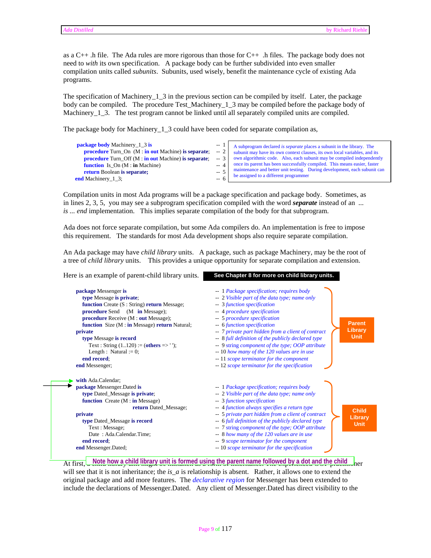as a  $C_{++}$ . h file. The Ada rules are more rigorous than those for  $C_{++}$ . h files. The package body does not need to *with* its own specification. A package body can be further subdivided into even smaller compilation units called *subunits*. Subunits, used wisely, benefit the maintenance cycle of existing Ada programs.

The specification of Machinery\_1\_3 in the previous section can be compiled by itself. Later, the package body can be compiled. The procedure Test\_Machinery\_1\_3 may be compiled before the package body of Machinery<sub>11\_3</sub>. The test program cannot be linked until all separately compiled units are compiled.

The package body for Machinery\_1\_3 could have been coded for separate compilation as,

| <b>package body</b> Machinery $1_3$ is<br><b>procedure</b> Turn_On $(M : in out Machine)$ is separate;                                                                   | $-21$    | $-1$ A subprogram declared <i>is separate</i> places a subunit in the library. The<br>subunit may have its own context clauses, its own local variables, and its                                                                                                              |
|--------------------------------------------------------------------------------------------------------------------------------------------------------------------------|----------|-------------------------------------------------------------------------------------------------------------------------------------------------------------------------------------------------------------------------------------------------------------------------------|
| <b>procedure</b> Turn_Off $(M : in out Machine)$ is separate;<br><b>function</b> Is On $(M : in Machine)$<br><b>return</b> Boolean is separate;<br>end Machinery $1_3$ ; | $-3$ $-$ | own algorithmic code. Also, each subunit may be compiled independently<br>- 4 once its parent has been successfully compiled. This means easier, faster<br>maintenance and better unit testing. During development, each subunit can<br>be assigned to a different programmer |

Compilation units in most Ada programs will be a package specification and package body. Sometimes, as in lines 2, 3, 5, you may see a subprogram specification compiled with the word *separate* instead of an *... is ... end* implementation. This implies separate compilation of the body for that subprogram.

Ada does not force separate compilation, but some Ada compilers do. An implementation is free to impose this requirement. The standards for most Ada development shops also require separate compilation.

An Ada package may have *child library* units. A package, such as package Machinery, may be the root of a tree of *child library* units. This provides a unique opportunity for separate compilation and extension.



At first, who how a child library unit is formed using the parent name followed by a dot and the child  $_{\text{per}}$ will see that it is not inheritance; the *is\_a* is relationship is absent. Rather, it allows one to extend the original package and add more features. The *declarative region* for Messenger has been extended to include the declarations of Messenger.Dated. Any client of Messenger.Dated has direct visibility to the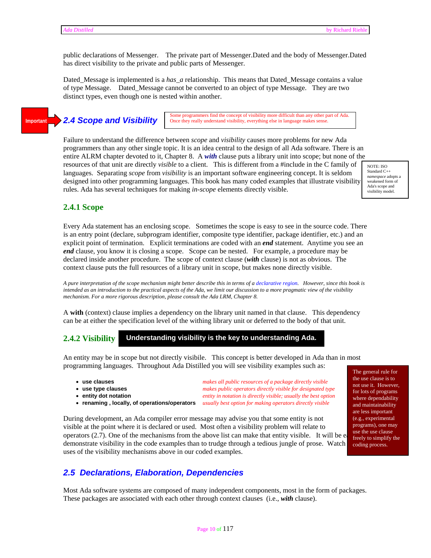public declarations of Messenger. The private part of Messenger.Dated and the body of Messenger.Dated has direct visibility to the private and public parts of Messenger.

Dated\_Message is implemented is a *has\_a* relationship. This means that Dated\_Message contains a value of type Message. Dated\_Message cannot be converted to an object of type Message. They are two distinct types, even though one is nested within another.

## **Important**

*2.4 Scope and Visibility* 

Some programmers find the concept of visibility more difficult than any other part of Ada. Once they really understand visibility, everything else in language makes sense.

Failure to understand the difference between *scope* and *visibility* causes more problems for new Ada programmers than any other single topic. It is an idea central to the design of all Ada software. There is an entire ALRM chapter devoted to it, Chapter 8. A *with* clause puts a library unit into scope; but none of the resources of that unit are directly *visible* to a client. This is different from a #include in the C family of languages. Separating *scope* from *visibility* is an important software engineering concept. It is seldom designed into other programming languages. This book has many coded examples that illustrate visibility rules. Ada has several techniques for making *in-scope* elements directly visible.

NOTE: ISO Standard C++ *namespace* adopts a weakened form of Ada's scope and visibility model.

the use clause is to not use it. However, for lots of programs where dependability and maintainability are less important (e.g., experimental programs), one may use the use clause freely to simplify the coding process.

### **2.4.1 Scope**

Every Ada statement has an enclosing scope. Sometimes the scope is easy to see in the source code. There is an entry point (declare, subprogram identifier, composite type identifier, package identifier, etc.) and an explicit point of termination. Explicit terminations are coded with an *end* statement. Anytime you see an *end* clause, you know it is closing a scope. Scope can be nested. For example, a procedure may be declared inside another procedure. The scope of context clause (*with* clause) is not as obvious. The context clause puts the full resources of a library unit in scope, but makes none directly visible.

*A pure interpretation of the scope mechanism might better describe this in terms of a declarative region. However, since this book is intended as an introduction to the practical aspects of the Ada, we limit our discussion to a more pragmatic view of the visibility mechanism. For a more rigorous description, please consult the Ada LRM, Chapter 8.* 

A **with** (context) clause implies a dependency on the library unit named in that clause. This dependency can be at either the specification level of the withing library unit or deferred to the body of that unit.

#### **2.4.2 Visibility Understanding visibility is the key to understanding Ada.**

An entity may be in scope but not directly visibile. This concept is better developed in Ada than in most programming languages. Throughout Ada Distilled you will see visibility examples such as: The general rule for

- 
- 
- 

• **use clauses** *makes all public resources of a package directly visible* • **use type clauses** *makes public operators directly visible for designated type* • **entity dot notation** *entity in notation is directly visible; usually the best option* • **renaming , locally, of operations/operators** *usually best option for making operators directly visible*

During development, an Ada compiler error message may advise you that some entity is not visible at the point where it is declared or used. Most often a visibility problem will relate to operators  $(2.7)$ . One of the mechanisms from the above list can make that entity visible. It will be easier to demonstrate visibility in the code examples than to trudge through a tedious jungle of prose. Watch uses of the visibility mechanisms above in our coded examples.

### *2.5 Declarations, Elaboration, Dependencies*

Most Ada software systems are composed of many independent components, most in the form of packages. These packages are associated with each other through context clauses (i.e., *with* clause).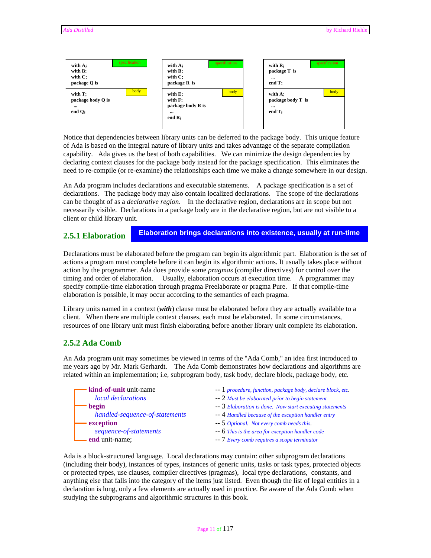

Notice that dependencies between library units can be deferred to the package body. This unique feature of Ada is based on the integral nature of library units and takes advantage of the separate compilation capability. Ada gives us the best of both capabilities. We can minimize the design dependencies by declaring context clauses for the package body instead for the package specification. This eliminates the need to re-compile (or re-examine) the relationships each time we make a change somewhere in our design.

An Ada program includes declarations and executable statements. A package specification is a set of declarations. The package body may also contain localized declarations. The scope of the declarations can be thought of as a *declarative region*. In the declarative region, declarations are in scope but not necessarily visible. Declarations in a package body are in the declarative region, but are not visible to a client or child library unit.

#### **2.5.1 Elaboration Elaboration brings declarations into existence, usually at run-time**

Declarations must be elaborated before the program can begin its algorithmic part. Elaboration is the set of actions a program must complete before it can begin its algorithmic actions. It usually takes place without action by the programmer. Ada does provide some *pragmas* (compiler directives) for control over the timing and order of elaboration. Usually, elaboration occurs at execution time. A programmer may specify compile-time elaboration through pragma Preelaborate or pragma Pure. If that compile-time elaboration is possible, it may occur according to the semantics of each pragma.

Library units named in a context (*with*) clause must be elaborated before they are actually available to a client. When there are multiple context clauses, each must be elaborated. In some circumstances, resources of one library unit must finish elaborating before another library unit complete its elaboration.

### **2.5.2 Ada Comb**

An Ada program unit may sometimes be viewed in terms of the "Ada Comb," an idea first introduced to me years ago by Mr. Mark Gerhardt. The Ada Comb demonstrates how declarations and algorithms are related within an implementation; i.e, subprogram body, task body, declare block, package body, etc.



- **kind-of-unit** unit-name  $\qquad \qquad \text{---}$  1 *procedure, function, package body, declare block, etc.* 
	- *local declarations* -- 2 *Must be elaborated prior to begin statement*
- **begin**  $-3$  *Elaboration is done. Now start executing statements* 
	- *handled-sequence-of-statements* -- 4 *Handled because of the exception handler entry* 
		-
	- *sequence-of-statements* -- 6 *This is the area for exception handler code*
		-

Ada is a block-structured language. Local declarations may contain: other subprogram declarations (including their body), instances of types, instances of generic units, tasks or task types, protected objects or protected types, use clauses, compiler directives (pragmas), local type declarations, constants, and anything else that falls into the category of the items just listed. Even though the list of legal entities in a declaration is long, only a few elements are actually used in practice. Be aware of the Ada Comb when studying the subprograms and algorithmic structures in this book.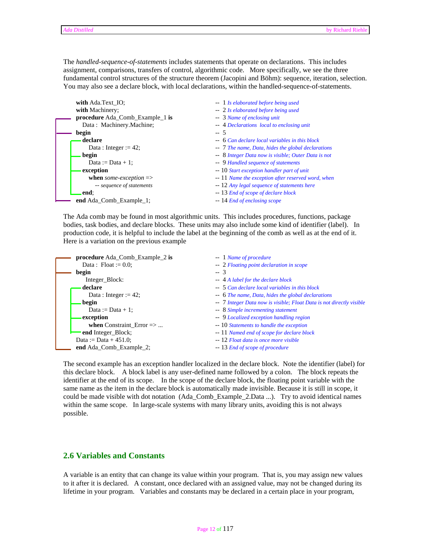The *handled-sequence-of-statements* includes statements that operate on declarations. This includes assignment, comparisons, transfers of control, algorithmic code. More specifically, we see the three fundamental control structures of the structure theorem (Jacopini and Böhm): sequence, iteration, selection. You may also see a declare block, with local declarations, within the handled-sequence-of-statements.

| with Ada.Text IO;                 | -- 1 Is elaborated before being used                |
|-----------------------------------|-----------------------------------------------------|
| with Machinery;                   | -- 2 Is elaborated before being used                |
| procedure Ada_Comb_Example_1 is   | -- 3 Name of enclosing unit                         |
| Data: Machinery.Machine;          | -- 4 Declarations local to enclosing unit           |
| begin                             | $-5$                                                |
| declare                           | -- 6 Can declare local variables in this block      |
| Data : Integer := 42;             | -- 7 The name, Data, hides the global declarations  |
| begin                             | -- 8 Integer Data now is visible; Outer Data is not |
| Data := Data + 1;                 | -- 9 Handled sequence of statements                 |
| exception                         | -- 10 Start exception handler part of unit          |
| when some-exception $\Rightarrow$ | -- 11 Name the exception after reserved word, when  |
| -- sequence of statements         | -- 12 Any legal sequence of statements here         |
| end:                              | -- 13 End of scope of declare block                 |
| end Ada_Comb_Example_1;           | -- 14 End of enclosing scope                        |

The Ada comb may be found in most algorithmic units. This includes procedures, functions, package bodies, task bodies, and declare blocks. These units may also include some kind of identifier (label). In production code, it is helpful to include the label at the beginning of the comb as well as at the end of it. Here is a variation on the previous example

| procedure Ada_Comb_Example_2 is     | -- 1 Name of procedure                                               |
|-------------------------------------|----------------------------------------------------------------------|
| Data: Float:= $0.0$ ;               | -- 2 Floating point declaration in scope                             |
| begin                               | $-3$                                                                 |
| Integer_Block:                      | -- 4 A label for the declare block                                   |
| declare                             | -- 5 Can declare local variables in this block                       |
| Data : Integer := 42;               | -- 6 The name, Data, hides the global declarations                   |
| begin                               | -- 7 Integer Data now is visible; Float Data is not directly visible |
| Data := Data + 1;                   | -- 8 Simple incrementing statement                                   |
| exception                           | -- 9 Localized exception handling region                             |
| when Constraint Error $\Rightarrow$ | -- 10 Statements to handle the exception                             |
| end Integer Block;                  | -- 11 Named end of scope for declare block                           |
| Data := Data + $451.0$ ;            | -- 12 Float data is once more visible                                |
| end Ada Comb Example 2;             | -- 13 End of scope of procedure                                      |
|                                     |                                                                      |

The second example has an exception handler localized in the declare block. Note the identifier (label) for this declare block. A block label is any user-defined name followed by a colon. The block repeats the identifier at the end of its scope. In the scope of the declare block, the floating point variable with the same name as the item in the declare block is automatically made invisible. Because it is still in scope, it could be made visible with dot notation (Ada\_Comb\_Example\_2.Data ...). Try to avoid identical names within the same scope. In large-scale systems with many library units, avoiding this is not always possible.

#### **2.6 Variables and Constants**

A variable is an entity that can change its value within your program. That is, you may assign new values to it after it is declared. A constant, once declared with an assigned value, may not be changed during its lifetime in your program. Variables and constants may be declared in a certain place in your program,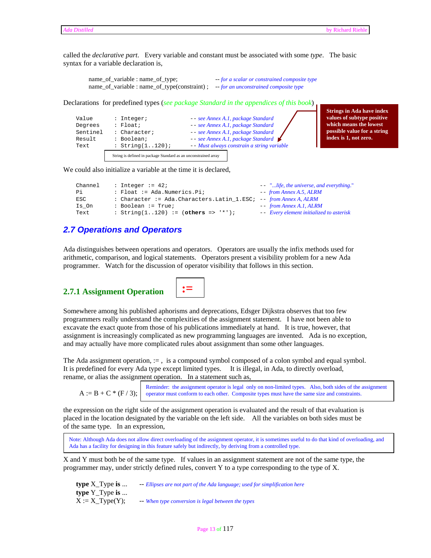called the *declarative part*. Every variable and constant must be associated with some *type*. The basic syntax for a variable declaration is,

```
name_of_variable : name_of_type; -- for a scalar or constrained composite type
name_of_variable : name_of_type(constraint) ; -- for an unconstrained composite type
```
Declarations for predefined types (*see package Standard in the appendices of this book*)

|          |                                                                 |                                              | ww. |
|----------|-----------------------------------------------------------------|----------------------------------------------|-----|
| Value    | : Integer;                                                      | -- see Annex A.1, package Standard           | val |
| Degrees  | $:$ Float;                                                      | -- see Annex A.1, package Standard           | whi |
| Sentinel | : Character;                                                    | -- see Annex A.1, package Standard           | pos |
| Result   | : Boolean;                                                      | $--$ see Annex A.1, package Standard         | ind |
| Text     | : $String(1120)$ ;                                              | $--$ Must always constrain a string variable |     |
|          | String is defined in package Standard as an unconstrained array |                                              |     |

**Strings in Ada have index values of subtype positive which means the lowest possible value for a string index is 1, not zero.** 

We could also initialize a variable at the time it is declared,

```
Channel : Integer := 42;<br>Pi : Float := Ada.Numerics.Pi; -- from Annex A.5, ALRM
Pi : Float := Ada.Numerics.Pi;
ESC : Character := Ada.Characters.Latin_1.ESC; -- from Annex A, ALRM 
Is_0n : Boolean := True;<br>
Text : String(1..120) := (others => '*'); -- Every element initialized to asterisk
Text : String(1..120) := (others = -1 * 1);
```
### *2.7 Operations and Operators*

Ada distinguishes between operations and operators. Operators are usually the infix methods used for arithmetic, comparison, and logical statements. Operators present a visibility problem for a new Ada programmer. Watch for the discussion of operator visibility that follows in this section.

### **2.7.1 Assignment Operation**



Somewhere among his published aphorisms and deprecations, Edsger Dijkstra observes that too few programmers really understand the complexities of the assignment statement. I have not been able to excavate the exact quote from those of his publications immediately at hand. It is true, however, that assignment is increasingly complicated as new programming languages are invented. Ada is no exception, and may actually have more complicated rules about assignment than some other languages.

The Ada assignment operation,  $:=$  , is a compound symbol composed of a colon symbol and equal symbol. It is predefined for every Ada type except limited types. It is illegal, in Ada, to directly overload, rename, or alias the assignment operation. In a statement such as,

 A := B + C \* (F / 3); Reminder: the assignment operator is legal only on non-limited types. Also, both sides of the assignment operator must conform to each other. Composite types must have the same size and constraints.

the expression on the right side of the assignment operation is evaluated and the result of that evaluation is placed in the location designated by the variable on the left side. All the variables on both sides must be of the same type. In an expression,

Note. Anthough Ada does not allow diffect overloading of the assignment operator, it is sometimes user Ada has a facility for designing in this feature safely but indirectly, by deriving from a controlled type. Note: Although Ada does not allow direct overloading of the assignment operator, it is sometimes useful to do that kind of overloading, and

X and Y must both be of the same type. If values in an assignment statement are not of the same type, the programmer may, under strictly defined rules, convert Y to a type corresponding to the type of X.

**type** X\_Type **is** ... -- *Ellipses are not part of the Ada language; used for simplification here* **type** Y\_Type **is** ...  $X := X_T \text{type}(Y); \qquad \text{-} When type conversion is legal between the types$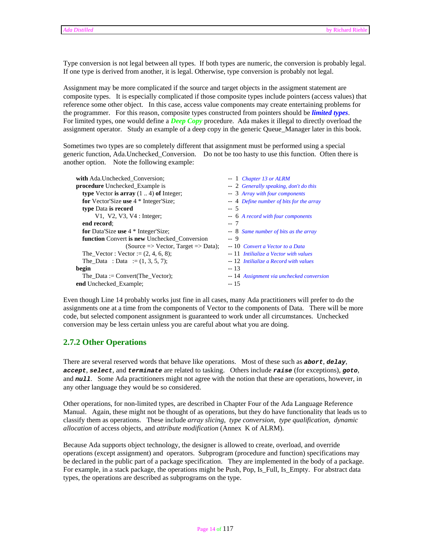Type conversion is not legal between all types. If both types are numeric, the conversion is probably legal. If one type is derived from another, it is legal. Otherwise, type conversion is probably not legal.

Assignment may be more complicated if the source and target objects in the assigment statement are composite types. It is especially complicated if those composite types include pointers (access values) that reference some other object. In this case, access value components may create entertaining problems for the programmer. For this reason, composite types constructed from pointers should be *limited types*. For limited types, one would define a *Deep Copy* procedure. Ada makes it illegal to directly overload the assignment operator. Study an example of a deep copy in the generic Queue\_Manager later in this book.

Sometimes two types are so completely different that assignment must be performed using a special generic function, Ada.Unchecked\_Conversion. Do not be too hasty to use this function. Often there is another option. Note the following example:

| with Ada.Unchecked_Conversion;                            | -- 1 Chapter 13 or ALRM                   |
|-----------------------------------------------------------|-------------------------------------------|
| procedure Unchecked_Example is                            | -- 2 Generally speaking, don't do this    |
| type Vector is array $(14)$ of Integer;                   | -- 3 Array with four components           |
| for Vector'Size use $4 *$ Integer'Size;                   | -- 4 Define number of bits for the array  |
| type Data is record                                       | $-5$                                      |
| $V1, V2, V3, V4$ : Integer;                               | -- 6 A record with four components        |
| end record:                                               | $-7$                                      |
| for Data'Size use 4 * Integer'Size;                       | -- 8 Same number of bits as the array     |
| function Convert is new Unchecked Conversion              | $-9$                                      |
| (Source $\Rightarrow$ Vector, Target $\Rightarrow$ Data); | -- 10 <i>Convert a Vector to a Data</i>   |
| The_Vector: Vector: $= (2, 4, 6, 8);$                     | -- 11 Intilialize a Vector with values    |
| The Data: Data: = $(1, 3, 5, 7)$ ;                        | -- 12 Intilialize a Record with values    |
| begin                                                     | $-13$                                     |
| The Data := Convert(The Vector);                          | -- 14 Assignment via unchecked conversion |
| end Unchecked Example;                                    | $-15$                                     |

Even though Line 14 probably works just fine in all cases, many Ada practitioners will prefer to do the assignments one at a time from the components of Vector to the components of Data. There will be more code, but selected component assignment is guaranteed to work under all circumstances. Unchecked conversion may be less certain unless you are careful about what you are doing.

### **2.7.2 Other Operations**

There are several reserved words that behave like operations. Most of these such as *abort*, *delay*, *accept*, *select*, and *terminate* are related to tasking. Others include *raise* (for exceptions), *goto*, and **null**. Some Ada practitioners might not agree with the notion that these are operations, however, in any other language they would be so considered.

Other operations, for non-limited types, are described in Chapter Four of the Ada Language Reference Manual. Again, these might not be thought of as operations, but they do have functionality that leads us to classify them as operations. These include *array slicing*, *type conversion*, *type qualification*, *dynamic allocation* of access objects, and *attribute modification* (Annex K of ALRM).

Because Ada supports object technology, the designer is allowed to create, overload, and override operations (except assignment) and operators. Subprogram (procedure and function) specifications may be declared in the public part of a package specification. They are implemented in the body of a package. For example, in a stack package, the operations might be Push, Pop, Is\_Full, Is\_Empty. For abstract data types, the operations are described as subprograms on the type.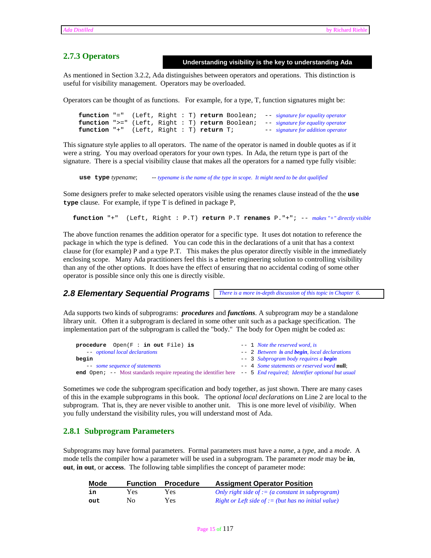### **2.7.3 Operators**

#### **Understanding visibility is the key to understanding Ada**

As mentioned in Section 3.2.2, Ada distinguishes between operators and operations. This distinction is useful for visibility management. Operators may be overloaded.

Operators can be thought of as functions. For example, for a type, T, function signatures might be:

 **function** "=" (Left, Right : T) **return** Boolean; -- *signature for equality operator*  **function** ">=" (Left, Right : T) **return** Boolean; -- *signature for equality operator*  **function** "+" (Left, Right : T) **return** T; -- *signature for addition operator*

This signature style applies to all operators. The name of the operator is named in double quotes as if it were a string. You may overload operators for your own types. In Ada, the return type is part of the signature. There is a special visibility clause that makes all the operators for a named type fully visible:

**use type** *typename*; -- *typename is the name of the type in scope. It might need to be dot qualified*

Some designers prefer to make selected operators visible using the renames clause instead of the the **use type** clause. For example, if type T is defined in package P,

 **function** "+" (Left, Right : P.T) **return** P.T **renames** P."+"; -- *makes "+" directly visible*

The above function renames the addition operator for a specific type. It uses dot notation to reference the package in which the type is defined. You can code this in the declarations of a unit that has a context clause for (for example) P and a type P.T. This makes the plus operator directly visible in the immediately enclosing scope. Many Ada practitioners feel this is a better engineering solution to controlling visibility than any of the other options. It does have the effect of ensuring that no accidental coding of some other operator is possible since only this one is directly visible.

### 2.8 Elementary Sequential Programs *There is a more in-depth discussion of this topic in Chapter 6.*

Ada supports two kinds of subprograms: *procedures* and *functions*. A subprogram *may* be a standalone library unit. Often it a subprogram is declared in some other unit such as a package specification. The implementation part of the subprogram is called the "body." The body for Open might be coded as:

| procedure $Open(F : in out File) is$                                                                                          |  | $-- 1$ Note the reserved word, is                  |
|-------------------------------------------------------------------------------------------------------------------------------|--|----------------------------------------------------|
| -- optional local declarations                                                                                                |  | $\sim$ 2 Between is and begin, local declarations  |
| begin                                                                                                                         |  | -- 3 Subprogram body requires a <b>begin</b>       |
| $--$ some sequence of statements                                                                                              |  | -- 4 <i>Some statements or reserved word</i> null; |
| <b>end</b> Open: $--$ Most standards require repeating the identifier here $--$ 5 End required; Identifier optional but usual |  |                                                    |

Sometimes we code the subprogram specification and body together, as just shown. There are many cases of this in the example subprograms in this book. The *optional local declarations* on Line 2 are local to the subprogram. That is, they are never visible to another unit. This is one more level of *visibility*. When you fully understand the visibility rules, you will understand most of Ada.

#### **2.8.1 Subprogram Parameters**

Subprograms may have formal parameters. Formal parameters must have a *name*, a *type*, and a *mode*. A mode tells the compiler how a parameter will be used in a subprogram. The parameter *mode* may be **in**, **out**, **in out**, or **access**. The following table simplifies the concept of parameter mode:

| Mode | <b>Function</b> | <b>Procedure</b> | <b>Assigment Operator Position</b>                         |
|------|-----------------|------------------|------------------------------------------------------------|
| in   | Yes.            | Yes.             | Only right side of $:= (a \text{ constant in subprogram})$ |
| out  | No.             | Yes.             | Right or Left side of $:=$ (but has no initial value)      |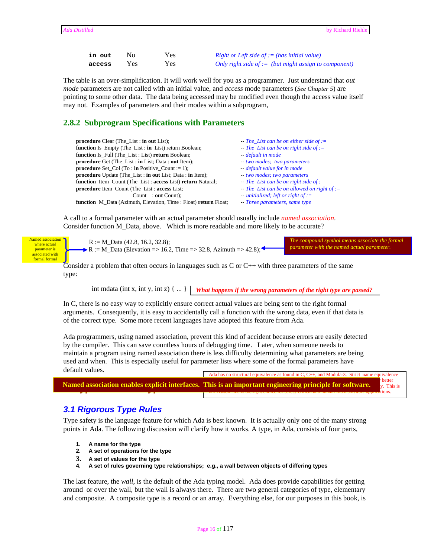| in out | Nο   | Yes. | Right or Left side of $:=$ (has initial value)          |
|--------|------|------|---------------------------------------------------------|
| access | Yes. | Yes. | Only right side of $:=$ (but might assign to component) |

The table is an over-simplification. It will work well for you as a programmer. Just understand that *out mode* parameters are not called with an initial value, and *access* mode parameters (*See Chapter 5*) are pointing to some other data. The data being accessed may be modified even though the access value itself may not. Examples of parameters and their modes within a subprogram,

### **2.8.2 Subprogram Specifications with Parameters**

| <b>procedure</b> Clear (The_List : <b>in out</b> List);                       | -- The_List can be on either side of :=      |
|-------------------------------------------------------------------------------|----------------------------------------------|
| function Is_Empty (The_List : in List) return Boolean;                        | -- The_List can be on right side of :=       |
| function Is_Full (The_List : List) return Boolean;                            | -- default in mode                           |
| <b>procedure</b> Get (The_List: in List; Data: out Item);                     | -- two modes; two parameters                 |
| <b>procedure</b> Set_Col (To : <b>in</b> Positive_Count := 1);                | -- default value for in mode                 |
| <b>procedure</b> Update (The_List: <b>in out</b> List; Data: <b>in</b> Item); | -- two modes; two parameters                 |
| function Item_Count (The_List: access List) return Natural;                   | -- The_List can be on right side of :=       |
| procedure Item_Count (The_List: access List;                                  | -- The_List can be on allowed on right of := |
| Count: out Count);                                                            | -- unitialized; left or right of $:=$        |
| function M_Data (Azimuth, Elevation, Time : Float) return Float;              | -- Three parameters, same type               |
|                                                                               |                                              |

A call to a formal parameter with an actual parameter should usually include *named association*. Consider function M\_Data, above. Which is more readable and more likely to be accurate?

Named associati where actual parameter is  $\frac{1}{s}$ sociated with formal formal

 $R := M$  Data (42.8, 16.2, 32.8); R := M\_Data (Elevation => 16.2, Time => 32.8, Azimuth => 42.8);

*The compound symbol means associate the formal parameter with the named actual parameter.* 

Consider a problem that often occurs in languages such as  $C$  or  $C_{++}$  with three parameters of the same type:

int mdata (int x, int y, int z) { ... } **What happens if the wrong parameters of the right type are passed?** 

In C, there is no easy way to explicitly ensure correct actual values are being sent to the right formal arguments. Consequently, it is easy to accidentally call a function with the wrong data, even if that data is of the correct type. Some more recent languages have adopted this feature from Ada.

Ada programmers, using named association, prevent this kind of accident because errors are easily detected by the compiler. This can save countless hours of debugging time. Later, when someone needs to maintain a program using named association there is less difficulty determining what parameters are being used and when. This is especially useful for parameter lists where some of the formal parameters have default values. Ada has no structural equivalence as found in  $C$ , C++, and Modula-3. Strict, name equivalence

**Named association enables explicit interfaces.** model. Ada has no automatic promotion of types from one level to another. We enjoy better. Named association enables explicit interfaces. This is an important engineering principle for software. **This is** one reason Ada is the right choice for safety-critical and human-rated software applications.

### *3.1 Rigorous Type Rules*

Type safety is the language feature for which Ada is best known. It is actually only one of the many strong points in Ada. The following discussion will clarify how it works. A type, in Ada, consists of four parts,

- **1. A name for the type**
- **2. A set of operations for the type**
- **3. A set of values for the type**
- **4. A set of rules governing type relationships; e.g., a wall between objects of differing types**

The last feature, the *wall*, is the default of the Ada typing model. Ada does provide capabilities for getting around or over the wall, but the wall is always there. There are two general categories of type, elementary and composite. A composite type is a record or an array. Everything else, for our purposes in this book, is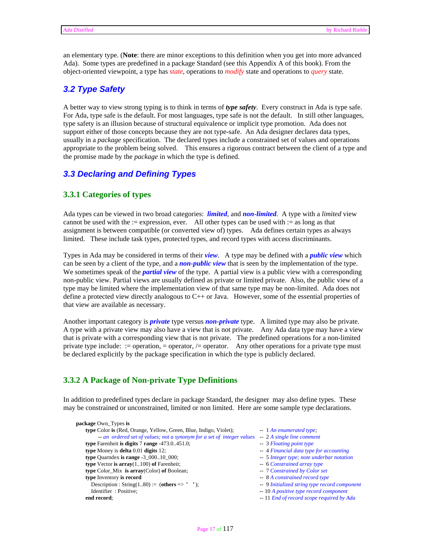an elementary type. (**Note**: there are minor exceptions to this definition when you get into more advanced Ada). Some types are predefined in a package Standard (see this Appendix A of this book). From the object-oriented viewpoint, a type has *state*, operations to *modify* state and operations to *query* state.

### *3.2 Type Safety*

A better way to view strong typing is to think in terms of *type safety*. Every construct in Ada is type safe. For Ada, type safe is the default. For most languages, type safe is not the default. In still other languages, type safety is an illusion because of structural equivalence or implicit type promotion. Ada does not support either of those concepts because they are not type-safe. An Ada designer declares data types, usually in a *package* specification. The declared types include a constrained set of values and operations appropriate to the problem being solved. This ensures a rigorous contract between the client of a type and the promise made by the *package* in which the type is defined.

### *3.3 Declaring and Defining Types*

### **3.3.1 Categories of types**

Ada types can be viewed in two broad categories: *limited*, and *non-limited*. A type with a *limited* view cannot be used with the := expression, ever. All other types can be used with := as long as that assignment is between compatible (or converted view of) types. Ada defines certain types as always limited. These include task types, protected types, and record types with access discriminants.

Types in Ada may be considered in terms of their *view*. A type may be defined with a *public view* which can be seen by a client of the type, and a *non-public view* that is seen by the implementation of the type. We sometimes speak of the *partial view* of the type. A partial view is a public view with a corresponding non-public view. Partial views are usually defined as private or limited private. Also, the public view of a type may be limited where the implementation view of that same type may be non-limited. Ada does not define a protected view directly analogous to C++ or Java. However, some of the essential properties of that view are available as necessary.

Another important category is *private* type versus *non-private* type. A limited type may also be private. A type with a private view may also have a view that is not private. Any Ada data type may have a view that is private with a corresponding view that is not private. The predefined operations for a non-limited private type include: := operation, = operator, /= operator. Any other operations for a private type must be declared explicitly by the package specification in which the type is publicly declared.

### **3.3.2 A Package of Non-private Type Definitions**

In addition to predefined types declare in package Standard, the designer may also define types. These may be constrained or unconstrained, limited or non limited. Here are some sample type declarations.

| package Own_Types is                                                  |                                               |
|-----------------------------------------------------------------------|-----------------------------------------------|
| type Color is (Red, Orange, Yellow, Green, Blue, Indigo, Violet);     | $-1$ An enumerated type;                      |
| - an ordered set of values; not a synonym for a set of integer values | $-2A$ single line comment                     |
| type Farenheit is digits $7$ range $-473.0 \dots 451.0$ ;             | -- 3 Floating point type                      |
| type Money is delta 0.01 digits 12;                                   | -- 4 Financial data type for accounting       |
| type Quarndex is range $-3$ 00010 000;                                | -- 5 Integer type; note underbar notation     |
| type Vector is $array(1100)$ of Farenheit;                            | -- 6 Constrained array type                   |
| type Color_Mix is array(Color) of Boolean;                            | -- 7 Constrained by Color set                 |
| type Inventory is record                                              | -- 8 A constrained record type                |
| Description : String(180) := (others $\Rightarrow$ '');               | -- 9 Initialized string type record component |
| Identifier: Positive;                                                 | -- 10 A positive type record component        |
| end record:                                                           | -- 11 End of record scope required by Ada     |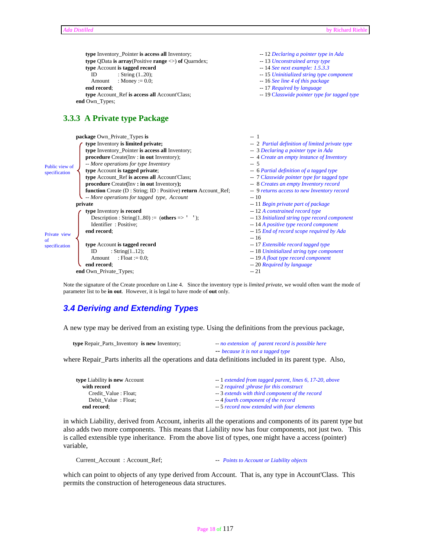of  $s_{\rm D}$ 

**type** Inventory\_Pointer is access all Inventory;  $-12$  *Declaring a pointer type in Ada* **type** QData **is array**(Positive **range**  $\leq$ ) **of** Quarndex; -- 13 *Unconstrained array type*<br>**type** Account **is tagged record** -- 14 *See next example:* 1.5.3.3 **type** Account **is tagged record** ID : String  $(1..20)$ ; Amount : Money := 0.0; -- 16 *See line 4 of this package*  **end record**; -- 17 *Required by language*  **type** Account\_Ref **is access all** Account'Class; -- 19 C*lasswide pointer type for tagged type* **end** Own\_Types;

### **3.3.3 A Private type Package**

|                     | package Own_Private_Types is                                                |                                                 |  |  |  |
|---------------------|-----------------------------------------------------------------------------|-------------------------------------------------|--|--|--|
| Public view of      | type Inventory is limited private;                                          | -- 2 Partial definition of limited private type |  |  |  |
|                     | type Inventory_Pointer is access all Inventory;                             | -- 3 Declaring a pointer type in Ada            |  |  |  |
|                     | <b>procedure</b> Create(Inv: <b>in out</b> Inventory);                      | -- 4 Create an empty instance of Inventory      |  |  |  |
|                     | -- More operations for type Inventory                                       | $-5$                                            |  |  |  |
| specification       | type Account is tagged private;                                             | -- 6 Partial definition of a tagged type        |  |  |  |
|                     | type Account_Ref is access all Account Class;                               | -- 7 Classwide pointer type for tagged type     |  |  |  |
|                     | <b>procedure</b> Create(Inv: <b>in out</b> Inventory);                      | -- 8 Creates an empty Inventory record          |  |  |  |
|                     | <b>function</b> Create (D: String; ID: Positive) <b>return</b> Account_Ref; | -- 9 returns access to new Inventory record     |  |  |  |
|                     | -- More operations for tagged type, Account                                 | $-10$                                           |  |  |  |
|                     | private                                                                     | -- 11 Begin private part of package             |  |  |  |
|                     | type Inventory is record                                                    | -- 12 A constrained record type                 |  |  |  |
|                     | Description : String(180) := (others $\Rightarrow$ '');                     | -- 13 Initialized string type record component  |  |  |  |
|                     | Identifier: Positive;                                                       | -- 14 A positive type record component          |  |  |  |
| Private view        | end record:                                                                 | -- 15 End of record scope required by Ada       |  |  |  |
| of<br>specification |                                                                             | $-16$                                           |  |  |  |
|                     | type Account is tagged record                                               | -- 17 Extensible record tagged type             |  |  |  |
|                     | : $String(112)$ ;<br>ID                                                     | -- 18 Uninitialized string type component       |  |  |  |
|                     | Amount : Float := $0.0$ ;                                                   | -- 19 A float type record component             |  |  |  |
|                     | end record:                                                                 | -- 20 Required by language                      |  |  |  |
|                     | end Own_Private_Types;                                                      | $-21$                                           |  |  |  |

Note the signature of the Create procedure on Line 4. Since the inventory type is *limited private*, we would often want the mode of parameter list to be **in out**. However, it is legal to have mode of **out** only.

### *3.4 Deriving and Extending Types*

A new type may be derived from an existing type. Using the definitions from the previous package,

```
type Repair_Parts_Inventory is new Inventory; -- no extension of parent record is possible here
```
-- *because it is not a tagged type*

where Repair\_Parts inherits all the operations and data definitions included in its parent type. Also,

| type Liability is new Account | -- 1 extended from tagged parent, lines 6, 17-20, above |
|-------------------------------|---------------------------------------------------------|
| with record                   | -- 2 required :phrase for this construct                |
| Credit Value: Float:          | --3 extends with third component of the record          |
| Debit Value: Float:           | --4 fourth component of the record                      |
| end record:                   | -- 5 record now extended with four elements             |

in which Liability, derived from Account, inherits all the operations and components of its parent type but also adds two more components. This means that Liability now has four components, not just two. This is called extensible type inheritance. From the above list of types, one might have a access (pointer) variable,

Current\_Account : Account\_Ref; -- *Points to Account or Liability objects*

which can point to objects of any type derived from Account. That is, any type in Account'Class. This permits the construction of heterogeneous data structures.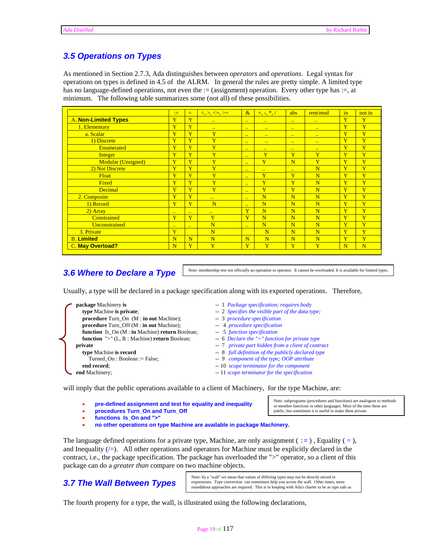### *3.5 Operations on Types*

As mentioned in Section 2.7.3, Ada distinguishes between *operators* and *operations*. Legal syntax for operations on types is defined in 4.5 of the ALRM. In general the rules are pretty simple. A limited type has no language-defined operations, not even the := (assignment) operation. Every other type has :=, at minimum. The following table summarizes some (not all) of these possibilities.

|                             | $:=$      | $=$                      | $\langle , \rangle, \langle = , \rangle =$ | $\&$                | $+, -, *, /$   | abs                        | rem/mod        | in | not in |
|-----------------------------|-----------|--------------------------|--------------------------------------------|---------------------|----------------|----------------------------|----------------|----|--------|
| <b>A. Non-Limited Types</b> | Y         | $\mathbf{Y}$             | $\mathbf{r}$ .                             | $\bullet$           | $\bullet$      | $\overline{\phantom{a}}$ . | $\mathbf{r}$ . | Y  | Y      |
| 1. Elementary               | Y         | Y                        | $\bullet$                                  | $\bullet$           | $\mathbf{r}$ . | $\bullet\bullet$           | $\sim$         | Y  | Y      |
| a. Scalar                   | Y         | Y                        | Y                                          | $\bullet$ $\bullet$ | $\bullet$ .    | $\bullet$ $\bullet$        | $\bullet$ .    | Y  | Y      |
| 1) Discrete                 | Y         | Y                        | Y                                          | $\ddotsc$           | $\bullet$      | $\bullet\bullet$           | $\bullet$ .    | Y  | Y      |
| Enumerated                  | Y         | Y                        | Y                                          | $\sim$              | $\sim$         | $\overline{\phantom{a}}$   | $\mathbf{r}$ . | Y  | Y      |
| Integer                     | Y         | Y                        | Y                                          | $\ddotsc$           | Y              | Y                          | Y              | Y  | Y      |
| <b>Modular (Unsigned)</b>   | Y         | Y                        | Y                                          | $\ddotsc$           | Y              | N                          | Y              | Y  | Y      |
| 2) Not Discrete             | Y         | Y                        | Y                                          | $\sim$ $\sim$       | $\sim$ $\sim$  | $\bullet\bullet$           | N              | Y  | Y      |
| Float                       | Y         | Y                        | Y                                          | $\ddotsc$           | Y              | Y                          | N              | Y  | Y      |
| Fixed                       | Y         | Y                        | Y                                          | $\ddotsc$           | Y              | Y                          | N              | Y  | Y      |
| Decimal                     | Y         | Y                        | Y                                          | $\ddotsc$           | Y              | Y                          | N              | Y  | Y      |
| 2. Composite                | Y         | Y                        | $\overline{\phantom{a}}$                   | $\bullet$           | N              | N                          | N              | Y  | Y      |
| 1) Record                   | Y         | Y                        | N                                          | $\ddotsc$           | N              | N                          | N              | Y  | Y      |
| 2) Array                    | $\ddotsc$ | $\overline{\phantom{a}}$ | $\sim$                                     | Y                   | N              | N                          | N              | Y  | Y      |
| Constrained                 | Y         | Y                        | Y                                          | Y                   | N              | N                          | N              | Y  | Y      |
| Unconstrained               | $\bullet$ | $\overline{\phantom{a}}$ | N                                          | $\bullet$           | N              | N                          | N              | Y  | Y      |
| 3. Private                  | Y         |                          | N                                          |                     | N              | N                          | N              | Y  | Y      |
| <b>B.</b> Limited           | N         | N                        | N                                          | N                   | N              | N                          | N              | Y  | Y      |
| C. May Overload?            | N         | Y                        | Y                                          | Y                   | Y              | Y                          | Y              | N  | N      |

### *3.6 Where to Declare a Type*

Note: membership test not officially an operation or operator. It cannot be overloaded. It is available for limited types.

Usually, a type will be declared in a package specification along with its exported operations. Therefore,

| package Machinery is                                            | -- 1 Package specification; requires body          |
|-----------------------------------------------------------------|----------------------------------------------------|
| type Machine is private;                                        | -- 2 Specifies the visible part of the data type;  |
| <b>procedure</b> Turn_On $(M : in out Machine)$ ;               | -- 3 <i>procedure specification</i>                |
| <b>procedure</b> Turn_Off $(M : in out Machine)$ ;              | -- 4 procedure specification                       |
| function Is On (M : in Machine) return Boolean;                 | -- 5 function specification                        |
| <b>function</b> " $>$ " (L, R : Machine) <b>return</b> Boolean; | -- 6 Declare the ">" function for private type     |
| private                                                         | -- 7 private part hidden from a client of contract |
| type Machine is record                                          | -- 8 full definition of the publicly declared type |
| Turned $On: Boolean := False;$                                  | -- 9 component of the type; OOP attribute          |
| end record:                                                     | -- 10 scope terminator for the component           |
| end Machinery;                                                  | -- 11 scope terminator for the specification       |

will imply that the public operations available to a client of Machinery, for the type Machine, are:

- **pre-defined assignment and test for equality and inequality**
- **procedures Turn\_On and Turn\_Off**
- **functions Is\_On and ">"**

Note: subprograms (procedures and functions) are analogous to methods or member functions in other languages. Most of the time these are public, but sometimes it is useful to make them private.

• **no other operations on type Machine are available in package Machinery.**

The language defined operations for a private type, Machine, are only assignment ( $:=$  ), Equality ( $=$  ), and Inequality  $($   $=$  ). All other operations and operators for Machine must be explicitly declared in the contract, i.e., the package specification. The package has overloaded the ">" operator, so a client of this package can do a *greater than* compare on two machine objects.

### *3.7 The Wall Between Types*

Note: by a "wall" we mean that values of differing types may not be directly mixed in expressions. Type conversion can sometimes help you across the wall. Other times, more roundabout approaches are required. This is in keeping with Ada's charter to be as type safe as

The fourth property for a type, the wall, is illustrated using the following declarations,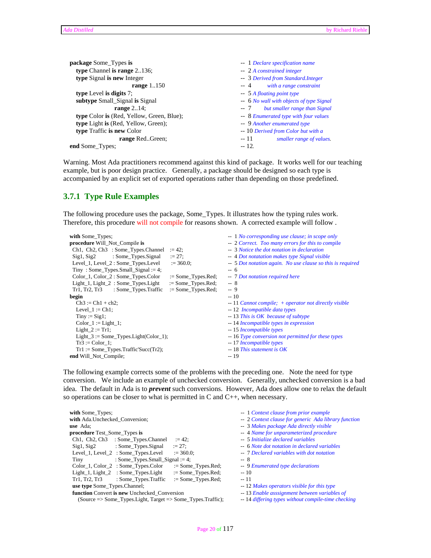| package Some_Types is                     | -- 1 Declare specification name          |  |  |  |
|-------------------------------------------|------------------------------------------|--|--|--|
| type Channel is range 2.136;              | -- 2 A constrained integer               |  |  |  |
| type Signal is new Integer                | -- 3 Derived from Standard. Integer      |  |  |  |
| range $1.150$                             | -- 4 with a range constraint             |  |  |  |
| type Level is digits 7;                   | -- 5 A floating point type               |  |  |  |
| subtype Small_Signal is Signal            | -- 6 No wall with objects of type Signal |  |  |  |
| range $2.14$ ;                            | -- 7 but smaller range than Signal       |  |  |  |
| type Color is (Red, Yellow, Green, Blue); | -- 8 Enumerated type with four values    |  |  |  |
| type Light is (Red, Yellow, Green);       | -- 9 Another enumerated type             |  |  |  |
| type Traffic is new Color                 | -- 10 Derived from Color but with a      |  |  |  |
| range RedGreen;                           | $-11$ $-$<br>smaller range of values.    |  |  |  |
| end Some_Types;                           | $-12.$                                   |  |  |  |

Warning. Most Ada practitioners recommend against this kind of package. It works well for our teaching example, but is poor design practice. Generally, a package should be designed so each type is accompanied by an explicit set of exported operations rather than depending on those predefined.

### **3.7.1 Type Rule Examples**

The following procedure uses the package, Some\_Types. It illustrates how the typing rules work. Therefore, this procedure will not compile for reasons shown. A corrected example will follow.

| -- 1 No corresponding use clause; in scope only            |
|------------------------------------------------------------|
| -- 2 Correct. Too many errors for this to compile          |
| -- 3 Notice the dot notation in declaration                |
| -- 4 Dot notatation makes type Signal visible              |
| -- 5 Dot notation again. No use clause so this is required |
| -- 6                                                       |
| $:=$ Some_Types.Red;<br>-- 7 Dot notation required here    |
| $-8$<br>$:=$ Some Types. Red:                              |
| $:=$ Some_Types.Red;<br>$-9$                               |
| $-10$                                                      |
| -- 11 Cannot compile; + operator not directly visible      |
| -- 12 <i>Incompatible data types</i>                       |
| -- 13 This is OK because of subtype                        |
| -- 14 Incompatible types in expression                     |
| -- 15 <i>Incompatible types</i>                            |
| -- 16 Type conversion not permitted for these types        |
| -- 17 <i>Incompatible types</i>                            |
| $-18$ This statement is OK                                 |
| $-19$                                                      |
|                                                            |

The following example corrects some of the problems with the preceding one. Note the need for type conversion. We include an example of unchecked conversion. Generally, unchecked conversion is a bad idea. The default in Ada is to *prevent* such conversions. However, Ada does allow one to relax the default so operations can be closer to what is permitted in C and C++, when necessary.

| with Some_Types;                                                                      | -- 1 Context clause from prior example               |
|---------------------------------------------------------------------------------------|------------------------------------------------------|
| with Ada.Unchecked_Conversion;                                                        | -- 2 Context clause for generic Ada library function |
| use Ada:                                                                              | -- 3 Makes package Ada directly visible              |
| <b>procedure</b> Test_Some_Types is                                                   | -- 4 Name for unparameterized procedure              |
| $Ch1, Ch2, Ch3 : Some_Types. Channel$<br>$:= 42:$                                     | -- 5 Initialize declared variables                   |
| $Sig1, Sig2$ : Some_Types. Signal<br>$:= 27:$                                         | -- 6 Note dot notation in declared variables         |
| $Level_1, Level_2$ : Some_Types. Level<br>$:= 360.0:$                                 | -- 7 Declared variables with dot notation            |
| : Some_Types.Small_Signal := 4;<br>Tiny                                               | $-8$                                                 |
| $Color_1, Color_2 : Some_Types. Color$<br>$\equiv$ Some Types. Red:                   | -- 9 Enumerated type declarations                    |
| $:=$ Some_Types.Red;<br>$Light_1, Light_2$ : Some_Types. Light                        | $-10$                                                |
| $Tr1, Tr2, Tr3$ : Some_Types.Traffic<br>$\equiv$ Some Types. Red:                     | $-11$                                                |
| use type Some_Types.Channel;                                                          | -- 12 Makes operators visible for this type          |
| function Convert is new Unchecked_Conversion                                          | -- 13 Enable asssignment between variables of        |
| $(Source \Rightarrow Some\_\,Types.Light, Target \Rightarrow Some\_\,Types.Traffic);$ | -- 14 differing types without compile-time checking  |
|                                                                                       |                                                      |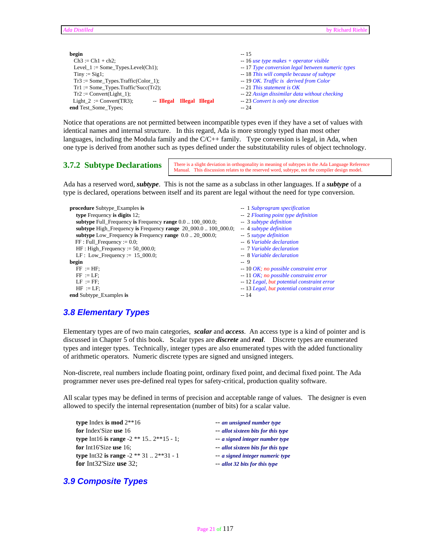| begin                                                    | $-15$                                             |  |  |
|----------------------------------------------------------|---------------------------------------------------|--|--|
| $Ch3 := Ch1 + ch2;$                                      | $-16$ use type makes $+$ operator visible         |  |  |
| $Level_1 := Some_Types. Level(Ch1);$                     | -- 17 Type conversion legal between numeric types |  |  |
| $Tiny := Sig1$ :                                         | -- 18 This will compile because of subtype        |  |  |
| $Tr3 := Some_Types.Traffic(Color_1);$                    | -- 19 OK. Traffic is derived from Color           |  |  |
| $Tr1 := Some_Types.Traffic'Succ(Tr2);$                   | $-21$ This statement is OK                        |  |  |
| $Tr2 := Convert(Light_1);$                               | -- 22 Assign dissimilar data without checking     |  |  |
| Light $2 :=$ Convert(TR3);<br>-- Illegal Illegal Illegal | -- 23 Convert is only one direction               |  |  |
| end Test_Some_Types;                                     | $-24$                                             |  |  |

Notice that operations are not permitted between incompatible types even if they have a set of values with identical names and internal structure. In this regard, Ada is more strongly typed than most other languages, including the Modula family and the  $C/C++$  family. Type conversion is legal, in Ada, when one type is derived from another such as types defined under the substitutability rules of object technology.

### **3.7.2 Subtype Declarations**

There is a slight deviation in orthogonality in meaning of subtypes in the Ada Language Reference Manual. This discussion relates to the reserved word, subtype, not the compiler design model.

Ada has a reserved word, *subtype*. This is not the same as a subclass in other languages. If a *subtype* of a type is declared, operations between itself and its parent are legal without the need for type conversion.

| <b>procedure</b> Subtype_Examples is                                  | -- 1 Subprogram specification               |
|-----------------------------------------------------------------------|---------------------------------------------|
| type Frequency is digits 12;                                          | -- 2 Floating point type definition         |
| subtype Full_Frequency is Frequency range 0.0  100_000.0;             | -- 3 subtype definition                     |
|                                                                       | -- 4 <i>subtype definition</i>              |
| subtype Low_Frequency is Frequency range $0.0 \dots 20 \cdot 000.0$ ; | -- 5 sutype definition                      |
| $FF: Full_Frequency := 0.0;$                                          | -- 6 Variable declaration                   |
| $HF: High_Frequency := 50_000.0;$                                     | -- 7 Variable declaration                   |
| LF : Low_Frequency := $15\text{\textdegree}000.0$ ;                   | -- 8 Variable declaration                   |
| begin                                                                 | $-9$                                        |
| $FF := HF$                                                            | $-10$ OK; no possible constraint error      |
| $FF := LF$ ;                                                          | $-11$ OK; no possible constraint error      |
| $LF := FF$ ;                                                          | -- 12 Legal, but potential constraint error |
| $HF := LF;$                                                           | -- 13 Legal, but potential constraint error |
| end Subtype_Examples is                                               | $-14$                                       |

### *3.8 Elementary Types*

Elementary types are of two main categories, *scalar* and *access*. An access type is a kind of pointer and is discussed in Chapter 5 of this book. Scalar types are *discrete* and *real*. Discrete types are enumerated types and integer types. Technically, integer types are also enumerated types with the added functionality of arithmetic operators. Numeric discrete types are signed and unsigned integers.

Non-discrete, real numbers include floating point, ordinary fixed point, and decimal fixed point. The Ada programmer never uses pre-defined real types for safety-critical, production quality software.

All scalar types may be defined in terms of precision and acceptable range of values. The designer is even allowed to specify the internal representation (number of bits) for a scalar value.

**type** Index **is mod**  $2^{**}16$  -- *an unsigned number type* **for** Index'Size **use** 16 -- *allot sixteen bits for this type* **type** Int16 **is range**  $-2$  \*\* 15..  $2^{**}15 - 1$ ;  $- a signed integer number type$ **for** Int16'Size **use** 16;  $\qquad \qquad -\text{allot sixteen bits for this type}$ **type** Int32 **is range**  $-2$  \*\* 31  $\ldots$  2\*\*31  $-1$  -- *a signed integer numeric type* **for** Int32'Size **use** 32; -- *allot 32 bits for this type*

### *3.9 Composite Types*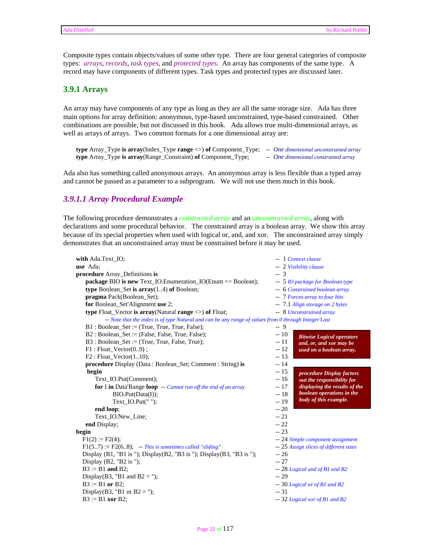Composite types contain objects/values of some other type. There are four general categories of composite types: *arrays*, *records*, *task types*, and *protected types*. An array has components of the same type. A record may have components of different types. Task types and protected types are discussed later.

### **3.9.1 Arrays**

An array may have components of any type as long as they are all the same storage size. Ada has three main options for array definition: anonymous, type-based unconstrained, type-based constrained. Other combinations are possible, but not discussed in this book. Ada allows true multi-dimensional arrays, as well as arrays of arrays. Two common formats for a one dimensional array are:

**type** Array\_Type **is array**(Index\_Type **range** <>) **of** Component\_Type; -- *One dimensional unconstrained array* **type** Array\_Type **is array**(Range\_Constraint) **of** Component\_Type; -- *One dimensional constrained array*

Ada also has something called anonymous arrays. An anonymous array is less flexible than a typed array and cannot be passed as a parameter to a subprogram. We will not use them much in this book.

### *3.9.1.1 Array Procedural Example*

The following procedure demonstrates a *constrained array* and an *unconstrained array*, along with declarations and some procedural behavior. The constrained array is a boolean array. We show this array because of its special properties when used with logical or, and, and xor. The unconstrained array simply demonstrates that an unconstrained array must be constrained before it may be used.

| with Ada.Text IO;                                                                                    |       | -- 1 Context clause                    |
|------------------------------------------------------------------------------------------------------|-------|----------------------------------------|
| use Ada;                                                                                             |       | -- 2 Visibility clause                 |
| procedure Array_Definitions is                                                                       | $-3$  |                                        |
| package BIO is new Text_IO.Enumeration_IO(Enum => Boolean);                                          |       | -- 5 IO package for Boolean type       |
| type Boolean_Set is $array(14)$ of Boolean;                                                          |       | -- 6 Constrained boolean array         |
| pragma Pack(Boolean_Set);                                                                            |       | -- 7 Forces array to four bits         |
| for Boolean_Set'Alignment use 2;                                                                     |       | -- 7.1 Align storage on 2 bytes        |
| type Float_Vector is $array(Natural range \ll)$ of Float;                                            |       | -- 8 Unconstrained array               |
| -- Note that the index is of type Natural and can be any range of values from 0 through Integer'Last |       |                                        |
| B1: Boolean_Set := (True, True, True, False);                                                        | $-9$  |                                        |
| $B2 : Boolean$ Set := (False, False, True, False);                                                   | $-10$ | <b>Bitwise Logical operators</b>       |
| $B3 : Boolean$ Set := (True, True, False, True);                                                     | $-11$ | and, or, and xor may be                |
| $F1$ : Float_Vector(09);                                                                             | $-12$ | used on a boolean array.               |
| $F2$ : Float_Vector(110);                                                                            | $-13$ |                                        |
| <b>procedure</b> Display (Data: Boolean_Set; Comment: String) is                                     | $-14$ |                                        |
| begin                                                                                                | $-15$ | procedure Display factors              |
| Text_IO.Put(Comment);                                                                                | $-16$ | out the responsibility for             |
| <b>for I in Data'Range loop</b> -- <i>Cannot run off the end of an array</i>                         | $-17$ | displaying the results of the          |
| BIO.Put(Data(I));                                                                                    | $-18$ | boolean operations in the              |
| Text_IO.Put("");                                                                                     | $-19$ | body of this example.                  |
| end loop;                                                                                            | $-20$ |                                        |
| Text_IO.New_Line;                                                                                    | $-21$ |                                        |
| end Display;                                                                                         | $-22$ |                                        |
| begin                                                                                                | $-23$ |                                        |
| $F1(2) := F2(4);$                                                                                    |       | -- 24 Simple component assignment      |
| $F1(57) := F2(68);$ -- This is sometimes called "sliding"                                            |       | -- 25 Assign slices of different sizes |
| Display (B1, "B1 is "); Display(B2, "B3 is "); Display(B3, "B3 is ");                                | $-26$ |                                        |
| Display $(B2, "B2 is ");$                                                                            | $-27$ |                                        |
| $B3 := B1$ and $B2$ ;                                                                                |       | -- 28 Logical and of B1 and B2         |
| Display(B3, "B1 and B2 = ");                                                                         | $-29$ |                                        |
| $B3 := B1$ or B2;                                                                                    |       | $-30$ Logical or of B1 and B2          |
| Display(B3, "B1 or B2 = ");                                                                          | $-31$ |                                        |
| $B3 := B1$ xor B2;                                                                                   |       | -- 32 Logical xor of B1 and B2         |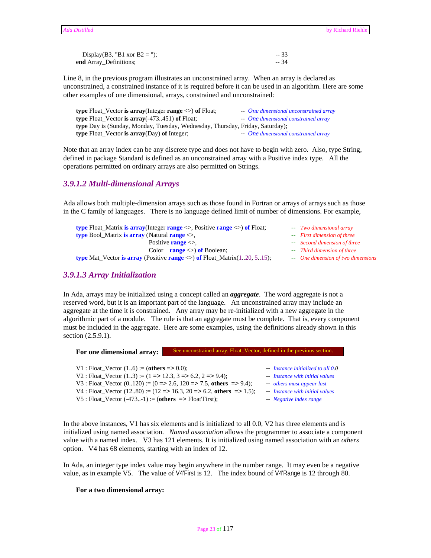| Display(B3, "B1 xor B2 = "); | $-33$ |
|------------------------------|-------|
| end Array Definitions;       | $-34$ |

Line 8, in the previous program illustrates an unconstrained array. When an array is declared as unconstrained, a constrained instance of it is required before it can be used in an algorithm. Here are some other examples of one dimensional, arrays, constrained and unconstrained:

**type** Float\_Vector **is array**(Integer **range** <>) **of** Float; -- *One dimensional unconstrained array* **type** Float\_Vector **is array**(-473..451) **of** Float; -- *One dimensional constrained array* **type** Day is (Sunday, Monday, Tuesday, Wednesday, Thursday, Friday, Saturday); **type** Float\_Vector **is array**(Day) **of** Integer; -- *One dimensional constrained array*

Note that an array index can be any discrete type and does not have to begin with zero. Also, type String, defined in package Standard is defined as an unconstrained array with a Positive index type. All the operations permitted on ordinary arrays are also permitted on Strings.

### *3.9.1.2 Multi-dimensional Arrays*

Ada allows both multiple-dimension arrays such as those found in Fortran or arrays of arrays such as those in the C family of languages. There is no language defined limit of number of dimensions. For example,

| <b>type Float Matrix is array</b> (Integer <b>range</b> $\leq$ , Positive <b>range</b> $\leq$ ) of Float;     | -- Two dimensional array           |  |
|---------------------------------------------------------------------------------------------------------------|------------------------------------|--|
| <b>type Bool_Matrix is array</b> (Natural <b>range</b> $\diamond$ ,                                           | -- First dimension of three        |  |
| Positive <b>range</b> $\ll$ ,                                                                                 | -- Second dimension of three       |  |
| Color <b>range</b> $\langle \rangle$ of Boolean:                                                              | -- Third dimension of three        |  |
| <b>type Mat</b> Vector is <b>array</b> (Positive <b>range</b> $\langle \rangle$ ) of Float Matrix(120, 5.15); | -- One dimension of two dimensions |  |

- **type** Float\_Matrix **is array**(Integer **range** <>, Positive **range** <>) **of** Float; -- *Two dimensional array*
- **type** Bool\_Matrix **is array** ( Natural **range** <>, -- *First dimension of three*
- -- *Second dimension of three*
- -- *Third dimension of three*
- 

### *3.9.1.3 Array Initialization*

In Ada, arrays may be initialized using a concept called an *aggregate*. The word aggregate is not a reserved word, but it is an important part of the language. An unconstrained array may include an aggregate at the time it is constrained. Any array may be re-initialized with a new aggregate in the algorithmic part of a module. The rule is that an aggregate must be complete. That is, every component must be included in the aggregate. Here are some examples, using the definitions already shown in this section  $(2.5.9.1)$ .

| For one dimensional array:                                   | See unconstrained array, Float Vector, defined in the previous section.                                   |                                    |
|--------------------------------------------------------------|-----------------------------------------------------------------------------------------------------------|------------------------------------|
|                                                              |                                                                                                           |                                    |
| V1 : Float Vector $(16)$ := (others => 0.0);                 |                                                                                                           | -- Instance initialized to all 0.0 |
| V2 : Float Vector $(13) := (1 == 12.3, 3 == 6.2, 2 == 9.4);$ |                                                                                                           | -- Instance with initial values    |
|                                                              | V3 : Float Vector $(0.120) := (0 \Rightarrow 2.6, 120 \Rightarrow 7.5, \text{ others} \Rightarrow 9.4)$ ; | -- others must appear last         |
|                                                              | V4 : Float_Vector (1280) := (12 => 16.3, 20 => 6.2, others => 1.5);                                       | -- Instance with initial values    |
| $V5$ : Float_Vector (-473-1) := (others => Float'First);     |                                                                                                           | -- Negative index range            |

In the above instances, V1 has six elements and is initialized to all 0.0, V2 has three elements and is initialized using named association. *Named association* allows the programmer to associate a component value with a named index. V3 has 121 elements. It is initialized using named association with an *others* option. V4 has 68 elements, starting with an index of 12.

In Ada, an integer type index value may begin anywhere in the number range. It may even be a negative value, as in example V5. The value of V4'First is 12. The index bound of V4'Range is 12 through 80.

#### **For a two dimensional array:**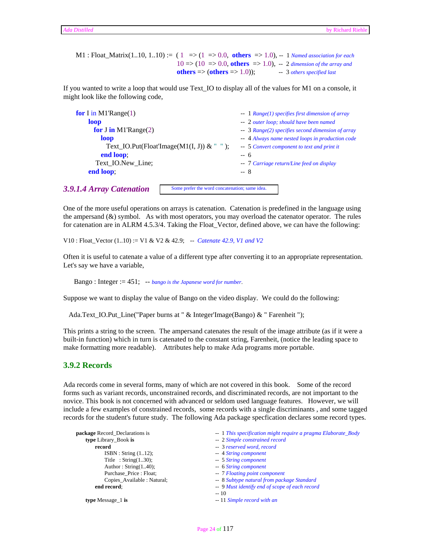M1 : Float Matrix(1..10, 1..10) := (  $1 \Rightarrow (1 \Rightarrow 0.0, \text{ others} = > 1.0)$ , -- 1 *Named association for each*  $10 \Rightarrow (10 \Rightarrow 0.0, \text{others} \Rightarrow 1.0), -2$  *dimension of the array and* **others**  $\Rightarrow$  (**others**  $\Rightarrow$  1.0)); -- 3 *others specified last* 

If you wanted to write a loop that would use Text\_IO to display all of the values for M1 on a console, it might look like the following code,

| for I in M1'Range $(1)$                   | $-1$ Range(1) specifies first dimension of array  |
|-------------------------------------------|---------------------------------------------------|
| <b>loop</b>                               | -- 2 outer loop; should have been named           |
| for $J$ in M1'Range $(2)$                 | -- 3 Range(2) specifies second dimension of array |
| <b>loop</b>                               | -- 4 Always name nested loops in production code  |
| Text_IO.Put(Float'Image(M1(I, J)) & " "); | -- 5 Convert component to text and print it       |
| end loop;                                 | $-6$                                              |
| Text IO.New Line;                         | -- 7 Carriage return/Line feed on display         |
| end loop;                                 | $-8$                                              |
|                                           |                                                   |

*3.9.1.4 Array Catenation* 

Some prefer the word concatenation; same idea.

One of the more useful operations on arrays is catenation. Catenation is predefined in the language using the ampersand (&) symbol. As with most operators, you may overload the catenator operator. The rules for catenation are in ALRM 4.5.3/4. Taking the Float\_Vector, defined above, we can have the following:

V10 : Float\_Vector (1..10) := V1 & V2 & 42.9; -- *Catenate 42.9, V1 and V2*

Often it is useful to catenate a value of a different type after converting it to an appropriate representation. Let's say we have a variable,

Bango : Integer := 451; -- *bango is the Japanese word for number*.

Suppose we want to display the value of Bango on the video display. We could do the following:

Ada.Text\_IO.Put\_Line("Paper burns at " & Integer'Image(Bango) & " Farenheit ");

This prints a string to the screen. The ampersand catenates the result of the image attribute (as if it were a built-in function) which in turn is catenated to the constant string, Farenheit, (notice the leading space to make formatting more readable). Attributes help to make Ada programs more portable.

#### **3.9.2 Records**

Ada records come in several forms, many of which are not covered in this book. Some of the record forms such as variant records, unconstrained records, and discriminated records, are not important to the novice. This book is not concerned with advanced or seldom used language features. However, we will include a few examples of constrained records, some records with a single discriminants , and some tagged records for the student's future study. The following Ada package specfication declares some record types.

| package Record_Declarations is | -- 1 This specification might require a pragma Elaborate_Body |
|--------------------------------|---------------------------------------------------------------|
| type Library_Book is           | -- 2 Simple constrained record                                |
| record                         | -- 3 reserved word, record                                    |
| ISBN : String (112);           | -- 4 String component                                         |
| Title: $String(130)$ ;         | -- 5 String component                                         |
| Author: $String(140);$         | -- 6 String component                                         |
| Purchase Price : Float;        | -- 7 Floating point component                                 |
| Copies Available : Natural;    | -- 8 Subtype natural from package Standard                    |
| end record:                    | -- 9 Must identify end of scope of each record                |
|                                | $-10$                                                         |
| type Message_1 is              | -- 11 Simple record with an                                   |
|                                |                                                               |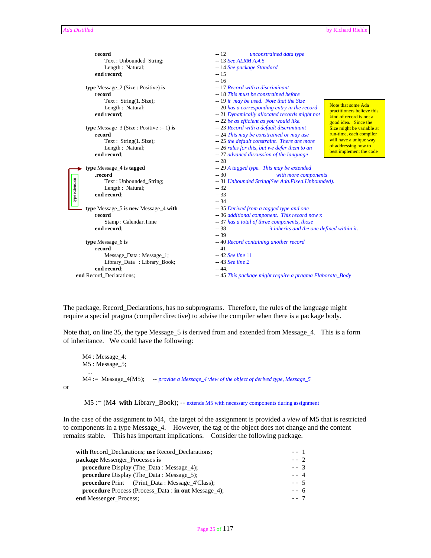| record                                            | $-12$<br>unconstrained data type                                      |                                                                                                                                                                                  |
|---------------------------------------------------|-----------------------------------------------------------------------|----------------------------------------------------------------------------------------------------------------------------------------------------------------------------------|
| Text: Unbounded_String;                           | $-13$ See ALRM $A.4.5$                                                |                                                                                                                                                                                  |
| Length: Natural;                                  | -- 14 See package Standard                                            |                                                                                                                                                                                  |
| end record:                                       | $-15$                                                                 |                                                                                                                                                                                  |
|                                                   | $-16$                                                                 |                                                                                                                                                                                  |
| type Message_2 (Size: Positive) is                | -- 17 Record with a discriminant                                      |                                                                                                                                                                                  |
| record                                            | -- 18 This must be constrained before                                 |                                                                                                                                                                                  |
| Text: $String(1Size);$                            | -- 19 it may be used. Note that the Size                              |                                                                                                                                                                                  |
| Length: Natural;                                  | -- 20 has a corresponding entry in the record                         |                                                                                                                                                                                  |
| end record:                                       | -- 21 Dynamically allocated records might not                         |                                                                                                                                                                                  |
|                                                   | -- 22 be as efficient as you would like.                              |                                                                                                                                                                                  |
| <b>type</b> Message $3$ (Size : Positive := 1) is | -- 23 Record with a default discriminant<br>Size might be variable at |                                                                                                                                                                                  |
| record                                            | run-time, each compiler<br>-- 24 This may be constrained or may use   |                                                                                                                                                                                  |
| Text: $String(1Size)$ ;                           | -- 25 the default constraint. There are more                          |                                                                                                                                                                                  |
| Length: Natural;                                  | -- 26 rules for this, but we defer them to an                         |                                                                                                                                                                                  |
| end record:                                       | -- 27 advancd discussion of the language                              |                                                                                                                                                                                  |
|                                                   | $-28$                                                                 |                                                                                                                                                                                  |
| type Message 4 is tagged                          | -- 29 A tagged type. This may be extended                             |                                                                                                                                                                                  |
| .record                                           | $-30$<br>with more components                                         |                                                                                                                                                                                  |
| Text: Unbounded_String;                           | -- 31 Unbounded String(See Ada.Fixed.Unbounded).                      |                                                                                                                                                                                  |
| Length: Natural;                                  | $-32$                                                                 |                                                                                                                                                                                  |
| end record;                                       | $-33$                                                                 |                                                                                                                                                                                  |
|                                                   | $-34$                                                                 |                                                                                                                                                                                  |
| type Message_5 is new Message_4 with              | -- 35 Derived from a tagged type and one                              |                                                                                                                                                                                  |
| record                                            | -- 36 additional component. This record now x                         |                                                                                                                                                                                  |
| Stamp: Calendar.Time                              | -- 37 has a total of three components, those                          |                                                                                                                                                                                  |
| end record:                                       | $-38$<br>it inherits and the one defined within it.                   |                                                                                                                                                                                  |
|                                                   | $-39$                                                                 |                                                                                                                                                                                  |
| type Message 6 is                                 | -- 40 Record containing another record                                |                                                                                                                                                                                  |
| record                                            | $-41$                                                                 |                                                                                                                                                                                  |
| Message_Data: Message_1;                          | $-42$ See line 11                                                     |                                                                                                                                                                                  |
| Library_Data : Library_Book;                      | $-43$ See line 2                                                      |                                                                                                                                                                                  |
| end record:                                       | $-44.$                                                                |                                                                                                                                                                                  |
| end Record Declarations;                          | -- 45 This package might require a pragma Elaborate_Body              |                                                                                                                                                                                  |
|                                                   |                                                                       | Note that some Ada<br>practitioners believe this<br>kind of record is not a<br>good idea. Since the<br>will have a unique way<br>of addressing how to<br>best implement the code |

The package, Record\_Declarations, has no subprograms. Therefore, the rules of the language might require a special pragma (compiler directive) to advise the compiler when there is a package body.

Note that, on line 35, the type Message\_5 is derived from and extended from Message\_4. This is a form of inheritance. We could have the following:

```
 M4 : Message_4; 
       M5 : Message_5; 
 ... 
       M4 := Message_4(M5); -- provide a Message_4 view of the object of derived type, Message_5
```
or

M5 := (M4 **with** Library\_Book); -- extends M5 with necessary components during assignment

In the case of the assignment to M4, the target of the assignment is provided a *view* of M5 that is restricted to components in a type Message\_4. However, the tag of the object does not change and the content remains stable. This has important implications. Consider the following package.

| with Record Declarations; use Record Declarations;                | $- - 1$ |
|-------------------------------------------------------------------|---------|
| <b>package</b> Messenger Processes is                             | $- - 2$ |
| <b>procedure</b> Display (The Data: Message 4);                   | $- - 3$ |
| <b>procedure</b> Display (The_Data: Message_5);                   | $- - 4$ |
| <b>procedure</b> Print (Print Data: Message 4'Class);             | $-- 5$  |
| <b>procedure</b> Process (Process Data: <b>in out</b> Message 4); | $- - 6$ |
| end Messenger_Process;                                            | $- - 7$ |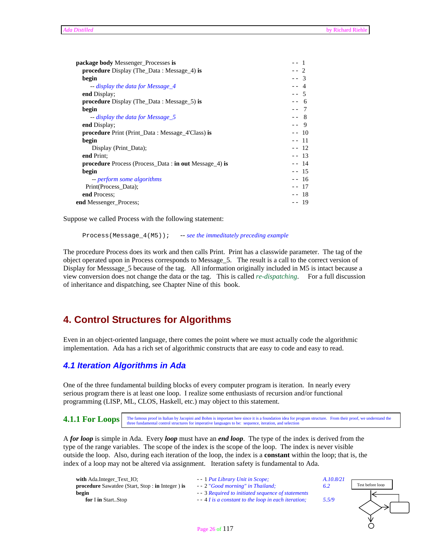| <b>package body</b> Messenger_Processes is                          | -- 1     |
|---------------------------------------------------------------------|----------|
| <b>procedure</b> Display (The Data: Message 4) is                   | $- - 2$  |
| begin                                                               | $--$ 3   |
| -- display the data for Message 4                                   | $- - 4$  |
| end Display;                                                        | $-- 5$   |
| <b>procedure</b> Display (The Data: Message 5) is                   | $-- 6$   |
| begin                                                               | $-- 7$   |
| -- display the data for Message 5                                   | $-- 8$   |
| end Display;                                                        | $- - 9$  |
| <b>procedure</b> Print (Print Data: Message 4'Class) is             | $- - 10$ |
| begin                                                               | $-- 11$  |
| Display (Print_Data);                                               | $- - 12$ |
| end Print;                                                          | $- - 13$ |
| <b>procedure</b> Process (Process Data: <b>in out</b> Message 4) is | $- - 14$ |
| begin                                                               | $- - 15$ |
| -- perform some algorithms                                          | $- - 16$ |
| Print(Process_Data);                                                | $- - 17$ |
| end Process:                                                        | $- - 18$ |
| end Messenger Process;                                              | $- - 19$ |
|                                                                     |          |

Suppose we called Process with the following statement:

Process(Message\_4(M5)); -- *see the immeditately preceding example*

The procedure Process does its work and then calls Print. Print has a classwide parameter. The tag of the object operated upon in Process corresponds to Message\_5. The result is a call to the correct version of Display for Messsage\_5 because of the tag. All information originally included in M5 is intact because a view conversion does not change the data or the tag. This is called *re-dispatching*. For a full discussion of inheritance and dispatching, see Chapter Nine of this book.

## **4. Control Structures for Algorithms**

Even in an object-oriented language, there comes the point where we must actually code the algorithmic implementation. Ada has a rich set of algorithmic constructs that are easy to code and easy to read.

### *4.1 Iteration Algorithms in Ada*

One of the three fundamental building blocks of every computer program is iteration. In nearly every serious program there is at least one loop. I realize some enthusiasts of recursion and/or functional programming (LISP, ML, CLOS, Haskell, etc.) may object to this statement.

**4.1.1 For Loops**  The famous proof in Italian by Jacopini and Bohm is important here since it is a foundation idea for program structure. From their proof, we understand the three fundamental control structures for imperative languages to be: sequence, iteration, and selecti

A *for loop* is simple in Ada. Every *loop* must have an *end loop*. The type of the index is derived from the type of the range variables. The scope of the index is the scope of the loop. The index is never visible outside the loop. Also, during each iteration of the loop, the index is a **constant** within the loop; that is, the index of a loop may not be altered via assignment. Iteration safety is fundamental to Ada.

| with Ada.Integer_Text_IO;                                       | $-- 1$ Put Library Unit in Scope;                      | A.10.8/21 |                  |
|-----------------------------------------------------------------|--------------------------------------------------------|-----------|------------------|
| <b>procedure</b> Sawatdee (Start, Stop : <b>in</b> Integer ) is | $-$ - 2 "Good morning" in Thailand;                    | 6.2       | Test before loop |
| begin                                                           | $-$ 3 Required to initiated sequence of statements     |           |                  |
| for I in StartStop                                              | $-$ – 4 I is a constant to the loop in each iteration; | 5.5/9     |                  |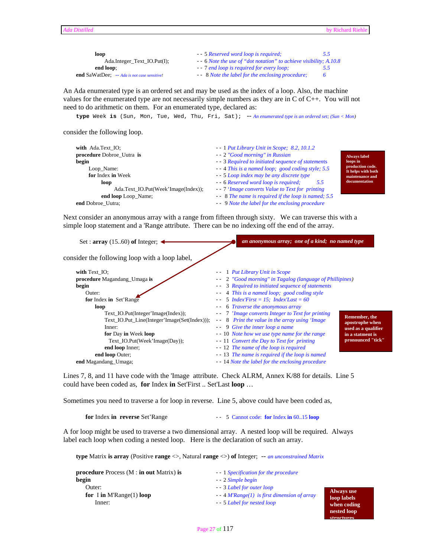| loop                                        | $-$ 5 Reserved word loop is required;                                | 5.5 |
|---------------------------------------------|----------------------------------------------------------------------|-----|
| $Ada. Integer_Text_IO.Put(I);$              | $-$ – 6 Note the use of "dot notation" to achieve visibility; A.10.8 |     |
| end loop;                                   | $-- 7$ end loop is required for every loop;                          | 5.5 |
| end SaWatDee; -- Ada is not case sensitive! | $--$ 8 Note the label for the enclosing procedure;                   | 6   |

An Ada enumerated type is an ordered set and may be used as the index of a loop. Also, the machine values for the enumerated type are not necessarily simple numbers as they are in C of C++. You will not need to do arithmetic on them. For an enumerated type, declared as:

**type** Week **is** (Sun, Mon, Tue, Wed, Thu, Fri, Sat); -- *An enumerated type is an ordered set; (Sun < Mon)*

consider the following loop.

| with Ada.Text IO;                   | $-- 1$ Put Library Unit in Scope; 8.2, 10.1.2         |                                        |
|-------------------------------------|-------------------------------------------------------|----------------------------------------|
| procedure Dobroe Uutra is           | -- 2 "Good morning" in Russian                        | <b>Always</b> label                    |
| begin                               | $--$ 3 Required to initiated sequence of statements   | loops in                               |
| Loop Name:                          | $--$ 4 This is a named loop; good coding style; 5.5   | production code.<br>It helps with both |
| for Index in Week                   | $-- 5$ Loop index may be any discrete type            | maintenance and                        |
| loop                                | -- 6 Reserved word loop is required;<br>5.5           | documentation                          |
| Ada.Text IO.Put(Week'Image(Index)); | $-- 7$ 'Image converts Value to Text for printing     |                                        |
| end loop Loop Name;                 | $--$ 8 The name is required if the loop is named; 5.5 |                                        |
| end Dobroe Uutra;                   | -- 9 Note the label for the enclosing procedure       |                                        |

Next consider an anonymous array with a range from fifteen through sixty. We can traverse this with a simple loop statement and a 'Range attribute. There can be no indexing off the end of the array.

| Set: $array(1560)$ of Integer;                                                                                                                                                   | an anonymous array; one of a kind; no named type                                                                                                                                                                                                                                                                                  |                                                                                                  |
|----------------------------------------------------------------------------------------------------------------------------------------------------------------------------------|-----------------------------------------------------------------------------------------------------------------------------------------------------------------------------------------------------------------------------------------------------------------------------------------------------------------------------------|--------------------------------------------------------------------------------------------------|
| consider the following loop with a loop label,                                                                                                                                   |                                                                                                                                                                                                                                                                                                                                   |                                                                                                  |
| with Text IO;<br>procedure Magandang_Umaga is<br>begin<br>Outer:<br>for Index in Set'Range                                                                                       | -- 1 Put Library Unit in Scope<br>-- 2 "Good morning" in Tagalog (language of Phillipines)<br>3 Required to initiated sequence of statements<br>4 This is a named loop; good coding style<br>$-- 5$ Index'First = 15; Index'Last = 60                                                                                             |                                                                                                  |
| loop<br>Text_IO.Put(Integer'Image(Index));<br>Text_IO.Put_Line(Integer'Image(Set(Index)));<br>Inner:<br>for Day in Week loop<br>Text_IO.Put(Week'Image(Day));<br>end loop Inner; | $-- 6$ Traverse the anonymous array<br>-- 7 'Image converts Integer to Text for printing<br>$--$ 8 Print the value in the array using 'Image'<br>$--$ 9 Give the inner loop a name<br>$-- 10$ Note how we use type name for the range<br>$-- 11$ Convert the Day to Text for printing<br>$-- 12$ The name of the loop is required | Remember, the<br>apostrophe when<br>used as a qualifier<br>in a statment is<br>pronounced "tick" |
| end loop Outer;<br>end Magandang Umaga;                                                                                                                                          | $-- 13$ The name is required if the loop is named<br>-- 14 Note the label for the enclosing procedure                                                                                                                                                                                                                             |                                                                                                  |

Lines 7, 8, and 11 have code with the 'Image attribute. Check ALRM, Annex K/88 for details. Line 5 could have been coded as, **for** Index **in** Set'First .. Set'Last **loop** …

Sometimes you need to traverse a for loop in reverse. Line 5, above could have been coded as,

**for** Index **in reverse** Set'Range -- 5 Cannot code: **for** Index **in** 60..15 **loop** 

A for loop might be used to traverse a two dimensional array. A nested loop will be required. Always label each loop when coding a nested loop. Here is the declaration of such an array.

**type** Matrix **is array** (Positive **range** <>, Natural **range** <>) **of** Integer; -- *an unconstrained Matrix*

**procedure** Process (M : **in out** Matrix) **is** -- 1 *Specification for the procedure* **begin** -- 2 *Simple begin* Outer:  $-3$  *Label for outer loop* **for** I **in** M'Range(1) **loop** -- 4 *M'Range(1) is first dimension of array* **Inner:**  $-- 5$  *Label for nested loop* 

- -
- 
- 

**loop labels when coding nested loop** 

**Always use** 

**structures**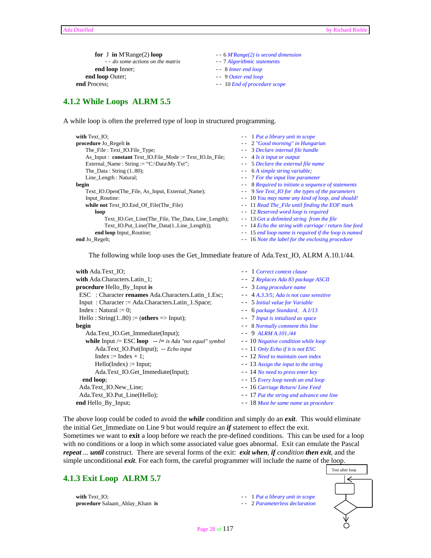**for** J **in** M'Range(2) **loop** -- 6 *M'Range(2)* is second dimension<br>-- do some actions on the matrix -- 7 Algorithmic statements -- *do some actions on the matrix*  **end loop** Inner; -- 8 *Inner end loop* **end loop** Outer;  $-9$  *Outer end loop* end Process;  $-10$  *End of procedure scope* 

### **4.1.2 While Loops ALRM 5.5**

- 
- 
- 
- 
- 

A while loop is often the preferred type of loop in structured programming.

| with Text IO:                                            | $--$ 1 Put a library unit in scope                     |
|----------------------------------------------------------|--------------------------------------------------------|
| procedure Jo_Regelt is                                   | $-- 2$ "Good morning" in Hungarian                     |
| The_File: Text_IO.File_Type;                             | -- 3 Declare internal file handle                      |
| As_Input: constant Text_IO.File_Mode := Text_IO.In_File; | $--$ 4 Is it input or output                           |
| External_Name: $String := "C:\Data\My.Txt";$             | $-- 5$ Declare the external file name                  |
| The_Data: String $(180)$ ;                               | $-- 6A simple string variable;$                        |
| Line_Length: Natural;                                    | -- 7 For the input line parameter                      |
| begin                                                    | -- 8 Required to initiate a sequence of statements     |
| Text_IO.Open(The_File, As_Input, External_Name);         | -- 9 See Text_IO for the types of the parameters       |
| Input Routine:                                           | -- 10 You may name any kind of loop, and should!       |
| while not Text_IO.End_Of_File(The_File)                  | $--$ 11 Read The_File until finding the EOF mark       |
| loop                                                     | -- 12 Reserved word loop is required                   |
| Text_IO.Get_Line(The_File, The_Data, Line_Length);       | -- 13 Get a delimited string from the file             |
| Text_IO.Put_Line(The_Data(1Line_Length));                | -- 14 Echo the string with carriage / return line feed |
| end loop Input_Routine;                                  | $--$ 15 end loop name is required if the loop is named |
| end Jo_Regelt;                                           | -- 16 Note the label for the enclosing procedure       |

The following while loop uses the Get\_Immediate feature of Ada.Text\_IO, ALRM A.10.1/44.

| with Ada.Text IO;                                                                     | -- 1 Correct context clause                 |
|---------------------------------------------------------------------------------------|---------------------------------------------|
| with Ada.Characters.Latin 1:                                                          | -- 2 Replaces Ada 83 package ASCII          |
| procedure Hello_By_Input is                                                           | $--$ 3 Long procedure name                  |
| ESC : Character renames Ada.Characters.Latin 1.Esc;                                   | $--$ 4 A.3.3/5; Ada is not case sensitive   |
| Input: Character := Ada.Characters.Latin_1.Space;                                     | -- 5 Initial value for Variable             |
| Index : Natural := 0;                                                                 | $--\,6$ package Standard, A.1/13            |
| Hello: $String(180) := (others = > Input);$                                           | $--$ 7 Input is intialized as space         |
| begin                                                                                 | -- 8 Normally comment this line             |
| Ada.Text_IO.Get_Immediate(Input);                                                     | $-$ 9 ALRM A.101./44                        |
| <b>while</b> Input $\ell$ = ESC loop $\rightarrow$ $\ell$ = is Ada "not equal" symbol | $-- 10$ Negative condition while loop       |
| Ada.Text_IO.Put(Input); -- Echo input                                                 | $-- 11$ Only Echo if it is not ESC          |
| $Index := Index + 1$ ;                                                                | $-$ - 12 Need to maintain own index         |
| $Hello(Index) := Input;$                                                              | $-- 13$ Assign the input to the string      |
| Ada.Text_IO.Get_Immediate(Input);                                                     | $-- 14$ No need to press enter key          |
| end loop;                                                                             | $-- 15$ Every loop needs an end loop        |
| Ada.Text IO.New Line;                                                                 | -- 16 Carriage Return/Line Feed             |
| Ada.Text_IO.Put_Line(Hello);                                                          | $-- 17$ Put the string and advance one line |
| end Hello_By_Input;                                                                   | $-- 18$ Must be same name as procedure      |
|                                                                                       |                                             |

The above loop could be coded to avoid the *while* condition and simply do an *exit*. This would eliminate the initial Get\_Immediate on Line 9 but would require an *if* statement to effect the exit. Sometimes we want to **exit** a loop before we reach the pre-defined conditions. This can be used for a loop with no conditions or a loop in which some associated value goes abnormal. Exit can emulate the Pascal

*repeat ... until* construct. There are several forms of the exit: *exit when*, *if condition then exit*, and the simple unconditional *exit*. For each form, the careful programmer will include the name of the loop.

### **4.1.3 Exit Loop ALRM 5.7**

**procedure** Salaam\_Ahlay\_Kham **is** -- 2 *Parameterless declaration*

**with Text\_IO;**  $-$  1 *Put a library unit in scope* 

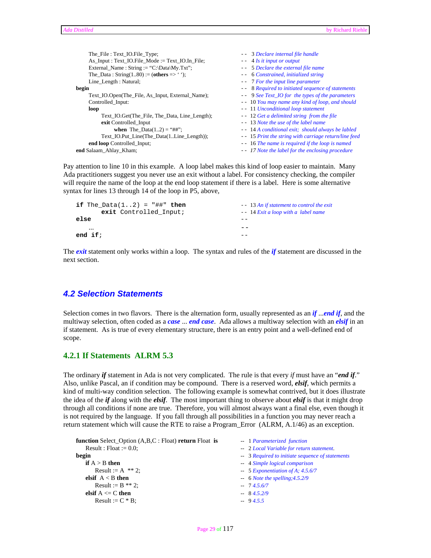| The File: Text IO. File Type:                    | -- 3 Declare internal file handle                     |
|--------------------------------------------------|-------------------------------------------------------|
| As_Input: Text_IO.File_Mode := Text_IO.In_File;  | $-- 4 Is it input or output$                          |
| External_Name: $String := "C:\Data\My.Txt";$     | -- 5 Declare the external file name                   |
| The_Data: String(180) := (others => '');         | -- 6 Constrained, initialized string                  |
| Line_Length : Natural;                           | $--$ 7 For the input line parameter                   |
| begin                                            | -- 8 Required to initiated sequence of statements     |
| Text_IO.Open(The_File, As_Input, External_Name); | $--$ 9 See Text_IO for the types of the parameters    |
| Controlled_Input:                                | $-- 10$ You may name any kind of loop, and should     |
| loop                                             | -- 11 Unconditional loop statement                    |
| Text_IO.Get(The_File, The_Data, Line_Length);    | -- 12 Get a delimited string from the file            |
| exit Controlled Input                            | $--$ 13 Note the use of the label name                |
| <b>when</b> The Data $(12) =$ "##";              | -- 14 A conditional exit; should always be labled     |
| Text_IO.Put_Line(The_Data(1Line_Length));        | -- 15 Print the string with carriage return/line feed |
| end loop Controlled_Input;                       | $-- 16$ The name is required if the loop is named     |
| end Salaam_Ahlay_Kham;                           | -- 17 Note the label for the enclosing procedure      |

Pay attention to line 10 in this example. A loop label makes this kind of loop easier to maintain. Many Ada practitioners suggest you never use an exit without a label. For consistency checking, the compiler will require the name of the loop at the end loop statement if there is a label. Here is some alternative syntax for lines 13 through 14 of the loop in P5, above,

```
if The Data(1..2) = "##" then - - 13 An if statement to control the exit
           exit Controlled_Input; -- 14 Exit a loop with a label name
else -- 
. The contract of the contract of the contract of the contract of the contract of the contract of the contract of the contract of the contract of the contract of the contract of the contract of the contract of the contrac
end if;
```
The *exit* statement only works within a loop. The syntax and rules of the *if* statement are discussed in the next section.

### *4.2 Selection Statements*

Selection comes in two flavors. There is the alternation form, usually represented as an *if* ...*end if*, and the multiway selection, often coded as a *case* ... *end case*. Ada allows a multiway selection with an *elsif* in an if statement. As is true of every elementary structure, there is an entry point and a well-defined end of scope.

#### **4.2.1 If Statements ALRM 5.3**

The ordinary *if* statement in Ada is not very complicated. The rule is that every *if* must have an "*end if*." Also, unlike Pascal, an if condition may be compound. There is a reserved word, *elsif*, which permits a kind of multi-way condition selection. The following example is somewhat contrived, but it does illustrate the idea of the *if* along with the *elsif*. The most important thing to observe about *elsif* is that it might drop through all conditions if none are true. Therefore, you will almost always want a final else, even though it is not required by the language. If you fall through all possibilities in a function you may never reach a return statement which will cause the RTE to raise a Program\_Error (ALRM, A.1/46) as an exception.

| <b>function</b> Select_Option (A,B,C : Float) <b>return</b> Float is | -- 1 Parameterized function                      |
|----------------------------------------------------------------------|--------------------------------------------------|
| Result : Float := $0.0$ ;                                            | -- 2 Local Variable for return statement.        |
| begin                                                                | -- 3 Required to initiate sequence of statements |
| if $A > B$ then                                                      | -- 4 Simple logical comparison                   |
| Result := $A$ ** 2;                                                  | $-5$ Exponentiation of A; 4.5.6/7                |
| elsif $A < B$ then                                                   | $-6$ Note the spelling; 4.5.2/9                  |
| Result := $B ** 2$ ;                                                 | $-74.5.6/7$                                      |
| elsif $A \le C$ then                                                 | $-84.5.2/9$                                      |
| Result := $C * B$ ;                                                  | $-94.5.5$                                        |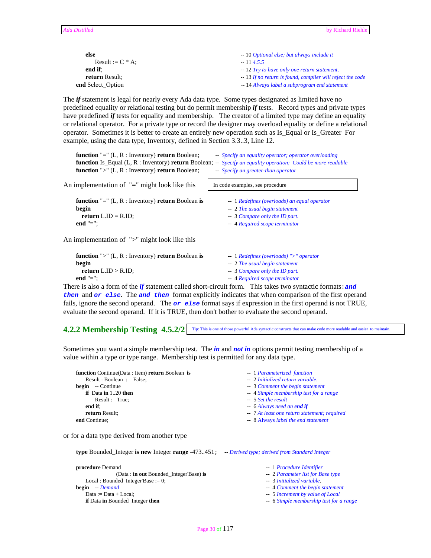| else                | -- 10 <i>Optional else; but always include it</i>          |
|---------------------|------------------------------------------------------------|
| Result := $C^* A$ : | $-114.5.5$                                                 |
| end if:             | --12 Try to have only one return statement.                |
| return Result:      | -- 13 If no return is found, compiler will reject the code |
| end Select_Option   | -- 14 Always label a subprogram end statement              |

The *if* statement is legal for nearly every Ada data type. Some types designated as limited have no predefined equality or relational testing but do permit membership *if* tests. Record types and private types have predefined *if* tests for equality and membership. The creator of a limited type may define an equality or relational operator. For a private type or record the designer may overload equality or define a relational operator. Sometimes it is better to create an entirely new operation such as Is\_Equal or Is\_Greater For example, using the data type, Inventory, defined in Section 3.3..3, Line 12.

| <b>function</b> "=" $(L, R : Inventory)$ <b>return</b> Boolean;<br><b>function</b> ">" ( $L, R$ : Inventory) <b>return</b> Boolean; | -- Specify an equality operator; operator overloading<br><b>function</b> Is Equal (L, R : Inventory) <b>return</b> Boolean; -- Specify an equality operation; Could be more readable<br>-- Specify an greater-than operator |
|-------------------------------------------------------------------------------------------------------------------------------------|-----------------------------------------------------------------------------------------------------------------------------------------------------------------------------------------------------------------------------|
| An implementation of $" ="$ might look like this                                                                                    | In code examples, see procedure                                                                                                                                                                                             |
| <b>function</b> "=" $(L, R : Inventory)$ <b>return</b> Boolean is<br>begin<br>return $L.ID = R.ID$ ;<br>end $"="$ :                 | -- 1 Redefines (overloads) an equal operator<br>-- 2 The usual begin statement<br>-- 3 Compare only the ID part.<br>-- 4 Required scope terminator                                                                          |
| An implementation of ">" might look like this                                                                                       |                                                                                                                                                                                                                             |
| <b>function</b> ">" (L, R : Inventory) <b>return</b> Boolean is<br>begin<br>return $L.ID > R.ID$ ;                                  | $-1$ Redefines (overloads) ">" operator<br>-- 2 The usual begin statement<br>-- 3 Compare only the ID part.                                                                                                                 |
| end $"="$ :                                                                                                                         | -- 4 Required scope terminator                                                                                                                                                                                              |

There is also a form of the *if* statement called short-circuit form. This takes two syntactic formats:*and then* and *or else*. The *and then* format explicitly indicates that when comparison of the first operand fails, ignore the second operand. The *or else* format says if expression in the first operand is not TRUE, evaluate the second operand. If it is TRUE, then don't bother to evaluate the second operand.

#### **4.2.2 Membership Testing 4.5.2/2**  Tip: This is one of those powerful Ada syntactic constructs that can make code more readable and easier to maintain.

Sometimes you want a simple membership test. The *in* and *not in* options permit testing membership of a value within a type or type range. Membership test is permitted for any data type.

| function Continue (Data : Item) return Boolean is | -- 1 Parameterized function                  |
|---------------------------------------------------|----------------------------------------------|
| $Result: Boolean := False;$                       | -- 2 Initialized return variable.            |
| <b>begin</b> -- Continue                          | -- 3 Comment the begin statement             |
| if Data in $120$ then                             | -- 4 Simple membership test for a range      |
| $Result := True$                                  | -- 5 Set the result                          |
| end if:                                           | -- 6 Always need an <b>end if</b>            |
| return Result:                                    | -- 7 At least one return statement; required |
| end Continue:                                     | -- 8 Always label the end statement          |
|                                                   |                                              |

or for a data type derived from another type

| type Bounded_Integer is new Integer range -473451 ; -- Derived type; derived from Standard Integer |  |
|----------------------------------------------------------------------------------------------------|--|
|                                                                                                    |  |

| procedure Demand                                     | -- 1 Procedure Identifier  |
|------------------------------------------------------|----------------------------|
| (Data: in out Bounded Integer'Base) is               | -- 2 Parameter list for Ba |
| $Local: Bounded\_Integer'Base := 0;$                 | -- 3 Initialized variable. |
| <b>begin</b> -- <i>Demand</i>                        | -- 4 Comment the begin s   |
| Data := Data + Local:                                | -- 5 Increment by value of |
| <b>if</b> Data <b>in</b> Bounded_Integer <b>then</b> | -- 6 Simple membership t   |

- -- 2 *Parameter list for Base type*
- 
- **begin** -- *Demand* -- 4 *Comment the begin statement*
- -- 5 *Increment by value of Local*
- **i**-6 *Simple membership test for a range*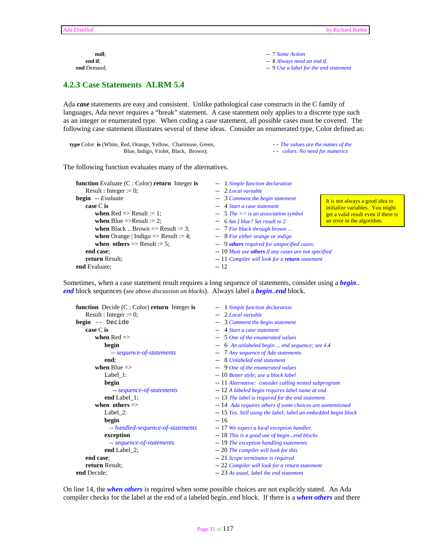**null**; -- 7 *Some Action* **end if**;  $-8$  *Always need an end if.* **end** Demand; **and Semands end end end end end end end end end end end end end end end end end end end** 

### **4.2.3 Case Statements ALRM 5.4**

Ada *case* statements are easy and consistent. Unlike pathological case constructs in the C family of languages, Ada never requires a "break" statement. A case statement only applies to a discrete type such as an integer or enumerated type. When coding a case statement, all possible cases must be covered. The following case statement illustrates several of these ideas. Consider an enumerated type, Color defined as:

**type** Color **is** (White, Red, Orange, Yellow, Chartreuse, Green,  $\overline{ }$  -- *The values are the names of the* Blue, Indigo, Violet, Black, Brown);  $-- colors. No need for numerics$ 

The following function evaluates many of the alternatives.

| <b>function</b> Evaluate $(C:Color)$ <b>return</b> Integer is | -- 1 Simple function declaration                       |                                     |
|---------------------------------------------------------------|--------------------------------------------------------|-------------------------------------|
| Result : Integer := 0;                                        | -- 2 Local variable                                    |                                     |
| <b>begin</b> -- Evaluate                                      | -- 3 Comment the begin statement                       | It is not always a good idea to     |
| case $C$ is                                                   | -- 4 Start a case statement                            | initialize variables. You might     |
| when $\text{Red} \Rightarrow \text{Result} := 1$ ;            | $-5$ The $\Rightarrow$ is an association symbol        | get a valid result even if there is |
| when Blue =>Result := 2;                                      | $-6$ Am I blue? Set result to 2                        | an error in the algorithm.          |
| when Black  Brown $\Rightarrow$ Result := 3;                  | -- 7 For black through brown                           |                                     |
| <b>when</b> Orange   Indigo $\Rightarrow$ Result := 4;        | -- 8 For either orange or indigo                       |                                     |
| when others $\Rightarrow$ Result := 5;                        | -- 9 others required for unspecified cases.            |                                     |
| end case:                                                     | -- 10 Must use others if any cases are not specified   |                                     |
| return Result:                                                | -- 11 Compiler will look for a <b>return</b> statement |                                     |
| <b>end</b> Evaluate:                                          | $-12$                                                  |                                     |

Sometimes, when a case statement result requires a long sequence of statements, consider using a *begin*.. *end* block sequences (*see above discussion on blocks*). Always label a *begin..end* block.

| function Decide $(C:Color)$ return Integer is | 1 Simple function declaration                                   |
|-----------------------------------------------|-----------------------------------------------------------------|
| Result : Integer := 0;                        | 2 Local variable<br>$-$                                         |
| begin -- Decide                               | 3 Comment the begin statement                                   |
| case $C$ is                                   | -- 4 Start a case statement                                     |
| when $Red \Rightarrow$                        | 5 One of the enumerated values<br>$\sim$ $-$                    |
| begin                                         | 6 An unlabeled begin  end sequence; see 4.4<br>$-\,-$           |
| -- sequence-of-statements                     | -- 7 Any sequence of Ada statements                             |
| end:                                          | -- 8 Unlabeled end statement                                    |
| when Blue $\Rightarrow$                       | -- 9 One of the enumerated values                               |
| Label 1:                                      | -- 10 Better style; use a block label                           |
| begin                                         | -- 11 Alternative: consider calling nested subprogram           |
| -- sequence-of-statements                     | -- 12 A labeled begin requires label name at end                |
| end Label $\perp$ :                           | -- 13 The label is required for the end statement               |
| when others $\Rightarrow$                     | -- 14 Ada requires others if some choices are unmentioned       |
| Label 2:                                      | -- 15 Yes. Still using the label; label an embedded begin block |
| begin                                         | $-16$                                                           |
| -- handled-sequence-of-statements             | -- 17 We expect a local exception handler.                      |
| exception                                     | -- 18 This is a good use of beginend blocks                     |
| -- sequence-of-statements                     | -- 19 The exception handling statements                         |
| end Label $2$ ;                               | -- 20 The compiler will look for this                           |
| end case:                                     | -- 21 Scope terminator is required                              |
| return Result:                                | -- 22 Compiler will look for a return statement                 |
| end Decide:                                   | -- 23 As usual, label the end statement                         |

On line 14, the *when others* is required when some possible choices are not explicitly stated. An Ada compiler checks for the label at the end of a labeled begin..end block. If there is a *when others* and there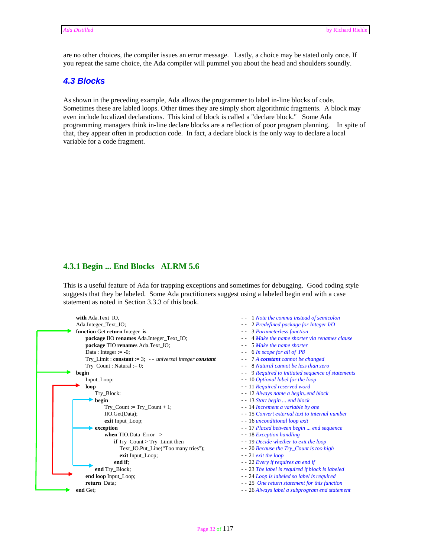are no other choices, the compiler issues an error message. Lastly, a choice may be stated only once. If you repeat the same choice, the Ada compiler will pummel you about the head and shoulders soundly.

### *4.3 Blocks*

As shown in the preceding example, Ada allows the programmer to label in-line blocks of code. Sometimes these are labled loops. Other times they are simply short algorithmic fragments. A block may even include localized declarations. This kind of block is called a "declare block." Some Ada programming managers think in-line declare blocks are a reflection of poor program planning. In spite of that, they appear often in production code. In fact, a declare block is the only way to declare a local variable for a code fragment.

#### **4.3.1 Begin ... End Blocks ALRM 5.6**

This is a useful feature of Ada for trapping exceptions and sometimes for debugging. Good coding style suggests that they be labeled. Some Ada practitioners suggest using a labeled begin end with a case statement as noted in Section 3.3.3 of this book.



| -- 1 Note the comma instead of semicolon          |
|---------------------------------------------------|
|                                                   |
| -- 2 Predefined package for Integer I/O           |
| -- 3 Parameterless function                       |
| -- 4 Make the name shorter via renames clause     |
| -- 5 Make the name shorter                        |
| -- 6 In scope for all of P8                       |
| -- 7 A constant cannot be changed                 |
| -- 8 Natural cannot be less than zero             |
| -- 9 Required to initiated sequence of statements |
| $-- 10$ Optional label for the loop               |
| -- 11 Required reserved word                      |
| -- 12 Always name a beginend block                |
| -- 13 Start begin  end block                      |
| -- 14 Increment a variable by one                 |
| -- 15 Convert external text to internal number    |
| -- 16 <i>unconditional loop exit</i>              |
| -- 17 Placed between begin  end sequence          |
| -- 18 <i>Exception handling</i>                   |
| -- 19 Decide whether to exit the loop             |
| -- 20 Because the Try_Count is too high           |
| $-- 21$ exit the loop                             |
| -- 22 Every if requires an end if                 |
| -- 23 The label is required if block is labeled   |
| -- 24 Loop is labeled so label is required        |
| -- 25 One return statement for this function      |
| -- 26 Always label a subprogram end statement     |
|                                                   |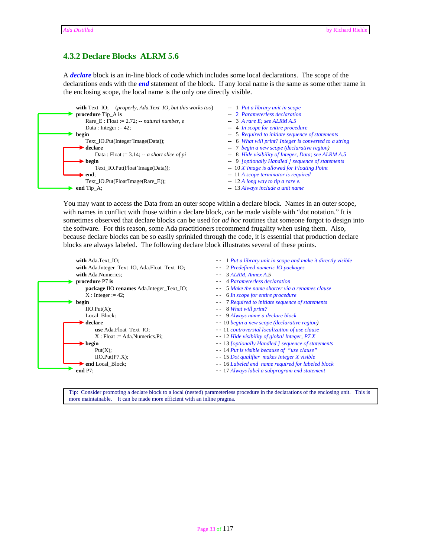### **4.3.2 Declare Blocks ALRM 5.6**

A *declare* block is an in-line block of code which includes some local declarations. The scope of the declarations ends with the *end* statement of the block. If any local name is the same as some other name in the enclosing scope, the local name is the only one directly visible.



You may want to access the Data from an outer scope within a declare block. Names in an outer scope, with names in conflict with those within a declare block, can be made visible with "dot notation." It is sometimes observed that declare blocks can be used for *ad hoc* routines that someone forgot to design into the software. For this reason, some Ada practitioners recommend frugality when using them. Also, because declare blocks can be so easily sprinkled through the code, it is essential that production declare blocks are always labeled. The following declare block illustrates several of these points.



Tip: Consider promoting a declare block to a local (nested) parameterless procedure in the declarations of the enclosing unit. This is more maintainable. It can be made more efficient with an inline pragma.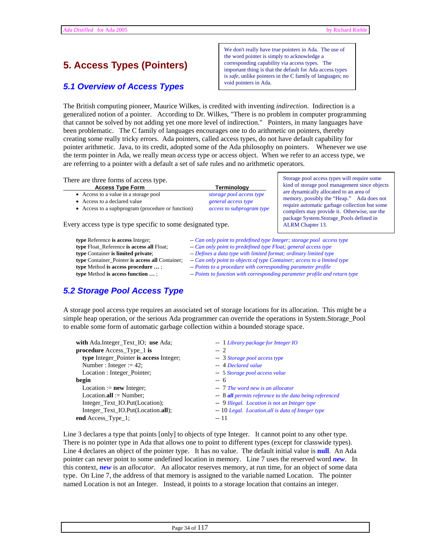Storage pool access types will require some

# **5. Access Types (Pointers)**

### *5.1 Overview of Access Types*

We don't really have true pointers in Ada. The use of the word pointer is simply to acknowledge a corresponding capability via access types. The important thing is that the default for Ada access types is *safe*, unlike pointers in the C family of languages; no void pointers in Ada.

The British computing pioneer, Maurice Wilkes, is credited with inventing *indirection*. Indirection is a generalized notion of a pointer. According to Dr. Wilkes, "There is no problem in computer programming that cannot be solved by not adding yet one more level of indirection." Pointers, in many languages have been problematic. The C family of languages encourages one to do arithmetic on pointers, thereby creating some really tricky errors. Ada pointers, called access types, do not have default capability for pointer arithmetic. Java, to its credit, adopted some of the Ada philosophy on pointers. Whenever we use the term pointer in Ada, we really mean *access* type or access object. When we refer to an access type, we are referring to a pointer with a default a set of safe rules and no arithmetic operators.

There are three forms of access type.

| <b>Access Type Form</b>                                                                                                   | Terminology                                                                  | kind of storage pool management since objects                                                                                                                                         |
|---------------------------------------------------------------------------------------------------------------------------|------------------------------------------------------------------------------|---------------------------------------------------------------------------------------------------------------------------------------------------------------------------------------|
| • Access to a value in a storage pool<br>• Access to a declared value<br>• Access to a supprogram (procedure or function) | storage pool access type<br>general access type<br>access to subprogram type | are dynamically allocated to an area of<br>memory, possibly the "Heap." Ada does not<br>require automatic garbage collection but some<br>compilers may provide it. Otherwise, use the |
| Every access type is type specific to some designated type.                                                               |                                                                              | package System.Storage_Pools defined in<br><b>ALRM</b> Chapter 13.                                                                                                                    |

**type** Reference **is access** Integer;  $\qquad - Can only point to predefined type Integer; storage pool access type$ **type** Float\_Reference **is access all** Float; -- *Can only point to predefined type Float; general access type* **type** Container **is limited private**;  $\qquad -\textit{Defines a data type with limited format; ordinary limited type}$ **type** Container\_Pointer **is access all** Container; -- *Can only point to objects of type Container; access to a limited type* **type** Method **is access procedure ...**; -- *Points to a procedure with corresponding parameter profile* **type** Method **is access function ...**; -- *Points to function with corresponding parameter profile and return type* 

## *5.2 Storage Pool Access Type*

A storage pool access type requires an associated set of storage locations for its allocation. This might be a simple heap operation, or the serious Ada programmer can override the operations in System.Storage\_Pool to enable some form of automatic garbage collection within a bounded storage space.

| with Ada.Integer_Text_IO; use Ada;      | -- 1 Library package for Integer IO                     |
|-----------------------------------------|---------------------------------------------------------|
| <b>procedure</b> Access Type 1 is       | $-2$                                                    |
| type Integer_Pointer is access Integer; | -- 3 Storage pool access type                           |
| Number : Integer := $42$ ;              | -- 4 Declared value                                     |
| Location : Integer_Pointer;             | -- 5 Storage pool access value                          |
| begin                                   | -- 6                                                    |
| Location $:=$ <b>new</b> Integer;       | -- 7 The word new is an allocator                       |
| Location.all := Number;                 | -- 8 all permits reference to the data being referenced |
| Integer_Text_IO.Put(Location);          | -- 9 Illegal. Location is not an Integer type           |
| Integer_Text_IO.Put(Location.all);      | -- 10 Legal. Location all is data of Integer type       |
| end Access_Type_1;                      | -- 11                                                   |

Line 3 declares a type that points [only] to objects of type Integer. It cannot point to any other type. There is no pointer type in Ada that allows one to point to different types (except for classwide types). Line 4 declares an object of the pointer type. It has no value. The default initial value is **null**. An Ada pointer can never point to some undefined location in memory. Line 7 uses the reserved word *new*. In this context, *new* is an *allocator*. An allocator reserves memory, at run time, for an object of some data type. On Line 7, the address of that memory is assigned to the variable named Location. The pointer named Location is not an Integer. Instead, it points to a storage location that contains an integer.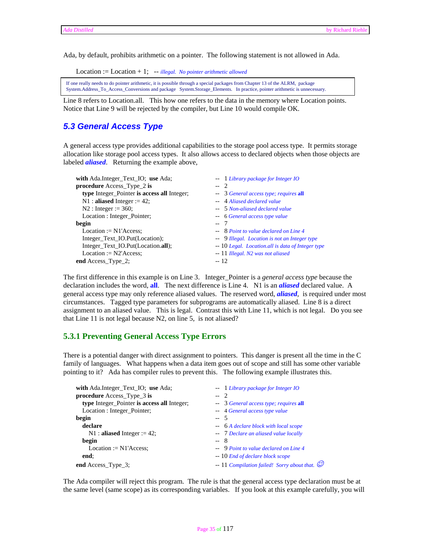Ada, by default, prohibits arithmetic on a pointer. The following statement is not allowed in Ada.

Location := Location + 1; -- *illegal. No pointer arithmetic allowed*

If one really needs to do pointer arithmetic, it is possible through a special packages from Chapter 13 of the ALRM, package System.Address\_To\_Access\_Conversions and package System.Storage\_Elements. In practice, pointer arithmetic is unnecessary.

Line 8 refers to Location.all. This how one refers to the data in the memory where Location points. Notice that Line 9 will be rejected by the compiler, but Line 10 would compile OK.

#### *5.3 General Access Type*

A general access type provides additional capabilities to the storage pool access type. It permits storage allocation like storage pool access types. It also allows access to declared objects when those objects are labeled *aliased*. Returning the example above,

| with Ada.Integer_Text_IO; use Ada;          | -- 1 Library package for Integer IO               |
|---------------------------------------------|---------------------------------------------------|
| procedure Access_Type_2 is                  | $-2$                                              |
| type Integer_Pointer is access all Integer; | -- 3 General access type; requires all            |
| $N1$ : aliased Integer := 42;               | -- 4 Aliased declared value                       |
| $N2$ : Integer := 360;                      | -- 5 Non-aliased declared value                   |
| Location : Integer_Pointer;                 | -- 6 General access type value                    |
| begin                                       | $-7$                                              |
| $Location := N1'Access;$                    | -- 8 Point to value declared on Line 4            |
| Integer_Text_IO.Put(Location);              | -- 9 Illegal. Location is not an Integer type     |
| Integer_Text_IO.Put(Location.all);          | -- 10 Legal. Location all is data of Integer type |
| Location := $N2'$ Access:                   | -- 11 Illegal. N2 was not aliased                 |
| end Access Type 2;                          | $-12$                                             |

The first difference in this example is on Line 3. Integer\_Pointer is a *general access type* because the declaration includes the word, **all**. The next difference is Line 4. N1 is an *aliased* declared value. A general access type may only reference aliased values. The reserved word, *aliased*, is required under most circumstances. Tagged type parameters for subprograms are automatically aliased. Line 8 is a direct assignment to an aliased value. This is legal. Contrast this with Line 11, which is not legal. Do you see that Line 11 is not legal because N2, on line 5, is not aliased?

#### **5.3.1 Preventing General Access Type Errors**

There is a potential danger with direct assignment to pointers. This danger is present all the time in the C family of languages. What happens when a data item goes out of scope and still has some other variable pointing to it? Ada has compiler rules to prevent this. The following example illustrates this.

| with Ada.Integer_Text_IO; use Ada;          | -- 1 Library package for Integer IO                        |
|---------------------------------------------|------------------------------------------------------------|
| procedure Access Type 3 is                  | $-2$                                                       |
| type Integer_Pointer is access all Integer; | -- 3 General access type; requires all                     |
| Location : Integer_Pointer;                 | -- 4 General access type value                             |
| begin                                       | $-5$                                                       |
| declare                                     | -- 6 A declare block with local scope                      |
| $N1$ : aliased Integer := 42;               | -- 7 Declare an aliased value locally                      |
| begin                                       | -- 8                                                       |
| $Location := N1'Access;$                    | -- 9 Point to value declared on Line 4                     |
| end:                                        | -- 10 End of declare block scope                           |
| end Access_Type_3;                          | -- 11 Compilation failed! Sorry about that. $\circledcirc$ |

The Ada compiler will reject this program. The rule is that the general access type declaration must be at the same level (same scope) as its corresponding variables. If you look at this example carefully, you will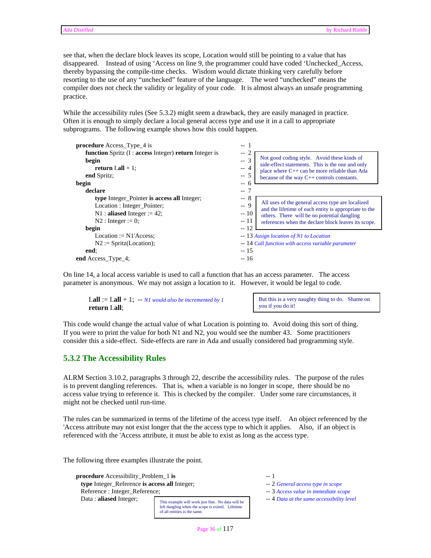see that, when the declare block leaves its scope, Location would still be pointing to a value that has disappeared. Instead of using 'Access on line 9, the programmer could have coded 'Unchecked\_Access, thereby bypassing the compile-time checks. Wisdom would dictate thinking very carefully before resorting to the use of any "unchecked" feature of the language. The word "unchecked" means the compiler does not check the validity or legality of your code. It is almost always an unsafe programming practice.

While the accessibility rules (See 5.3.2) might seem a drawback, they are easily managed in practice. Often it is enough to simply declare a local general access type and use it in a call to appropriate subprograms. The following example shows how this could happen.

| <b>procedure</b> Access Type 4 is<br><b>function</b> Spritz (I: access Integer) <b>return</b> Integer is<br>begin<br>return I.all $+1$ ;<br>end Spritz;<br>begin<br>declare | -- 1<br>-- 2<br>Not good coding style. Avoid these kinds of<br>$-3$<br>side-effect statements. This is the one and only<br>$-4$<br>place where C++ can be more reliable than Ada<br>$-5$<br>because of the way $C++$ controls constants.<br>-- 6<br>$-7$    |
|-----------------------------------------------------------------------------------------------------------------------------------------------------------------------------|-------------------------------------------------------------------------------------------------------------------------------------------------------------------------------------------------------------------------------------------------------------|
| type Integer_Pointer is access all Integer;<br>Location : Integer_Pointer;<br>$N1$ : aliased Integer := 42;<br>$N2$ : Integer := 0;<br>begin                                | $-8$<br>All uses of the general access type are localized<br>$-9$<br>and the lifetime of each entity is appropriate to the<br>$-10$<br>others. There will be no potential dangling<br>$-11$<br>references when the declare block leaves its scope.<br>$-12$ |
| Location $:= N1'$ Access:<br>$N2 :=$ Spritz(Location);<br>end:<br>end Access Type 4;                                                                                        | -- 13 Assign location of N1 to Location<br>-- 14 Call function with access variable parameter<br>$-15$<br>$-16$                                                                                                                                             |

On line 14, a local access variable is used to call a function that has an access parameter. The access parameter is anonymous. We may not assign a location to it. However, it would be legal to code.

 $I.$ **all** :=  $I.$ **all** + 1; -- *N1 would also be incremented by 1* **return** I.**all**;

But this is a very naughty thing to do. Shame on you if you do it!

This code would change the actual value of what Location is pointing to. Avoid doing this sort of thing. If you were to print the value for both N1 and N2, you would see the number 43. Some practitioners consider this a side-effect. Side-effects are rare in Ada and usually considered bad programming style.

#### **5.3.2 The Accessibility Rules**

ALRM Section 3.10.2, paragraphs 3 through 22, describe the accessibility rules. The purpose of the rules is to prevent dangling references. That is, when a variable is no longer in scope, there should be no access value trying to reference it. This is checked by the compiler. Under some rare circumstances, it might not be checked until run-time.

The rules can be summarized in terms of the lifetime of the access type itself. An object referenced by the 'Access attribute may not exist longer that the the access type to which it applies. Also, if an object is referenced with the 'Access attribute, it must be able to exist as long as the access type.

The following three examples illustrate the point.

| <b>procedure</b> Accessibility Problem 1 is   |                                                                                                                                       | $-1$                                      |
|-----------------------------------------------|---------------------------------------------------------------------------------------------------------------------------------------|-------------------------------------------|
| type Integer_Reference is access all Integer; |                                                                                                                                       | -- 2 General access type in scope         |
| Reference: Integer Reference;                 |                                                                                                                                       | -- 3 Access value in immediate scope      |
| Data : <b>aliased</b> Integer;                | This example will work just fine. No data will be<br>left dangling when the scope is exited. Lifetime<br>of all entities is the same. | -- 4 Data at the same accessibility level |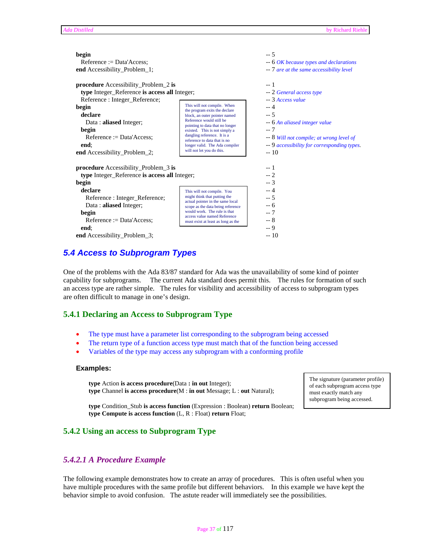| begin<br>$Reference := Data'Access;$<br>end Accessibility_Problem_1;                                                                                                                                                                                                 |                                                                                                                                                                                                                                                                                                                             | $-5$<br>-- 6 OK because types and declarations<br>-- 7 are at the same accessibility level                                                                                                                         |
|----------------------------------------------------------------------------------------------------------------------------------------------------------------------------------------------------------------------------------------------------------------------|-----------------------------------------------------------------------------------------------------------------------------------------------------------------------------------------------------------------------------------------------------------------------------------------------------------------------------|--------------------------------------------------------------------------------------------------------------------------------------------------------------------------------------------------------------------|
| <b>procedure</b> Accessibility Problem 2 is<br>type Integer_Reference is access all Integer;<br>Reference : Integer_Reference;<br>begin<br>declare<br>Data : aliased Integer;<br>begin<br>$Reference := Data'Access;$<br>end:<br>end Accessibility_Problem_2;        | This will not compile. When<br>the program exits the declare<br>block, an outer pointer named<br>Reference would still be<br>pointing to data that no longer<br>existed. This is not simply a<br>dangling reference. It is a<br>reference to data that is no<br>longer valid. The Ada compiler<br>will not let you do this. | $-1$<br>-- 2 General access type<br>-- 3 Access value<br>$-4$<br>$-5$<br>-- 6 An aliased integer value<br>$-7$<br>-- 8 Will not compile; at wrong level of<br>-- 9 accessibility for corresponding types.<br>$-10$ |
| <b>procedure</b> Accessibility Problem 3 is<br>type Integer_Reference is access all Integer;<br>begin<br>declare<br>Reference : Integer_Reference;<br>Data : <b>aliased</b> Integer;<br>begin<br>$Reference := Data'Access;$<br>end:<br>end Accessibility_Problem_3; | This will not compile. You<br>might think that putting the<br>actual pointer in the same local<br>scope as the data being reference<br>would work. The rule is that<br>access value named Reference<br>must exist at least as long as the                                                                                   | $-1$<br>$-2$<br>$-3$<br>-- 4<br>$-5$<br>-- 6<br>-- 7<br>$-8$<br>$-9$<br>$-10$                                                                                                                                      |

## *5.4 Access to Subprogram Types*

One of the problems with the Ada 83/87 standard for Ada was the unavailability of some kind of pointer capability for subprograms. The current Ada standard does permit this. The rules for formation of such an access type are rather simple. The rules for visibility and accessibility of access to subprogram types are often difficult to manage in one's design.

#### **5.4.1 Declaring an Access to Subprogram Type**

- The type must have a parameter list corresponding to the subprogram being accessed
- The return type of a function access type must match that of the function being accessed
- Variables of the type may access any subprogram with a conforming profile

#### **Examples:**

**type** Action **is access procedure**(Data **: in out** Integer); **type** Channel **is access procedure**(M : **in out** Message; L : **out** Natural); The signature (parameter profile) of each subprogram access type must exactly match any subprogram being accessed.

**type** Condition\_Stub **is access function** (Expression : Boolean) **return** Boolean; **type Compute is access function** (L, R : Float) **return** Float;

#### **5.4.2 Using an access to Subprogram Type**

#### *5.4.2.1 A Procedure Example*

The following example demonstrates how to create an array of procedures. This is often useful when you have multiple procedures with the same profile but different behaviors. In this example we have kept the behavior simple to avoid confusion. The astute reader will immediately see the possibilities.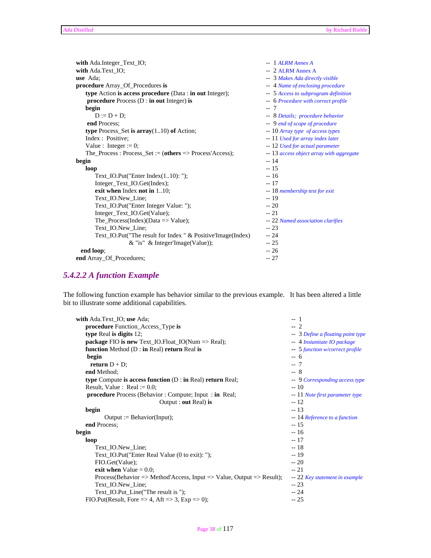| with Ada.Integer_Text_IO;                                           | $-1$ ALRM Annex A                        |
|---------------------------------------------------------------------|------------------------------------------|
| with Ada.Text_IO;                                                   | $-2$ ALRM Annex A                        |
| use Ada;                                                            | -- 3 Makes Ada directly visible          |
| procedure Array_Of_Procedures is                                    | -- 4 Name of enclosing procedure         |
| type Action is access procedure (Data: in out Integer);             | -- 5 Access to subprogram definition     |
| <b>procedure</b> Process $(D : in out Integer)$ is                  | -- 6 Procedure with correct profile      |
| begin                                                               | $-7$                                     |
| $D := D + D;$                                                       | -- 8 Details; procedure behavior         |
| end Process:                                                        | -- 9 end of scope of procedure           |
| type Process_Set is $array(110)$ of Action;                         | -- 10 Array type of access types         |
| Index : Positive:                                                   | -- 11 Used for array index later         |
| Value : Integer := 0;                                               | -- 12 Used for actual parameter          |
| The Process : Process Set := (others $\Rightarrow$ Process'Access); | -- 13 access object array with aggregate |
| begin                                                               | $-14$                                    |
| loop                                                                | $-15$                                    |
| Text_IO.Put("Enter Index $(110)$ : ");                              | $-16$                                    |
| Integer_Text_IO.Get(Index);                                         | $-17$                                    |
| exit when Index not in 1.10;                                        | -- 18 membership test for exit           |
| Text_IO.New_Line;                                                   | $-19$                                    |
| Text_IO.Put("Enter Integer Value: ");                               | $-20$                                    |
| Integer_Text_IO.Get(Value);                                         | $-21$                                    |
| The_Process(Index)(Data $\Rightarrow$ Value);                       | -- 22 Named association clarifies        |
| Text_IO.New_Line;                                                   | $-23$                                    |
| Text_IO.Put("The result for Index " & Positive'Image(Index)         | $-24$                                    |
| $\&$ "is" $\&$ Integer Image (Value));                              | $-25$                                    |
| end loop;                                                           | $-26$                                    |
| end Array_Of_Procedures;                                            | $-27$                                    |

## *5.4.2.2 A function Example*

The following function example has behavior similar to the previous example. It has been altered a little bit to illustrate some additional capabilities.

| with Ada.Text IO; use Ada;                                                       | $-1$                              |
|----------------------------------------------------------------------------------|-----------------------------------|
| procedure Function_Access_Type is                                                | $-2$                              |
| type Real is digits 12;                                                          | -- 3 Define a floating point type |
| package FIO is new Text_IO.Float_IO(Num => Real);                                | -- 4 Instantiate IO package       |
| function Method $(D : in Real)$ return Real is                                   | -- 5 function w/correct profile   |
| begin                                                                            | -- 6                              |
| return $D + D$ ;                                                                 | $-7$                              |
| end Method;                                                                      | $-8$                              |
| type Compute is access function (D : in Real) return Real;                       | -- 9 Corresponding access type    |
| Result, Value : Real := $0.0$ ;                                                  | $-10$                             |
| <b>procedure</b> Process (Behavior: Compute; Input: in Real;                     | -- 11 Note first parameter type   |
| Output : out Real) is                                                            | $-12$                             |
| begin                                                                            | $-13$                             |
| $Output := Behavior(Input);$                                                     | -- 14 Reference to a function     |
| end Process:                                                                     | $-15$                             |
| begin                                                                            | $-16$                             |
| loop                                                                             | $-17$                             |
| Text_IO.New_Line;                                                                | $-18$                             |
| Text_IO.Put("Enter Real Value (0 to exit): ");                                   | $-19$                             |
| FIO.Get(Value);                                                                  | $-20$                             |
| exit when $Value = 0.0$ ;                                                        | $-21$                             |
| Process (Behavior => Method'Access, Input => Value, Output => Result);           | -- 22 Key statement in example    |
| Text_IO.New_Line;                                                                | $-23$                             |
| Text IO. Put Line ("The result is ");                                            | $-24$                             |
| FIO.Put(Result, Fore $\Rightarrow$ 4, Aft $\Rightarrow$ 3, Exp $\Rightarrow$ 0); | $-25$                             |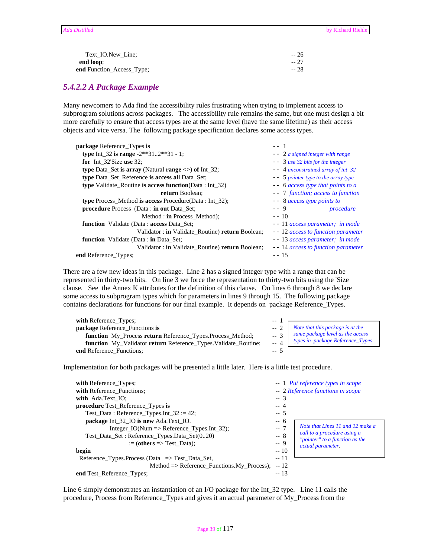| Text IO.New Line;         | $-26$ |
|---------------------------|-------|
| end loop;                 | $-27$ |
| end Function_Access_Type; | $-28$ |

#### *5.4.2.2 A Package Example*

Many newcomers to Ada find the accessibility rules frustrating when trying to implement access to subprogram solutions across packages. The accessibility rule remains the same, but one must design a bit more carefully to ensure that access types are at the same level (have the same lifetime) as their access objects and vice versa. The following package specification declares some access types.

| package Reference Types is                                           | $-- 1$                                |
|----------------------------------------------------------------------|---------------------------------------|
| type Int 32 is range $-2**312**31 - 1$ ;                             | $--$ 2 a signed integer with range    |
| for Int $32$ 'Size use $32$ ;                                        | $--$ 3 use 32 bits for the integer    |
| type Data_Set is array (Natural range $\langle \rangle$ ) of Int_32; | $--$ 4 unconstrained array of int 32  |
| type Data Set Reference is access all Data Set;                      | $--$ 5 pointer type to the array type |
| <b>type</b> Validate Routine is access function (Data : Int 32)      | $-- 6 access type that points to a$   |
| return Boolean:                                                      | -- 7 function; access to function     |
| <b>type</b> Process_Method is access Procedure(Data: Int_32);        | $--$ 8 access type points to          |
| <b>procedure</b> Process (Data: <b>in out</b> Data Set;              | $- - 9$<br>procedure                  |
| Method : in Process Method);                                         | $- - 10$                              |
| <b>function</b> Validate (Data: <b>access</b> Data Set;              | $-- 11$ access parameter; in mode     |
| Validator: in Validate_Routine) return Boolean;                      | $-- 12$ access to function parameter  |
| function Validate (Data: in Data Set;                                | -- 13 access parameter; in mode       |
| Validator: in Validate_Routine) return Boolean;                      | $-- 14$ access to function parameter  |
| end Reference_Types;                                                 | $-- 15$                               |

There are a few new ideas in this package. Line 2 has a signed integer type with a range that can be represented in thirty-two bits. On line 3 we force the representation to thirty-two bits using the 'Size clause. See the Annex K attributes for the definition of this clause. On lines 6 through 8 we declare some access to subprogram types which for parameters in lines 9 through 15. The following package contains declarations for functions for our final example. It depends on package Reference\_Types.

| <b>with Reference Types;</b>                                             |        |                                  |
|--------------------------------------------------------------------------|--------|----------------------------------|
| <b>package</b> Reference Functions is                                    | $-2$ 1 | Note that this package is at the |
| <b>function</b> My_Process <b>return</b> Reference_Types.Process_Method; | $-3$   | same package level as the access |
| function My_Validator return Reference_Types.Validate_Routine;           |        | types in package Reference_Types |
| end Reference Functions;                                                 | ר --   |                                  |

Implementation for both packages will be presented a little later. Here is a little test procedure.

| with Reference Types;                                       |       | -- 1 <i>Put reference types in scope</i>                      |
|-------------------------------------------------------------|-------|---------------------------------------------------------------|
| with Reference Functions;                                   |       | -- 2 Reference functions in scope                             |
| with Ada.Text IO;                                           | $-3$  |                                                               |
| <b>procedure</b> Test_Reference_Types is                    | $-4$  |                                                               |
| Test Data: Reference Types.Int $32 := 42$ ;                 | $-5$  |                                                               |
| package Int 32 IO is new Ada.Text IO.                       | -- 6  |                                                               |
| Integer_IO(Num $\Rightarrow$ Reference_Types.Int_32);       | $-7$  | Note that Lines 11 and 12 make a                              |
| Test_Data_Set: Reference_Types.Data_Set(020)                | $-8$  | call to a procedure using a<br>"pointer" to a function as the |
| $:=$ (others $=$ Test Data);                                | $-9$  | actual parameter.                                             |
| begin                                                       | $-10$ |                                                               |
| Reference Types. Process (Data $\Rightarrow$ Test Data Set, | $-11$ |                                                               |
| Method $\Rightarrow$ Reference_Functions.My_Process); -- 12 |       |                                                               |
| end Test Reference Types:                                   | $-13$ |                                                               |

Line 6 simply demonstrates an instantiation of an I/O package for the Int\_32 type. Line 11 calls the procedure, Process from Reference\_Types and gives it an actual parameter of My\_Process from the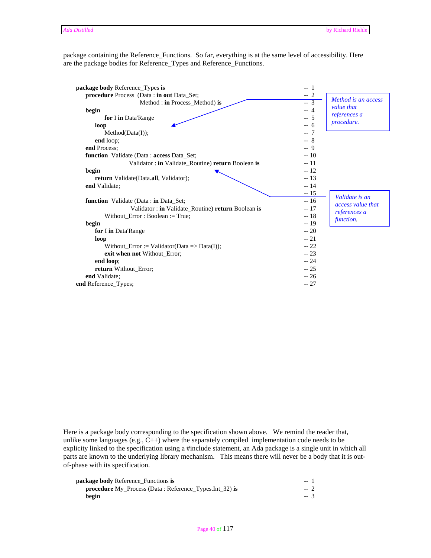package containing the Reference\_Functions. So far, everything is at the same level of accessibility. Here are the package bodies for Reference\_Types and Reference\_Functions.

| package body Reference_Types is                         | -- 1  |                     |
|---------------------------------------------------------|-------|---------------------|
| <b>procedure</b> Process (Data: <b>in out</b> Data_Set; | $-2$  |                     |
| Method : in Process_Method) is                          | $-3$  | Method is an access |
| begin                                                   | $- 4$ | value that          |
| for I in Data'Range                                     | $-5$  | references a        |
| loop                                                    | $-6$  | <i>procedure.</i>   |
| Method(Data(I));                                        | $-7$  |                     |
| end loop;                                               | $-8$  |                     |
| end Process:                                            | $-9$  |                     |
| function Validate (Data: access Data_Set;               | $-10$ |                     |
| Validator: in Validate_Routine) return Boolean is       | $-11$ |                     |
| begin                                                   | $-12$ |                     |
| return Validate (Data.all, Validator);                  | $-13$ |                     |
| end Validate:                                           | $-14$ |                     |
|                                                         | $-15$ | Validate is an      |
| function Validate (Data : in Data Set;                  | $-16$ | access value that   |
| Validator: in Validate_Routine) return Boolean is       | $-17$ | references a        |
| Without_Error: Boolean := True;                         | $-18$ | function.           |
| begin                                                   | $-19$ |                     |
| for I in Data'Range                                     | $-20$ |                     |
| loop                                                    | $-21$ |                     |
| Without_Error := Validator(Data => Data(I));            | $-22$ |                     |
| exit when not Without Error;                            | $-23$ |                     |
| end loop;                                               | $-24$ |                     |
| return Without_Error;                                   | $-25$ |                     |
| end Validate:                                           | $-26$ |                     |
| end Reference_Types;                                    | $-27$ |                     |
|                                                         |       |                     |

Here is a package body corresponding to the specification shown above. We remind the reader that, unlike some languages (e.g., C++) where the separately compiled implementation code needs to be explicity linked to the specification using a #include statement, an Ada package is a single unit in which all parts are known to the underlying library mechanism. This means there will never be a body that it is outof-phase with its specification.

| <b>package body Reference Functions is</b>                    | $-$ 1 |
|---------------------------------------------------------------|-------|
| <b>procedure</b> My_Process (Data: Reference_Types.Int_32) is | $-2$  |
| begin                                                         | $-3$  |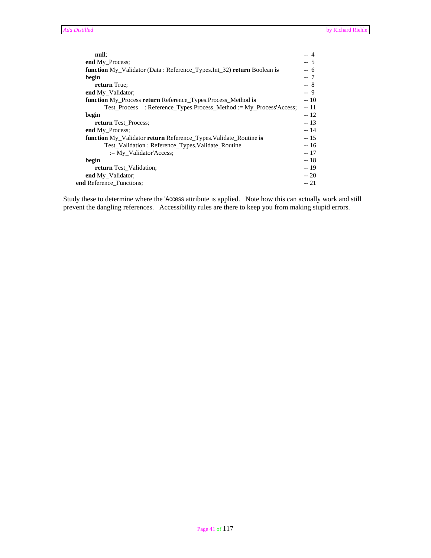| null;                                                                          | $-4$  |
|--------------------------------------------------------------------------------|-------|
| end My_Process;                                                                | $-5$  |
| <b>function</b> My_Validator (Data: Reference_Types.Int_32) return Boolean is  | $-6$  |
| begin                                                                          | -- 7  |
| return True:                                                                   | $-8$  |
| end My_Validator;                                                              | $-9$  |
| function My_Process return Reference_Types.Process_Method is                   | $-10$ |
| Test Process : Reference Types. Process Method := My Process' Access;          | $-11$ |
| begin                                                                          | $-12$ |
| <b>return</b> Test Process:                                                    | $-13$ |
| end My_Process;                                                                | $-14$ |
| <b>function</b> My_Validator <b>return</b> Reference_Types.Validate_Routine is | $-15$ |
| Test_Validation : Reference_Types.Validate_Routine                             | $-16$ |
| $:=$ My_Validator'Access;                                                      | $-17$ |
| begin                                                                          | $-18$ |
| <b>return</b> Test Validation;                                                 | $-19$ |
| end My_Validator;                                                              | $-20$ |
| <b>end</b> Reference Functions;                                                | $-21$ |

Study these to determine where the 'Access attribute is applied. Note how this can actually work and still prevent the dangling references. Accessibility rules are there to keep you from making stupid errors.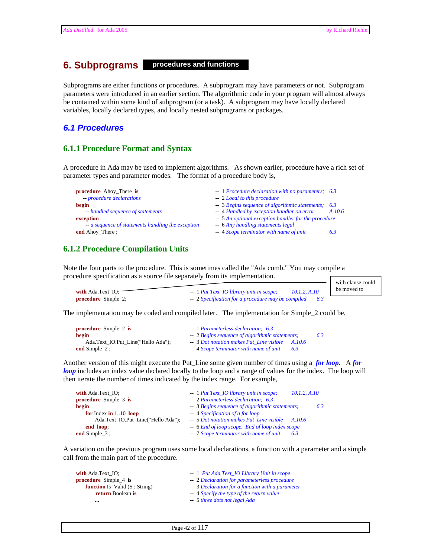#### **6. Subprograms procedures and functions**

Subprograms are either functions or procedures. A subprogram may have parameters or not. Subprogram parameters were introduced in an earlier section. The algorithmic code in your program will almost always be contained within some kind of subprogram (or a task). A subprogram may have locally declared variables, locally declared types, and locally nested subprograms or packages.

#### *6.1 Procedures*

#### **6.1.1 Procedure Format and Syntax**

A procedure in Ada may be used to implement algorithms. As shown earlier, procedure have a rich set of parameter types and parameter modes. The format of a procedure body is,

**procedure** Ahoy\_There **is** -- 1 *Procedure declaration with no parameters; 6.3* -- *procedure declarations* -- 2 *Local to this procedure* **begin**  $-$  3 *Begins sequence of algorithmic statements; 6.3*  -- *handled sequence of statements* -- 4 *Handled by exception handler on error A.10.6* **exception** -- 5 *An optional exception handler for the procedure* -- *a sequence of statements handling the exception* -- 6 *Any handling statements legal* **end** Ahoy\_There ;  $\qquad \qquad -4$  *Scope terminator with name of unit* 6.3

- 
- 
- 
- 
- 
- 
- 

#### **6.1.2 Procedure Compilation Units**

Note the four parts to the procedure. This is sometimes called the "Ada comb." You may compile a procedure specification as a source file separately from its implementation. with clause could

| with Ada.Text IO; $\overline{\phantom{1}}$ | -- 1 Put Text_IO library unit in scope;                | 10.1.2. A.10 | be moved to |
|--------------------------------------------|--------------------------------------------------------|--------------|-------------|
| <b>procedure</b> Simple 2;                 | -- 2 Specification for a procedure may be compiled 6.3 |              |             |

The implementation may be coded and compiled later. The implementation for Simple\_2 could be,

| <b>procedure</b> Simple 2 is                             | -- 1 Parameterless declaration: 6.3                |     |
|----------------------------------------------------------|----------------------------------------------------|-----|
| -- 2 Begins sequence of algorithmic statements;<br>begin |                                                    | 6.3 |
| Ada.Text IO.Put Line ("Hello Ada");                      | -- 3 Dot notation makes Put Line visible<br>A.10.6 |     |
| <b>end</b> Simple $2$ ;                                  | -- 4 Scope terminator with name of unit<br>6.3     |     |

Another version of this might execute the Put\_Line some given number of times using a *for loop*. A *for loop* includes an index value declared locally to the loop and a range of values for the index. The loop will then iterate the number of times indicated by the index range. For example,

| with Ada.Text IO;                  | 10.1.2, A.10<br>-- 1 Put Text IO library unit in scope; |     |
|------------------------------------|---------------------------------------------------------|-----|
| procedure Simple_3 is              | -- 2 Parameterless declaration; 6.3                     |     |
| begin                              | -- 3 Begins sequence of algorithmic statements;         | 6.3 |
| for Index in $110$ loop            | -- 4 Specification of a for loop                        |     |
| Ada.Text IO.Put Line("Hello Ada"); | -- 5 Dot notation makes Put Line visible A.10.6         |     |
| end loop;                          | -- 6 End of loop scope. End of loop index scope         |     |
| end Simple $3:$                    | -- 7 Scope terminator with name of unit<br>- 6.3        |     |

A variation on the previous program uses some local declarations, a function with a parameter and a simple call from the main part of the procedure.

| -- 1 Put Ada.Text_IO Library Unit in scope       |
|--------------------------------------------------|
| -- 2 Declaration for parameterless procedure     |
| -- 3 Declaration for a function with a parameter |
| - 4 Specify the type of the return value         |
| -- 5 three dots not legal Ada                    |
|                                                  |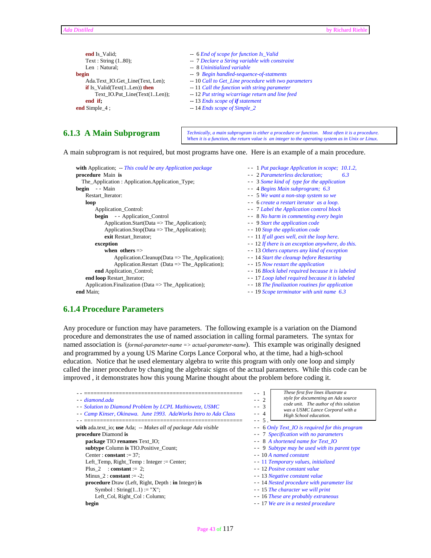| end Is Valid:                       | -- 6 End of scope for function Is_Valid              |
|-------------------------------------|------------------------------------------------------|
| Text: String $(180)$ ;              | -- 7 Declare a String variable with constraint       |
| Len : Natural;                      | -- 8 Uninitialized variable                          |
| begin                               | -- 9 Begin handled-sequence-of-statments             |
| Ada.Text IO.Get Line(Text, Len);    | -- 10 Call to Get_Line procedure with two parameters |
| <b>if</b> Is Valid(Text(1Len)) then | -- 11 Call the function with string parameter        |
| Text IO.Put $Line(Text(1Len))$ ;    | -- 12 Put string w/carriage return and line feed     |
| end if:                             | -- 13 Ends scope of if statement                     |
| end Simple $\_4$ ;                  | -- 14 Ends scope of Simple 2                         |
|                                     |                                                      |

#### **6.1.3 A Main Subprogram**

*Technically, a main subprogram is either a procedure or function. Most often it is a procedure. When it is a function, the return value is an integer to the operating system as in Unix or Linux.*

A main subprogram is not required, but most programs have one. Here is an example of a main procedure.

```
with Application; -- This could be any Application package -- 1 Put package Application in scope; 10.1.2,
procedure Main is -- 2 Parameterless declaration; 6.3
  The_Application : Application.Application_Type; -- 3 Some kind of type for the application
begin -- Main begin -- Main begin -- 4 Begins Main subprogram; 6.3
  Restart Iterator: -5 We want a non-stop system so we
  loop -- 6 create a restart iterator as a loop.
      Application_Control: -- 7 Label the Application control block
     begin -- Application_Control -- 8 No harm in commenting every begin
        Application.Start(Data => The_Application); -- 9 Start the application code
         Application.Stop(Data => The_Application); -- 10 Stop the application code
        exit Restart_Iterator; -- 11 If all goes well, exit the loop here. 
     exception -- 12 If there is an exception anywhere, do this.
        when others => -- 13 Others captures any kind of exception Application.Cleanup(Data => The_Application); -- 14 Start the cleanup before Restarting
           Application.Restart (Data => The_Application); -- 15 Now restart the application
      end Application_Control; -- 16 Block label required because it is labeled
  end loop Restart_Iterator; -- 17 Loop label required because it is labeled
  Application.Finalization (Data => The_Application); \qquad -18 The finalization routines for application
end Main; \qquad -19 \text{ Scope termination with unit name } 6.3
```
#### **6.1.4 Procedure Parameters**

Any procedure or function may have parameters. The following example is a variation on the Diamond procedure and demonstrates the use of named association in calling formal parameters. The syntax for named association is (*formal-parameter-name => actual-parameter-name*). This example was originally designed and programmed by a young US Marine Corps Lance Corporal who, at the time, had a high-school education. Notice that he used elementary algebra to write this program with only one loop and simply called the inner procedure by changing the algebraic signs of the actual parameters. While this code can be improved , it demonstrates how this young Marine thought about the problem before coding it.

```
-- ================================================== -- 1 
-- diamond.ada -- 2 
-- Solution to Diamond Problem by LCPL Mathiowetz, USMC -- 3 
-- Camp Kinser, Okinawa. June 1993. AdaWorks Intro to Ada Class -- 4 
-- ================================================== -- 5 . 
with ada.text_io; use Ada; -- Makes all of package Ada visible -- 6 Only Text_IO is required for this program
procedure Diamond is -- 7 Specification with no parameters
  package TIO renames Text_IO; -- 8 A shortened name for Text_IO
  subtype Column is TIO.Positive_Count; \qquad \qquad -- 9 Subtype may be used with its parent type
  Center : constant := 37; -10 A named constant
  Left_Temp, Right_Temp : Integer := Center; -- 11 Temporary values, initialized
  Plus_2 : constant := 2; -- 12 Positve constant value
   Minus_2 : constant := -2; -- 13 Negative constant value
  procedure Draw (Left, Right, Depth : in Integer) is -14 Nested procedure with parameter list<br>Symbol : String(1..1) := "X";<br>-15 The character we will print
      Left_Col, Right_Col : Column; -- 16 These are probably extraneous
  begin -17 We are in a nested procedure
```
- *These first five lines illustrate a*
- *style for documenting an Ada source*
- *code unit. The author of this solution*
- *was a USMC Lance Corporal with a High School education.*
- 
- 
- 
- 
- 
- 
- 
- 
- 
- 
- -- 15 The character we will print
- 
-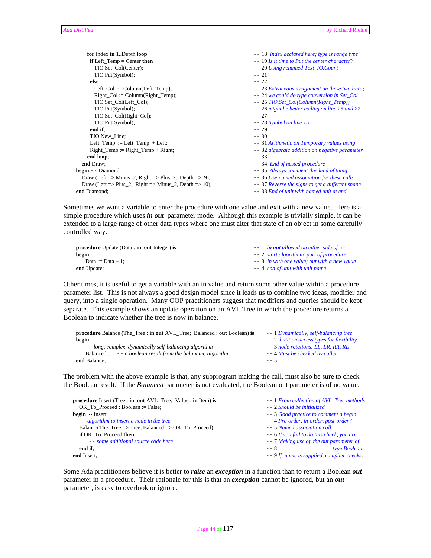| for Index in 1. Depth loop                                                            | $-- 18$ Index declared here; type is range type    |
|---------------------------------------------------------------------------------------|----------------------------------------------------|
| if Left Temp = Center then                                                            | $-- 19$ Is it time to Put the center character?    |
| TIO.Set_Col(Center);                                                                  | -- 20 Using renamed Text_IO.Count                  |
| TIO.Put(Symbol);                                                                      | $-- 21$                                            |
| else                                                                                  | $-- 22$                                            |
| $Left\_Col := Column(Left\_Temp);$                                                    | -- 23 Extraneous assignment on these two lines;    |
| $Right\_Col := Column(Right\_Temp);$                                                  | -- 24 we could do type conversion in Set_Col       |
| TIO.Set Col(Left Col);                                                                | -- 25 TIO.Set_Col(Column(Right_Temp))              |
| TIO.Put(Symbol);                                                                      | -- 26 might be better coding on line 25 and 27     |
| TIO.Set_Col(Right_Col);                                                               | $-- 27$                                            |
| TIO.Put(Symbol);                                                                      | $-- 28$ Symbol on line 15                          |
| end if:                                                                               | $-- 29$                                            |
| TIO.New Line:                                                                         | $- - 30$                                           |
| Left_Temp := Left_Temp + Left;                                                        | -- 31 Arithmetic on Temporary values using         |
| $Right$ Temp := $Right$ Temp + $Right$ ;                                              | -- 32 algebraic addition on negative parameter     |
| end loop;                                                                             | $-- 33$                                            |
| end Draw;                                                                             | -- 34 End of nested procedure                      |
| <b>begin</b> -- Diamond                                                               | $-- 35$ Always comment this kind of thing          |
| Draw (Left $\Rightarrow$ Minus 2, Right $\Rightarrow$ Plus 2, Depth $\Rightarrow$ 9); | -- 36 Use named association for these calls.       |
| Draw (Left => Plus_2, Right => Minus_2, Depth => 10);                                 | $--$ 37 Reverse the signs to get a different shape |
| end Diamond:                                                                          | -- 38 End of unit with named unit at end           |
|                                                                                       |                                                    |

Sometimes we want a variable to enter the procedure with one value and exit with a new value. Here is a simple procedure which uses *in out* parameter mode. Although this example is trivially simple, it can be extended to a large range of other data types where one must alter that state of an object in some carefully controlled way.

| <b>procedure</b> Update (Data : <b>in</b> out Integer) is | $-$ - 1 in out allowed on either side of :=     |
|-----------------------------------------------------------|-------------------------------------------------|
| begin                                                     | $-$ - 2 start algorithmic part of procedure     |
| Data := Data + 1:                                         | $-$ - 3 In with one value: out with a new value |
| end Update:                                               | $-$ - 4 end of unit with unit name              |

Other times, it is useful to get a variable with an in value and return some other value within a procedure parameter list. This is not always a good design model since it leads us to combine two ideas, modifier and query, into a single operation. Many OOP practitioners suggest that modifiers and queries should be kept separate. This example shows an update operation on an AVL Tree in which the procedure returns a Boolean to indicate whether the tree is now in balance.

| <b>procedure</b> Balance (The_Tree : <b>in out</b> AVL_Tree; Balanced : <b>out</b> Boolean) is | -- 1 Dynamically, self-balancing tree         |
|------------------------------------------------------------------------------------------------|-----------------------------------------------|
| begin                                                                                          | $-- 2$ built on access types for flexibility. |
| -- long, complex, dynamically self-balancing algorithm                                         | $-$ 3 node rotations: LL, LR, RR, RL          |
| Balanced := $-\alpha$ boolean result from the balancing algorithm                              | $--$ 4 <i>Must be checked by caller</i>       |
| end Balance:                                                                                   | $-- 5$                                        |

The problem with the above example is that, any subprogram making the call, must also be sure to check the Boolean result. If the *Balanced* parameter is not evaluated, the Boolean out parameter is of no value.

| <b>procedure</b> Insert (Tree : <b>in</b> out AVL_Tree; Value : <b>in</b> Item) is | -- 1 From collection of AVL Tree methods      |
|------------------------------------------------------------------------------------|-----------------------------------------------|
| OK To Proceed : Boolean := False;                                                  | $-- 2$ Should be initialized                  |
| <b>begin</b> -- Insert                                                             | $-$ 3 Good practice to comment a begin        |
| $-$ algorithm to insert a node in the tree                                         | -- 4 Pre-order, in-order, post-order?         |
| Balance(The Tree $\Rightarrow$ Tree, Balanced $\Rightarrow$ OK To Proceed);        | -- 5 Named association call                   |
| if OK To Proceed then                                                              | $-$ – 6 If you fail to do this check, you are |
| -- some additional source code here                                                | $-- 7$ Making use of the out parameter of     |
| end if:                                                                            | type Boolean.<br>$-- 8$                       |
| end Insert:                                                                        | $--$ 9 If name is supplied, compiler checks.  |

Some Ada practitioners believe it is better to *raise* an *exception* in a function than to return a Boolean *out* parameter in a procedure. Their rationale for this is that an *exception* cannot be ignored, but an *out* parameter, is easy to overlook or ignore.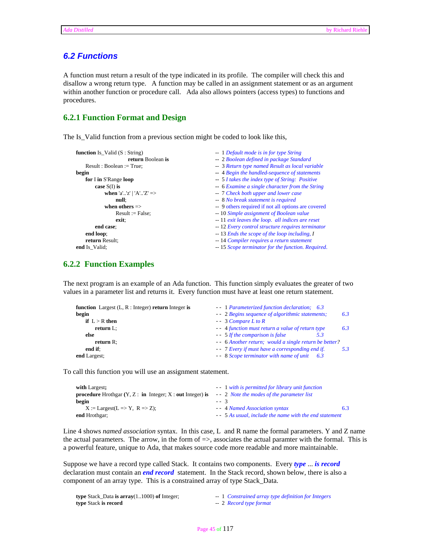## *6.2 Functions*

A function must return a result of the type indicated in its profile. The compiler will check this and disallow a wrong return type. A function may be called in an assignment statement or as an argument within another function or procedure call. Ada also allows pointers (access types) to functions and procedures.

#### **6.2.1 Function Format and Design**

The Is\_Valid function from a previous section might be coded to look like this,

| <b>function</b> Is_Valid $(S: String)$ | -- 1 Default mode is in for type String             |
|----------------------------------------|-----------------------------------------------------|
| return Boolean is                      | - 2 Boolean defined in package Standard             |
| $Result: Boolean := True;$             | -- 3 Return type named Result as local variable     |
| begin                                  | - 4 Begin the handled-sequence of statements        |
| for I in S'Range loop                  | - 5 I takes the index type of String: Positive      |
| case $S(I)$ is                         | - 6 Examine a single character from the String      |
| when 'a''z'   'A''Z' =>                | -- 7 Check both upper and lower case                |
| null:                                  | -- 8 No break statement is required                 |
| when others $\Rightarrow$              | -- 9 others required if not all options are covered |
| $Result := False$ ;                    | -- 10 Simple assignment of Boolean value            |
| exit:                                  | -- 11 exit leaves the loop. all indices are reset   |
| end case:                              | -- 12 Every control structure requires terminator   |
| end loop;                              | -- 13 Ends the scope of the loop including, I       |
| return Result:                         | -- 14 Compiler requires a return statement          |
| end Is Valid:                          | -- 15 Scope terminator for the function. Required.  |

#### **6.2.2 Function Examples**

The next program is an example of an Ada function. This function simply evaluates the greater of two values in a parameter list and returns it. Every function must have at least one return statement.

| <b>function</b> Largest $(L, R : Integer)$ <b>return</b> Integer is | -- 1 Parameterized function declaration; 6.3            |     |
|---------------------------------------------------------------------|---------------------------------------------------------|-----|
| begin                                                               | -- 2 Begins sequence of algorithmic statements;         | 6.3 |
| if $L > R$ then                                                     | $--$ 3 Compare L to R                                   |     |
| return $L$ :                                                        | $--$ 4 function must return a value of return type      | 6.3 |
| else                                                                | $-- 5$ If the comparison is false<br>5.3                |     |
| return R:                                                           | $-- 6$ Another return; would a single return be better? |     |
| end if:                                                             | $-- 7$ Every if must have a corresponding end if.       | 5.3 |
| end Largest:                                                        | $--$ 8 Scope terminator with name of unit 6.3           |     |
|                                                                     |                                                         |     |

To call this function you will use an assignment statement.

| with Largest;                                                                         | $--$ 1 with is permitted for library unit function      |     |
|---------------------------------------------------------------------------------------|---------------------------------------------------------|-----|
| <b>procedure</b> Hrothgar $(Y, Z : \textbf{in Integer}; X : \textbf{out Integer})$ is | $-- 2$ Note the modes of the parameter list             |     |
| begin                                                                                 | $- - 3$                                                 |     |
| $X := \text{Largest}(L \implies Y, R \implies Z);$                                    | -- 4 Named Association syntax                           | 6.3 |
| end Hrothgar;                                                                         | $-$ 5 As usual, include the name with the end statement |     |

Line 4 shows *named association* syntax. In this case, L and R name the formal parameters. Y and Z name the actual parameters. The arrow, in the form of  $\Rightarrow$ , associates the actual paramter with the formal. This is a powerful feature, unique to Ada, that makes source code more readable and more maintainable.

Suppose we have a record type called Stack. It contains two components. Every *type* ... *is record* declaration must contain an *end record* statement. In the Stack record, shown below, there is also a component of an array type. This is a constrained array of type Stack\_Data.

| <b>type Stack_Data is array</b> $(11000)$ of Integer; | -- 1 Constrained array type definition for Integers |
|-------------------------------------------------------|-----------------------------------------------------|
| type Stack is record                                  | -- 2 <i>Record type format</i>                      |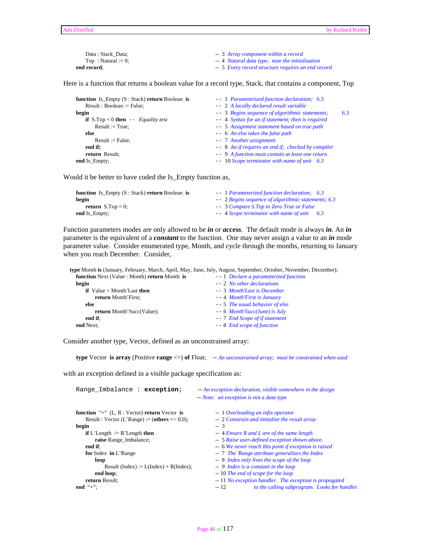| Data: Stack Data:     | -- 3 Array component within a record               |
|-----------------------|----------------------------------------------------|
| $Top : Natural := 0;$ | -- 4 Natural data type; note the initialization    |
| end record:           | -- 5 Every record structure requires an end record |

Here is a function that returns a boolean value for a record type, Stack, that contains a component, Top

| function $Is$ Empty $(S : Stack)$ return Boolean is | -- 1 Parameterized function declaration; 6.3         |     |
|-----------------------------------------------------|------------------------------------------------------|-----|
| $Result: Boolean := False;$                         | -- 2 A locally declared result variable              |     |
| begin                                               | -- 3 Begins sequence of algorithmic statements;      | 6.3 |
| if $S.Top = 0$ then $--$ <i>Equality test</i>       | $--$ 4 Syntax for an if statement; then is required  |     |
| $Result := True$ ;                                  | -- 5 Assignment statement based on true path         |     |
| else                                                | $-- 6$ An else takes the false path                  |     |
| $Result := False:$                                  | $-- 7$ Another assignment                            |     |
| end if:                                             | $-- 8$ An if requires an end if; checked by compiler |     |
| return Result;                                      | $--$ 9 A function must contain at least one return   |     |
| end Is Empty;                                       | $-- 10$ Scope terminator with name of unit 6.3       |     |
|                                                     |                                                      |     |

Would it be better to have coded the Is\_Empty function as,

| <b>function</b> Is Empty $(S : Stack)$ <b>return</b> Boolean is | $-$ 1 Parameterized function declaration; 6.3         |
|-----------------------------------------------------------------|-------------------------------------------------------|
| begin                                                           | $-- 2$ Begins sequence of algorithmic statements; 6.3 |
| return $S.Top = 0$ ;                                            | -- 3 Compare S.Top to Zero True or False              |
| end Is Empty:                                                   | $-$ 4 Scope terminator with name of unit 6.3          |
|                                                                 |                                                       |

Function parameters modes are only allowed to be *in* or *access*. The default mode is always *in*. An *in* parameter is the equivalent of a *constant* to the function. One may never assign a value to an *in* mode parameter value. Consider enumerated type, Month, and cycle through the months, returning to January when you reach December. Consider,

**type** Month **is** (January, February, March, April, May, June, July, August, September, October, November, December); **function** Next (Value : Month) **return** Month **is** -- 1 *Declare a parameterized function*

| begin                            | $-- 2$ No other declarations      |
|----------------------------------|-----------------------------------|
| if Value = Month'Last then       | $--$ 3 Month'Last is December     |
| return Month'First;              | $-- 4$ Month'First is January     |
| else                             | $-- 5$ The usual behavior of else |
| <b>return</b> Month'Succ(Value); | $-- 6$ Month'Succ(June) is July   |
| end if:                          | -- 7 End Scope of if statement    |
| end Next:                        | $-- 8$ End scope of function      |

Consider another type, Vector, defined as an unconstrained array:

**type** Vector **is array** (Positive **range** <>) **of** Float; -- *An unconstrained array; must be constrained when used*

with an exception defined in a visible package specification as:

| Range Imbalance : exception;                                         | -- An exception declaration, visible somewhere in the design |
|----------------------------------------------------------------------|--------------------------------------------------------------|
|                                                                      | -- Note: an exception is not a data type                     |
| <b>function</b> "+" $(L, R : Vector)$ <b>return</b> Vector <b>is</b> | -- 1 Overloading an infix operator                           |
| Result : Vector (L'Range) := (others => 0.0);                        | -- 2 Constrain and initialize the result array               |
| begin                                                                | $-3$                                                         |
| <b>if</b> L'Length $/=$ R'Length then                                | -- 4 Ensure R and L are of the same length                   |
| raise Range Imbalance;                                               | -- 5 Raise user-defined exception shown above.               |
| end if:                                                              | -- 6 We never reach this point if exception is raised        |
| for Index in L'Range                                                 | -- 7 The 'Range attribute generalizes the Index              |
| loop                                                                 | -- 8 <i>Index only lives the scope of the loop</i>           |
| Result (Index) := $L(Index) + R(Index)$ ;                            | $-9$ Index is a constant in the loop                         |
| end loop;                                                            | -- 10 The end of scope for the loop                          |
| return Result:                                                       | -- 11 No exception handler. The exception is propogated      |
| end "+":                                                             | to the calling subprogram. Looks for handler.<br>$-12$       |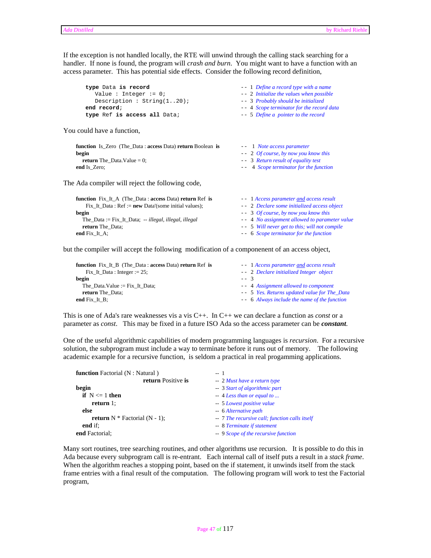You

If the exception is not handled locally, the RTE will unwind through the calling stack searching for a handler. If none is found, the program will *crash and burn*. You might want to have a function with an access parameter. This has potential side effects. Consider the following record definition,

| type Data is record<br>Value : Integer := $0$ ;<br>Description : $String(1, .20)$ ;<br>end record; | $-- 1$ Define a record type with a name<br>$-- 2$ Initialize the values when possible<br>-- 3 Probably should be initialized<br>-- 4 Scope terminator for the record data |
|----------------------------------------------------------------------------------------------------|---------------------------------------------------------------------------------------------------------------------------------------------------------------------------|
| type Ref is access all Data;                                                                       | -- 5 Define a pointer to the record                                                                                                                                       |
| could have a function,                                                                             |                                                                                                                                                                           |
| <b>function</b> Is Zero (The Data: <b>access</b> Data) <b>return</b> Boolean is<br>begin           | $--$ 1 <i>Note access parameter</i><br>$-- 2$ Of course, by now you know this                                                                                             |
| <b>return</b> The Data. Value $= 0$ ;                                                              | $--$ 3 Return result of equality test                                                                                                                                     |
| end Is Zero:                                                                                       | $--$ 4 Scope terminator for the function                                                                                                                                  |
| Ada compiler will reject the following code,                                                       |                                                                                                                                                                           |

The  $A$ 

| <b>function</b> Fix <sub>II</sub> t <sub>1</sub> A (The <sub>IData</sub> : access Data) return Ref is | -- 1 Access parameter and access result                |
|-------------------------------------------------------------------------------------------------------|--------------------------------------------------------|
| Fix_It_Data : $Ref := new Data'(some initial values);$                                                | $\sim$ 2 Declare some initialized access object        |
| begin                                                                                                 | $\sim$ 3 Of course, by now you know this               |
| The_Data := Fix_It_Data; -- <i>illegal</i> , <i>illegal</i> , <i>illegal</i>                          | $--$ 4 <i>No</i> assignment allowed to parameter value |
| return The Data;                                                                                      | -- 5 Will never get to this; will not compile          |
| end $Fix_I_t_A$ ;                                                                                     | -- 6 Scope terminator for the function                 |

but the compiler will accept the following modification of a componenent of an access object,

| <b>function</b> Fix It B (The Data: <b>access</b> Data) <b>return</b> Ref is | $--$ 1 Access parameter and access result     |
|------------------------------------------------------------------------------|-----------------------------------------------|
| Fix It Data: Integer := $25$ ;                                               | -- 2 Declare initialized Integer object       |
| begin                                                                        | $-- 3$                                        |
| The Data. Value $:=$ Fix It Data;                                            | $--$ 4 Assignment allowed to component        |
| <b>return</b> The Data;                                                      | -- 5 Yes. Returns updated value for The_Data  |
| end Fix It B;                                                                | $-$ 6 Always include the name of the function |

This is one of Ada's rare weaknesses vis a vis C++. In C++ we can declare a function as *const* or a parameter as *const*. This may be fixed in a future ISO Ada so the access parameter can be *constant*.

One of the useful algorithmic capabilities of modern programming languages is *recursion*. For a recursive solution, the subprogram must include a way to terminate before it runs out of memory. The following academic example for a recursive function, is seldom a practical in real progamming applications.

| <b>function</b> Factorial (N: Natural)  | $-1$                                           |
|-----------------------------------------|------------------------------------------------|
| return Positive is                      | -- 2 Must have a return type                   |
| begin                                   | -- 3 Start of algorithmic part                 |
| if $N \leq 1$ then                      | -- 4 Less than or equal to                     |
| return $1$ ;                            | -- 5 Lowest positive value                     |
| else                                    | -- 6 Alternative path                          |
| <b>return</b> $N * Factorial (N - 1)$ ; | -- 7 The recursive call; function calls itself |
| end if:                                 | -- 8 Terminate if statement                    |
| end Factorial:                          | -- 9 Scope of the recursive function           |

Many sort routines, tree searching routines, and other algorithms use recursion. It is possible to do this in Ada because every subprogram call is re-entrant. Each internal call of itself puts a result in a *stack frame*. When the algorithm reaches a stopping point, based on the if statement, it unwinds itself from the stack frame entries with a final result of the computation. The following program will work to test the Factorial program,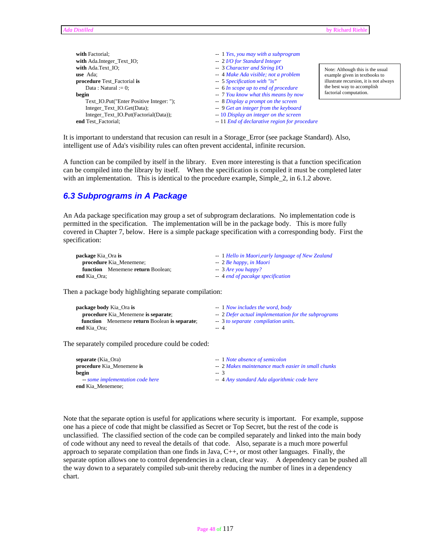| with Factorial:                          | -- 1 Yes, you may with a subprogram           |                                        |
|------------------------------------------|-----------------------------------------------|----------------------------------------|
| with Ada.Integer_Text_IO;                | -- 2 I/O for Standard Integer                 |                                        |
| with Ada.Text IO;                        | -- 3 Character and String I/O                 | Note: Although this is the usual       |
| <b>use</b> Ada;                          | -- 4 Make Ada visible; not a problem          | example given in textbooks to          |
| <b>procedure</b> Test Factorial is       | -- 5 Specification with "is"                  | illustrate recursion, it is not always |
| Data : Natural := $0$ ;                  | -- 6 In scope up to end of procedure          | the best way to accomplish             |
| begin                                    | -- 7 You know what this means by now          | factorial computation.                 |
| Text_IO.Put("Enter Positive Integer: "); | -- 8 Display a prompt on the screen           |                                        |
| Integer Text IO. Get (Data);             | -- 9 Get an integer from the keyboard         |                                        |
| Integer Text IO.Put(Factorial(Data));    | --10 Display an integer on the screen         |                                        |
| end Test Factorial;                      | -- 11 End of declarative region for procedure |                                        |

It is important to understand that recusion can result in a Storage\_Error (see package Standard). Also, intelligent use of Ada's visibility rules can often prevent accidental, infinite recursion.

A function can be compiled by itself in the library. Even more interesting is that a function specification can be compiled into the library by itself. When the specification is compiled it must be completed later with an implementation. This is identical to the procedure example, Simple<sub>2</sub>, in 6.1.2 above.

#### *6.3 Subprograms in A Package*

An Ada package specification may group a set of subprogram declarations. No implementation code is permitted in the specification. The implementation will be in the package body. This is more fully covered in Chapter 7, below. Here is a simple package specification with a corresponding body. First the specification:

| <b>package</b> Kia_Ora is                | -- 1 Hello in Maori, early language of New Zealand |
|------------------------------------------|----------------------------------------------------|
| <b>procedure</b> Kia_Menemene;           | -- 2 Be happy, in Maori                            |
| <b>function</b> Menemene return Boolean: | -- 3 Are you happy?                                |
| end Kia Ora;                             | -- 4 end of pacakge specification                  |

Then a package body highlighting separate compilation:

| <b>package body Kia_Ora is</b>                | -- 1 Now includes the word, body                     |
|-----------------------------------------------|------------------------------------------------------|
| procedure Kia Menemene is separate:           | -- 2 Defer actual implementation for the subprograms |
| function Menemene return Boolean is separate; | -- 3 to separate compilation units.                  |
| end Kia Ora;                                  | $-4$                                                 |

The separately compiled procedure could be coded:

| separate (Kia Ora)               | -- 1 Note absence of semicolon                     |
|----------------------------------|----------------------------------------------------|
| <b>procedure</b> Kia Menemene is | -- 2 Makes maintenance much easier in small chunks |
| begin                            | $-3$                                               |
| some implementation code here    | -- 4 Any standard Ada algorithmic code here        |
| end Kia Menemene;                |                                                    |

Note that the separate option is useful for applications where security is important. For example, suppose one has a piece of code that might be classified as Secret or Top Secret, but the rest of the code is unclassified. The classified section of the code can be compiled separately and linked into the main body of code without any need to reveal the details of that code. Also, separate is a much more powerful approach to separate compilation than one finds in Java, C++, or most other languages. Finally, the separate option allows one to control dependencies in a clean, clear way. A dependency can be pushed all the way down to a separately compiled sub-unit thereby reducing the number of lines in a dependency chart.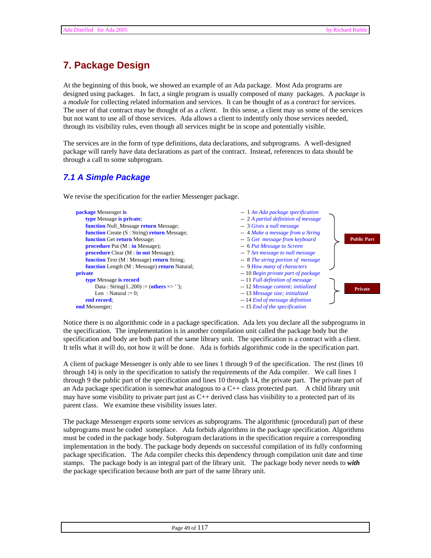# **7. Package Design**

At the beginning of this book, we showed an example of an Ada package. Most Ada programs are designed using packages. In fact, a single program is usually composed of many packages. A *package* is a *module* for collecting related information and services. It can be thought of as a *contract* for services. The user of that contract may be thought of as a *client*. In this sense, a client may us some of the services but not want to use all of those services. Ada allows a client to indentify only those services needed, through its visibility rules, even though all services might be in scope and potentially visible.

The services are in the form of type definitions, data declarations, and subprograms. A well-designed package will rarely have data declarations as part of the contract. Instead, references to data should be through a call to some subprogram.

# *7.1 A Simple Package*

We revise the specification for the earlier Messenger package.



Notice there is no algorithmic code in a package specification. Ada lets you declare all the subprograms in the specification. The implementation is in another compilation unit called the package body but the specification and body are both part of the same library unit. The specification is a contract with a client. It tells what it will do, not how it will be done. Ada is forbids algorithmic code in the specification part.

A client of package Messenger is only able to see lines 1 through 9 of the specification. The rest (lines 10 through 14) is only in the specification to satisfy the requirements of the Ada compiler. We call lines 1 through 9 the public part of the specification and lines 10 through 14, the private part. The private part of an Ada package specification is somewhat analogous to a  $C_{++}$  class protected part. A child library unit may have some visibility to private part just as  $C_{++}$  derived class has visibility to a protected part of its parent class. We examine these visibility issues later.

The package Messenger exports some services as subprograms. The algorithmic (procedural) part of these subprograms must be coded someplace. Ada forbids algorithms in the package specification. Algorithms must be coded in the package body. Subprogram declarations in the specification require a corresponding implementation in the body. The package body depends on successful compilation of its fully conforming package specification. The Ada compiler checks this dependency through compilation unit date and time stamps. The package body is an integral part of the library unit. The package body never needs to *with* the package specification because both are part of the same library unit.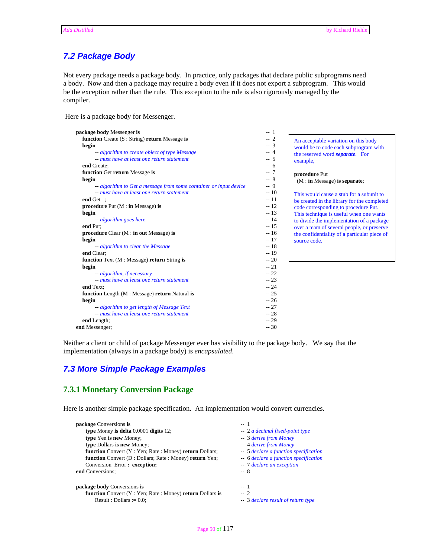## *7.2 Package Body*

Not every package needs a package body. In practice, only packages that declare public subprograms need a body. Now and then a package may require a body even if it does not export a subprogram. This would be the exception rather than the rule. This exception to the rule is also rigorously managed by the compiler.

Here is a package body for Messenger.

| package body Messenger is                                         | -- 1  |
|-------------------------------------------------------------------|-------|
| <b>function</b> Create $(S : String)$ <b>return</b> Message is    | $-2$  |
| begin                                                             | $-3$  |
| -- algorithm to create object of type Message                     | $-4$  |
| -- must have at least one return statement                        | $-5$  |
| end Create;                                                       | -- 6  |
| function Get return Message is                                    | -- 7  |
| begin                                                             | -- 8  |
| -- algorithm to Get a message from some container or input device | $-9$  |
| -- must have at least one return statement                        | $-10$ |
| end Get:                                                          | -- 11 |
| <b>procedure</b> Put $(M : in Message)$ is                        | $-12$ |
| begin                                                             | $-13$ |
| -- algorithm goes here                                            | $-14$ |
| end Put:                                                          | $-15$ |
| <b>procedure</b> Clear $(M : in out Message)$ is                  | $-16$ |
| begin                                                             | $-17$ |
| -- algorithm to clear the Message                                 | $-18$ |
| end Clear:                                                        | $-19$ |
| <b>function</b> Text (M : Message) <b>return</b> String is        | $-20$ |
| begin                                                             | $-21$ |
| -- algorithm, if necessary                                        | $-22$ |
| -- must have at least one return statement                        | $-23$ |
| end Text:                                                         | $-24$ |
| <b>function</b> Length (M : Message) return Natural is            | $-25$ |
| begin                                                             | $-26$ |
| -- algorithm to get length of Message Text                        | $-27$ |
| -- must have at least one return statement                        | $-28$ |
| end Length;                                                       | $-29$ |
| end Messenger;                                                    | $-30$ |

An acceptable variation on this body would be to code each subprogram with the reserved word *separate*. For example,

**procedure** Put (M : **in** Message) **is separate**;

This would cause a stub for a subunit to be created in the library for the completed code corresponding to procedure Put. This technique is useful when one wants to divide the implementation of a package over a team of several people, or preserve the confidentiality of a particular piece of source code.

Neither a client or child of package Messenger ever has visibility to the package body. We say that the implementation (always in a package body) is *encapsulated*.

## *7.3 More Simple Package Examples*

#### **7.3.1 Monetary Conversion Package**

Here is another simple package specification. An implementation would convert currencies.

| package Conversions is                                                   | $\overline{a}$                        |
|--------------------------------------------------------------------------|---------------------------------------|
| type Money is delta $0.0001$ digits 12;                                  | -- 2 a decimal fixed-point type       |
| type Yen is new Money;                                                   | -- 3 derive from Money                |
| type Dollars is new Money;                                               | -- 4 derive from Money                |
| <b>function</b> Convert (Y : Yen; Rate : Money) <b>return</b> Dollars;   | -- 5 declare a function specification |
| <b>function</b> Convert (D : Dollars; Rate : Money) <b>return</b> Yen;   | -- 6 declare a function specification |
| Conversion_Error: exception;                                             | -- 7 declare an exception             |
| end Conversions;                                                         | $-8$                                  |
| <b>package body</b> Conversions is                                       | -- 1                                  |
| <b>function</b> Convert (Y : Yen; Rate : Money) <b>return</b> Dollars is | $-2$                                  |
| Result : Dollars := $0.0$ ;                                              | -- 3 declare result of return type    |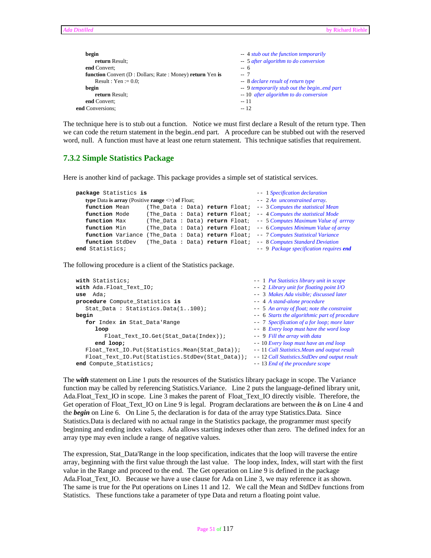| -- 5 after algorithm to do conversion       |
|---------------------------------------------|
|                                             |
| -- 6                                        |
| $-7$                                        |
| -- 8 declare result of return type          |
| -- 9 temporarily stub out the beginend part |
| -- 10 after algorithm to do conversion      |
| $-11$                                       |
| $-12$                                       |
|                                             |

The technique here is to stub out a function. Notice we must first declare a Result of the return type. Then we can code the return statement in the begin..end part. A procedure can be stubbed out with the reserved word, null. A function must have at least one return statement. This technique satisfies that requirement.

#### **7.3.2 Simple Statistics Package**

Here is another kind of package. This package provides a simple set of statistical services.

```
package Statistics is -- 1 Specification declaration 
   type Data is array (Positive range \leq) of Float; \qquad -2 An unconstrained array.
  function Mean (The_Data : Data) return Float; -- 3 Computes the statistical Mean
  function Mode (The_Data : Data) return Float; -- 4 Computes the statistical Mode
  function Max (The_Data : Data) return Float; -- 5 Computes Maximum Value of arrray
  function Min (The_Data : Data) return Float; -- 6 Computes Minimum Value of array
  function Variance (The_Data : Data) return Float; -- 7 Computes Statistical Variance
  function StdDev (The_Data : Data) return Float; -- 8 Computes Standard Deviation
end Statistics; -- 9 Package specification requires end
```
The following procedure is a client of the Statistics package.

```
with Statistics; -- 1 Put Statistics library unit in scope 
with Ada.Float_Text_IO; -- 2 Library unit for floating point I/O 
use Ada; -- 3 Makes Ada visible; discussed later
procedure Compute_Statistics is -- 4 A stand-alone procedure
  Stat Data : Statistics.Data(1..100); -- 5 An array of float; note the constraint
begin -- 6 Starts the algorithmic part of procedure
  for Index in Stat_Data'Range -- 7 Specification of a for loop; more later
      100p -- 8 Every loop must have the word loop
        Float_Text_IO.Get(Stat_Data(Index)); -- 9 Fill the array with data
     end loop; \qquad -10 Every loop must have an end loop Float_Text_IO.Put(Statistics.Mean(Stat_Data)); -- 11 Call Statistics.Mean and output result
   Float_Text_IO.Put(Statistics.StdDev(Stat_Data)); -- 12 Call Statistics.StdDev and output result
end Compute_Statistics; -- 13 End of the procedure scope
```
The *with* statement on Line 1 puts the resources of the Statistics library package in scope. The Variance function may be called by referencing Statistics.Variance. Line 2 puts the language-defined library unit, Ada.Float\_Text\_IO in scope. Line 3 makes the parent of Float\_Text\_IO directly visible. Therefore, the Get operation of Float\_Text\_IO on Line 9 is legal. Program declarations are between the *is* on Line 4 and the *begin* on Line 6. On Line 5, the declaration is for data of the array type Statistics.Data. Since Statistics.Data is declared with no actual range in the Statistics package, the programmer must specify beginning and ending index values. Ada allows starting indexes other than zero. The defined index for an array type may even include a range of negative values.

The expression, Stat\_Data'Range in the loop specification, indicates that the loop will traverse the entire array, beginning with the first value through the last value. The loop index, Index, will start with the first value in the Range and proceed to the end. The Get operation on Line 9 is defined in the package Ada.Float\_Text\_IO. Because we have a use clause for Ada on Line 3, we may reference it as shown. The same is true for the Put operations on Lines 11 and 12. We call the Mean and StdDev functions from Statistics. These functions take a parameter of type Data and return a floating point value.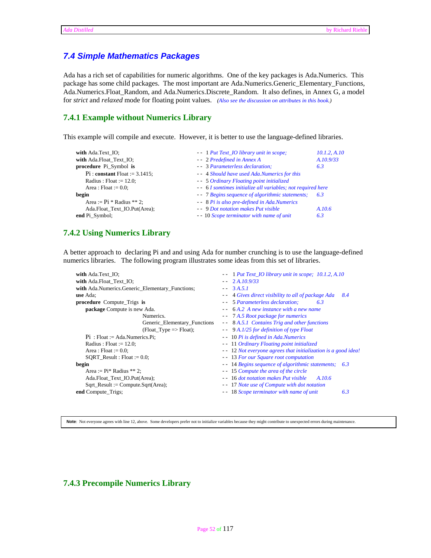## *7.4 Simple Mathematics Packages*

Ada has a rich set of capabilities for numeric algorithms. One of the key packages is Ada.Numerics. This package has some child packages. The most important are Ada.Numerics.Generic\_Elementary\_Functions, Ada.Numerics.Float\_Random, and Ada.Numerics.Discrete\_Random. It also defines, in Annex G, a model for *strict* and *relaxed* mode for floating point values. *(Also see the discussion on attributes in this book.)*

#### **7.4.1 Example without Numerics Library**

This example will compile and execute. However, it is better to use the language-defined libraries.

| with Ada.Text IO;                | $-- 1$ Put Text_IO library unit in scope;                   | 10.1.2, A.10 |
|----------------------------------|-------------------------------------------------------------|--------------|
| with Ada.Float_Text_IO;          | $-- 2$ Predefined in Annex A                                | A.10.9/33    |
| procedure Pi_Symbol is           | -- 3 Parameterless declaration;                             | 6.3          |
| $Pi$ : constant Float := 3.1415; | -- 4 Should have used Ada.Numerics for this                 |              |
| Radius : Float := $12.0$ ;       | -- 5 Ordinary Floating point initialized                    |              |
| Area : Float := $0.0$ ;          | -- 6 I somtimes initialize all variables; not required here |              |
| begin                            | -- 7 Begins sequence of algorithmic statements;             | 6.3          |
| Area := $Pi * Radius ** 2$ ;     | -- 8 Pi is also pre-defined in Ada.Numerics                 |              |
| Ada.Float Text IO.Put(Area);     | -- 9 Dot notation makes Put visible                         | A.10.6       |
| end Pi Symbol;                   | $-- 10$ Scope terminator with name of unit                  | 6.3          |

#### **7.4.2 Using Numerics Library**

A better approach to declaring Pi and and using Ada for number crunching is to use the language-defined numerics libraries. The following program illustrates some ideas from this set of libraries.

| with Ada.Text IO;                               |                                   |                                                           | $--$ 1 Put Text_IO library unit in scope; 10.1.2, A.10          |  |  |
|-------------------------------------------------|-----------------------------------|-----------------------------------------------------------|-----------------------------------------------------------------|--|--|
| with Ada.Float_Text_IO;                         |                                   | $- - 2A.10.9/33$                                          |                                                                 |  |  |
| with Ada.Numerics.Generic_Elementary_Functions; |                                   | $- - 3A.5.1$                                              |                                                                 |  |  |
| use Ada;                                        |                                   | -- 4 Gives direct visibility to all of package Ada<br>8.4 |                                                                 |  |  |
| procedure Compute_Trigs is                      |                                   | -- 5 Parameterless declaration;<br>6.3                    |                                                                 |  |  |
| package Compute is new Ada.                     |                                   |                                                           | $-$ 6 A.2 A new instance with a new name                        |  |  |
|                                                 | Numerics.                         |                                                           | -- 7 A.5 Root package for numerics                              |  |  |
|                                                 | Generic_Elementary_Functions      |                                                           | -- 8 A.5.1 Contains Trig and other functions                    |  |  |
|                                                 | $(Float_Type \Rightarrow float);$ |                                                           | $--$ 9 A.1/25 for definition of type Float                      |  |  |
| $Pi$ : Float := Ada.Numerics.Pi:                |                                   | $-- 10$ Pi is defined in Ada. Numerics                    |                                                                 |  |  |
| Radius : Float := $12.0$ ;                      |                                   | -- 11 Ordinary Floating point initialized                 |                                                                 |  |  |
| Area : Float := $0.0$ ;                         |                                   |                                                           | $--$ 12 Not everyone agrees that initialization is a good idea! |  |  |
| SORT Result: $F$ loat:= 0.0;                    |                                   |                                                           | -- 13 For our Square root computation                           |  |  |
| begin                                           |                                   |                                                           | -- 14 Begins sequence of algorithmic statements; 6.3            |  |  |
| Area := $Pi*$ Radius ** 2;                      |                                   |                                                           | $-- 15$ Compute the area of the circle                          |  |  |
| Ada.Float_Text_IO.Put(Area);                    |                                   |                                                           | -- 16 dot notation makes Put visible<br>A 106                   |  |  |
| $Sqrt\_Result := Compute.Sqrt(Area);$           |                                   |                                                           | -- 17 Note use of Compute with dot notation                     |  |  |
| end Compute_Trigs;                              |                                   |                                                           | -- 18 Scope terminator with name of unit<br>6.3                 |  |  |
|                                                 |                                   |                                                           |                                                                 |  |  |

**Note**: Not everyone agrees with line 12, above. Some developers prefer not to initialize variables because they might contribute to unexpected errors during maintenance.

#### **7.4.3 Precompile Numerics Library**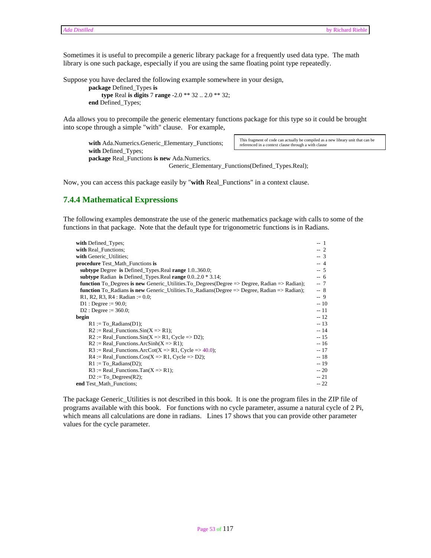Sometimes it is useful to precompile a generic library package for a frequently used data type. The math library is one such package, especially if you are using the same floating point type repeatedly.

Suppose you have declared the following example somewhere in your design,

```
package Defined_Types is
      type Real is digits 7 range -2.0 ** 32 .. 2.0 ** 32; 
end Defined_Types;
```
Ada allows you to precompile the generic elementary functions package for this type so it could be brought into scope through a simple "with" clause. For example,

**with** Ada.Numerics.Generic\_Elementary\_Functions; **with** Defined\_Types; **package** Real\_Functions **is new** Ada.Numerics. Generic\_Elementary\_Functions(Defined\_Types.Real); This fragment of code can actually be compiled as a new library unit that can be referenced in a context clause through a with clause

Now, you can access this package easily by "**with** Real\_Functions" in a context clause.

#### **7.4.4 Mathematical Expressions**

The following examples demonstrate the use of the generic mathematics package with calls to some of the functions in that package. Note that the default type for trigonometric functions is in Radians.

| with Defined_Types;                                                                                                         | $-1$  |
|-----------------------------------------------------------------------------------------------------------------------------|-------|
| with Real_Functions;                                                                                                        | $-2$  |
| with Generic_Utilities;                                                                                                     | $-3$  |
| procedure Test_Math_Functions is                                                                                            | $-4$  |
| subtype Degree is Defined_Types.Real range 1.0360.0;                                                                        | $-5$  |
| subtype Radian is Defined_Types.Real range $0.02.0 * 3.14$ ;                                                                | $-6$  |
| <b>function</b> To Degrees is new Generic Utilities. To Degrees (Degree $\Rightarrow$ Degree, Radian $\Rightarrow$ Radian); | $-7$  |
| <b>function</b> To_Radians is new Generic_Utilities. To_Radians(Degree $\Rightarrow$ Degree, Radian $\Rightarrow$ Radian);  | $-8$  |
| R1, R2, R3, R4 : Radian := $0.0$ ;                                                                                          | $-9$  |
| $D1 : Degree := 90.0;$                                                                                                      | $-10$ |
| $D2 : Degree := 360.0;$                                                                                                     | $-11$ |
| begin                                                                                                                       | $-12$ |
| $R1 := To_Radians(D1);$                                                                                                     | $-13$ |
| $R2$ := Real Functions.Sin(X => R1);                                                                                        | $-14$ |
| $R2 := Real\_Functions.Sin(X \Rightarrow R1, Cycle \Rightarrow D2);$                                                        | $-15$ |
| $R2$ := Real_Functions.ArcSinh(X => R1);                                                                                    | $-16$ |
| $R3$ := Real_Functions.ArcCot(X => R1, Cycle => 40.0);                                                                      | $-17$ |
| $R4$ := Real_Functions.Cos(X => R1, Cycle => D2);                                                                           | $-18$ |
| $R1 := To_Radians(D2);$                                                                                                     | $-19$ |
| $R3 := Real\_Functions.Tan(X = > R1);$                                                                                      | $-20$ |
| $D2 := To\_Degrees(R2);$                                                                                                    | $-21$ |
| end Test Math Functions;                                                                                                    | $-22$ |

The package Generic\_Utilities is not described in this book. It is one the program files in the ZIP file of programs available with this book. For functions with no cycle parameter, assume a natural cycle of 2 Pi, which means all calculations are done in radians. Lines 17 shows that you can provide other parameter values for the cycle parameter.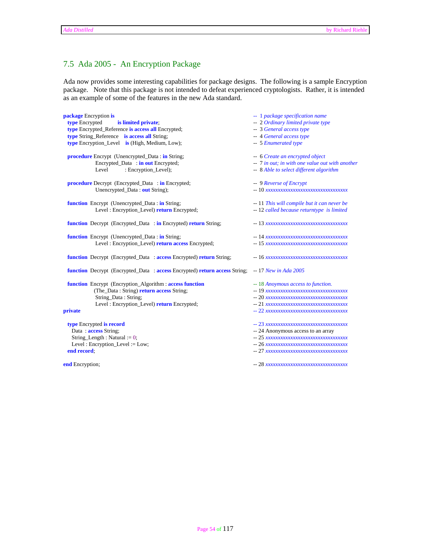## 7.5 Ada 2005 - An Encryption Package

Ada now provides some interesting capabilities for package designs. The following is a sample Encryption package. Note that this package is not intended to defeat experienced cryptologists. Rather, it is intended as an example of some of the features in the new Ada standard.

| package Encryption is                                                                           | -- 1 package specification name                 |
|-------------------------------------------------------------------------------------------------|-------------------------------------------------|
| type Encrypted<br>is limited private;                                                           | -- 2 Ordinary limited private type              |
| type Encrypted_Reference is access all Encrypted;                                               | -- 3 General access type                        |
| type String_Reference is access all String;                                                     | -- 4 General access type                        |
| type Encryption_Level is (High, Medium, Low);                                                   | -- 5 Enumerated type                            |
| <b>procedure</b> Encrypt (Unencrypted_Data: in String;                                          | -- 6 Create an encrypted object                 |
| Encrypted_Data : in out Encrypted;                                                              | -- 7 in out; in with one value out with another |
| : Encryption_Level);<br>Level                                                                   | -- 8 Able to select different algorithm         |
| <b>procedure</b> Decrypt (Encrypted_Data: in Encrypted;                                         | -- 9 Reverse of Encrypt                         |
| Unencrypted_Data: out String);                                                                  | $-10$ xxxxxxxxxxxxxxxxxxxxxxxxxxxxx             |
| function Encrypt (Unencrypted_Data: in String;                                                  | -- 11 This will compile but it can never be     |
| Level: Encryption_Level) return Encrypted;                                                      | -- 12 called because returntype is limited      |
| <b>function</b> Decrypt (Encrypted_Data: in Encrypted) return String;                           | $-13$ xxxxxxxxxxxxxxxxxxxxxxxxxxxxxxx           |
| function Encrypt (Unencrypted_Data: in String;                                                  | $-14$ xxxxxxxxxxxxxxxxxxxxxxxxxxxxxxxx          |
| Level: Encryption_Level) return access Encrypted;                                               | $-15$ xxxxxxxxxxxxxxxxxxxxxxxxxxxxxxx           |
| <b>function</b> Decrypt (Encrypted_Data : <b>access</b> Encrypted) return String;               | $-16$ xxxxxxxxxxxxxxxxxxxxxxxxxxxxx             |
| <b>function</b> Decrypt (Encrypted Data : <b>access</b> Encrypted) <b>return access</b> String; | -- 17 New in Ada 2005                           |
| <b>function</b> Encrypt (Encryption_Algorithm : <b>access function</b>                          | -- 18 Anoymous access to function.              |
| (The_Data: String) return access String;                                                        | $-19$ xxxxxxxxxxxxxxxxxxxxxxxxxxxxxxxx          |
| String_Data: String;                                                                            | $-20$ xxxxxxxxxxxxxxxxxxxxxxxxxxxxxxxx          |
| Level: Encryption_Level) return Encrypted;                                                      | -- 21 xxxxxxxxxxxxxxxxxxxxxxxxxxxxx             |
| private                                                                                         | $-$ 22 xxxxxxxxxxxxxxxxxxxxxxxxxxxxxxxx         |
| type Encrypted is record                                                                        | $-23$ xxxxxxxxxxxxxxxxxxxxxxxxxxxxxx            |
| Data: access String;                                                                            | -- 24 Anonymous access to an array              |
| String_Length : Natural := $0$ ;                                                                | $-$ 25 xxxxxxxxxxxxxxxxxxxxxxxxxxxxxxx          |
| Level: $Encryption\_Level := Low;$                                                              | $-$ 26 xxxxxxxxxxxxxxxxxxxxxxxxxxxxxx           |
| end record:                                                                                     | $-27$ xxxxxxxxxxxxxxxxxxxxxxxxxxxxxxx           |
| end Encryption;                                                                                 | $-28$ xxxxxxxxxxxxxxxxxxxxxxxxxxxxx             |
|                                                                                                 |                                                 |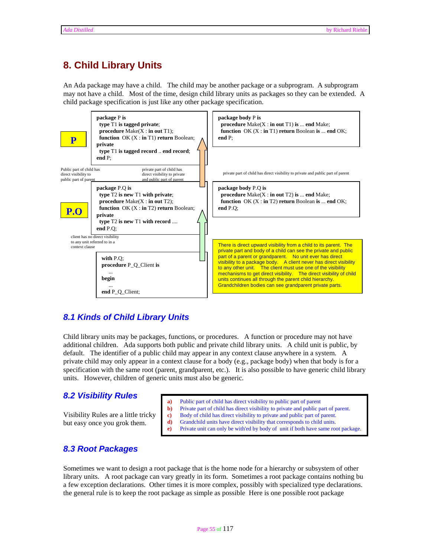# **8. Child Library Units**

An Ada package may have a child. The child may be another package or a subprogram. A subprogram may not have a child. Most of the time, design child library units as packages so they can be extended. A child package specification is just like any other package specification.



# *8.1 Kinds of Child Library Units*

Child library units may be packages, functions, or procedures. A function or procedure may not have additional children. Ada supports both public and private child library units. A child unit is public, by default. The identifier of a public child may appear in any context clause anywhere in a system. A private child may only appear in a context clause for a body (e.g., package body) when that body is for a specification with the same root (parent, grandparent, etc.). It is also possible to have generic child library units. However, children of generic units must also be generic.

## *8.2 Visibility Rules*

Visibility Rules are a little tricky but easy once you grok them.

- **a)** Public part of child has direct visibility to public part of parent
- **b**) Private part of child has direct visibility to private and public part of parent.
- **c)** Body of child has direct visibility to private and public part of parent.
- **d)** Grandchild units have direct visibility that corresponds to child units.
- **e)** Private unit can only be with'ed by body of unit if both have same root package.

## *8.3 Root Packages*

Sometimes we want to design a root package that is the home node for a hierarchy or subsystem of other library units. A root package can vary greatly in its form. Sometimes a root package contains nothing bu a few exception declarations. Other times it is more complex, possibly with specialized type declarations. the general rule is to keep the root package as simple as possible Here is one possible root package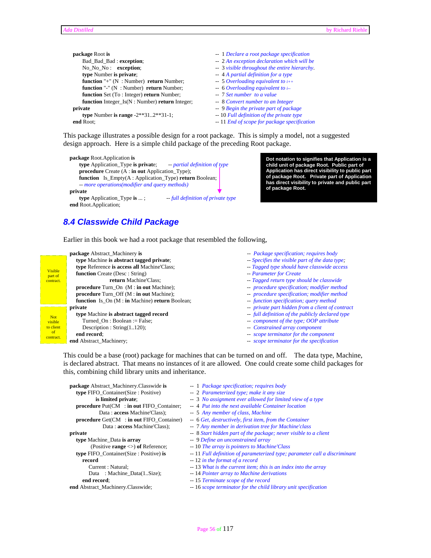| package Root is                                          | -- 1 Declare a root package specification     |
|----------------------------------------------------------|-----------------------------------------------|
| Bad_Bad_Bad : exception;                                 | -- 2 An exception declaration which will be   |
| No No No: exception;                                     | -- 3 visible throughout the entire hierarchy. |
| <b>type Number is private:</b>                           | -- 4 A partial definition for a type          |
| <b>function</b> "+" $(N : Number)$ <b>return</b> Number; | $-5$ Overloading equivalent to $i++$          |
| function "-" (N: Number) return Number;                  | -- 6 Overloading equivalent to <i>i</i> --    |
| function Set (To: Integer) return Number;                | -- 7 Set number to a value                    |
| function Integer_Is(N: Number) return Integer;           | -- 8 Convert number to an Integer             |
| private                                                  | -- 9 Begin the private part of package        |
| type Number is range $-2**312**31-1$ ;                   | -- 10 Full definition of the private type     |
| end Root:                                                | -- 11 End of scope for package specification  |

This package illustrates a possible design for a root package. This is simply a model, not a suggested design approach. Here is a simple child package of the preceding Root package.

```
package Root.Application is
    type Application_Type is private; -- partial definition of type
    procedure Create (A : in out Application_Type); 
    function Is_Empty(A : Application_Type) return Boolean; 
     -- more operations(modifier and query methods)
private 
    type Application_Type is ... ; -- full definition of private type
end Root.Application;
```
**Dot notation to signifies that Application is a child unit of package Root. Public part of Application has direct visibility to public part of package Root. Private part of Application has direct visibility to private and public part of package Root.** 

## *8.4 Classwide Child Package*

Earlier in this book we had a root package that resembled the following,

|                           | package Abstract_Machinery is                                        | -- Package specification; requires body          |
|---------------------------|----------------------------------------------------------------------|--------------------------------------------------|
|                           | type Machine is abstract tagged private;                             | -- Specifies the visible part of the data type;  |
| <b>Visible</b><br>part of | type Reference is access all Machine'Class;                          | -- Tagged type should have classwide access      |
|                           | <b>function</b> Create (Desc: String)                                | -- Parameter for Create                          |
| contract.                 | return Machine'Class:                                                | -- Tagged return type should be classwide        |
|                           | procedure Turn_On (M : in out Machine);                              | -- procedure specification; modifier method      |
|                           | <b>procedure</b> Turn_Off (M : <b>in out</b> Machine);               | -- procedure specification; modifier method      |
|                           | <b>function</b> Is On (M : <b>in</b> Machine) <b>return</b> Boolean; | -- function specification; query method          |
|                           | private                                                              | -- private part hidden from a client of contract |
| <b>Not</b>                | type Machine is abstract tagged record                               | -- full definition of the publicly declared type |
| visible                   | Turned $On : Boolean := False;$                                      | -- component of the type; OOP attribute          |
| to client                 | Description : $String(1120)$ ;                                       | -- Constrained array component                   |
| of<br>contract.           | end record:                                                          | -- scope terminator for the component            |
|                           | end Abstract Machinery;                                              | -- scope terminator for the specification        |

This could be a base (root) package for machines that can be turned on and off. The data type, Machine, is declared abstract. That means no instances of it are allowed. One could create some child packages for this, combining child library units and inheritance.

| package Abstract_Machinery.Classwide is                 | -- 1 Package specification; requires body                                  |
|---------------------------------------------------------|----------------------------------------------------------------------------|
| type FIFO_Container(Size: Positive)                     | -- 2 Parameterized type; make it any size                                  |
| is limited private;                                     | -- 3 No assignment ever allowed for limited view of a type                 |
| <b>procedure Put(CM</b> : <b>in out FIFO</b> Container; | -- 4 Put into the next available Container location                        |
| Data: access Machine'Class);                            | -- 5 Any member of class, Machine                                          |
| <b>procedure</b> $Get(CM : in out FIFO Container)$      | -- 6 Get, destructively, first item, from the Container                    |
| Data: access Machine'Class);                            | -- 7 Any member in derivation tree for Machine'class                       |
| private                                                 | -- 8 Start hidden part of the package; never visible to a client           |
| type Machine_Data is array                              | -- 9 Define an unconstrained array                                         |
| (Positive range $\langle \rangle$ ) of Reference;       | -- 10 The array is pointers to Machine'Class                               |
| <b>type FIFO</b> Container (Size: Positive) is          | -- 11 Full definition of parameterized type; parameter call a discriminant |
| record                                                  | -- 12 in the format of a record                                            |
| Current : Natural;                                      | -- 13 What is the current item; this is an index into the array            |
| Data : Machine Data(1Size);                             | -- 14 Pointer array to Machine derivations                                 |
| end record:                                             | -- 15 Terminate scope of the record                                        |
| end Abstract Machinery.Classwide:                       | -- 16 scope terminator for the child library unit specification            |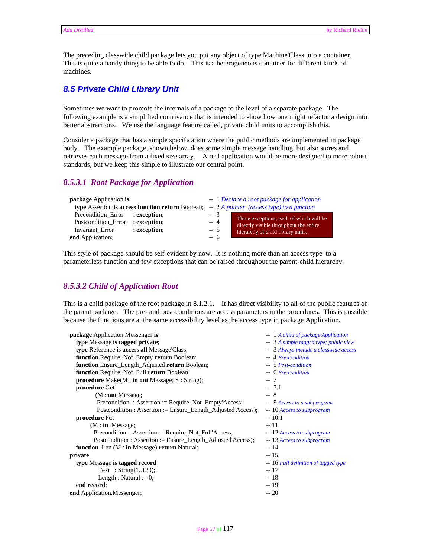The preceding classwide child package lets you put any object of type Machine'Class into a container. This is quite a handy thing to be able to do. This is a heterogeneous container for different kinds of machines.

#### *8.5 Private Child Library Unit*

Sometimes we want to promote the internals of a package to the level of a separate package. The following example is a simplified contrivance that is intended to show how one might refactor a design into better abstractions. We use the language feature called, private child units to accomplish this.

Consider a package that has a simple specification where the public methods are implemented in package body. The example package, shown below, does some simple message handling, but also stores and retrieves each message from a fixed size array. A real application would be more designed to more robust standards, but we keep this simple to illustrate our central point.

#### *8.5.3.1 Root Package for Application*

| <b>package</b> Application is |                                                          |      | -- 1 Declare a root package for application |
|-------------------------------|----------------------------------------------------------|------|---------------------------------------------|
|                               | <b>type Assertion is access function return Boolean;</b> |      | $-2A$ pointer (access type) to a function   |
| Precondition Error            | : exception:                                             | $-3$ | Three exceptions, each of which will be     |
| Postcondition Error           | : exception:                                             | $-4$ | directly visible throughout the entire      |
| Invariant Error               | : exception:                                             | $-5$ | hierarchy of child library units.           |
| end Application;              |                                                          | -- 6 |                                             |

This style of package should be self-evident by now. It is nothing more than an access type to a parameterless function and few exceptions that can be raised throughout the parent-child hierarchy.

#### *8.5.3.2 Child of Application Root*

This is a child package of the root package in 8.1.2.1. It has direct visibility to all of the public features of the parent package. The pre- and post-conditions are access parameters in the procedures. This is possible because the functions are at the same accessibility level as the access type in package Application.

| <b>package</b> Application. Messenger is                           | -- 1 A child of package Application    |
|--------------------------------------------------------------------|----------------------------------------|
| type Message is tagged private;                                    | -- 2 A simple tagged type; public view |
| type Reference is access all Message Class;                        | -- 3 Always include a classwide access |
| function Require_Not_Empty return Boolean;                         | -- 4 Pre-condition                     |
| function Ensure_Length_Adjusted return Boolean;                    | -- 5 Post-condition                    |
| function Require Not Full return Boolean;                          | -- 6 Pre-condition                     |
| <b>procedure</b> Make $(M : in out Message; S : String);$          | -- 7                                   |
| procedure Get                                                      | $-7.1$                                 |
| $(M:$ out Message;                                                 | $-8$                                   |
| Precondition: Assertion: = Require_Not_Empty'Access;               | -- 9 Access to a subprogram            |
| Postcondition : Assertion := Ensure_Length_Adjusted'Access);       | -- 10 Access to subprogram             |
| <b>procedure</b> Put                                               | $-10.1$                                |
| $(M : in$ Message;                                                 | $-11$                                  |
| Precondition: Assertion: = Require_Not_Full'Access;                | -- 12 Access to subprogram             |
| Postcondition : Assertion := Ensure Length Adjusted Access);       | -- 13 Access to subprogram             |
| <b>function</b> Len (M : <b>in</b> Message) <b>return</b> Natural; | -- 14                                  |
| private                                                            | $-15$                                  |
| type Message is tagged record                                      | -- 16 Full definition of tagged type   |
| Text: String $(1120)$ ;                                            | $-17$                                  |
| Length : Natural := 0;                                             | $-18$                                  |
| end record:                                                        | $-19$                                  |
| end Application.Messenger;                                         | $-20$                                  |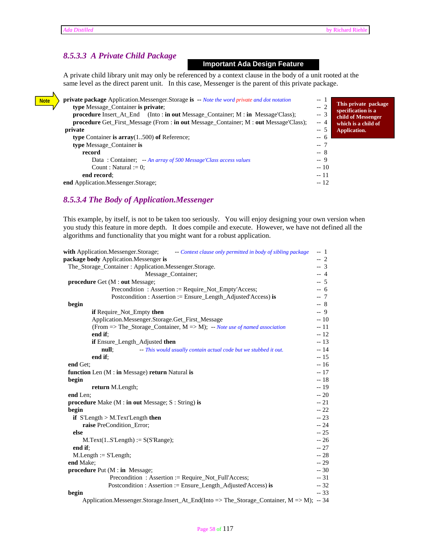#### *8.5.3.3 A Private Child Package*

#### **Important Ada Design Feature**

A private child library unit may only be referenced by a context clause in the body of a unit rooted at the same level as the direct parent unit. In this case, Messenger is the parent of this private package.

| <b>private package</b> Application. Messenger. Storage is -- Note the word private and dot notation<br><b>Note</b><br>type Message Container is private;<br><b>procedure</b> Insert At End (Into: <b>in out</b> Message Container; M: <b>in</b> Message Class);<br><b>procedure</b> Get First Message (From : <b>in out</b> Message Container; M : <b>out</b> Message Class);<br>private<br>type Container is $array(1500)$ of Reference;<br>type Message Container is | $--$<br>$-2$<br>$-3$<br>$-4$<br>$-5$<br>-- ი<br>$- 7$ | This private package<br>specification is a<br>child of Messenger<br>which is a child of<br>Application. |
|------------------------------------------------------------------------------------------------------------------------------------------------------------------------------------------------------------------------------------------------------------------------------------------------------------------------------------------------------------------------------------------------------------------------------------------------------------------------|-------------------------------------------------------|---------------------------------------------------------------------------------------------------------|
| record                                                                                                                                                                                                                                                                                                                                                                                                                                                                 | $-8$                                                  |                                                                                                         |
| Data: Container; -- An array of 500 Message Class access values                                                                                                                                                                                                                                                                                                                                                                                                        | -- 9                                                  |                                                                                                         |
| Count : Natural := 0;                                                                                                                                                                                                                                                                                                                                                                                                                                                  | $-10$                                                 |                                                                                                         |
| end record:                                                                                                                                                                                                                                                                                                                                                                                                                                                            | $-11$                                                 |                                                                                                         |
| end Application. Messenger. Storage:                                                                                                                                                                                                                                                                                                                                                                                                                                   | $-12$                                                 |                                                                                                         |

#### *8.5.3.4 The Body of Application.Messenger*

This example, by itself, is not to be taken too seriously. You will enjoy designing your own version when you study this feature in more depth. It does compile and execute. However, we have not defined all the algorithms and functionality that you might want for a robust application.

| with Application.Messenger.Storage;<br>-- Context clause only permitted in body of sibling package | $-1$  |
|----------------------------------------------------------------------------------------------------|-------|
| package body Application. Messenger is                                                             | $-2$  |
| The_Storage_Container: Application.Messenger.Storage.                                              | $-3$  |
| Message_Container;                                                                                 | $-4$  |
| procedure Get (M : out Message;                                                                    | $-5$  |
| Precondition: Assertion: = Require_Not_Empty'Access;                                               | $-6$  |
| Postcondition : Assertion := Ensure_Length_Adjusted'Access) is                                     | $-7$  |
| begin                                                                                              | $-8$  |
| <b>if</b> Require Not Empty then                                                                   | $-9$  |
| Application.Messenger.Storage.Get_First_Message                                                    | $-10$ |
| (From $\Rightarrow$ The_Storage_Container, M $\Rightarrow$ M); -- Note use of named association    | $-11$ |
| end if:                                                                                            | $-12$ |
| <b>if</b> Ensure Length Adjusted then                                                              | $-13$ |
| null;<br>-- This would usually contain actual code but we stubbed it out.                          | $-14$ |
| end if;                                                                                            | $-15$ |
| end Get;                                                                                           | $-16$ |
| function Len $(M : in Message)$ return Natural is                                                  | $-17$ |
| begin                                                                                              | $-18$ |
| return M.Length;                                                                                   | $-19$ |
| end Len:                                                                                           | $-20$ |
| <b>procedure</b> Make $(M : in out Message; S : String)$ is                                        | $-21$ |
| begin                                                                                              | $-22$ |
| if $S'Length > M.Text'Length$ then                                                                 | $-23$ |
| raise PreCondition_Error;                                                                          | $-24$ |
| else                                                                                               | $-25$ |
| $M.Text(1S'Length) := S(S'Range);$                                                                 | $-26$ |
| end if:                                                                                            | $-27$ |
| $M.Length := S'Length;$                                                                            | $-28$ |
| end Make;                                                                                          | $-29$ |
| procedure Put (M : in Message;                                                                     | $-30$ |
| Precondition: Assertion: = Require_Not_Full'Access;                                                | $-31$ |
| Postcondition : Assertion := Ensure_Length_Adjusted'Access) is                                     | $-32$ |
| begin                                                                                              | $-33$ |
| Application.Messenger.Storage.Insert_At_End(Into => The_Storage_Container, M => M); -- 34          |       |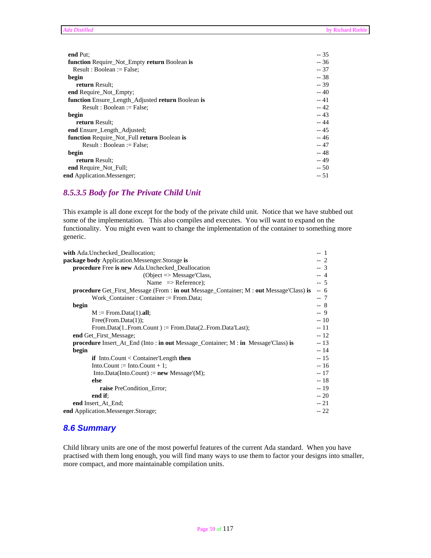| end Put:                                                 | $-35$ |
|----------------------------------------------------------|-------|
| <b>function</b> Require Not Empty return Boolean is      | $-36$ |
| $Result: Boolean := False;$                              | $-37$ |
| begin                                                    | $-38$ |
| return Result:                                           | $-39$ |
| end Require Not Empty;                                   | $-40$ |
| <b>function</b> Ensure Length Adjusted return Boolean is | $-41$ |
| $Result: Boolean := False;$                              | $-42$ |
| begin                                                    | $-43$ |
| return Result:                                           | $-44$ |
| end Ensure Length Adjusted;                              | $-45$ |
| function Require_Not_Full return Boolean is              | $-46$ |
| $Result: Boolean := False;$                              | $-47$ |
| begin                                                    | $-48$ |
| return Result:                                           | $-49$ |
| end Require Not Full;                                    | $-50$ |
| end Application.Messenger;                               | $-51$ |
|                                                          |       |

#### *8.5.3.5 Body for The Private Child Unit*

This example is all done except for the body of the private child unit. Notice that we have stubbed out some of the implementation. This also compiles and executes. You will want to expand on the functionality. You might even want to change the implementation of the container to something more generic.

| with Ada. Unchecked Deallocation;                                                                        | -- 1  |
|----------------------------------------------------------------------------------------------------------|-------|
| <b>package body</b> Application. Messenger. Storage is                                                   | $-2$  |
| procedure Free is new Ada. Unchecked Deallocation                                                        | $-3$  |
| (Object $\Rightarrow$ Message Class,                                                                     | $-4$  |
| Name $\Rightarrow$ Reference);                                                                           | $-5$  |
| procedure Get_First_Message (From : in out Message_Container; M : out Message'Class) is                  | -- 6  |
| Work Container: Container: = From Data;                                                                  | -- 7  |
| begin                                                                                                    | $-8$  |
| $M :=$ From.Data(1).all;                                                                                 | $-9$  |
| $Free(From.Data(1))$ ;                                                                                   | $-10$ |
| From.Data $(1$ From.Count $) :=$ From.Data $(2$ From.Data $'$ Last $);$                                  | $-11$ |
| end Get First Message;                                                                                   | $-12$ |
| <b>procedure</b> Insert At End (Into: <b>in out</b> Message Container; $M : \text{in}$ Message Class) is | $-13$ |
| begin                                                                                                    | $-14$ |
| <b>if</b> Into Count $\lt$ Container Length then                                                         | $-15$ |
| $Into. Count := Into. Count + 1;$                                                                        | $-16$ |
| $Into.Data(Into.Count) := new Message'(M);$                                                              | $-17$ |
| else                                                                                                     | $-18$ |
| raise PreCondition_Error;                                                                                | -- 19 |
| end if:                                                                                                  | $-20$ |
| end Insert At End;                                                                                       | $-21$ |
| end Application. Messenger. Storage;                                                                     | $-22$ |

## *8.6 Summary*

Child library units are one of the most powerful features of the current Ada standard. When you have practised with them long enough, you will find many ways to use them to factor your designs into smaller, more compact, and more maintainable compilation units.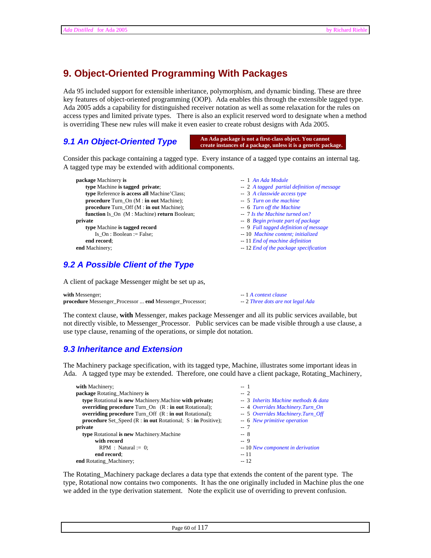# **9. Object-Oriented Programming With Packages**

Ada 95 included support for extensible inheritance, polymorphism, and dynamic binding. These are three key features of object-oriented programming (OOP). Ada enables this through the extensible tagged type. Ada 2005 adds a capability for distinguished receiver notation as well as some relaxation for the rules on access types and limited private types. There is also an explicit reserved word to designate when a method is overriding These new rules will make it even easier to create robust designs with Ada 2005.

## *9.1 An Object-Oriented Type*

#### **An Ada package is not a first-class object. You cannot create instances of a package, unless it is a generic package.**

Consider this package containing a tagged type. Every instance of a tagged type contains an internal tag. A tagged type may be extended with additional components.

```
package Machinery is -- 1 An Ada Module
   type Machine is tagged private; -- 2 A tagged partial definition of message
   type Reference is access all Machine'Class; -- 3 A classwide access type
  procedure Turn_On (M : in out Machine); -- 5 Turn on the machine
  procedure Turn_Off (M : in out Machine); -- 6 Turn off the Machine
  function Is_On (M : Machine) return Boolean; -- 7 Is the Machine turned on?
private - 8 Begin private part of package
   type Machine is tagged record -- 9 Full tagged definition of message
     Is_On : Boolean := False;
  end record;
end Machinery; -12 End of the package specification
```
## *9.2 A Possible Client of the Type*

A client of package Messenger might be set up as,

| $\sim$ 1 au mggeu aepmuon opmes    |
|------------------------------------|
| -- 10 Machine content; initialized |
| -- 11 End of machine definition    |
| -- 12 End of the package specifica |
|                                    |

**with** Messenger;  $-1 A context clause$ **procedure** Messenger\_Processor ... **end** Messenger\_Processor; -- 2 *Three dots are not legal Ada*

The context clause, **with** Messenger, makes package Messenger and all its public services available, but not directly visible, to Messenger\_Processor. Public services can be made visible through a use clause, a use type clause, renaming of the operations, or simple dot notation.

## *9.3 Inheritance and Extension*

The Machinery package specification, with its tagged type, Machine, illustrates some important ideas in Ada. A tagged type may be extended. Therefore, one could have a client package, Rotating\_Machinery,

| with Machinery;                                                        | -- 1                                 |
|------------------------------------------------------------------------|--------------------------------------|
| package Rotating Machinery is                                          | $-2$                                 |
| type Rotational is new Machinery. Machine with private;                | -- 3 Inherits Machine methods & data |
| overriding procedure Turn_On $(R : in out Rotational)$ ;               | -- 4 Overrides Machinery.Turn On     |
| overriding procedure Turn_Off $(R : in out Rotational)$ ;              | -- 5 Overrides Machinery.Turn Off    |
| <b>procedure</b> Set Speed $(R : in out Rotational; S : in Positive);$ | -- 6 New primitive operation         |
| private                                                                | $-7$                                 |
| type Rotational is new Machinery. Machine                              | -- 8                                 |
| with record                                                            | $-9$                                 |
| $RPM$ : Natural := 0;                                                  | -- 10 New component in derivation    |
| end record:                                                            | $-11$                                |
| end Rotating Machinery;                                                | $-12$                                |

The Rotating\_Machinery package declares a data type that extends the content of the parent type. The type, Rotational now contains two components. It has the one originally included in Machine plus the one we added in the type derivation statement. Note the explicit use of overriding to prevent confusion.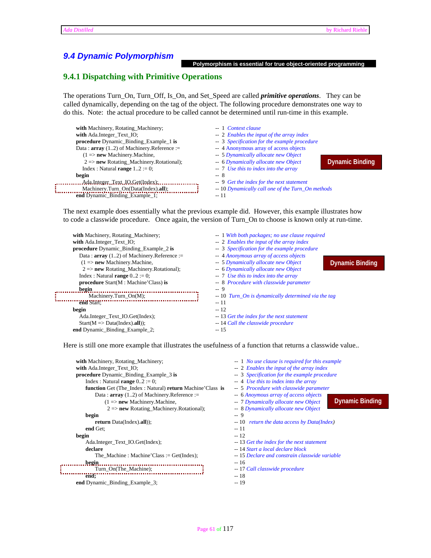D

## *9.4 Dynamic Polymorphism*

#### **Polymorphism is essential for true object-oriented programming**

#### **9.4.1 Dispatching with Primitive Operations**

The operations Turn\_On, Turn\_Off, Is\_On, and Set\_Speed are called *primitive operations*. They can be called dynamically, depending on the tag of the object. The following procedure demonstrates one way to do this. Note: the actual procedure to be called cannot be determined until run-time in this example.

| with Machinery, Rotating Machinery;<br>with Ada.Integer_Text_IO;<br>procedure Dynamic_Binding_Example_1 is<br>Data: $array (12)$ of Machinery. Reference :=<br>$(1 \Rightarrow$ <b>new</b> Machinery. Machine,<br>$2 \Rightarrow$ new Rotating Machinery. Rotational);<br>Index : Natural <b>range</b> $12 := 0$ ;<br>begin | -- 1 Context clause<br>-- 2 Enables the input of the array index<br>-- 3 Specification for the example procedure<br>-- 4 Anonymous array of access objects<br>-- 5 Dynamically allocate new Object<br>-- 6 Dynamically allocate new Object<br>-- 7 Use this to index into the array<br>$-8$ | <b>Dynamic Binding</b> |
|-----------------------------------------------------------------------------------------------------------------------------------------------------------------------------------------------------------------------------------------------------------------------------------------------------------------------------|---------------------------------------------------------------------------------------------------------------------------------------------------------------------------------------------------------------------------------------------------------------------------------------------|------------------------|
| Ada.IntegerTextIO.Get(Index);                                                                                                                                                                                                                                                                                               | -- 9 Get the index for the next statement                                                                                                                                                                                                                                                   |                        |
| Machinery.Turn_On(Data(Index).all);                                                                                                                                                                                                                                                                                         | -- 10 Dynamically call one of the Turn On methods                                                                                                                                                                                                                                           |                        |
| end Dynamic_Binding_Example_1;                                                                                                                                                                                                                                                                                              | -- 11                                                                                                                                                                                                                                                                                       |                        |

The next example does essentially what the previous example did. However, this example illustrates how to code a classwide procedure. Once again, the version of Turn\_On to choose is known only at run-time.

**with** Machinery, Rotating\_Machinery;  $-1$  *With both packages; no use clause required* with Ada.Integer\_Text\_IO;  $-2$  *Enables the input of the array index* **procedure** Dynamic\_Binding\_Example\_2 **is** -- 3 *Specification for the example procedure* Data : **array** (1..2) of Machinery.Reference := --- 4 *Anonymous array of access objects*  (1 => **new** Machinery.Machine, -- 5 *Dynamically allocate new Object* 2 => **new** Rotating\_Machinery.Rotational); -- 6 *Dynamically allocate new Object* Index : Natural **range**  $0.2 := 0$ ;  $-7$  *Use this to index into the array*  **procedure** Start(M : Machine'Class) **is** -- 8 *Procedure with classwide parameter* **begin begin begin begin begin begin begin begin begin begin begin begin begin begin begin begin begin begin begin begin begin begin begin begin begin begin begin begin** -- 10 *Turn\_On is dynamically determined via the tag* **end** Start;  $\cdots$  -- 11 **begin** -- 12 Ada.Integer\_Text\_IO.Get(Index); -- 13 *Get the index for the next statement* Start(M = > Data(Index).**all**)); -- 14 *Call the classwide procedure* **end** Dynamic\_Binding\_Example\_2; -- 15 **Dynamic Binding** 

Here is still one more example that illustrates the usefulness of a function that returns a classwide value..

with Machinery, Rotating\_Machinery;  $-1$  *No use clause is required for this example* **with** Ada.Integer\_Text\_IO; -- 2 *Enables the input of the array index* **procedure** Dynamic\_Binding\_Example\_3 **is** -- 3 *Specification for the example procedure* Index : Natural **range**  $0.2 := 0$ ;  $-4$  *Use this to index into the array*  **function** Get (The\_Index : Natural) **return** Machine'Class **is** -- 5 *Procedure with classwide parameter* Data : **array** (1..2) of Machinery.Reference := --- 6 *Anoymous array of access objects*  (1 => **new** Machinery.Machine, -- 7 *Dynamically allocate new Object* 2 => **new** Rotating\_Machinery.Rotational); -- 8 *Dynamically allocate new Object* **begin**  $-9$ **return** Data(Index).**all**)); -- 10 *return the data access by Data(Index)* **end** Get;  $-11$ **begin** -- 12 Ada.Integer\_Text\_IO.Get(Index); -- 13 *Get the index for the next statement* **declare** -- 14 *Start a local declare block* The\_Machine : Machine'Class := Get(Index); -- 15 *Declare and constrain classwide variable*  **begin** -- 16 **Turn\_On(The\_Machine);**  $\qquad \qquad -17 \text{ Call class wide procedure}$  **end;** -- 18 **end** Dynamic\_Binding\_Example\_3; -- 19 **Dynamic Binding**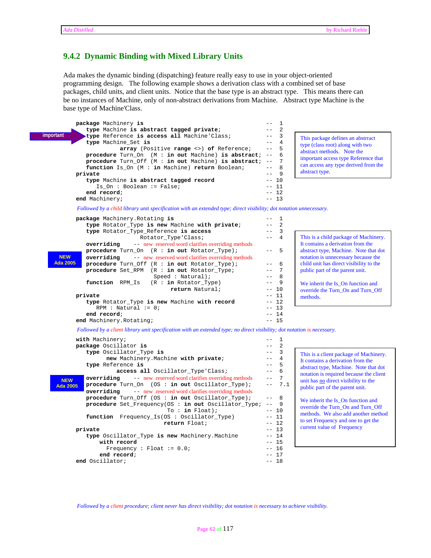## **9.4.2 Dynamic Binding with Mixed Library Units**

Ada makes the dynamic binding (dispatching) feature really easy to use in your object-oriented programming design. The following example shows a derivation class with a combined set of base packages, child units, and client units. Notice that the base type is an abstract type. This means there can be no instances of Machine, only of non-abstract derivations from Machine. Abstract type Machine is the base type of Machine'Class.

| package Machinery is<br>type Machine is abstract tagged private;<br><i>important</i><br>type Reference is access all Machine'Class;<br>type Machine_Set is<br>array (Positive range <>) of Reference;<br>procedure Turn_On (M : in out Machine) is abstract;<br>procedure Turn_Off (M : in out Machine) is abstract;<br>function Is On (M : in Machine) return Boolean;<br>private<br>type Machine is abstract tagged record<br>Is On : Boolean := False;<br>end record;<br>end Machinery;                                                                                                                                                                     | $\mathbf{1}$<br>2<br>$- -$<br>3<br>$-$<br>$\overline{4}$<br>$-1$<br>5<br>$- -$<br>6<br>$\equiv$ $\equiv$<br>7<br>$\equiv$ $\equiv$<br>8<br>$-$<br>9<br>$- -$<br>$-- 10$<br>$-- 11$<br>$-- 12$<br>$-- 13$                     | This package defines an abstrract<br>type (class root) along with two<br>abstract methods. Note the<br>important access type Reference that<br>can access any type derived from the<br>abstract type.                                                                                                                                                                                                                            |
|----------------------------------------------------------------------------------------------------------------------------------------------------------------------------------------------------------------------------------------------------------------------------------------------------------------------------------------------------------------------------------------------------------------------------------------------------------------------------------------------------------------------------------------------------------------------------------------------------------------------------------------------------------------|------------------------------------------------------------------------------------------------------------------------------------------------------------------------------------------------------------------------------|----------------------------------------------------------------------------------------------------------------------------------------------------------------------------------------------------------------------------------------------------------------------------------------------------------------------------------------------------------------------------------------------------------------------------------|
| Followed by a child library unit specification with an extended type; direct visibility; dot notation unnecessary.                                                                                                                                                                                                                                                                                                                                                                                                                                                                                                                                             |                                                                                                                                                                                                                              |                                                                                                                                                                                                                                                                                                                                                                                                                                  |
| package Machinery. Rotating is<br>type Rotator_Type is new Machine with private;<br>type Rotator_Type_Reference is access<br>Rotator_Type'Class;<br>overriding<br>-- new reserved word clarifies overriding methods<br><b>procedure</b> Turn_On $(R : in out Rotation-Type)$ ;<br><b>NEW</b><br>overriding<br>-- new reserved word clarifies overriding methods<br><b>Ada 2005</b><br><b>procedure</b> Turn_Off $(R : in out Rotation-Type)$ ;                                                                                                                                                                                                                 | $\mathbf{1}$<br>$-$<br>$\overline{2}$<br>$- -$<br>$\overline{3}$<br>$= -$<br>$ -$<br>$\overline{4}$<br>$\overline{5}$<br>$-1$<br>6<br>$- -$                                                                                  | This is a child package of Machinery.<br>It contains a derivation from the<br>abstract type, Machine. Note that dot<br>notation is unnecessary because the<br>child unit has direct visibility to the                                                                                                                                                                                                                            |
| <b>procedure</b> Set_RPM $(R : in out Rotation_type)$<br>Speed: Natural);<br>function RPM Is<br>$(R : in Rotator_Type)$<br>return Natural;<br>private                                                                                                                                                                                                                                                                                                                                                                                                                                                                                                          | $7\phantom{.0}$<br>$- -$<br>$ -$<br>8<br>$\equiv$ $\equiv$<br>9<br>$-- 10$<br>$-- 11$                                                                                                                                        | public part of the parent unit.<br>We inherit the Is_On function and<br>override the Turn_On and Turn_Off<br>methods.                                                                                                                                                                                                                                                                                                            |
| type Rotator_Type is new Machine with record<br>$RPM$ : Natural := 0;<br>end record;<br>end Machinery. Rotating;<br>Followed by a client library unit specification with an extended type; no direct visibility; dot notation is necessary.                                                                                                                                                                                                                                                                                                                                                                                                                    | $- - 12$<br>$-- 13$<br>$- - 14$<br>$-- 15$                                                                                                                                                                                   |                                                                                                                                                                                                                                                                                                                                                                                                                                  |
| with Machinery;<br>package Oscillator is                                                                                                                                                                                                                                                                                                                                                                                                                                                                                                                                                                                                                       | $\mathbf{1}$<br>$=$ $=$<br>$\overline{a}$<br>$=$ $-$                                                                                                                                                                         |                                                                                                                                                                                                                                                                                                                                                                                                                                  |
| type Oscillator_Type is<br>new Machinery. Machine with private;<br>type Reference is<br>access all Oscillator_Type'Class;<br>-- new reserved word clarifies overriding methods<br>overriding<br><b>NEW</b><br>procedure Turn_On (OS : in out Oscillator_Type);<br><b>Ada 2005</b><br>overriding<br>-- new reserved word clarifies overriding methods<br>procedure Turn_Off $(OS : in out OscillatorType)$ ;<br>procedure Set_Frequency(OS: in out Oscillator_Type;<br>To : in Float);<br>function Frequency_Is(OS: Oscillator_Type)<br>return Float;<br>private<br>type Oscillator_Type is new Machinery.Machine<br>with record<br>Frequency : Float := $0.07$ | 3<br>$- -$<br>$- -$<br>$\overline{4}$<br>5<br>$ -$<br>6<br>$=$ $=$<br>$7\phantom{.0}$<br>$=$ $-$<br>7.1<br>$- -$<br>8<br>$=$ $-$<br>9<br>$- -$<br>$-- 10$<br>$-- 11$<br>$- - 12$<br>$-- 13$<br>$-- 14$<br>$-- 15$<br>$-- 16$ | This is a client package of Machinery.<br>It contains a derivation from the<br>abstract type, Machine. Note that dot<br>notation is required because the client<br>unit has no direct visibility to the<br>public part of the parent unit.<br>We inherit the Is_On function and<br>override the Turn_On and Turn_Off<br>methods. We also add another method<br>to set Frequency and one to get the<br>current value of Frequency |
| end record;<br>end Oscillator;                                                                                                                                                                                                                                                                                                                                                                                                                                                                                                                                                                                                                                 | $-- 17$<br>$-- 18$                                                                                                                                                                                                           |                                                                                                                                                                                                                                                                                                                                                                                                                                  |

*Followed by a client procedure; client never has direct visibility; dot notation is necessary to achieve visibility.*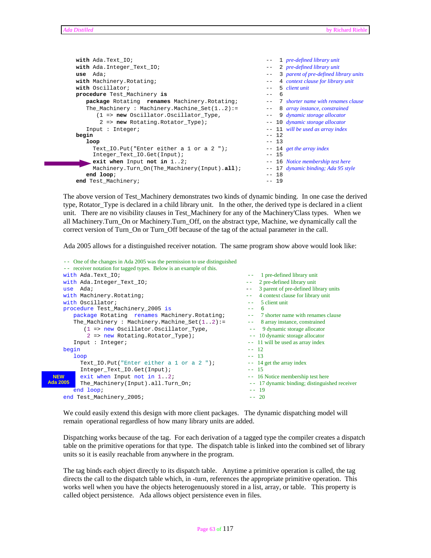| with Ada.Text_IO;                                                       | $--- 1$ pre-defined library unit         |
|-------------------------------------------------------------------------|------------------------------------------|
| with Ada. Integer_Text_IO;                                              | 2 pre-defined library unit               |
| use Ada;                                                                | 3 parent of pre-defined library units    |
| with Machinery. Rotating;                                               | 4 context clause for library unit        |
| with Oscillator;                                                        | 5 client unit                            |
| procedure Test_Machinery is                                             | 6                                        |
| package Rotating renames Machinery. Rotating;                           | 7 shorter name with renames clause       |
| The Machinery: Machinery. Machine $Set(12) :=$                          | 8 array instance, constrained            |
| $(1 \Rightarrow new Oscillator.0scillator_Type,$                        | 9 dynamic storage allocator              |
| $2 \Rightarrow new Rotating.RotatorType);$                              | $-- 10$ dynamic storage allocator        |
| Input : Integer;                                                        | $-- 11$ will be used as array index      |
| begin                                                                   | $- - 12$                                 |
| loop                                                                    | $-- 13$                                  |
| Text_IO.Put("Enter either a 1 or a 2 ");<br>Integer_Text_IO.Get(Input); | $-- 14$ get the array index<br>$-- 15$   |
| exit when Input not in $12i$                                            | -- 16 <i>Notice membership test here</i> |
| Machinery.Turn_On(The_Machinery(Input).all);                            | -- 17 dynamic binding; Ada 95 style      |
| end loop;                                                               | $-- 18$                                  |
| end Test Machinery;                                                     | $-- 19$                                  |

The above version of Test\_Machinery demonstrates two kinds of dynamic binding. In one case the derived type, Rotator\_Type is declared in a child library unit. In the other, the derived type is declared in a client unit. There are no visibility clauses in Test\_Machinery for any of the Machinery'Class types. When we all Machinery.Turn\_On or Machinery.Turn\_Off, on the abstract type, Machine, we dynamically call the correct version of Turn\_On or Turn\_Off because of the tag of the actual parameter in the call.

Ada 2005 allows for a distinguished receiver notation. The same program show above would look like:

```
-- One of the changes in Ada 2005 was the permission to use distinguished
     -- receiver notation for tagged types. Below is an example of this.
     with Ada.Text_IO;<br>
with Ada.Integer_Text_IO;<br>
yith Ada.Integer_Text_IO;<br>
yith Ada.Integer_Text_IO;
     with Ada. Integer_Text_IO;
    use Ada; \frac{1}{2} and \frac{1}{2} and \frac{1}{2} and \frac{1}{2} and \frac{1}{2} and \frac{1}{2} and \frac{1}{2} and \frac{1}{2} and \frac{1}{2} and \frac{1}{2} and \frac{1}{2} and \frac{1}{2} and \frac{1}{2} and \frac{1}{2} and \frac{1}{2} and \fracwith Machinery.Rotating; -4 context clause for library unit
     with Oscillator;<br>
procedure Test Machinery 2005 is \begin{array}{ccc} -5 \text{ client unit} \\ -6 \end{array}procedure Test_Machinery_2005 is -5 -- 6<br>package Rotating renames Machinery.Rotating: -5 horter name with renames clause
        package Rotating renames Machinery.Rotating; - 7 shorter name with renames The Machinery: Machinery.Machine Set(1..2):= - 8 array instance, constrained
        The_Machinery : Machinery.Machine_Set(1..2):=
            (1 => new Oscillator.Oscillator_Type, -- 9 dynamic storage allocator
              2 => new Rotating.Rotator_Type); -- 10 dynamic storage allocator 
        Input : Integer; -11 will be used as array index
     begin 12loop -- 13
          Text IO. Put ("Enter either a 1 or a 2"); -14 get the array index
          Integer Text IO.Get(Input); - 15exit when Input not in 1..2; -- 16 Notice membership test here
           The_Machinery(Input).all.Turn_On; -- 17 dynamic binding; distinguished receiver
        end loop;                      -- 19<br>.Test Machinery 2005;                -- 20
     end Test_Machinery_2005;
 NEW 
Ada 2005
```
We could easily extend this design with more client packages. The dynamic dispatching model will remain operational regardless of how many library units are added.

Dispatching works because of the tag. For each derivation of a tagged type the compiler creates a dispatch table on the primitive operations for that type. The dispatch table is linked into the combined set of library units so it is easily reachable from anywhere in the program.

The tag binds each object directly to its dispatch table. Anytime a primitive operation is called, the tag directs the call to the dispatch table which, in -turn, references the appropriate primitive operation. This works well when you have the objects heterogenuously stored in a list, array, or table. This property is called object persistence. Ada allows object persistence even in files.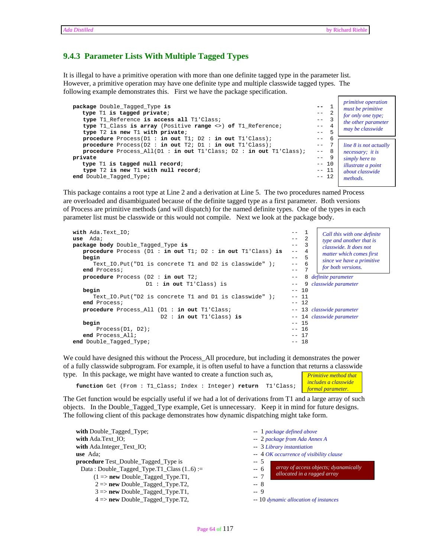#### **9.4.3 Parameter Lists With Multiple Tagged Types**

It is illegal to have a primitive operation with more than one definite tagged type in the parameter list. However, a primitive operation may have one definite type and multiple classwide tagged types. The following example demonstrates this. First we have the package specification. Г

| package Double Tagged Type is<br>type T1 is tagged private;<br>type T1 Reference is access all T1'Class;<br>type T1 Class is array (Positive range <>) of T1 Reference;<br>type T2 is new T1 with private; | $- -$<br>$  \,$<br>$---$<br>4<br>$- -$<br>$  \,$ | <i>primitive operation</i><br>must be primitive<br><i>for only one type;</i><br>the other parameter<br>may be classwide |
|------------------------------------------------------------------------------------------------------------------------------------------------------------------------------------------------------------|--------------------------------------------------|-------------------------------------------------------------------------------------------------------------------------|
| procedure Process(D1 : in out T1; D2 : in out T1'Class);                                                                                                                                                   | $\qquad \qquad -$<br>6                           |                                                                                                                         |
| procedure Process( $D2$ : in out $T2$ ; $D1$ : in out $T1$ 'Class);                                                                                                                                        | $- - 7$                                          | line $8$ is not actually                                                                                                |
| procedure Process All(D1 : in out T1'Class; D2 : in out T1'Class);                                                                                                                                         | $--$ 8                                           | necessary; it is                                                                                                        |
| private                                                                                                                                                                                                    | $--$ 9                                           | simply here to                                                                                                          |
| type T1 is tagged null record;                                                                                                                                                                             | $-- 10$                                          | <i>illustrate a point</i>                                                                                               |
| type T2 is new T1 with null record;                                                                                                                                                                        | $-- 11$                                          | <i>about classwide</i>                                                                                                  |
| end Double Taqqed Type;                                                                                                                                                                                    | $-- 12$                                          | methods.                                                                                                                |

This package contains a root type at Line 2 and a derivation at Line 5. The two procedures named Process are overloaded and disambiguated because of the definite tagged type as a first parameter. Both versions of Process are primitive methods (and will dispatch) for the named definite types. One of the types in each parameter list must be classwide or this would not compile. Next we look at the package body.

| with Ada.Text IO;<br>use Ada;<br>package body Double_Tagged_Type is<br>procedure Process (D1 : in out T1; D2 : in out T1'Class) is<br>begin<br>Text_IO.Put("D1 is concrete T1 and D2 is classwide");<br>end Process; | $\mathbf{1}$<br>$- -$<br>Call this with one definite<br>$--- 2$<br>type and another that is<br>$\mathcal{R}$<br>classwide. It does not<br>4<br>$- -$<br>matter which comes first<br>- 5<br>$- -$<br>since we have a primitive<br>6<br>$- -$<br>for both versions.<br>7<br>$- -$ |
|----------------------------------------------------------------------------------------------------------------------------------------------------------------------------------------------------------------------|---------------------------------------------------------------------------------------------------------------------------------------------------------------------------------------------------------------------------------------------------------------------------------|
| procedure Process $(D2 : in out T2)$<br>DI : in out T1'Class) is<br>begin<br>Text IO.Put("D2 is concrete T1 and D1 is classwide");<br>end Process;                                                                   | 8 definite parameter<br>$ -$<br>9 classwide parameter<br>$ -$<br>$-- 10$<br>$-- 11$<br>$- - 12$                                                                                                                                                                                 |
| procedure Process All $(D1 : in out T1'Class)$<br>$D2$ : in out T1'Class) is<br>begin<br>Process $(D1, D2)$ ;<br>end Process All;<br>end Double_Tagged_Type;                                                         | -- 13 classwide parameter<br>-- 14 classwide parameter<br>$-- 15$<br>$-- 16$<br>$- - 17$<br>$-- 18$                                                                                                                                                                             |

We could have designed this without the Process\_All procedure, but including it demonstrates the power of a fully classwide subprogram. For example, it is often useful to have a function that returns a classwide type. In this package, we might have wanted to create a function such as, *Primitive method that* 

**function** Get (From : T1\_Class; Index : Integer) **return** T1'Class;

*includes a classwide formal parameter.* 

The Get function would be espcially useful if we had a lot of derivations from T1 and a large array of such objects. In the Double\_Tagged\_Type example, Get is unnecessary. Keep it in mind for future designs. The following client of this package demonstrates how dynamic dispatching might take form.

**with** Double\_Tagged\_Type;  $\qquad \qquad -1$  *package defined above* **with** Ada.Text IO;  $-2$  *package from Ada Annex A* **with** Ada.Integer Text<sub>10</sub>;  $-3$  *Library instantiation* **use** Ada;  $\qquad \qquad -4$  *OK occurrence of visibility clause* **procedure** Test\_Double\_Tagged\_Type is -- 5 Data : Double\_Tagged\_Type.T1\_Class  $(1..6)$  :=  $-6$  $(1 \Rightarrow$  **new** Double\_Tagged\_Type.T1, -- 7  $2 \Rightarrow$  **new** Double\_Tagged\_Type.T2, -- 8  $3 \Rightarrow$  **new** Double\_Tagged\_Type.T1, -- 9 4 => **new** Double\_Tagged\_Type.T2, -- 10 *dynamic allocation of instances*

*array of access objects; dyanamically allocated in a ragged array*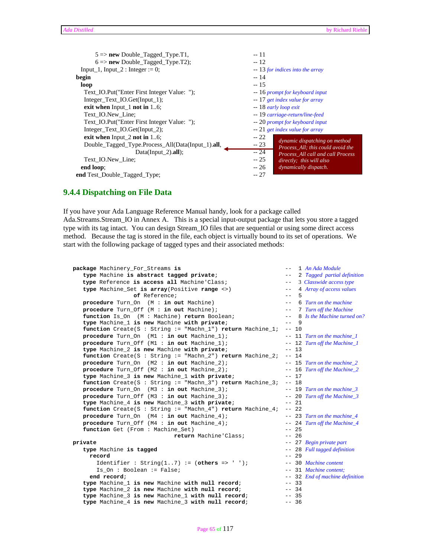| $5 \Rightarrow$ new Double Tagged Type.T1,        | $-11$                                                                       |  |
|---------------------------------------------------|-----------------------------------------------------------------------------|--|
| $6 \Rightarrow$ new Double_Tagged_Type.T2);       | $-12$                                                                       |  |
| Input_1, Input_2 : Integer := 0;                  | -- 13 for indices into the array                                            |  |
| begin                                             | $-14$                                                                       |  |
| loop                                              | $-15$                                                                       |  |
| Text_IO.Put("Enter First Integer Value: ");       | -- 16 prompt for keyboard input                                             |  |
| Integer_Text_IO.Get(Input_1);                     | -- 17 get index value for array                                             |  |
| exit when $Input_1$ not in 16;                    | -- 18 early loop exit                                                       |  |
| Text IO.New Line:                                 | -- 19 carriage-return/line-feed                                             |  |
| Text_IO.Put("Enter First Integer Value: ");       | -- 20 prompt for keyboard input                                             |  |
| Integer_Text_IO.Get(Input_2);                     | -- 21 get index value for array                                             |  |
| exit when Input $2$ not in 16;                    | $-22$                                                                       |  |
| Double_Tagged_Type.Process_All(Data(Input_1).all, | dynamic dispatching on method<br>$-23$<br>Process All; this could avoid the |  |
| Data(Input $2$ ).all);                            | $-24$<br>Process All call and call Process                                  |  |
| Text IO.New Line:                                 | $-25$<br>directly; this will also                                           |  |
| end loop;                                         | -- 26<br>dynamically dispatch.                                              |  |
| end Test Double Tagged Type;                      | $-27$                                                                       |  |

#### **9.4.4 Dispatching on File Data**

If you have your Ada Language Reference Manual handy, look for a package called Ada.Streams.Stream\_IO in Annex A. This is a special input-output package that lets you store a tagged type with its tag intact. You can design Stream\_IO files that are sequential or using some direct access method. Because the tag is stored in the file, each object is virtually bound to its set of operations. We start with the following package of tagged types and their associated methods:

```
package Machinery_For_Streams is \qquad \qquad \text{type} An Ada Module<br>
type Machine is abstract tagged private; \qquad \qquad \qquad -- 2 Tagged partial definition
   type Machine is abstract tagged private;
    type Reference is access all Machine'Class; -- 3 Classwide access type
   type Machine_Set is array(Positive range <>) -- 4 Array of access values<br>
of Reference;<br>
-- 5
                  of Reference;
    procedure Turn_On (M : in out Machine) -- 6 Turn on the machine
    procedure Turn_Off (M : in out Machine); -- 7 Turn off the Machine
   function Is_On (M : Machine) return Boolean; -- 8 Is the Machine turned on?<br>
type Machine 1 is new Machine with private; -- 9
    type Machine_1 is new Machine with private; -- 9 
    function Create(S : String := "Machn_1") return Machine_1; -- 10 
    procedure Turn_On (M1 : in out Machine_1); -- 11 Turn on the machine_1
    procedure Turn_Off (M1 : in out Machine_1); -- 12 Turn off the Machine_1
    type Machine_2 is new Machine with private; -- 13 
   function Create(S : String := "Machn_2") return Machine_2; -- 14<br>procedure Turn_On (M2 : in out Machine_2); -- 15 Turn on the machine_2
   procedure Turn_On (M2 : in out Machine_2);
   procedure Turn_Off (M2 : in out Machine_2); -- 16 Turn off the Machine_2<br>
type Machine 3 is new Machine 1 with private; -- 17
   type Machine_3 is new Machine_1 with private;
   function Create(S : String := "Machn_3") return Machine_3; -- 18<br>procedure Turn On (M3 : in out Machine 3); -- 19 Turn on the machine 3
   procedure Turn_On (M3 : in out Machine_3); -- 19 Turn on the machine_3 procedure Turn_Off (M3 : in out Machine_3); -- 20 Turn off the Machine_3
   procedure Turn_Off (M3 : in out Machine_3);
    type Machine_4 is new Machine_3 with private; -- 21 
    function Create(S : String := "Machn_4") return Machine_4; -- 22 
    procedure Turn_On (M4 : in out Machine_4); -- 23 Turn on the machine_4
   procedure Turn_Off (M4 : in out Machine_4); -- 24 Turn off the Machine_4<br>
function Get (From : Machine_Set) -- 25
   function Get (From : Machine_Set)
                                 return Machine'Class; -- 26 
private -- 27 Begin private part 
   type Machine is tagged -- 28 Full tagged definition -- 29 Full tagged definition -- 29
record -- 29
        Identifier : String(1..7) := (others => ' '); -- 30 Machine content 
       Is_On : Boolean := False; -31 Machine content;
      end record; -- 32 End of machine definition
   type Machine_1 is new Machine with null record; -- 33<br>
type Machine_2 is new Machine with null record; -- 34
   type Machine_2 is new Machine with null record;
   type Machine_3 is new Machine_1 with null record; -- 35<br>type Machine 4 is new Machine 3 with null record; -- 36
   type Machine_4 is new Machine_3 with null record;
```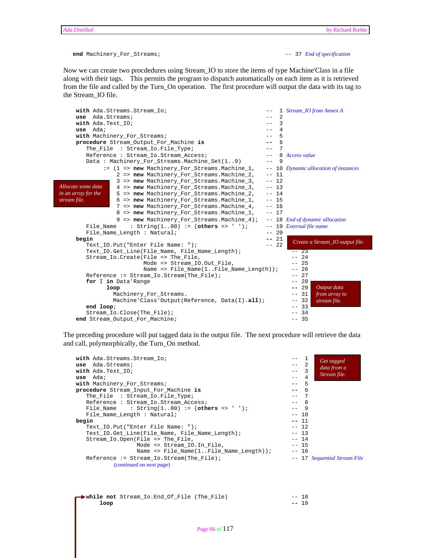```
end Machinery_For_Streams; -- 37 End of specification
```
Now we can create two procdedures using Stream\_IO to store the items of type Machine'Class in a file along with their tags. This permits the program to dispatch automatically on each item as it is retrieved from the file and called by the Turn\_On operation. The first procedure will output the data with its tag to the Stream\_IO file.

```
with Ada.Streams.Stream_Io; -- 1 Stream_IO from Annex A
     use Ada.Streams; -2<br>with Ada.Text TO; -3with Ada.Text_IO;
     use Ada; -4<br>with Machinery For Streams; -5with Machinery_For_Streams;<br>
procedure Stream Output For Machine is \begin{array}{ccc} -5 & -6 \\ -2 & 6 \end{array}procedure Stream_Output_For_Machine is
        The_File : Stream_Io.File_Type; -- 7
        Reference : Stream_Io.Stream_Access; -- 8 Access value<br>Data : Machinery For Streams Machine Set(1, 9) -- 9
        Data : Machinery_For_Streams.Machine_Set(1..9)
              := (1 => new Machinery_For_Streams.Machine_1, -- 10 Dynamic allocation of instances
                  2 => new Machinery_For_Streams.Machine_2, -- 11<br>3 => new Machinery For Streams.Machine_3, -- 12
                 3 => new Machinery_For_Streams.Machine_3,
                  4 => new Machinery_For_Streams.Machine_3, -- 13 
                  5 => new Machinery_For_Streams.Machine_2, -- 14 
                  6 => new Machinery_For_Streams.Machine_1, -- 15 
                 7 => new Machinery_For_Streams.Machine_4,
                  8 => new Machinery_For_Streams.Machine_1, -- 17 
                  9 => new Machinery_For_Streams.Machine_4); -- 18 End of dynamic allocation
        File_Name : String(1..80) := (others => ' '); -- 19 External file name<br>File_Name_Length : Natural; -- 20
        File_Name_Length : Natural; -- 20<br>
\sin -- 21
     begin -- 21 
         Text_IO.Put("Enter File Name: "); -- 22 
        Text\_IO.Get\_Line(File\_Name, File\_Name\_Length);<br>Stream_Io.Create(File => The_File,<br>24
        Stream\_Io.Created(File => The_File, -- 24<br>Mode => Stream IO.Out File, -- 25
                          Mode => Stream_IO.Out_File, -- 25<br>Name => File_Name(1..File_Name_Length)); -- 26
                          Name => File_Name(1..File_Name_Length)); -- 26<br>eam_Io.Stream(The_File); -- 27
        Reference := Stream_Io.Stream(The_File);<br>
for I in Data'Range -27for I in Data'Range -- 28<br>
loop -- 29
     loop -- 29
                Machinery_For_Streams. -- 31<br>Machine'Class'Output(Reference, Data(I).all); -- 32
                Machine'Class'Output(Reference, Data(I).all);
        end loop;<br>Stream Io.Close(The File);<br>-- 34
        Stream_Io.Close(The_File);<br>1 Stream Output For_Machine; -- 35
     end Stream_Output_For_Machine;
Allocate some data 
in an array for the 
stream file. 
                                                                         Create a Stream_IO output file. 
                                                                                 Output data 
                                                                                 from array to 
                                                                                stream file.
```
The preceding procedure will put tagged data in the output file. The next procedure will retrieve the data and call, polymorphically, the Turn\_On method.

| with Ada.Streams.Stream Io;<br>use Ada.Streams;                                     | $- - 2$             | Get tagged                   |
|-------------------------------------------------------------------------------------|---------------------|------------------------------|
| with Ada.Text IO;                                                                   | $--$ 3              | data from a<br>Stream file.  |
| use Ada;<br>with Machinery_For_Streams;                                             | $\overline{4}$<br>5 |                              |
| procedure Stream Input For Machine is                                               | 6                   |                              |
| The File : Stream Io. File Type;                                                    | $- - 7$<br>$-- 8$   |                              |
| Reference : Stream_Io.Stream_Access;<br>File Name : $String(180) := (others == '')$ | $- - 9$             |                              |
| File_Name_Length : Natural;                                                         | $-- 10$             |                              |
| begin                                                                               | $-- 11$             |                              |
| Text_IO.Put("Enter File Name: ");                                                   | $- - 12$            |                              |
| Text_IO.Get_Line(File_Name, File_Name_Length);                                      | $-- 13$             |                              |
| $Stream\_Io.Open (File => The_File,$                                                | $- - 14$            |                              |
| Mode => Stream IO. In File,                                                         | $-- 15$             |                              |
| Name => $File_name(1File_name_length));$                                            | $-- 16$             |                              |
| Reference := Stream Io. Stream (The File);<br><i>(continued on next page)</i>       |                     | -- 17 Sequential Stream File |

 **while not** Stream\_Io.End\_Of\_File (The\_File) -- 18 **loop -- 19**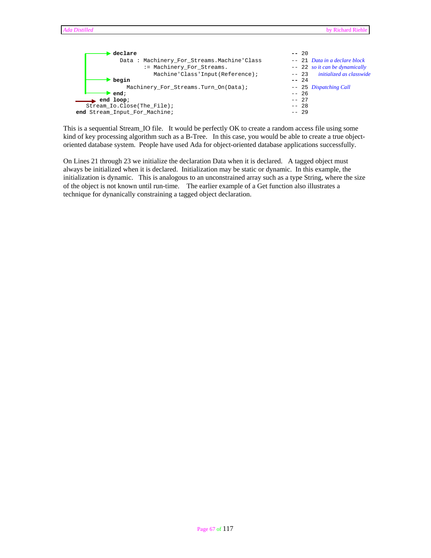| declare                                   | $-- 20$  |                                       |
|-------------------------------------------|----------|---------------------------------------|
| Data: Machinery_For_Streams.Machine'Class |          | $-- 21$ Data in a declare block       |
| := Machinery For Streams.                 |          | $-$ 22 so it can be dynamically       |
| Machine'Class'Input(Reference);           |          | -- 23 <i>initialized as classwide</i> |
| begin                                     | $-- 24$  |                                       |
| Machinery For Streams. Turn On(Data);     |          | -- 25 Dispatching Call                |
| end;                                      | $- - 26$ |                                       |
| end loop;                                 | $-- 27$  |                                       |
| Stream Io.Close(The File);                | $- - 28$ |                                       |
| end Stream_Input_For_Machine;             | $-- 29$  |                                       |

This is a sequential Stream\_IO file. It would be perfectly OK to create a random access file using some kind of key processing algorithm such as a B-Tree. In this case, you would be able to create a true objectoriented database system. People have used Ada for object-oriented database applications successfully.

On Lines 21 through 23 we initialize the declaration Data when it is declared. A tagged object must always be initialized when it is declared. Initialization may be static or dynamic. In this example, the initialization is dynamic. This is analogous to an unconstrained array such as a type String, where the size of the object is not known until run-time. The earlier example of a Get function also illustrates a technique for dynanically constraining a tagged object declaration.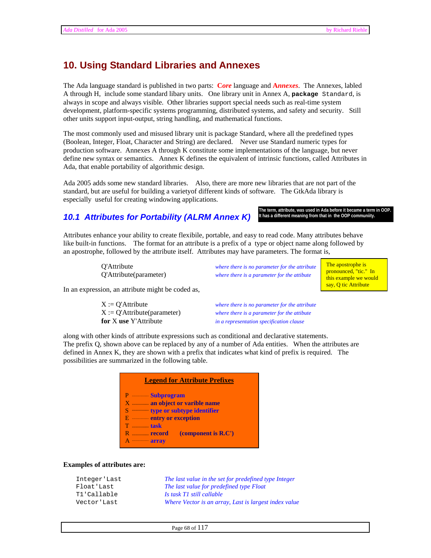# **10. Using Standard Libraries and Annexes**

The Ada language standard is published in two parts: **C***ore* language and **A***nnexes*. The Annexes, labled A through H, include some standard libary units. One library unit in Annex A, **package** Standard, is always in scope and always visible. Other libraries support special needs such as real-time system development, platform-specific systems programming, distributed systems, and safety and security. Still other units support input-output, string handling, and mathematical functions.

The most commonly used and misused library unit is package Standard, where all the predefined types (Boolean, Integer, Float, Character and String) are declared. Never use Standard numeric types for production software. Annexes A through K constitute some implementations of the language, but never define new syntax or semantics. Annex K defines the equivalent of intrinsic functions, called Attributes in Ada, that enable portability of algorithmic design.

Ada 2005 adds some new standard libraries. Also, there are more new libraries that are not part of the standard, but are useful for building a varietyof different kinds of software. The GtkAda library is especially useful for creating windowing applications.

# *10.1 Attributes for Portability (ALRM Annex K)*

Attributes enhance your ability to create flexibile, portable, and easy to read code. Many attributes behave like built-in functions. The format for an attribute is a prefix of a type or object name along followed by an apostrophe, followed by the attribute itself. Attributes may have parameters. The format is,

 Q'Attribute *where there is no parameter for the attribute* Q'Attribute(parameter) *where there is a parameter for the attibute*

The apostrophe is pronounced, "tic." In this example we would say, Q tic Attribute

**The term, attribute, was used in Ada before it became a term in OOP. It has a different meaning from that in the OOP communiity.** 

In an expression, an attribute might be coded as,

 X := Q'Attribute *where there is no parameter for the attribute* X := Q'Attribute(parameter) *where there is a parameter for the attibute* **for** X **use** Y'Attribute *in a representation specification clause*

along with other kinds of attribute expressions such as conditional and declarative statements. The prefix Q, shown above can be replaced by any of a number of Ada entities. When the attributes are defined in Annex K, they are shown with a prefix that indicates what kind of prefix is required. The possibilities are summarized in the following table.

| <b>Legend for Attribute Prefixes</b>                                                                                                                                                                                       |
|----------------------------------------------------------------------------------------------------------------------------------------------------------------------------------------------------------------------------|
| P <u>Subprogram</u><br>S <b>Summer Stripe or subtype identifier</b><br>E <b><i>I</i> E <i>I I I I I I I I I I I I I I I I I I I I I I I I I I I I I</i> </b><br>$T$ $\ldots$ task<br>(component is R.C')<br>A <b>array</b> |

#### **Examples of attributes are:**

Integer'Last *The last value in the set for predefined type Integer* Float'Last *The last value for predefined type Float* T1'Callable *Is task T1 still callable* Vector'Last *Where Vector is an array, Last is largest index value*

Page 68 of 117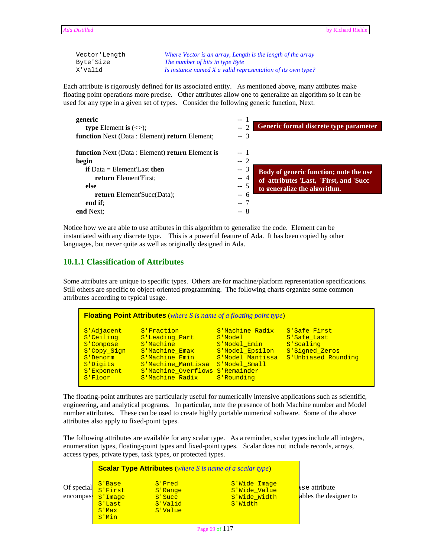| Vector'Length | Where Vector is an array, Length is the length of the array |
|---------------|-------------------------------------------------------------|
| Bvte'Size     | The number of bits in type Byte                             |
| X'Valid       | Is instance named X a valid representation of its own type? |

Each attribute is rigorously defined for its associated entity. As mentioned above, many attibutes make floating point operations more precise. Other attributes allow one to generalize an algorithm so it can be used for any type in a given set of types. Consider the following generic function, Next.

| generic<br><b>type</b> Element is $(\langle \rangle)$ ;                | $\overline{\phantom{a}}$<br>Generic formal discrete type parameter<br>$-2$                       |
|------------------------------------------------------------------------|--------------------------------------------------------------------------------------------------|
| function Next (Data: Element) return Element;                          | $-3$                                                                                             |
| <b>function</b> Next (Data: Element) <b>return</b> Element is<br>begin | $-1$<br>$-2$                                                                                     |
| <b>if</b> Data = Element Last <b>then</b><br>return Element First;     | $-3$<br>Body of generic function; note the use<br>$-4$<br>of attributes 'Last, 'First, and 'Succ |
| else<br><b>return</b> Element'Succ(Data);                              | $-5$<br>to generalize the algorithm.<br>-- 6                                                     |
| end if:                                                                | $-7$                                                                                             |

Notice how we are able to use attibutes in this algorithm to generalize the code. Element can be instantiated with any discrete type. This is a powerful feature of Ada. It has been copied by other languages, but never quite as well as originally designed in Ada.

#### **10.1.1 Classification of Attributes**

Some attributes are unique to specific types. Others are for machine/platform representation specifications. Still others are specific to object-oriented programming. The following charts organize some common attributes according to typical usage.

| <b>Floating Point Attributes</b> (where <i>S</i> is name of a floating point type) |                                 |                  |                     |  |  |
|------------------------------------------------------------------------------------|---------------------------------|------------------|---------------------|--|--|
| S'Adjacent                                                                         | S'Fraction                      | S'Machine Radix  | S'Safe First        |  |  |
| S'Ceiling                                                                          | S'Leading Part                  | S'Model          | S'Safe Last         |  |  |
| S'Compose                                                                          | S'Machine                       | S'Model Emin     | S'Scaling           |  |  |
| S'Copy Sign                                                                        | S'Machine Emax                  | S'Model_Epsilon  | S'Signed Zeros      |  |  |
| S'Denorm                                                                           | S'Machine Emin                  | S'Model Mantissa | S'Unbiased Rounding |  |  |
| S'Digits                                                                           | S'Machine Mantissa              | S'Model Small    |                     |  |  |
| S'Exponent                                                                         | S'Machine Overflows S'Remainder |                  |                     |  |  |
| S'Floor                                                                            | S'Machine Radix                 | S'Rounding       |                     |  |  |

The floating-point attributes are particularly useful for numerically intensive applications such as scientific, engineering, and analytical programs. In particular, note the presence of both Machine number and Model number attributes. These can be used to create highly portable numerical software. Some of the above attributes also apply to fixed-point types.

The following attributes are available for any scalar type. As a reminder, scalar types include all integers, enumeration types, floating-point types and fixed-point types. Scalar does not include records, arrays, access types, private types, task types, or protected types.

|           |                                                                                  | <b>Scalar Type Attributes</b> (where S is name of a scalar type) |                                                         |                                       |
|-----------|----------------------------------------------------------------------------------|------------------------------------------------------------------|---------------------------------------------------------|---------------------------------------|
| encompass | Of special $\frac{S'Base}{S'First}$<br>$S'$ Image<br>S'Last<br>$S'$ Max<br>S'Min | S'Pred<br>S'Range<br>S'Succ<br>S'Valid<br>S'Value                | S'Wide Image<br>S'Wide Value<br>S'Wide Width<br>S'Width | se attribute<br>ables the designer to |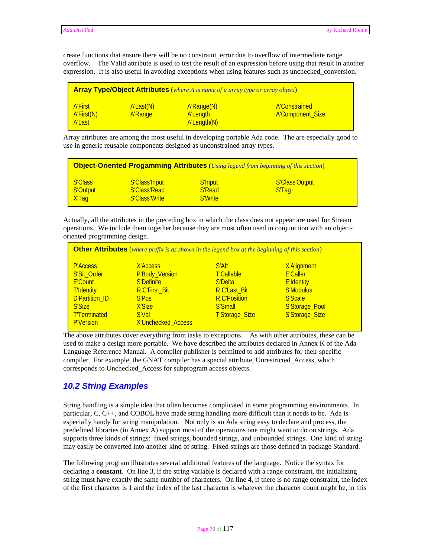create functions that ensure there will be no constraint\_error due to overflow of intermediate range overflow. The Valid attribute is used to test the result of an expression before using that result in another expression. It is also useful in avoiding exceptions when using features such as unchecked\_conversion.

| <b>Array Type/Object Attributes</b> (where A is name of a array type or array object) |                      |                                       |                                          |  |
|---------------------------------------------------------------------------------------|----------------------|---------------------------------------|------------------------------------------|--|
| <b>A'First</b><br>A'First(N)<br>- A'Last                                              | A'Last(N)<br>A'Range | A'Range(N)<br>A'Length<br>A'Length(N) | A'Constrained<br><b>A'Component_Size</b> |  |

Array attributes are among the most useful in developing portable Ada code. The are especially good to use in generic reusable components designed as unconstrained array types.

| <b>Object-Oriented Progamming Attributes</b> (Using legend from beginning of this section) |                                                |                              |                         |  |
|--------------------------------------------------------------------------------------------|------------------------------------------------|------------------------------|-------------------------|--|
| S'Class<br>S'Output<br>X'Taq                                                               | S'Class'Input<br>S'Class'Read<br>S'Class'Write | S'Input<br>S'Read<br>S'Write | S'Class'Output<br>S'Taq |  |

Actually, all the attributes in the preceding box in which the class does not appear are used for Stream operations. We include them together because they are most often used in conjunction with an objectoriented programming design.

| <b>Other Attributes</b> (where prefix is as shown in the legend box at the beginning of this section) |                                                                                                     |                                                                                                    |                                                                                                                        |  |
|-------------------------------------------------------------------------------------------------------|-----------------------------------------------------------------------------------------------------|----------------------------------------------------------------------------------------------------|------------------------------------------------------------------------------------------------------------------------|--|
| <b>P'Access</b><br>S'Bit_Order<br>E'Count<br>T'Identity<br>D'Partition ID<br>S'Size<br>T'Terminated   | <b>X'Access</b><br>P'Body_Version<br>S'Definite<br><b>R.C'First_Bit</b><br>S'Pos<br>X'Size<br>S'Val | S'Aft<br>T'Callable<br>S'Delta<br>R.C'Last_Bit<br><b>R.C'Position</b><br>S'Small<br>T'Storage_Size | X'Alignment<br><b>E'Caller</b><br><b>E'Identity</b><br><b>S'Modulus</b><br>S'Scale<br>S'Storage_Pool<br>S'Storage_Size |  |
| <b>P'Version</b>                                                                                      | <b>X'Unchecked Access</b>                                                                           |                                                                                                    |                                                                                                                        |  |

The above attributes cover everything from tasks to exceptions. As with other attributes, these can be used to make a design more portable. We have described the attributes declared in Annex K of the Ada Language Reference Manual. A compiler publisher is permitted to add attributes for their specific compiler. For example, the GNAT compiler has a special attribute, Unrestricted\_Access, which corresponds to Unchecked\_Access for subprogram access objects.

## *10.2 String Examples*

String handling is a simple idea that often becomes complicated in some programming environments. In particular, C, C++, and COBOL have made string handling more difficult than it needs to be. Ada is especially handy for string manipulation. Not only is an Ada string easy to declare and process, the predefined libraries (in Annex A) support most of the operations one might want to do on strings. Ada supports three kinds of strings: fixed strings, bounded strings, and unbounded strings. One kind of string may easily be converted into another kind of string. Fixed strings are those defined in package Standard.

The following program illustrates several additional features of the language. Notice the syntax for declaring a **constant**. On line 3, if the string variable is declared with a range constraint, the initializing string must have exactly the same number of characters. On line 4, if there is no range constraint, the index of the first character is 1 and the index of the last character is whatever the character count might be, in this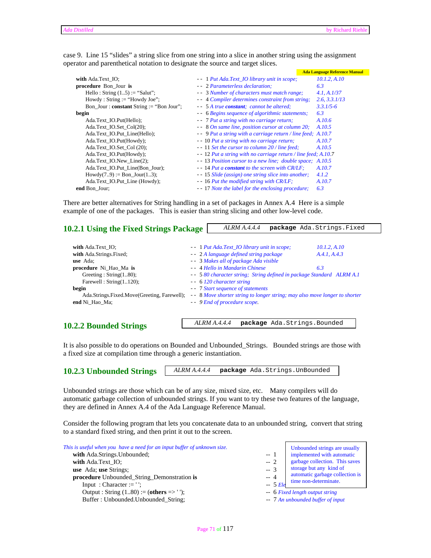case 9. Line 15 "slides" a string slice from one string into a slice in another string using the assignment operator and parenthetical notation to designate the source and target slices.

|                                          |                                                                  | <b>Ada Language Reference Manual</b> |
|------------------------------------------|------------------------------------------------------------------|--------------------------------------|
| with Ada.Text IO;                        | -- 1 Put Ada.Text_IO library unit in scope;                      | 10.1.2, A.10                         |
| procedure Bon_Jour is                    | -- 2 Parameterless declaration:                                  | 6.3                                  |
| Hello: String $(15)$ := "Salut";         | -- 3 Number of characters must match range;                      | 4.1, A.1/37                          |
| Howdy : String $:=$ "Howdy Joe";         | -- 4 Compiler determines constraint from string;                 | 2.6, 3.3.1/13                        |
| Bon_Jour: constant String := "Bon Jour"; | -- 5 A true constant; cannot be altered;                         | $3.3.1/5 - 6$                        |
| begin                                    | -- 6 Begins sequence of algorithmic statements;                  | 6.3                                  |
| Ada.Text IO.Put(Hello);                  | $--$ 7 Put a string with no carriage return;                     | A.10.6                               |
| Ada.Text IO.Set Col(20);                 | -- 8 On same line, position cursor at column 20;                 | A.10.5                               |
| Ada.Text IO.Put Line(Hello);             | $-$ 9 Put a string with a carriage return / line feed; A.10.7    |                                      |
| Ada.Text_IO.Put(Howdy);                  | $-- 10$ Put a string with no carriage return;                    | A.10.7                               |
| Ada.Text IO.Set Col (20);                | $-- 11$ Set the cursor to column 20 / line feed;                 | A.10.5                               |
| Ada.Text_IO.Put(Howdy);                  | $-- 12$ Put a string with no carriage return / line feed; A.10.7 |                                      |
| Ada.Text IO.New Line(2);                 | $-- 13$ Position cursor to a new line; double space; A.10.5      |                                      |
| Ada.Text IO.Put Line(Bon Jour);          | $-- 14 Put a constant to the screen with CRLF$ ;                 | A.10.7                               |
| $Howdy(79) := Bon\_Jour(13);$            | -- 15 Slide (assign) one string slice into another;              | 4.1.2                                |
| Ada.Text_IO.Put_Line (Howdy);            | $-- 16$ Put the modified string with CR/LF;                      | A.10.7                               |
| end Bon Jour:                            | $-- 17$ Note the label for the enclosing procedure;              | 6.3                                  |

There are better alternatives for String handling in a set of packages in Annex A.4 Here is a simple example of one of the packages. This is easier than string slicing and other low-level code.

| 10.2.1 Using the Fixed Strings Package      | ALRM A.4.4.4                                | package Ada. Strings. Fixed                                                |
|---------------------------------------------|---------------------------------------------|----------------------------------------------------------------------------|
|                                             |                                             |                                                                            |
| with Ada.Text IO;                           | -- 1 Put Ada.Text_IO library unit in scope; | 10.1.2, A.10                                                               |
| with Ada.Strings.Fixed;                     | -- 2 A language defined string package      | A.4.1, A.4.3                                                               |
| use Ada:                                    | -- 3 Makes all of package Ada visible       |                                                                            |
| procedure Ni_Hao_Ma is                      | -- 4 Hello in Mandarin Chinese              | 6.3                                                                        |
| Greeting: $String(180);$                    |                                             | -- 5 80 character string; String defined in package Standard ALRM A.1      |
| Farewell: $String(1120)$ ;                  | $-- 6120$ character string                  |                                                                            |
| begin                                       | -- 7 Start sequence of statements           |                                                                            |
| Ada.Strings.Fixed.Move(Greeting, Farewell); |                                             | -- 8 Move shorter string to longer string; may also move longer to shorter |
| end Ni Hao Ma;                              | $--$ 9 End of procedure scope.              |                                                                            |

#### **10.2.2 Bounded Strings**

*ALRM A.4.4.4* **package** Ada.Strings.Bounded

It is also possible to do operations on Bounded and Unbounded\_Strings. Bounded strings are those with a fixed size at compilation time through a generic instantiation.

**10.2.3 Unbounded Strings**  *ALRM A.4.4.4* **package** Ada.Strings.UnBounded

Unbounded strings are those which can be of any size, mixed size, etc. Many compilers will do automatic garbage collection of unbounded strings. If you want to try these two features of the language, they are defined in Annex A.4 of the Ada Language Reference Manual.

Consider the following program that lets you concatenate data to an unbounded string, convert that string to a standard fixed string, and then print it out to the screen.

| This is useful when you have a need for an input buffer of unknown size.<br>with Ada.Strings.Unbounded;<br>with Ada.Text IO;<br>use Ada; use Strings;<br><b>procedure</b> Unbounded String Demonstration is<br>Input : Character := $'$ : | $-1$<br>$-2$<br>$-3$<br>$-4$<br>$-5$ Ele | Unbounded strings are usually<br>implemented with automatic<br>garbage collection. This saves<br>storage but any kind of<br>automatic garbage collection is<br>time non-determinate. |
|-------------------------------------------------------------------------------------------------------------------------------------------------------------------------------------------------------------------------------------------|------------------------------------------|--------------------------------------------------------------------------------------------------------------------------------------------------------------------------------------|
| Output : String $(180) := (others = > '');$<br>Buffer: Unbounded.Unbounded String:                                                                                                                                                        |                                          | -- 6 Fixed length output string<br>-- 7 An unbounded buffer of input                                                                                                                 |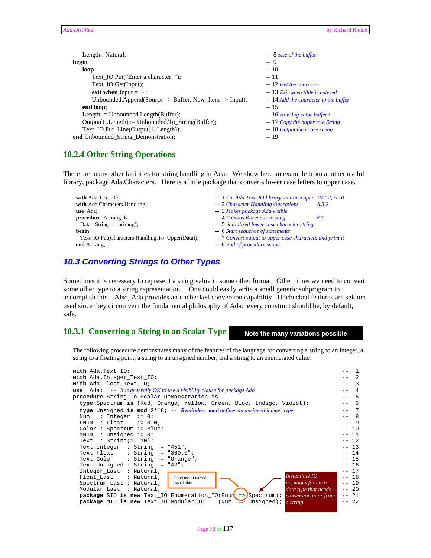| Length : Natural;                                                            | -- 8 Size of the buffer               |
|------------------------------------------------------------------------------|---------------------------------------|
| begin                                                                        | $-9$                                  |
| loop                                                                         | $-10$                                 |
| Text_IO.Put("Enter a character: ");                                          | $-11$                                 |
| Text_IO.Get(Input);                                                          | -- 12 Get the character               |
| exit when Input $=$ ' $\sim$ ':                                              | -- 13 Exit when tilde is entered      |
| Unbounded.Append(Source $\Rightarrow$ Buffer, New_Item $\Rightarrow$ Input); | -- 14 Add the character to the buffer |
| end loop;                                                                    | $-15$                                 |
| $Length := Unbounded.Length(Buffer);$                                        | $-16$ How big is the buffer?          |
| $Output(1Length) := Unbounded.To_Striangle(Buffer);$                         | -- 17 Copy the buffer to a String     |
| Text_IO.Put_Line(Output(1Length));                                           | -- 18 Output the entire string        |
| end Unbounded String Demonstration;                                          | $-19$                                 |
|                                                                              |                                       |

#### **10.2.4 Other String Operations**

There are many other facilities for string handling in Ada. We show here an example from another useful library, package Ada.Characters. Here is a little package that converts lower case letters to upper case.

**with** Ada.Text\_IO; **--** 1 *Put Ada.Text\_IO library unit in scope; 10.1.2, A.10* **with** Ada.Characters.Handling;  $A.3.2$ **use** Ada;  $\qquad \qquad -3$  *Makes package Ada visible*<br>**procedure** Arizang **is**  $\qquad \qquad -4$  *Famous Korean love song* Data : String := "arirang";  $-5$  *initialized lower case character string* **begin begin begin c c c** *c statements c c <i>c c statements c c <i>c c c <i>c c c c c c c c c c c c c c* Text\_IO.Put(Characters.Handling.To\_Upper(Data)); -- 7 *Convert output to upper case characters and print it* end Arirang;  $-8$  *End of procedure scope.* 

- 
- 
- 
- **procedure** Arirang **is** -- 4 *Famous Korean love song 6.3*
- 
- 
- 
- 

## *10.3 Converting Strings to Other Types*

Sometimes it is necessary to represent a string value in some other format. Other times we need to convert some other type to a string representation. One could easily write a small generic subprogram to accomplish this. Also, Ada provides an unchecked conversion capability. Unchecked features are seldom used since they circumvent the fundamental philosophy of Ada: every construct should be, by default, safe.

#### **10.3.1 Converting a String to an Scalar Type**

**Note the many variations possible**

The following procedure demonstrates many of the features of the language for converting a string to an integer, a string to a floating point, a string to an unsigned number, and a string to an enumerated value.

| with Ada.Text_IO;                                                                   |                   |     |
|-------------------------------------------------------------------------------------|-------------------|-----|
| with Ada. Integer Text IO;                                                          |                   |     |
| with Ada. Float Text IO;                                                            | $\qquad \qquad -$ | -3  |
| <b>use</b> Ada: $-$ It is generally OK to use a visibility clause for package Ada   |                   | 4   |
| procedure String_To_Scalar_Demonstration is                                         | $\qquad \qquad -$ | -5  |
| type Spectrum is (Red, Orange, Yellow, Green, Blue, Indigo, Violet);                |                   | -6  |
|                                                                                     |                   |     |
| type Unsigned is mod $2**8$ ; -- Reminder: mod defines an unsigned integer type     |                   | -7  |
| : Integer $:= 0;$<br>Num                                                            | $- -$             | - 8 |
| FNum : Float := $0.0$ ;                                                             | $-- 9$            |     |
| $Color: Spectrum := Blue;$                                                          | $-- 10$           |     |
| $MNum$ : Unsigned := 0;                                                             | $-- 11$           |     |
| Text : String $(110)$ ;                                                             | $- - 12$          |     |
| Text_Integer : String := $"451"$                                                    | $-- 13$           |     |
| Text_Float : String := $"360.0"$                                                    | $- - 14$          |     |
| Text Color : String := "Orange";                                                    | $- - 15$          |     |
| Text_Unsigned : String := $"42"$ ;                                                  | $-- 16$           |     |
| Integer Last : Natural;                                                             | $-- 17$           |     |
| Instantiate IO<br>Float_Last : Natural;<br>Good use of named                        | $-- 18$           |     |
| <i>packages for each</i><br>Spectrum_Last : Natural;<br>association                 | $-- 19$           |     |
| data type that needs<br>Modular Last : Natural;                                     | $- - 20$          |     |
|                                                                                     | $-- 21$           |     |
| package SIO is new Text_IO.Enumeration_IO(Enuma => Spectrum); conversion to or from |                   |     |
| package MIO is new Text_IO.Modular_IO<br>$\equiv$ Unsigned);<br>(Num<br>a string.   | $- - 22$          |     |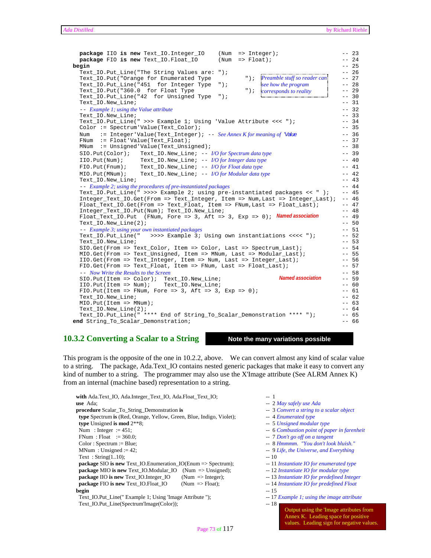| $(Num \Rightarrow Integer);$<br>package IIO is new Text_IO. Integer_IO                            |                                  | $-- 23$            |
|---------------------------------------------------------------------------------------------------|----------------------------------|--------------------|
| package FIO is new Text_IO.Float_IO<br>$(Num \Rightarrow$ Float);                                 |                                  | $-- 24$            |
| begin                                                                                             |                                  | $-- 25$            |
| Text_IO.Put_Line("The String Values are:<br>$"$ );                                                |                                  | $-- 26$            |
| Text_IO.Put("Orange for Enumerated Type                                                           | "); Preamble stuff so reader can | $-- 27$            |
| Text_IO.Put_Line("451 for Integer Type<br>" ) $\cdot$                                             | see how the program              | $-- 28$            |
| Text_IO.Put("360.0 for Float Type<br>$"$ );                                                       | corresponds to reality           | $-- 29$            |
| Text_IO.Put_Line("42 for Unsigned Type<br>" $\cdot$ ;                                             |                                  | $-- 30$            |
| Text_IO.New_Line;                                                                                 |                                  | $-- 31$            |
| $--$ Example 1; using the Value attribute                                                         |                                  | $-- 32$            |
| Text_IO.New_Line;                                                                                 |                                  | $-- 33$            |
| Text_IO.Put_Line(" >>> Example 1; Using 'Value Attribute <<< ");                                  |                                  | $-- 34$            |
| Color := Spectrum'Value(Text_Color);                                                              |                                  | $-- 35$            |
| := Integer 'Value(Text_Integer); -- See Annex K for meaning of 'Value<br>Num                      |                                  | $-- 36$            |
| FNum := Float'Value(Text Float);                                                                  |                                  | $-- 37$            |
| $MNum$ := Unsigned Value (Text_Unsigned);                                                         |                                  | $-- 38$            |
| SIO.Put(Color);<br>Text_IO.New_Line: $-$ <i>I/O for Spectrum data type</i>                        |                                  | $-- 39$            |
| Text_IO.New_Line: $-$ <i>I/O for Integer data type</i><br>IO.Put(Num);                            |                                  | $- - 40$           |
| Text_IO.New_Line; $-$ <i>I/O for Float data type</i><br>FIO.Put(Fnum);                            |                                  | $-- 41$            |
| Text_IO.New_Line; -- $I/O$ for Modular data type<br>MIO.Put(MNum);                                |                                  | $- - 42$           |
| Text_IO.New_Line;                                                                                 |                                  | $- - 43$           |
| -- Example 2; using the procedures of pre-instantiated packages                                   |                                  | $- - 44$           |
| Text_IO.Put_Line(" >>>> Example 2; using pre-instantiated packages << " );                        |                                  | $- - 45$           |
| Integer_Text_IO.Get(From => Text_Integer, Item => Num, Last => Integer_Last);                     |                                  | $-- 46$            |
| Float_Text_IO.Get(From => Text_Float, Item => FNum, Last => Float_Last);                          |                                  | $- - 47$           |
| Integer_Text_IO.Put(Num); Text_IO.New_Line;                                                       |                                  | $- - 48$           |
| Float_Text_IO.Put (FNum, Fore => 3, Aft => 3, Exp => 0); Named association                        |                                  | $-- 49$            |
| $Text\_IO.New\_Line(2);$                                                                          |                                  | $-- 50$            |
| -- Example 3; using your own instantiated packages                                                |                                  | $-- 51$            |
| >>>> Example 3; Using own instantiations <<<< ");<br>Text IO.Put Line("                           |                                  | $-- 52$            |
| Text_IO.New_Line;                                                                                 |                                  | $-- 53$            |
| $SIO.Get(From \Rightarrow Text\_Color, Item \Rightarrow Color, Last \Rightarrow Spectrum\_Last);$ |                                  | $-- 54$            |
| MIO.Get(From => Text_Unsigned, Item => MNum, Last => Modular_Last);                               |                                  | $-- 55$            |
| IIO.Get(From => Text_Integer, Item => Num, Last => Integer_Last);                                 |                                  | $-- 56$            |
| FIO.Get(From => Text_Float, Item => FNum, Last => Float_Last);                                    |                                  | $-- 57$            |
| -- Now Write the Results to the Screen                                                            | <b>Named association</b>         | $-- 58$            |
| $SIO.Put(Item => Color);$ Text IO. New Line;                                                      |                                  | $-- 59$            |
| $\text{IIO.Put}(\text{Item} \Rightarrow \text{Num})$<br>Text_IO.New_Line;                         |                                  | $-- 60$            |
| FIO. Put (Item => FNum, Fore => 3, Aft => 3, Exp => 0);                                           |                                  | $-- 61$            |
| Text_IO.New_Line;<br>$MIO.Put(Item => MNum);$                                                     |                                  | $-- 62$<br>$-- 63$ |
| $Text\_IO.New\_Line(2);$                                                                          |                                  | $- - 64$           |
| Text_IO.Put_Line(" **** End of String_To_Scalar_Demonstration **** ");                            |                                  | -- 65              |
| end String To Scalar Demonstration;                                                               |                                  | -- 66              |
|                                                                                                   |                                  |                    |

#### **10.3.2 Converting a Scalar to a String**

**Note the many variations possible** 

This program is the opposite of the one in 10.2.2, above. We can convert almost any kind of scalar value to a string. The package, Ada.Text\_IO contains nested generic packages that make it easy to convert any kind of number to a string. The programmer may also use the X'Image attribute (See ALRM Annex K) from an internal (machine based) representation to a string.

with Ada.Text\_IO, Ada.Integer\_Text\_IO, Ada.Float\_Text\_IO; -- 1 **use** Ada;  $-2$  *May safely use Ada* **procedure** Scalar\_To\_String\_Demonstration is -- 3 *Convert a string to a scalar object*  **type** Spectrum **is** (Red, Orange, Yellow, Green, Blue, Indigo, Violet); -- 4 *Enumerated type* **type** Unsigned **is mod**  $2^{**}8$ ;  $-5$  *Unsigned modular type* Num : Integer := 451; -- 6 *Combustion point of paper in farenheit* FNum : Float :=  $360.0$ ;  $-7$  *Don't go off on a tangent*  Color : Spectrum := Blue; -- 8 *Hmmmm. "You don't look bluish."* MNum : Unsigned := 42; -- 9 *Life, the Universe, and Everything* Text : String(1..10);<br> **package SIO is new** Text\_IO.Enumeration\_IO(Enum => Spectrum);<br>
-- 11 *Instantiate IO for enumerated type* **package** SIO is new Text\_IO.Enumeration\_IO(Enum => Spectrum); **package** MIO **is new** Text\_IO.Modular\_IO (Num => Unsigned); -- 12 *Instantiate IO for modular type* **package IIO is new** Text\_IO.Integer\_IO (Num => Integer); -- 13 *Instantiate IO for predefined Integer*<br> **package FIO is new** Text\_IO.Float\_IO (Num => Float); -- 14 *Instantiate IO for predefined Float* **package** FIO **is new** Text\_IO.Float\_IO (Num => Float); **begin** -- 15 Text\_IO.Put\_Line(" Example 1; Using 'Image Attribute "); -- 17 *Example 1; using the image attribute* Text\_IO.Put\_Line(Spectrum'Image(Color)); -- 18

- 
- 
- 
- 
- 
- 
- 
- 
- 
- 
- 
- 
- 
- 
- -

Output using the 'Image attributes from Annex K. Leading space for positive values. Leading sign for negative values.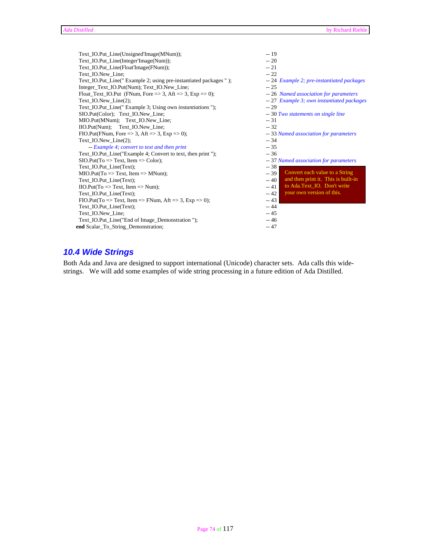| Text_IO.Put_Line(Unsigned'Image(MNum));                                        | $-19$                                        |
|--------------------------------------------------------------------------------|----------------------------------------------|
| Text_IO.Put_Line(Integer'Image(Num));                                          | $-20$                                        |
| Text_IO.Put_Line(Float'Image(FNum));                                           | $-21$                                        |
| Text_IO.New_Line;                                                              | $-22$                                        |
| Text_IO.Put_Line(" Example 2; using pre-instantiated packages ");              | -- 24 Example 2; pre-instantiated packages   |
| Integer_Text_IO.Put(Num); Text_IO.New_Line;                                    | $-25$                                        |
| Float_Text_IO.Put (FNum, Fore => 3, Aft => 3, Exp => 0);                       | -- 26 Named association for parameters       |
| Text IO.New Line(2);                                                           | -- 27 Example 3; own instantiated packages   |
| Text_IO.Put_Line(" Example 3; Using own <i>instantiations</i> ");              | $-29$                                        |
| SIO.Put(Color); Text_IO.New_Line;                                              | -- 30 Two statements on single line          |
| MIO.Put(MNum); Text_IO.New_Line;                                               | $-31$                                        |
| IIO.Put(Num); Text_IO.New_Line;                                                | $-32$                                        |
| FIO.Put(FNum, Fore $\Rightarrow$ 3, Aft $\Rightarrow$ 3, Exp $\Rightarrow$ 0); | -- 33 Named association for parameters       |
| Text_IO.New_Line(2);                                                           | $-34$                                        |
| -- Example 4; convert to text and then print                                   | $-35$                                        |
| Text_IO.Put_Line("Example 4; Convert to text, then print");                    | $-36$                                        |
| $SIO.Put(To \Rightarrow Text, Item \Rightarrow Color);$                        | -- 37 Named association for parameters       |
| Text_IO.Put_Line(Text);                                                        | $-38$                                        |
| $MIO.Put(To \Rightarrow Text, Item \Rightarrow MNum);$                         | Convert each value to a String<br>$-39$      |
| Text_IO.Put_Line(Text);                                                        | and then print it. This is built-in<br>$-40$ |
| $IO.Put(To \Rightarrow Text, Item \Rightarrow Num);$                           | to Ada.Text_IO. Don't write<br>$-41$         |
| Text_IO.Put_Line(Text);                                                        | your own version of this.<br>$-42$           |
| FIO.Put(To => Text, Item => FNum, Aft => 3, Exp => 0);                         | $-43$                                        |
| Text_IO.Put_Line(Text);                                                        | $-44$                                        |
| Text_IO.New_Line;                                                              | $-45$                                        |
| Text_IO.Put_Line("End of Image_Demonstration");                                | $-46$                                        |
| end Scalar_To_String_Demonstration;                                            | $-47$                                        |

## *10.4 Wide Strings*

Both Ada and Java are designed to support international (Unicode) character sets. Ada calls this widestrings. We will add some examples of wide string processing in a future edition of Ada Distilled.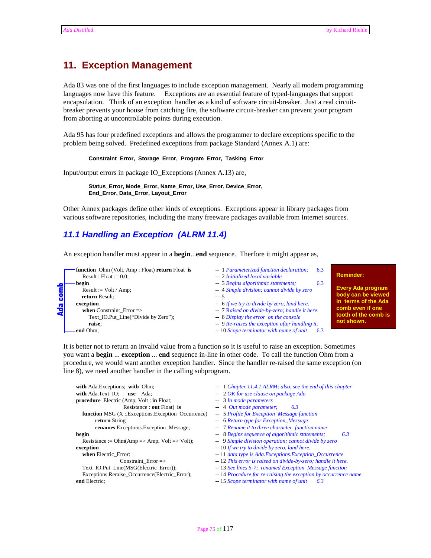**program** be viewed **f the Ada comb even if one t** comb is

# **11. Exception Management**

Ada 83 was one of the first languages to include exception management. Nearly all modern programming languages now have this feature. Exceptions are an essential feature of typed-languages that support encapsulation. Think of an exception handler as a kind of software circuit-breaker. Just a real circuitbreaker prevents your house from catching fire, the software circuit-breaker can prevent your program from aborting at uncontrollable points during execution.

Ada 95 has four predefined exceptions and allows the programmer to declare exceptions specific to the problem being solved. Predefined exceptions from package Standard (Annex A.1) are:

#### **Constraint\_Error, Storage\_Error, Program\_Error, Tasking\_Error**

Input/output errors in package IO\_Exceptions (Annex A.13) are,

**Status\_Error, Mode\_Error, Name\_Error, Use\_Error, Device\_Error, End\_Error, Data\_Error, Layout\_Error** 

Other Annex packages define other kinds of exceptions. Exceptions appear in library packages from various software repositories, including the many freeware packages available from Internet sources.

### *11.1 Handling an Exception (ALRM 11.4)*

An exception handler must appear in a **begin**...**end** sequence. Therfore it might appear as,

| <b>function</b> Ohm (Volt, Amp: Float) <b>return</b> Float is<br>Result : Float := $0.0$ ;<br>begin<br>Result := $Volt / Amp$ ;<br>return Result:<br>-exception<br>when Constraint Error $\Rightarrow$<br>Text IO.Put Line ("Divide by Zero");<br>raise:<br>end Ohm: | -- 1 Parameterized function declaration;<br>6.3<br>-- 2 Initialized local variable<br>-- 3 Begins algorithmic statements;<br>6.3<br>-- 4 Simple division; cannot divide by zero<br>$-5$<br>-- 6 If we try to divide by zero, land here.<br>-- 7 Raised on divide-by-zero; handle it here.<br>-- 8 Display the error on the console<br>-- 9 Re-raises the exception after handling it.<br>-- 10 Scope terminator with name of unit<br>6.3 | <b>Reminder:</b><br><b>Every Adap</b><br>body can be<br>in terms of<br>comb even<br>tooth of the<br>not shown. |
|----------------------------------------------------------------------------------------------------------------------------------------------------------------------------------------------------------------------------------------------------------------------|------------------------------------------------------------------------------------------------------------------------------------------------------------------------------------------------------------------------------------------------------------------------------------------------------------------------------------------------------------------------------------------------------------------------------------------|----------------------------------------------------------------------------------------------------------------|
|----------------------------------------------------------------------------------------------------------------------------------------------------------------------------------------------------------------------------------------------------------------------|------------------------------------------------------------------------------------------------------------------------------------------------------------------------------------------------------------------------------------------------------------------------------------------------------------------------------------------------------------------------------------------------------------------------------------------|----------------------------------------------------------------------------------------------------------------|

It is better not to return an invalid value from a function so it is useful to raise an exception. Sometimes you want a **begin** ... **exception** ... **end** sequence in-line in other code. To call the function Ohm from a procedure, we would want another exception handler. Since the handler re-raised the same exception (on line 8), we need another handler in the calling subprogram.

```
with Ada.Exceptions; with Ohm; -- 1 Chapter 11.4.1 ALRM; also, see the end of this chapter
with Ada.Text_IO; use Ada; -2 OK for use clause on package Ada
procedure Electric (Amp, Volt : in Float; -- 3 In mode parameters
                Resistance : out Float) is -- 4 Out mode parameter; 6.3
  function MSG (X :.Exceptions.Exception_Occurrence) -- 5 Profile for Exception_Message function
      return String -6 Return type for Exception_Message
       renames Exceptions.Exception_Message; -- 7 Rename it to three character function name
begin \qquad \qquad -8 Begins sequence of algorithmic statements; 6.3
  Resistance := Ohm(Amp => Amp, Volt => Volt); -- 9 Simple division operation; cannot divide by zero
exception \qquad \qquad -10 If we try to divide by zero, land here.
  when Electric_Error: --- 11 data type is Ada.Exceptions.Exception_Occurrence
  Text_IO.Put_Line(MSG(Electric_Error)); -- 13 See lines 5-7; renamed Exception_Message function
  Exceptions.Reraise_Occurrence(Electric_Error); -- 14 Procedure for re-raising the exception by occurrence name
```
- 
- 
- 
- 
- 
- 
- 
- 
- 
- 
- 
- Constraint\_Error => -- 12 *This error is raised on divide-by-zero; handle it here.* 
	-
	-
- **end** Electric; **are end** Electric; **are expanded end** Electric; **and expanding expanding expanding expanding expanding expanding expanding expanding expanding expanding expanding expanding expa**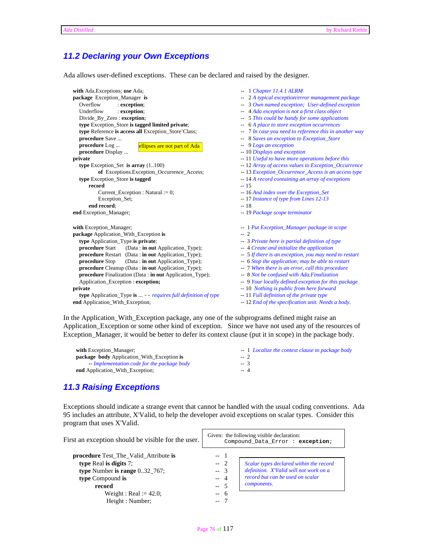### *11.2 Declaring your Own Exceptions*

Ada allows user-defined exceptions. These can be declared and raised by the designer.

```
with Ada.Exceptions; use Ada; \qquad \qquad -1 Chapter 11.4.1 ALRM
package Exception_Manager is -2A typical exception/error management package
 Overflow : exception; \qquad \qquad -3 Own named exception; User-defined exception
 Underflow : exception; \qquad \qquad -4 Ada exception is not a first class object
  Divide_By_Zero : exception; -- 5 This could be handy for some applications
 type Exception_Store is tagged limited private; -- 6 A place to store exception occurrences
 type Reference is access all Exception_Store'Class; -- 7 In case you need to reference this in another way
 procedure Save ... b procedure Save ... a procedure Save same exception to Exception_Store
procedure Log ... Ellipses are not part of Ada exception -- 9 Logs an exception
 procedure Display ... \frac{1000 \text{ m/s}}{1000 \text{ m/s}} = 10 Displays and exception
private -- 11 Useful to have more operations before this
 type Exception_Set is array (1..100) -- 12 Array of access values to Exception_Occurrence
       of Exceptions.Exception_Occurrence_Access; -13 Exception_Occurrence_Access is an access type
 type Exception_Store is tagged -- 14 A record containing an array of exceptions
record --15
       Current_Exception : Natural := 0; -- 16 And index over the Exception_Set
       Exception_Set; -17 Instance of type from Lines 12-13
end record; -18<br>end Exception_Manager; -19-- 19 Package scope terminator
with Exception_Manager; \qquad \qquad -1 Put Exception_Manager package in scope
package Application_With_Exception is -- 2 
 type Application_Type is private; \qquad \qquad -3 Private here is partial definition of type
 procedure Start (Data : in out Application_Type); -- 4 Create and initialize the application
 procedure Restart (Data : in out Application_Type); -- 5 If there is an exception, you may need to restart
 procedure Stop (Data : in out Application_Type); -- 6 Stop the application; may be able to restart
 procedure Cleanup (Data : in out Application_Type); -- 7 When there is an error, call this procedure
 procedure Finalization (Data : in out Application_Type); -- 8 Not be confused with Ada.Finalization 
 Application_Exception : exception; -- 9 Your locally defined exception for this package
private \qquad \qquad -10 Nothing is public from here forward
  type Application_Type is ... -- requires full definition of type -- 11 Full definition of the private type 
end Application_With_Exception; -12 End of the specification unit. Needs a body.
```
In the Application\_With\_Exception package, any one of the subprograms defined might raise an Application\_Exception or some other kind of exception. Since we have not used any of the resources of Exception Manager, it would be better to defer its context clause (put it in scope) in the package body.

| with Exception Manager;                           | -- 1 Localize the context clause to package body |  |
|---------------------------------------------------|--------------------------------------------------|--|
| <b>package body</b> Application With Exception is | $-2$                                             |  |
| - Implementation code for the package body        | $-3$                                             |  |
| end Application_With_Exception;                   | $-4$                                             |  |

#### *11.3 Raising Exceptions*

Exceptions should indicate a strange event that cannot be handled with the usual coding conventions. Ada 95 includes an attribute, X'Valid, to help the developer avoid exceptions on scalar types. Consider this program that uses X'Valid.

| Given: the following visible declaration:<br>First an exception should be visible for the user.<br>Compound Data Error : exception; |  |
|-------------------------------------------------------------------------------------------------------------------------------------|--|
| $- -$                                                                                                                               |  |
| $-2$<br>Scalar types declared within the record                                                                                     |  |
| definition. X'Valid will not work on a<br>$-3$                                                                                      |  |
| record but can be used on scalar<br>$- 4$                                                                                           |  |
| components.<br>$-5$                                                                                                                 |  |
| -- 6                                                                                                                                |  |
|                                                                                                                                     |  |
|                                                                                                                                     |  |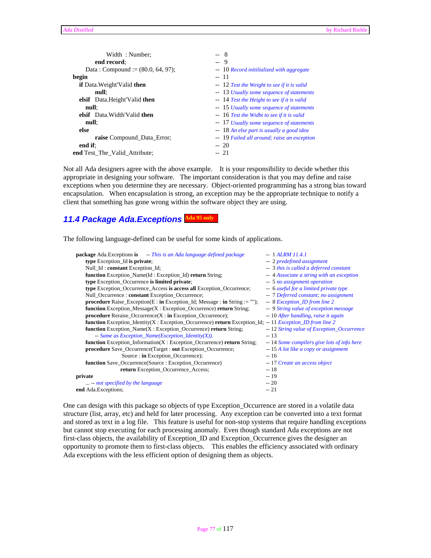| Width: Number:                           | -- 8                                        |
|------------------------------------------|---------------------------------------------|
| end record:                              | $-9$                                        |
| Data: Compound := $(80.0, 64, 97)$ ;     | -- 10 Record initilialized with aggregate   |
| begin                                    | $-11$                                       |
| <b>if</b> Data. Weight'Valid <b>then</b> | -- 12 Test the Weight to see if it is valid |
| null:                                    | -- 13 Usually some sequence of statements   |
| elsif Data.Height'Valid then             | -- 14 Test the Height to see if it is valid |
| null:                                    | -- 15 Usually some sequence of statements   |
| elsif Data. Width'Valid then             | -- 16 Test the Widht to see if it is valid  |
| null:                                    | -- 17 Usually some sequence of statements   |
| else                                     | -- 18 An else part is usually a good idea   |
| raise Compound Data Error;               | -- 19 Failed all around; raise an exception |
| end if:                                  | $-20$                                       |
| end Test The Valid Attribute;            | -- 21                                       |
|                                          |                                             |

Not all Ada designers agree with the above example. It is your responsibility to decide whether this appropriate in designing your software. The important consideration is that you may define and raise exceptions when you determine they are necessary. Object-oriented programming has a strong bias toward encapsulation. When encapsulation is strong, an exception may be the appropriate technique to notify a client that something has gone wrong within the software object they are using.

## *11.4 Package Ada.Exceptions*  **Ada 95 only**

The following language-defined can be useful for some kinds of applications.

| <b>package</b> Ada. Exceptions <b>is</b> -- This is an Ada language defined package                                          | $-1 ALRM 11.4.1$                            |
|------------------------------------------------------------------------------------------------------------------------------|---------------------------------------------|
| type Exception_Id is private;                                                                                                | -- 2 predefined assignment                  |
| Null_Id: constant Exception_Id;                                                                                              | -- 3 this is called a deferred constant     |
| <b>function</b> Exception_Name(Id: Exception_Id) <b>return</b> String;                                                       | -- 4 Associate a string with an exception   |
| type Exception_Occurrence is limited private;                                                                                | -- 5 no assignment operation                |
| type Exception_Occurrence_Access is access all Exception_Occurrence;                                                         | -- 6 useful for a limited private type      |
| Null_Occurrence: constant Exception_Occurrence;                                                                              | -- 7 Deferred constant; no assignment       |
| <b>procedure</b> Raise_Exception( $E : \textbf{in Exception}_I$ Id; Message : $\textbf{in String} := "$ );                   | -- 8 Exception_ID from line 2               |
| <b>function</b> Exception_Message $(X : Exception$ _Occurrence) <b>return</b> String;                                        | -- 9 String value of exception message      |
| <b>procedure</b> Reraise_Occurrence $(X : in Exception$ _Occurrence $)$ ;                                                    | -- 10 After handling, raise it again        |
| <b>function</b> Exception_Identity(X: Exception_Occurrence) <b>return</b> Exception_Id; --11 <i>Exception_ID from line 2</i> |                                             |
| <b>function</b> Exception_Name $(X : Exception$ _Occurrence) <b>return</b> String;                                           | -- 12 String value of Exception_Occurrence  |
| -- Same as Exception_Name(Exception_Identity(X)).                                                                            | $-13$                                       |
| <b>function</b> Exception_Information( $X : Exception$ Occurrence) <b>return</b> String;                                     | -- 14 Some compilers give lots of info here |
| <b>procedure</b> Save_Occurrence(Target: out Exception_Occurrence;                                                           | -- 15 A lot like a copy or assignment       |
| Source : in Exception_Occurrence);                                                                                           | $-16$                                       |
| <b>function</b> Save_Occurrence(Source: Exception_Occurrence)                                                                | -- 17 Create an access object               |
| return Exception_Occurrence_Access;                                                                                          | $-18$                                       |
| private                                                                                                                      | $-19$                                       |
| -- not specified by the language                                                                                             | $-20$                                       |
| end Ada.Exceptions;                                                                                                          | $-21$                                       |
|                                                                                                                              |                                             |

One can design with this package so objects of type Exception\_Occurrence are stored in a volatile data structure (list, array, etc) and held for later processing. Any exception can be converted into a text format and stored as text in a log file. This feature is useful for non-stop systems that require handling exceptions but cannot stop executing for each processing anomaly. Even though standard Ada exceptions are not first-class objects, the availability of Exception\_ID and Exception\_Occurrence gives the designer an opportunity to promote them to first-class objects. This enables the efficiency associated with ordinary Ada exceptions with the less efficient option of designing them as objects.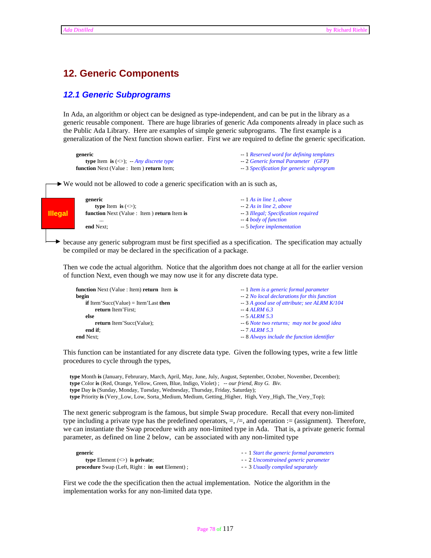**Ille** 

## **12. Generic Components**

### *12.1 Generic Subprograms*

In Ada, an algorithm or object can be designed as type-independent, and can be put in the library as a generic reusable component. There are huge libraries of generic Ada components already in place such as the Public Ada Library. Here are examples of simple generic subprograms. The first example is a generalization of the Next function shown earlier. First we are required to define the generic specification.

| generic                                                        | -- 1 Reserved word for defining templates |
|----------------------------------------------------------------|-------------------------------------------|
| <b>type</b> Item is $(\diamond)$ ; -- <i>Any discrete type</i> | -- 2 Generic formal Parameter (GFP)       |
| <b>function</b> Next (Value : Item) <b>return</b> Item:        | -- 3 Specification for generic subprogram |

 $\rightarrow$  We would not be allowed to code a generic specification with an is such as,

|     | generic                                     | $-1$ As in line 1, above            |
|-----|---------------------------------------------|-------------------------------------|
|     | <b>type</b> Item is $(\le)$ ;               | $-2$ As in line 2, above            |
| gal | function Next (Value : Item) return Item is | - 3 Illegal; Specification required |
|     | $\cdots$                                    | --4 body of function                |
|     | end Next:                                   | -- 5 before implementation          |
|     |                                             |                                     |

because any generic subprogram must be first specified as a specification. The specification may actually be compiled or may be declared in the specification of a package.

Then we code the actual algorithm. Notice that the algorithm does not change at all for the earlier version of function Next, even though we may now use it for any discrete data type.

| function Next (Value : Item) return Item is        | -- 1 Item is a generic formal parameter      |
|----------------------------------------------------|----------------------------------------------|
| begin                                              | -- 2 No local declarations for this function |
| <b>if</b> Item'Succ(Value) = Item'Last <b>then</b> | $-3$ A good use of attribute; see ALRM K/104 |
| return Item'First;                                 | $-4 ALRM 6.3$                                |
| else                                               | $-5 ALRM 5.3$                                |
| <b>return</b> Item'Succ(Value);                    | -- 6 Note two returns; may not be good idea  |
| end if:                                            | $-7$ ALRM 5.3                                |
| end Next:                                          | -- 8 Always include the function identifier  |
|                                                    |                                              |

This function can be instantiated for any discrete data type. Given the following types, write a few little procedures to cycle through the types,

**type** Month **is** (January, Februrary, March, April, May, June, July, August, September, October, November, December); **type** Color **is** (Red, Orange, Yellow, Green, Blue, Indigo, Violet) ; -- *our friend, Roy G. Biv.*  **type** Day **is** (Sunday, Monday, Tuesday, Wednesday, Thursday, Friday, Saturday); **type** Priority **is** (Very\_Low, Low, Sorta\_Medium, Medium, Getting\_Higher, High, Very\_High, The\_Very\_Top);

The next generic subprogram is the famous, but simple Swap procedure. Recall that every non-limited type including a private type has the predefined operators,  $=$ ,  $/=$ , and operation  $=$  (assignment). Therefore, we can instantiate the Swap procedure with any non-limited type in Ada. That is, a private generic formal parameter, as defined on line 2 below, can be associated with any non-limited type

| generic                                                     | $-- 1$ Start the generic formal parameters |
|-------------------------------------------------------------|--------------------------------------------|
| <b>type</b> Element $(\le)$ is private;                     | $-- 2$ Unconstrained generic parameter     |
| <b>procedure</b> Swap (Left, Right: <b>in</b> out Element); | -- 3 Usually compiled separately           |

First we code the the specification then the actual implementation. Notice the algorithm in the implementation works for any non-limited data type.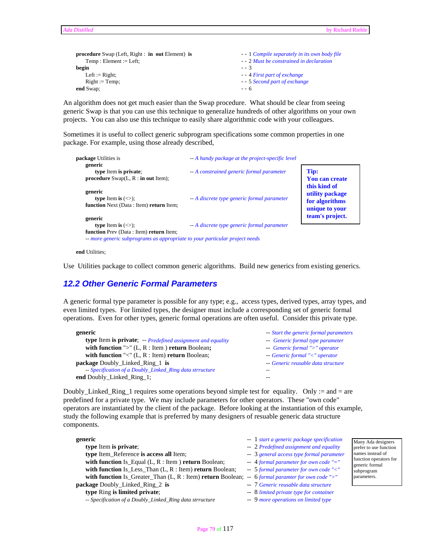| <b>procedure</b> Swap (Left, Right: <b>in</b> out Element) is | -- 1 Compile separately in its own body file |
|---------------------------------------------------------------|----------------------------------------------|
| $Temp: Element := Left;$                                      | $-$ - 2 Must be constrained in declaration   |
| begin                                                         | $- - 3$                                      |
| Left := $Right$ ;                                             | $--$ 4 First part of exchange                |
| $Right := Temp;$                                              | $-- 5$ Second part of exchange               |
| end Swap:                                                     | $-- 6$                                       |

An algorithm does not get much easier than the Swap procedure. What should be clear from seeing generic Swap is that you can use this technique to generalize hundreds of other algorithms on your own projects. You can also use this technique to easily share algorithmic code with your colleagues.

Sometimes it is useful to collect generic subprogram specifications some common properties in one package. For example, using those already described,

| package Utilities is                                                                       | -- A handy package at the project-specific level |                                                                     |
|--------------------------------------------------------------------------------------------|--------------------------------------------------|---------------------------------------------------------------------|
| generic<br>type Item is private:<br><b>procedure</b> Swap( $L, R : \textbf{in}$ out Item); | -- A constrained generic formal parameter        | Tip:<br><b>You can create</b>                                       |
| generic<br><b>type</b> Item is $(\le)$ ;<br>function Next (Data : Item) return Item;       | -- A discrete type generic formal parameter      | this kind of<br>utility package<br>for algorithms<br>unique to your |
| generic                                                                                    |                                                  | team's project.                                                     |
| <b>type</b> Item is $(\le)$ ;                                                              | -- A discrete type generic formal parameter      |                                                                     |
| -- more generic subprograms as appropriate to your particular project needs                |                                                  |                                                                     |
| <b>function</b> Prev (Data : Item) <b>return</b> Item;<br>end Utilities:                   |                                                  |                                                                     |

Use Utilities package to collect common generic algorithms. Build new generics from existing generics.

### *12.2 Other Generic Formal Parameters*

A generic formal type parameter is possible for any type; e.g., access types, derived types, array types, and even limited types. For limited types, the designer must include a corresponding set of generic formal operations. Even for other types, generic formal operations are often useful. Consider this private type.

| generic                                                                    | -- Start the generic formal parameters |
|----------------------------------------------------------------------------|----------------------------------------|
| <b>type Item is private</b> ; -- <i>Predefined assignment and equality</i> | -- Generic formal type parameter       |
| with function " $>$ " (L, R : Item) return Boolean;                        | - Generic formal ">" operator          |
| with function " $\lt$ " (L, R : Item) return Boolean;                      | -- Generic formal "<" operator         |
| <b>package</b> Doubly Linked Ring 1 is                                     | -- Generic reusable data structure     |
| -- Specification of a Doubly_Linked_Ring data strructure                   |                                        |
| end Doubly_Linked_Ring_1;                                                  |                                        |

Doubly\_Linked\_Ring\_1 requires some operations beyond simple test for equality. Only := and = are predefined for a private type. We may include parameters for other operators. These "own code" operators are instantiated by the client of the package. Before looking at the instantiation of this example, study the following example that is preferred by many designers of resuable generic data structure components.

| generic                                                      | -- 1 start a generic package specification | Many            |
|--------------------------------------------------------------|--------------------------------------------|-----------------|
| type Item is private;                                        | -- 2 Predefined assignment and equality    | prefer          |
| type Item_Reference is access all Item;                      | -- 3 general access type formal parameter  | name            |
| with function $Is$ Equal $(L, R : Item)$ return Boolean;     | $-4$ formal parameter for own code "="     | functi<br>gener |
| with function $Is\_Less\_ Than(L, R : Item)$ return Boolean; | -- 5 formal parameter for own code "<"     | subpr           |
| with function Is_Greater_Than (L, R : Item) return Boolean;  | -- 6 formal paramter for own code ">"      | paran           |
| <b>package</b> Doubly Linked Ring 2 is                       | -- 7 Generic reusable data structure       |                 |
| type Ring is limited private;                                | -- 8 limited private type for container    |                 |
| -- Specification of a Doubly_Linked_Ring data strructure     | -- 9 more operations on limited type       |                 |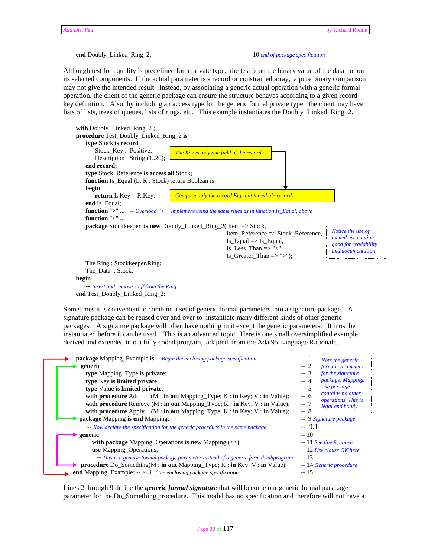```
end Doubly_Linked_Ring_2; -10 end of package specification
```
Although test for equality is predefined for a private type, the test is on the binary value of the data not on its selected components. If the actual parameter is a record or constrained array, a pure binary comparison may not give the intended result. Instead, by associating a generic actual operation with a generic formal operation, the client of the generic package can ensure the structure behaves according to a given record key definition. Also, by including an access type for the generic formal private type, the client may have lists of lists, trees of queues, lists of rings, etc. This example instantiates the Doubly\_Linked\_Ring\_2.

```
with Doubly_Linked_Ring_2 ; 
procedure Test_Doubly_Linked_Ring_2 is
     type Stock is record
       Stock Key : Positive;
        Description : String (1..20); 
    end record; 
    type Stock_Reference is access all Stock; 
   function Is_Equal (L, R : Stock) return Boolean is 
   begin 
       return L.Key = R.Key;
   end Is_Equal; 
   function ">" ... -- Overload ">" Implement using the same rules as in function Is_Equal, above
   function "<" ... 
   package Stockkeeper is new Doubly_Linked_Ring_2( Item => Stock, 
                                                              Item_Reference => Stock_Reference, 
                                                             Is_Equal \Rightarrow Is_Equal,
                                                             Is\_Less\_Then => " <", Is_Greater_Than => ">"); 
    The Ring : Stockkeeper.Ring; 
    The_Data : Stock; 
begin 
                                        The Key is only one field of the record. 
                                        Compare only the record Key, not the whole record. 
                                                                                                       Notice the use of 
                                                                                                       named association; 
                                                                                                       good for readability 
                                                                                                       and documentation
```
 -- *Insert and remove stuff from the Ring* **end** Test\_Doubly\_Linked\_Ring\_2;

Sometimes it is convenient to combine a set of generic formal parameters into a signature package. A signature package can be reused over and over to instantiate many different kinds of other generic packages. A signature package will often have nothing in it except the generic parameters. It must be instantiated before it can be used. This is an advanced topic. Here is one small oversimplified example, derived and extended into a fully coded program, adapted from the Ada 95 Language Rationale.

| $\overline{\phantom{a}}$<br>Note the generic            |
|---------------------------------------------------------|
| $-2$<br>formal parameters                               |
| for the signature<br>$-3$                               |
| package, Mapping.<br>-- 4                               |
| The package<br>$-5$                                     |
| contains no other<br>-- 6                               |
| <i>operations. This is</i><br>$-- 7$<br>legal and handy |
| $-8$                                                    |
| -- 9 Signature package                                  |
| $-9.1$                                                  |
| $-10$                                                   |
| $-11$ See line 9, above                                 |
| -- 12 Use clause OK here                                |
| $-13$                                                   |
| -- 14 Generic procedure                                 |
| $-15$                                                   |
|                                                         |

Lines 2 through 9 define the *generic formal signature* that will become our generic formal pacakage parameter for the Do\_Something procedure. This model has no specification and therefore will not have a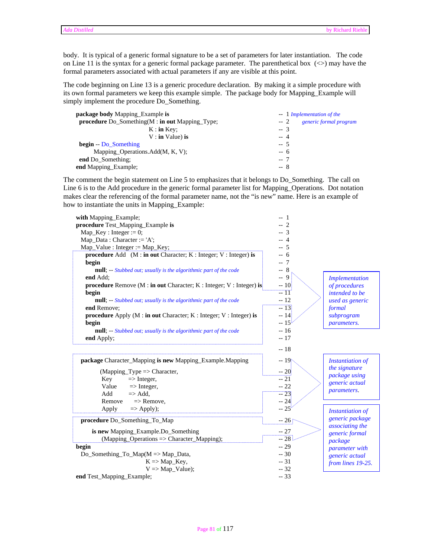body. It is typical of a generic formal signature to be a set of parameters for later instantiation. The code on Line 11 is the syntax for a generic formal package parameter. The parenthetical box  $(\ll)$  may have the formal parameters associated with actual parameters if any are visible at this point.

The code beginning on Line 13 is a generic procedure declaration. By making it a simple procedure with its own formal parameters we keep this example simple. The package body for Mapping\_Example will simply implement the procedure Do\_Something.

| <b>package body</b> Mapping Example is                             | -- 1 <i>Implementation</i> of the |
|--------------------------------------------------------------------|-----------------------------------|
| <b>procedure</b> Do_Something( $M : \textbf{in}$ out Mapping Type; | generic formal program<br>$-2$    |
| $K : \text{in Key};$                                               | $-3$                              |
| $V : \text{in Value}$ is                                           | $-4$                              |
| <b>begin</b> -- Do Something                                       | $-5$                              |
| Mapping Operations.Add(M, K, V);                                   | -- 6                              |
| end Do_Something;                                                  | $-7$                              |
| end Mapping Example;                                               | -- 8                              |

The comment the begin statement on Line 5 to emphasizes that it belongs to Do Something. The call on Line 6 is to the Add procedure in the generic formal parameter list for Mapping\_Operations. Dot notation makes clear the referencing of the formal parameter name, not the "is new" name. Here is an example of how to instantiate the units in Mapping\_Example:

| with Mapping_Example;                                                                  | -- 1                        |                       |
|----------------------------------------------------------------------------------------|-----------------------------|-----------------------|
| procedure Test_Mapping_Example is                                                      | $\mathcal{D}_{\mathcal{L}}$ |                       |
| $Map_{Key}$ : Integer := 0;                                                            | -- 3                        |                       |
| $Map\_Data: Character := 'A';$                                                         |                             |                       |
| Map_Value: Integer := Map_Key;                                                         | -- 5                        |                       |
| procedure Add $(M : in out Character; K : Integer; V : Integer)$ is                    | -- 6                        |                       |
| begin                                                                                  | -- 7                        |                       |
| <b>null</b> ; -- Stubbed out; usually is the algorithmic part of the code              | $-8$                        |                       |
| end Add;                                                                               | -- 9                        | <b>Implementation</b> |
| <b>procedure</b> Remove (M : <b>in out</b> Character; $K :$ Integer; $V :$ Integer) is | $-10^{\circ}$               | of procedures         |
| begin                                                                                  | -- 11                       | intended to be        |
| <b>null</b> ; -- Stubbed out; usually is the algorithmic part of the code              | $-12$                       | used as generic       |
| end Remove:                                                                            | $-13$                       | formal                |
| procedure Apply (M: in out Character; K: Integer; V: Integer) is                       | $-14$                       | subprogram            |
| begin                                                                                  | $-15$                       | parameters.           |
| <b>null</b> ; -- Stubbed out; usually is the algorithmic part of the code              | $-16$                       |                       |
| end Apply;                                                                             | $-17$                       |                       |
|                                                                                        | $-18$                       |                       |
|                                                                                        |                             |                       |
| package Character_Mapping is new Mapping_Example.Mapping                               | -- 19                       | Instantiation of      |
| $(Mapping_{Type} \Rightarrow Character,$                                               | $-20$                       | the signature         |
| Key<br>$\Rightarrow$ Integer,                                                          | $-21$                       | package using         |
| Value<br>$\Rightarrow$ Integer,                                                        | $-22$                       | generic actual        |
| $\Rightarrow$ Add.<br>Add                                                              |                             |                       |
|                                                                                        |                             | <i>parameters.</i>    |
|                                                                                        | $-23$                       |                       |
| Remove $\Rightarrow$ Remove,                                                           | $-24$<br>$-25$ <sup>'</sup> |                       |
| $\Rightarrow$ Apply);<br>Apply                                                         |                             | Instantiation of      |
| procedure Do_Something_To_Map                                                          | $-26$                       | generic package       |
|                                                                                        |                             | associating the       |
| is new Mapping_Example.Do_Something                                                    | $-27$<br>$-28$              | generic formal        |
| (Mapping_Operations => Character_Mapping);<br>begin                                    | $-29$                       | package               |
|                                                                                        | $-30$                       | parameter with        |
| Do_Something_To_Map(M => Map_Data,<br>$K \Rightarrow Map_{\text{Key}}$ ,               | $-31$                       | generic actual        |
| $V \Rightarrow Map_V$ Value);                                                          | $-32$                       | from lines 19-25.     |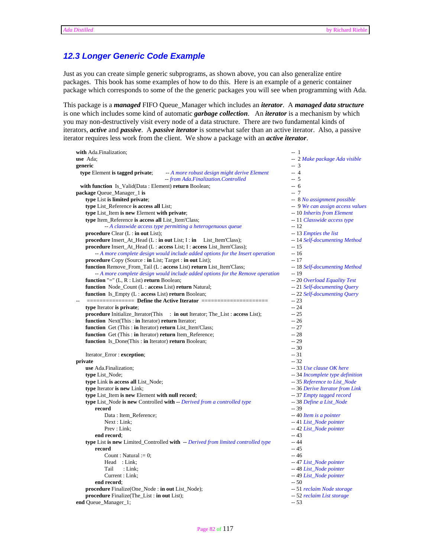### *12.3 Longer Generic Code Example*

Just as you can create simple generic subprograms, as shown above, you can also generalize entire packages. This book has some examples of how to do this. Here is an example of a generic container package which corresponds to some of the the generic packages you will see when programming with Ada.

This package is a *managed* FIFO Queue\_Manager which includes an *iterator*. A *managed data structure* is one which includes some kind of automatic *garbage collection*. An *iterator* is a mechanism by which you may non-destructively visit every node of a data structure. There are two fundamental kinds of iterators, *active* and *passive*. A *passive iterator* is somewhat safer than an active iterator. Also, a passive iterator requires less work from the client. We show a package with an *active iterator*.

|                                                                                                     | -- 1                                    |
|-----------------------------------------------------------------------------------------------------|-----------------------------------------|
| with Ada.Finalization;<br>use Ada;                                                                  |                                         |
|                                                                                                     | -- 2 Make package Ada visible<br>$-3$   |
| generic                                                                                             | $-4$                                    |
| type Element is tagged private;<br>-- A more robust design might derive Element                     |                                         |
| -- from Ada.Finalization.Controlled                                                                 | $-5$                                    |
| with function Is_Valid(Data: Element) return Boolean;                                               | $-6$                                    |
| package Queue_Manager_1 is                                                                          | $-7$                                    |
| type List is limited private;                                                                       | -- 8 No assignment possible             |
| type List_Reference is access all List;                                                             | -- 9 We can assign access values        |
| type List_Item is new Element with private;                                                         | -- 10 Inherits from Element             |
| type Item_Reference is access all List_Item'Class;                                                  | -- 11 Classwide access type             |
| -- A classwide access type permitting a heterogenuous queue                                         | $-12$                                   |
| procedure Clear (L: in out List);                                                                   | -- 13 Empties the list                  |
| <b>procedure</b> Insert_At_Head $(L : in out List; I : in ListItem'Class);$                         | -- 14 Self-documenting Method           |
| procedure Insert_At_Head (L: access List; I: access List_Item'Class);                               | $-15$                                   |
| -- A more complete design would include added options for the Insert operation                      | $-16$                                   |
| procedure Copy (Source: in List; Target: in out List);                                              | $-17$                                   |
| function Remove_From_Tail (L: access List) return List_Item'Class;                                  | -- 18 Self-documenting Method           |
| -- A more complete design would include added options for the Remove operation                      | $-19$                                   |
| function "=" $(L, R : List)$ return Boolean;                                                        | -- 20 Overload Equality Test            |
| function Node_Count (L : access List) return Natural;                                               | -- 21 Self-documenting Query            |
| function Is_Empty (L: access List) return Boolean;                                                  | -- 22 Self-documenting Query            |
| $-$                                                                                                 | $-23$                                   |
| type Iterator is private;                                                                           | $-24$                                   |
| <b>procedure</b> Initialize_Iterator(This : <b>in out</b> Iterator; The_List : <b>access</b> List); | $-25$                                   |
| function Next(This: in Iterator) return Iterator;                                                   | $-26$                                   |
| function Get (This: in Iterator) return List_Item'Class;                                            | $-27$                                   |
| function Get (This: in Iterator) return Item_Reference;                                             | $-28$                                   |
| function Is_Done(This: in Iterator) return Boolean;                                                 | $-29$                                   |
|                                                                                                     | $-30$                                   |
| Iterator_Error: exception;                                                                          | $-31$                                   |
|                                                                                                     | $-32$                                   |
| private                                                                                             | -- 33 Use clause OK here                |
| use Ada.Finalization;                                                                               |                                         |
| type List_Node;                                                                                     | -- 34 <i>Incomplete type definition</i> |
| type Link is access all List_Node;                                                                  | -- 35 Reference to List_Node            |
| type Iterator is new Link;                                                                          | -- 36 Derive Iterator from Link         |
| type List_Item is new Element with null record;                                                     | -- 37 Empty tagged record               |
| type List_Node is new Controlled with - Derived from a controlled type                              | -- 38 Define a List_Node                |
| record                                                                                              | $-39$                                   |
| Data: Item_Reference;                                                                               | -- 40 Item is a pointer                 |
| Next : Link;                                                                                        | -- 41 List_Node pointer                 |
| Prev: Link:                                                                                         | -- 42 List_Node pointer                 |
| end record:                                                                                         | $-43$                                   |
| <b>type List is new Limited_Controlled with -- Derived from limited controlled type</b>             | $-44$                                   |
| record                                                                                              | $-45$                                   |
| Count: Natural := $0$ ;                                                                             | $-46$                                   |
| Head : Link;                                                                                        | -- 47 List_Node pointer                 |
| Tail<br>$:$ Link;                                                                                   | -- 48 List_Node pointer                 |
| Current : Link:                                                                                     | -- 49 List_Node pointer                 |
| end record:                                                                                         | $-50$                                   |
| procedure Finalize(One_Node: in out List_Node);                                                     | -- 51 reclaim Node storage              |
| procedure Finalize(The_List: in out List);                                                          | -- 52 reclaim List storage              |
| end Queue_Manager_1;                                                                                | $-53$                                   |
|                                                                                                     |                                         |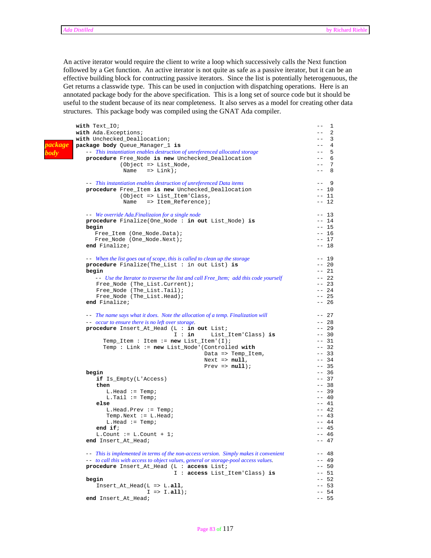An active iterator would require the client to write a loop which successively calls the Next function followed by a Get function. An active iterator is not quite as safe as a passive iterator, but it can be an effective building block for contructing passive iterators. Since the list is potentially heterogenuous, the Get returns a classwide type. This can be used in conjuction with dispatching operations. Here is an annotated package body for the above specification. This is a long set of source code but it should be useful to the student because of its near completeness. It also serves as a model for creating other data structures. This package body was compiled using the GNAT Ada compiler.

|         | with Text_IO;                                                                         | 1<br>$- -$  |
|---------|---------------------------------------------------------------------------------------|-------------|
|         | with Ada. Exceptions;                                                                 | 2<br>$- -$  |
|         | with Unchecked_Deallocation;                                                          | 3           |
| package | package body Queue_Manager_1 is                                                       | 4<br>$- -$  |
|         | -- This instantiation enables destruction of unreferenced allocated storage           | 5<br>$--$   |
|         | procedure Free_Node is new Unchecked_Deallocation                                     | 6<br>$  \,$ |
|         | (Object => List_Node,                                                                 | -7<br>$- -$ |
|         | Name $\Rightarrow$ Link);                                                             | 8<br>$--$   |
|         |                                                                                       |             |
|         | -- This instantiation enables destruction of unreferenced Data items                  | $--$ 9      |
|         | procedure Free_Item is new Unchecked_Deallocation                                     | $-- 10$     |
|         | (Object => List_Item'Class,                                                           | $-- 11$     |
|         | Name $\Rightarrow$ Item_Reference);                                                   | $-- 12$     |
|         |                                                                                       |             |
|         | -- We override Ada.Finalizaion for a single node                                      | $-- 13$     |
|         | procedure Finalize(One_Node : in out List_Node) is                                    | $- - 14$    |
|         |                                                                                       | $-- 15$     |
|         | begin                                                                                 | $-- 16$     |
|         | Free_Item (One_Node.Data);                                                            |             |
|         | Free_Node (One_Node.Next);                                                            | $-- 17$     |
|         | end Finalize;                                                                         | $-- 18$     |
|         |                                                                                       |             |
|         | -- When the list goes out of scope, this is called to clean up the storage            | $-- 19$     |
|         | procedure Finalize(The_List : in out List) is                                         | $-- 20$     |
|         | begin                                                                                 | $-- 21$     |
|         | -- Use the Iterator to traverse the list and call Free_Item; add this code yourself   | $-- 22$     |
|         | Free_Node (The_List.Current);                                                         | $- - 23$    |
|         | Free_Node (The_List.Tail);                                                            | $-- 24$     |
|         | Free_Node (The_List.Head);                                                            | $-- 25$     |
|         | end Finalize;                                                                         | $-- 26$     |
|         |                                                                                       |             |
|         | -- The name says what it does. Note the allocation of a temp. Finalization will       | $-- 27$     |
|         | -- occur to ensure there is no left over storage.                                     | $-- 28$     |
|         | procedure Insert_At_Head (L : in out List;                                            | $-- 29$     |
|         | $I$ : in<br>List_Item'Class) is                                                       | $-- 30$     |
|         | Temp_Item : Item := $new$ List_Item'(I);                                              | $-- 31$     |
|         | Temp : Link := new List_Node'(Controlled with                                         | $-- 32$     |
|         | $Data$ => $Temp_Item$ ,                                                               | $-- 33$     |
|         | Next $\Rightarrow$ null,                                                              | $-- 34$     |
|         | Prev => $null$ ;                                                                      | $-- 35$     |
|         | begin                                                                                 | $-- 36$     |
|         | if Is_Empty(L'Access)                                                                 | $-- 37$     |
|         | then                                                                                  | $-- 38$     |
|         | $L.Head := Temp;$                                                                     | $-- 39$     |
|         | $L.Tail := Temp;$                                                                     | $- - 40$    |
|         | else                                                                                  | $- - 41$    |
|         | $L.Head.Prev := Temp;$                                                                | $-- 42$     |
|         | Temp. Next $:=$ L. Head;                                                              | $- - 43$    |
|         | $L.Head := Temp;$                                                                     | $- - 44$    |
|         | end $if$                                                                              | $-- 45$     |
|         | $L$ . Count := $L$ . Count + 1;                                                       | $- - 46$    |
|         | end Insert_At_Head;                                                                   | - 47        |
|         |                                                                                       |             |
|         | -- This is implemented in terms of the non-access version. Simply makes it convenient | -- 48       |
|         |                                                                                       |             |
|         | -- to call this with access to object values, general or storage-pool access values.  | -- 49       |
|         | procedure Insert_At_Head (L : access List;                                            | -- 50       |
|         | I: access List_Item'Class) is                                                         | -- 51       |
|         | begin                                                                                 | -- 52       |
|         | $Insert\_At\_Head(L => L.all,$                                                        | -- 53       |
|         | $I \Rightarrow I.a11$                                                                 | -- 54       |
|         | end Insert_At_Head;                                                                   | $-- 55$     |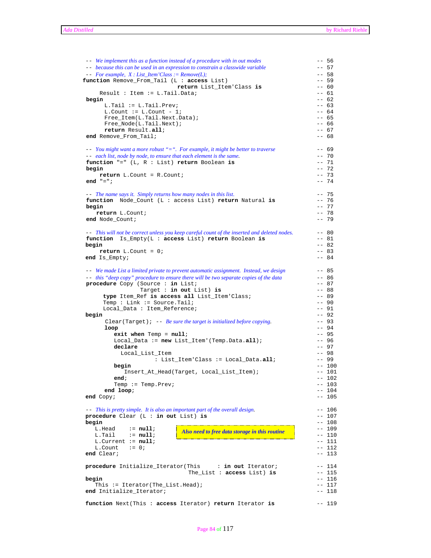| -- We implement this as a function instead of a procedure with in out modes                                                | $-- 56$              |
|----------------------------------------------------------------------------------------------------------------------------|----------------------|
| -- because this can be used in an expression to constrain a classwide variable                                             | $-- 57$              |
| $--$ For example, $X: List\_Item' Class := Remove(L);$                                                                     | $-- 58$              |
| function Remove_From_Tail (L : access List)                                                                                | $-- 59$              |
| return List_Item'Class is                                                                                                  | $-- 60$<br>$-- 61$   |
| Result : Item := $L.Tail.Data$ ;<br>begin                                                                                  | $-- 62$              |
| $L.Tail := L.Tail.Prev;$                                                                                                   | $-- 63$              |
| $L.Count := L.Count - 1$                                                                                                   | $- - 64$             |
| Free_Item(L.Tail.Next.Data);                                                                                               | $-- 65$              |
| Free_Node(L.Tail.Next);                                                                                                    | $-- 66$              |
| return Result.all;                                                                                                         | $-- 67$              |
| end Remove_From_Tail;                                                                                                      | $-- 68$              |
| -- You might want a more robust "=". For example, it might be better to traverse                                           | $-- 69$              |
| -- each list, node by node, to ensure that each element is the same.                                                       | $-- 70$              |
| function "=" $(L, R : List)$ return Boolean is                                                                             | $-- 71$              |
| begin                                                                                                                      | $- - 72$             |
| $return L.Count = R.Count;$                                                                                                | $-- 73$              |
| end $"="$                                                                                                                  | $- - 74$             |
| -- The name says it. Simply returns how many nodes in this list.                                                           | $-- 75$              |
| function Node_Count (L : access List) return Natural is                                                                    | $-- 76$              |
| begin                                                                                                                      | $- - 77$             |
| return L.Count;                                                                                                            | $-- 78$              |
| end Node_Count;                                                                                                            | $-- 79$              |
| -- This will not be correct unless you keep careful count of the inserted and deleted nodes.                               | $-- 80$              |
| function Is_Empty(L : access List) return Boolean is                                                                       | $-- 81$              |
| begin                                                                                                                      | $-- 82$              |
| $return L.Count = 0;$                                                                                                      | $-- 83$              |
| end Is_Empty;                                                                                                              | $-- 84$              |
| -- We made List a limited private to prevent automatic assignment. Instead, we design                                      | $-- 85$              |
| -- this "deep copy" procedure to ensure there will be two separate copies of the data                                      | $-- 86$              |
| procedure Copy (Source : in List;                                                                                          | $-- 87$              |
| Target : in out List) is                                                                                                   | $-- 88$              |
| type Item_Ref is access all List_Item'Class;                                                                               | $-- 89$              |
| Temp : Link := Source.Tail;                                                                                                | $-- 90$<br>$-- 91$   |
| Local_Data : Item_Reference;<br>begin                                                                                      | $-- 92$              |
| Clear (Target): $\frac{-B}{2}$ - Be sure the target is initialized before copying.                                         | $- - 93$             |
| loop                                                                                                                       | $-- 94$              |
| exit when $Temp = null$ ;                                                                                                  | $-- 95$              |
| $Local$ Data := new List_Item'(Temp.Data.all);                                                                             | -- 96                |
| declare                                                                                                                    | $-- 97$              |
| Local_List_Item                                                                                                            | $-- 98$              |
| : List_Item'Class := Local_Data. <b>all</b> ;                                                                              | $-- 99$              |
| begin                                                                                                                      | $-- 100$             |
| Insert_At_Head(Target, Local_List_Item);                                                                                   | $-- 101$             |
| end;                                                                                                                       | $-- 102$<br>$-- 103$ |
| Temp := Temp. Prev;<br>end loop;                                                                                           | $-- 104$             |
| end Copy;                                                                                                                  | $-- 105$             |
|                                                                                                                            |                      |
| -- This is pretty simple. It is also an important part of the overall design.                                              | $-- 106$             |
| procedure Clear $(L : in out List)$ is                                                                                     | $-- 107$             |
| begin                                                                                                                      | $-- 108$             |
| L.Head<br>$\mathrel{\mathop:}=\mathop{\tt null}$ ;<br>Also need to free data storage in this routine<br>$L.Tail$ := $null$ | $-- 109$<br>$-- 110$ |
| L. Current := $null$ ;                                                                                                     | $-- 111$             |
| L.Count<br>$\mathbf{r} = 0$ ;                                                                                              | $-- 112$             |
| end Clear;                                                                                                                 | $-- 113$             |
| procedure Initialize_Iterator(This : in out Iterator;                                                                      | $-- 114$             |
| The_List : $access$ List) is                                                                                               | $-- 115$             |
| begin                                                                                                                      | $-- 116$             |
| This := Iterator(The_List.Head);                                                                                           | $-- 117$             |
| end Initialize_Iterator;                                                                                                   | $-- 118$             |
|                                                                                                                            |                      |
| function Next(This : access Iterator) return Iterator is                                                                   | $-- 119$             |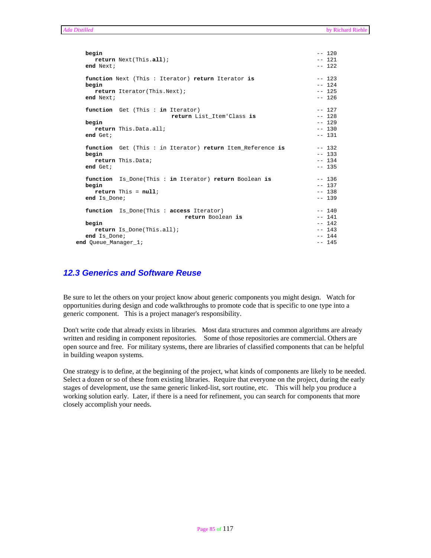| begin                                                     | $-- 120$  |
|-----------------------------------------------------------|-----------|
| return Next(This.all);                                    | $-- 121$  |
| end Next;                                                 | $-- 122$  |
| function Next (This: Iterator) return Iterator is         | $-- 123$  |
| begin                                                     | $-- 124$  |
| return Iterator(This.Next);                               | $-- 125$  |
| end Next;                                                 | $-- 126$  |
| function Get (This: in Iterator)                          | $-- 127$  |
| return List_Item'Class is                                 | $-- 128$  |
| begin                                                     | $-- 129$  |
| return This.Data.all;                                     | $-- 130$  |
| $end$ Get $i$                                             | $-- 131$  |
| function Get (This: in Iterator) return Item Reference is | $-- 132$  |
| begin                                                     | $-- 133$  |
| return This. Data:                                        | $-- 134$  |
| $end$ Get $i$                                             | $-- 135$  |
| function Is Done(This: in Iterator) return Boolean is     | $-- 136$  |
| begin                                                     | $-- 137$  |
| return This = $null$ ;                                    | $-- 138$  |
| end Is Done;                                              | $-- 139$  |
| function Is Done(This: access Iterator)                   | $-- 140$  |
| return Boolean is                                         | $-- 141$  |
| begin                                                     | $-- 142$  |
| return Is Done(This.all);                                 | $-- 143$  |
| end Is Done;                                              | $- - 144$ |
| <b>end</b> Oueue Manager 1;                               | $-- 145$  |

### *12.3 Generics and Software Reuse*

Be sure to let the others on your project know about generic components you might design. Watch for opportunities during design and code walkthroughs to promote code that is specific to one type into a generic component. This is a project manager's responsibility.

Don't write code that already exists in libraries. Most data structures and common algorithms are already written and residing in component repositories. Some of those repositories are commercial. Others are open source and free. For military systems, there are libraries of classified components that can be helpful in building weapon systems.

One strategy is to define, at the beginning of the project, what kinds of components are likely to be needed. Select a dozen or so of these from existing libraries. Require that everyone on the project, during the early stages of development, use the same generic linked-list, sort routine, etc. This will help you produce a working solution early. Later, if there is a need for refinement, you can search for components that more closely accomplish your needs.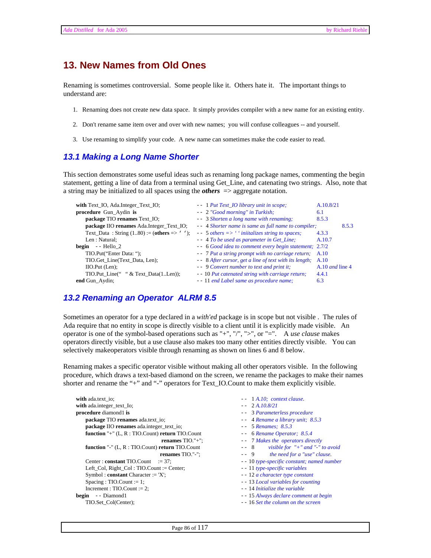## **13. New Names from Old Ones**

Renaming is sometimes controversial. Some people like it. Others hate it. The important things to understand are:

- 1. Renaming does not create new data space. It simply provides compiler with a new name for an existing entity.
- 2. Don't rename same item over and over with new names; you will confuse colleagues -- and yourself.
- 3. Use renaming to simplify your code. A new name can sometimes make the code easier to read.

### *13.1 Making a Long Name Shorter*

This section demonstrates some useful ideas such as renaming long package names, commenting the begin statement, getting a line of data from a terminal using Get\_Line, and catenating two strings. Also, note that a string may be initialized to all spaces using the *others* => aggregate notation.

| with Text_IO, Ada.Integer_Text_IO;                        | $-- 1 Put Text\_IO$ library unit in scope;                 | A.10.8/21       |
|-----------------------------------------------------------|------------------------------------------------------------|-----------------|
| procedure Gun_Aydin is                                    | $-- 2$ "Good morning" in Turkish;                          | 6.1             |
| package TIO renames Text_IO;                              | $--$ 3 Shorten a long name with renaming;                  | 8.5.3           |
| package IIO renames Ada.Integer_Text_IO;                  | -- 4 Shorter name is same as full name to compiler;        | 8.5.3           |
| Text_Data: String $(180) := (\text{others} = \rangle$ '); | $--$ 5 others $\Rightarrow$ "initializes string to spaces; | 4.3.3           |
| Len : Natural:                                            | $--$ 4 To be used as parameter in Get_Line;                | A.10.7          |
| <b>begin</b> $--$ Hello 2                                 | -- 6 Good idea to comment every begin statement; 2.7/2     |                 |
| TIO.Put("Enter Data: ");                                  | $--$ 7 Put a string prompt with no carriage return;        | A.10            |
| TIO.Get Line(Text Data, Len);                             | -- 8 After cursor, get a line of text with its length;     | A.10            |
| IO.Put (Len):                                             | -- 9 Convert number to text and print it;                  | A.10 and line 4 |
| TIO.Put Line(" " & Text Data(1Len));                      | -- 10 Put catenated string with carriage return;           | 4.4.1           |
| end Gun_Aydin;                                            | -- 11 end Label same as procedure name;                    | 6.3             |

### *13.2 Renaming an Operator ALRM 8.5*

Sometimes an operator for a type declared in a *with'ed* package is in scope but not visible . The rules of Ada require that no entity in scope is directly visible to a client until it is explicitly made visible. An operator is one of the symbol-based operations such as "+", "/", ">", or "=". A *use clause* makes operators directly visible, but a use clause also makes too many other entities directly visible. You can selectively makeoperators visible through renaming as shown on lines 6 and 8 below.

Renaming makes a specific operator visible without making all other operators visible. In the following procedure, which draws a text-based diamond on the screen, we rename the packages to make their names shorter and rename the "+" and "-" operators for Text\_IO.Count to make them explicitly visible.

```
with ada.text_io; -1 A.10; context clause.<br>
with ada.integer text Io: -2 A.10.8/21with ada.integer_text_Io;
procedure diamond1 is -- 3 Parameterless procedure
    package TIO renames ada.text_io; -- 4 Rename a library unit; 8.5.3
    package IIO renames ada.integer_text_io; -- 5 Renames; 8.5.3
    function "+" (L, R : TIO.Count) return TIO.Count -- 6 Rename Operator; 8.5.4
   function "-" (L, R : TIO.Count) return TIO.Count -- 8 visible for "+" and "-" to avoid renames TIO."-": -9 the need for a "use" clause.
   renames TIO."-";<br>Center : constant TIO.Count := 37;<br>- - 10 type-specific constant; named nun
    Left_Col, Right_Col : TIO.Count := Center; -- 11 type-specific variables
   Symbol : constant Character := 'X'; -12a character type constant
   Spacing : TIO.Count := 1; \qquad \qquad -- 13 Local variables for countingIncrement : TIO.Count := 2;<br>
begin -- Diamond1 -- 14 Initialize the variable<br>
-- 15 Always declare comm
    TIO.Set_Col(Center); -- 16 Set the column on the screen
```
**renames** TIO."+";  $\qquad -7$  *Makes the operators directly*  $-$  - 10 *type-specific constant; named number* **begin** -- Diamond1 -- 15 *Always declare comment at begin*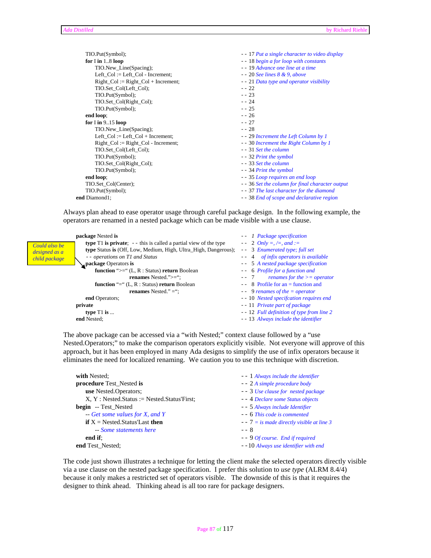| TIO.Put(Symbol);                        | $-- 17$ Put a single character to video display |
|-----------------------------------------|-------------------------------------------------|
| for $I$ in $1.8$ loop                   | -- 18 begin a for loop with constants           |
| TIO.New_Line(Spacing);                  | -- 19 Advance one line at a time                |
| Left $Col := Left$ Col - Increment;     | -- 20 See lines 8 & 9, above                    |
| $Right\_Col := Right\_Col + Increment;$ | -- 21 Data type and operator visibility         |
| TIO.Set_Col(Left_Col);                  | $-- 22$                                         |
| TIO.Put(Symbol);                        | $-- 23$                                         |
| TIO.Set_Col(Right_Col);                 | $-- 24$                                         |
| TIO.Put(Symbol);                        | $-- 25$                                         |
| end loop;                               | $-- 26$                                         |
| for $I$ in $9.15$ loop                  | $-- 27$                                         |
| TIO.New_Line(Spacing);                  | $-- 28$                                         |
| Left_Col := Left_Col + Increment;       | -- 29 Increment the Left Column by 1            |
| Right_Col := Right_Col - Increment;     | -- 30 Increment the Right Column by 1           |
| TIO.Set_Col(Left_Col);                  | $--$ 31 Set the column                          |
| TIO.Put(Symbol);                        | $--$ 32 Print the symbol                        |
| TIO.Set_Col(Right_Col);                 | $--$ 33 Set the column                          |
| TIO.Put(Symbol);                        | $--$ 34 Print the symbol                        |
| end loop;                               | -- 35 Loop requires an end loop                 |
| TIO.Set_Col(Center);                    | -- 36 Set the column for final character output |
| TIO.Put(Symbol);                        | -- 37 The last character for the diamond        |
| end Diamond1;                           | -- 38 End of scope and declarative region       |
|                                         |                                                 |

Always plan ahead to ease operator usage through careful package design. In the following example, the operators are renamed in a nested package which can be made visible with a use clause.

| package Nested is                                                                          | $--$ 1 Package specification                |
|--------------------------------------------------------------------------------------------|---------------------------------------------|
| <b>type T1 is private</b> ; $-$ this is called a partial view of the type<br>Could also be | $- - 2$ Only =, /=, and :=                  |
| type Status is (Off, Low, Medium, High, Ultra_High, Dangerous);<br>designed as a           | -- 3 Enumerated type; full set              |
| -- operations on T1 and Status<br>child package                                            | $-- 4$ of infix operators is available      |
| package Operators is                                                                       | -- 5 A nested package specification         |
| <b>function</b> " $>=$ " (L, R : Status) <b>return</b> Boolean                             | -- 6 Profile for a function and             |
| renames Nested.">=":                                                                       | renames for the $\geq$ operator<br>$-- 7$   |
| <b>function</b> "=" $(L, R : Status)$ <b>return</b> Boolean                                | $--$ 8 Profile for an $=$ function and      |
| <b>renames</b> Nested." $=$ ":                                                             | $--$ 9 renames of the $=$ operator          |
| end Operators;                                                                             | -- 10 Nested specification requires end     |
| private                                                                                    | $-- 11$ Private part of package             |
| type $T1$ is                                                                               | $-- 12$ Full definition of type from line 2 |
| end Nested:                                                                                | $-- 13$ Always include the identifier       |

The above package can be accessed via a "with Nested;" context clause followed by a "use Nested.Operators;" to make the comparison operators explicitly visible. Not everyone will approve of this approach, but it has been employed in many Ada designs to simplify the use of infix operators because it eliminates the need for localized renaming. We caution you to use this technique with discretion.

| with Nested:                                     | $-- 1$ Always include the identifier           |
|--------------------------------------------------|------------------------------------------------|
| procedure Test_Nested is                         | $-- 2$ A simple procedure body                 |
| use Nested.Operators:                            | $--$ 3 Use clause for nested package           |
| $X, Y:$ Nested. Status := Nested. Status 'First; | -- 4 Declare some Status objects               |
| <b>begin</b> -- Test_Nested                      | $-- 5$ Always include Identifier               |
| -- Get some values for X, and Y                  | $-- 6$ This code is commented                  |
| <b>if</b> $X =$ Nested. Status' Last then        | $-$ - $7 =$ is made directly visible at line 3 |
| -- Some statements here                          | $-- 8$                                         |
| end if:                                          | $-$ 9 Of course. End if required               |
| end Test Nested;                                 | $-10$ Always use identifier with end           |

The code just shown illustrates a technique for letting the client make the selected operators directly visible via a use clause on the nested package specification. I prefer this solution to *use type* (ALRM 8.4/4) because it only makes a restricted set of operators visible. The downside of this is that it requires the designer to think ahead. Thinking ahead is all too rare for package designers.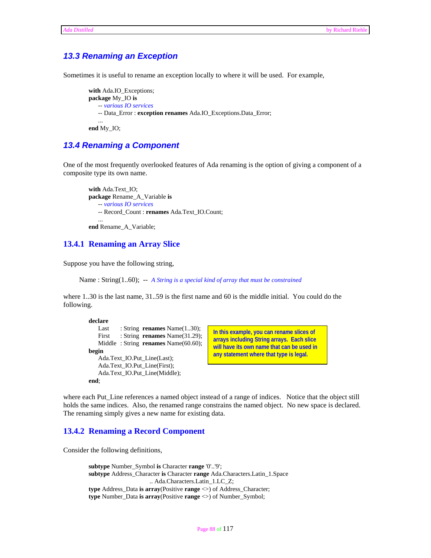#### *13.3 Renaming an Exception*

Sometimes it is useful to rename an exception locally to where it will be used. For example,

```
 with Ada.IO_Exceptions; 
        package My_IO is
             -- various IO services
             -- Data_Error : exception renames Ada.IO_Exceptions.Data_Error; 
 ... 
        end My_IO;
```
#### *13.4 Renaming a Component*

One of the most frequently overlooked features of Ada renaming is the option of giving a component of a composite type its own name.

**with** Ada.Text\_IO; **package** Rename\_A\_Variable **is** -- *various IO services* -- Record\_Count : **renames** Ada.Text\_IO.Count; ...

**end** Rename\_A\_Variable;

### **13.4.1 Renaming an Array Slice**

Suppose you have the following string,

Name : String(1..60); -- *A String is a special kind of array that must be constrained*

where 1..30 is the last name, 31..59 is the first name and 60 is the middle initial. You could do the following.

```
declare 
   Last : String renames Name(1..30);
   First : String renames Name(31.29);
    Middle : String renames Name(60.60); 
begin 
    Ada.Text_IO.Put_Line(Last); 
    Ada.Text_IO.Put_Line(First); 
    Ada.Text_IO.Put_Line(Middle); 
end;
```
**In this example, you can rename slices of arrays including String arrays. Each slice will have its own name that can be used in any statement where that type is legal.** 

where each Put\_Line references a named object instead of a range of indices. Notice that the object still holds the same indices. Also, the renamed range constrains the named object. No new space is declared. The renaming simply gives a new name for existing data.

#### **13.4.2 Renaming a Record Component**

Consider the following definitions,

**subtype** Number\_Symbol **is** Character **range** '0'..'9'; **subtype** Address\_Character **is** Character **range** Ada.Characters.Latin\_1.Space .. Ada.Characters.Latin\_1.LC\_Z; **type** Address\_Data **is array**(Positive **range** <>) of Address\_Character; **type** Number\_Data **is array**(Positive **range** <>) of Number\_Symbol;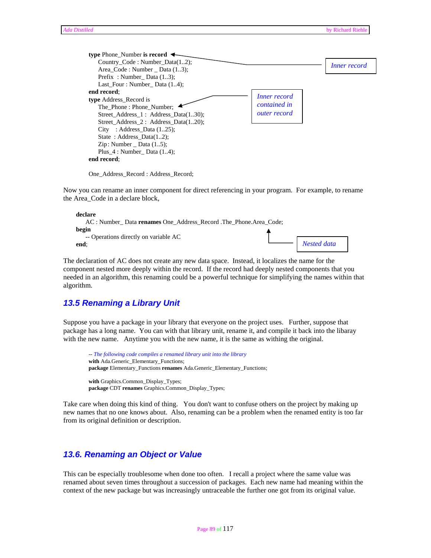| type Phone Number is record          |                     |              |
|--------------------------------------|---------------------|--------------|
| Country Code : Number Data $(12)$ ;  |                     | Inner record |
| Area Code : Number Data (13);        |                     |              |
| Prefix: Number Data $(13)$ ;         |                     |              |
| Last Four: Number Data $(14)$ ;      |                     |              |
| end record:                          |                     |              |
| <b>type Address Record is</b>        | Inner record        |              |
| The Phone: Phone Number;             | contained in        |              |
| Street Address 1: Address Data(130); | <i>outer record</i> |              |
| Street Address 2: Address Data(120); |                     |              |
| City: Address_Data $(125)$ ;         |                     |              |
| State: Address Data $(12)$ ;         |                     |              |
| $Zip: Number\_ Data (15);$           |                     |              |
| Plus $4:$ Number Data $(14)$ ;       |                     |              |
| end record:                          |                     |              |

One\_Address\_Record : Address\_Record;

Now you can rename an inner component for direct referencing in your program. For example, to rename the Area\_Code in a declare block,

#### **declare**  AC : Number\_ Data **renames** One\_Address\_Record .The\_Phone.Area\_Code; **begin**  -- Operations directly on variable AC **end**; *Nested data*

The declaration of AC does not create any new data space. Instead, it localizes the name for the component nested more deeply within the record. If the record had deeply nested components that you needed in an algorithm, this renaming could be a powerful technique for simplifying the names within that algorithm.

### *13.5 Renaming a Library Unit*

Suppose you have a package in your library that everyone on the project uses. Further, suppose that package has a long name. You can with that library unit, rename it, and compile it back into the libaray with the new name. Anytime you with the new name, it is the same as withing the original.

```
-- The following code compiles a renamed library unit into the library
with Ada.Generic_Elementary_Functions; 
package Elementary_Functions renames Ada.Generic_Elementary_Functions; 
with Graphics.Common_Display_Types;
```
**package** CDT **renames** Graphics.Common\_Display\_Types;

Take care when doing this kind of thing. You don't want to confuse others on the project by making up new names that no one knows about. Also, renaming can be a problem when the renamed entity is too far from its original definition or description.

### *13.6. Renaming an Object or Value*

This can be especially troublesome when done too often. I recall a project where the same value was renamed about seven times throughout a succession of packages. Each new name had meaning within the context of the new package but was increasingly untraceable the further one got from its original value.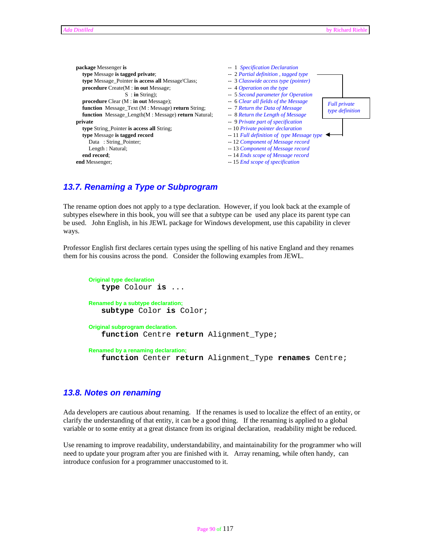| package Messenger is<br>type Message is tagged private;<br>type Message_Pointer is access all Message'Class;<br>procedure Create(M : in out Message;<br>$S : \text{in String}$ :      | -- 1 Specification Declaration<br>-- 2 Partial definition, tagged type<br>-- 3 Classwide access type (pointer)<br>-- 4 <i>Operation on the type</i><br>-- 5 Second parameter for Operation                                          |                                        |
|---------------------------------------------------------------------------------------------------------------------------------------------------------------------------------------|-------------------------------------------------------------------------------------------------------------------------------------------------------------------------------------------------------------------------------------|----------------------------------------|
| <b>procedure</b> Clear $(M : in out Message)$ ;<br><b>function</b> Message_Text (M : Message) <b>return</b> String;<br>function Message_Length(M: Message) return Natural;<br>private | -- 6 Clear all fields of the Message<br>-- 7 Return the Data of Message<br>-- 8 Return the Length of Message<br>-- 9 Private part of specification                                                                                  | <b>Full private</b><br>type definition |
| type String Pointer is access all String;<br>type Message is tagged record<br>Data: String_Pointer;<br>Length : Natural;<br>end record:<br>end Messenger;                             | -- 10 Private pointer declaration<br>-- 11 Full definition of type Message type<br>-- 12 Component of Message record<br>-- 13 Component of Message record<br>-- 14 Ends scope of Message record<br>-- 15 End scope of specification |                                        |

### *13.7. Renaming a Type or Subprogram*

The rename option does not apply to a type declaration. However, if you look back at the example of subtypes elsewhere in this book, you will see that a subtype can be used any place its parent type can be used. John English, in his JEWL package for Windows development, use this capability in clever ways.

Professor English first declares certain types using the spelling of his native England and they renames them for his cousins across the pond. Consider the following examples from JEWL.

```
Original type declaration 
   type Colour is ... 
Renamed by a subtype declaration; 
   subtype Color is Color; 
Original subprogram declaration. 
   function Centre return Alignment_Type; 
Renamed by a renaming declaration; 
   function Center return Alignment_Type renames Centre;
```
#### *13.8. Notes on renaming*

Ada developers are cautious about renaming. If the renames is used to localize the effect of an entity, or clarify the understanding of that entity, it can be a good thing. If the renaming is applied to a global variable or to some entity at a great distance from its original declaration, readability might be reduced.

Use renaming to improve readability, understandability, and maintainability for the programmer who will need to update your program after you are finished with it. Array renaming, while often handy, can introduce confusion for a programmer unaccustomed to it.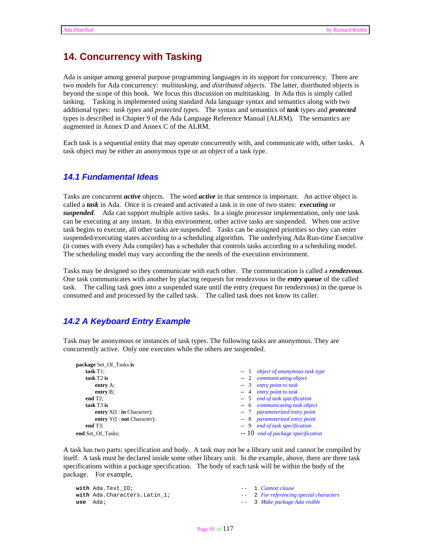## **14. Concurrency with Tasking**

Ada is unique among general purpose programming languages in its support for concurrency. There are two models for Ada concurrency: *multitasking*, and *distributed objects*. The latter, distributed objects is beyond the scope of this book. We focus this discussion on multitasking. In Ada this is simply called tasking. Tasking is implemented using standard Ada language syntax and semantics along with two additional types: *task types* and *protected types*. The syntax and semantics of *task* types and *protected* types is described in Chapter 9 of the Ada Language Reference Manual (ALRM). The semantics are augmented in Annex D and Annex C of the ALRM.

Each task is a sequential entity that may operate concurrently with, and communicate with, other tasks. A task object may be either an anonymous type or an object of a task type.

#### *14.1 Fundamental Ideas*

Tasks are concurrent *active* objects. The word *active* in that sentence is important. An active object is called a *task* in Ada. Once it is created and activated a task is in one of two states: *executing* or *suspended*. Ada can support multiple active tasks. In a single processor implementation, only one task can be executing at any instant. In this environment, other active tasks are suspended. When one active task begins to execute, all other tasks are suspended. Tasks can be assigned priorities so they can enter suspended/executing states according to a scheduling algorithm. The underlying Ada Run-time Executive (it comes with every Ada compiler) has a scheduler that controls tasks according to a scheduling model. The scheduling model may vary according the the needs of the execution environment.

Tasks may be designed so they communicate with each other. The communication is called a *rendezvous*. One task communicates with another by placing requests for rendezvous in the *entry queue* of the called task. The calling task goes into a suspended state until the entry (request for rendezvous) in the queue is consumed and and processed by the called task. The called task does not know its caller.

#### *14.2 A Keyboard Entry Example*

Task may be anonymous or instances of task types. The following tasks are anonymous. They are concurrently active. Only one executes while the others are suspended.

| <b>package</b> Set_Of_Tasks is |                                           |
|--------------------------------|-------------------------------------------|
| $task T1$ :                    | -- 1 <i>object of anonymous task type</i> |
| task T <sub>2</sub> is         | -- 2 communicating object                 |
| entry $A$ ;                    | -- 3 entry point to task                  |
| entry $B$ :                    | -- 4 entry point to task                  |
| end $T2$ :                     | -- 5 end of task specification            |
| task T3 is                     | -- 6 communicating task object            |
| entry $X(I : in Character)$ ;  | -- 7 parameterized entry point            |
| entry $Y(I : out Character)$ ; | -- 8 parameterized entry point            |
| end $T3$ :                     | -- 9 end of task specification            |
| end Set Of Tasks;              | $-10$ end of package specification        |
|                                |                                           |

A task has two parts: specification and body. A task may not be a library unit and cannot be compiled by itself. A task must be declared inside some other library unit. In the example, above, there are three task specifications within a package specification. The body of each task will be within the body of the package. For example,

|     | <b>with</b> Ada.Text IO;            |  | -- 1 Context clause                     |
|-----|-------------------------------------|--|-----------------------------------------|
|     | <b>with</b> Ada.Characters.Latin 1; |  | -- 2 For referencing special characters |
| use | Ada;                                |  | -- 3 Make package Ada visible           |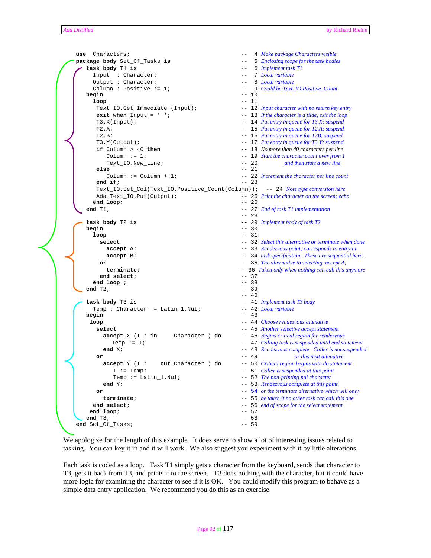```
use Characters; -- 4 Make package Characters visible
   package body Set_Of_Tasks is -- 5 Enclosing scope for the task bodies
      task body T1 is -- 6 Implement task T1
       Input : Character; -- 7 Local variable<br>
0utput : Character; -- 8 Local variable
       Output : Character;<br>Column : Positive := 1;
     Column : Positive := 1; -- 9 Could be Text_IO.Positive_Count begin -- 10
   begin -10loop -- 11
        Text_IO.Get_Immediate (Input); -- 12 Input character with no return key entry<br>exit when Input = '~'; -- 13 If the character is a tilde, exit the loop
                                             example = 13 If the character is a tilde, exit the loop
        T3.X(Input);<br>T2.A; suspend T2.A; suspend T2.A; suspend T2.A; suspend T2.A; suspend T2.A; suspend T2.A; suspend T2.A; suspend
        T2.A; - 15 Put entry in queue for T2.A; suspend<br>T2.B; - 16 Put entry in queue for T2B; suspend
                                              -- 16 Put entry in queue for T2B; suspend
         T3.Y(Output); -- 17 Put entry in queue for T3.Y; suspend
        if Column > 40 then - 18 No more than 40 characters per line
           Column := 1; -- 19 Start the character count over from 1
            Text_IO.New_Line; -- 20 and then start a new line
    else -- 21 
           Column := Column + 1; -- 22 Increment the character per line count<br>1 if; -- 23end if;
         Text_IO.Set_Col(Text_IO.Positive_Count(Column)); -- 24 Note type conversion here
        Ada.Text_IO.Put(Output); -- 25 Print the character on the screen; echo<br>
-- 26 -- 26
     end loop;<br>end T1;
                                              e- 27 End of task T1 implementation<br>e-28
   - 28
     task body T2 is -- 29 Implement body of task T2<br>begin -- 30
   begin -- 30
   loop -- 31
         select \qquad -32 Select this alternative or terminate when done
            accept A; -- 33 Rendezvous point; corresponds to entry in
           accept B; \qquad \qquad \text{a} accept B;
          or -- 35 The alternative to selecting accept A;
            terminate; -- 36 Taken only when nothing can call this anymore
          end select; -- 37 
     end loop ; -38<br>end T2; -39end T2; -39--\ 40 task body T3 is -- 41 Implement task T3 body
        Temp : Character := Latin_1.Nul; -- 42 Local variable
   begin -43loop -- 44 Choose rendezvous altenative
         select -- 45 Another selective accept statement
           accept X (I : in Character ) do -- 46 Begins critical region for rendezvous
            Temp := I; -- 47 Calling task is suspended until end statement
          end X; -48 Rendezvous complete. Caller is not suspended<br>-49 or this next alternative
        or \overline{\text{or}} or \overline{\text{or}} or \overline{\text{or}} or \overline{\text{or}} or \overline{\text{or}} or \overline{\text{or}} or \overline{\text{or}} or \overline{\text{or}} or \overline{\text{or}} or \overline{\text{or}} or \overline{\text{or}} or \overline{\text{or}} or \over accept Y (I : out Character ) do -- 50 Critical region begins with do statement
             I := Temp; -- 51 Caller is suspended at this point
             Temp := Latin_1.Nul; -- 52 The non-printing nul character
           end Y; -- 53 Rendezvous complete at this point
        or -- 54 or the terminate alternative which will only
           terminate; -- 55 be taken if no other task can call this one
       end select;<br>
and loop;<br>
\begin{array}{r} -56 \text{ end of scope for the select statement} \\ -57 \end{array}end loop; -57<br>end T3; -58end T3; -58end Set_Of_Tasks; -- 59 
١
```
We apologize for the length of this example. It does serve to show a lot of interesting issues related to tasking. You can key it in and it will work. We also suggest you experiment with it by little alterations.

Each task is coded as a loop. Task T1 simply gets a character from the keyboard, sends that character to T3, gets it back from T3, and prints it to the screen. T3 does nothing with the character, but it could have more logic for examining the character to see if it is OK. You could modify this program to behave as a simple data entry application. We recommend you do this as an exercise.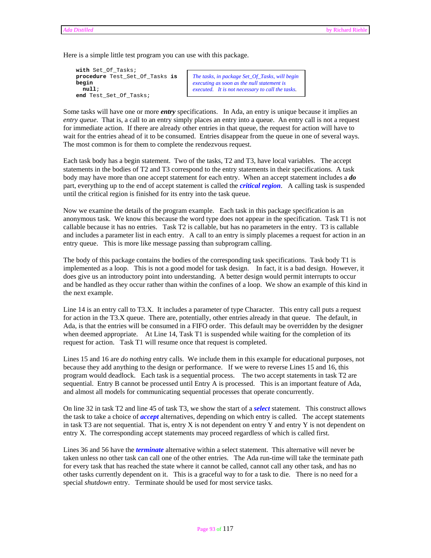Here is a simple little test program you can use with this package.

```
with Set_Of_Tasks; 
procedure Test_Set_Of_Tasks is
begin 
  null; 
end Test_Set_Of_Tasks;
```
*The tasks, in package Set\_Of\_Tasks, will begin executing as soon as the null statement is executed. It is not necessary to call the tasks.* 

Some tasks will have one or more *entry* specifications. In Ada, an entry is unique because it implies an *entry queue*. That is, a call to an entry simply places an entry into a queue. An entry call is not a request for immediate action. If there are already other entries in that queue, the request for action will have to wait for the entries ahead of it to be consumed. Entries disappear from the queue in one of several ways. The most common is for them to complete the rendezvous request.

Each task body has a begin statement. Two of the tasks, T2 and T3, have local variables. The accept statements in the bodies of T2 and T3 correspond to the entry statements in their specifications. A task body may have more than one accept statement for each entry. When an accept statement includes a *do* part, everything up to the end of accept statement is called the *critical region*. A calling task is suspended until the critical region is finished for its entry into the task queue.

Now we examine the details of the program example. Each task in this package specification is an anonymous task. We know this because the word type does not appear in the specification. Task T1 is not callable because it has no entries. Task T2 is callable, but has no parameters in the entry. T3 is callable and includes a parameter list in each entry. A call to an entry is simply placemes a request for action in an entry queue. This is more like message passing than subprogram calling.

The body of this package contains the bodies of the corresponding task specifications. Task body T1 is implemented as a loop. This is not a good model for task design. In fact, it is a bad design. However, it does give us an introductory point into understanding. A better design would permit interrupts to occur and be handled as they occur rather than within the confines of a loop. We show an example of this kind in the next example.

Line 14 is an entry call to T3.X. It includes a parameter of type Character. This entry call puts a request for action in the T3.X queue. There are, potentially, other entries already in that queue. The default, in Ada, is that the entries will be consumed in a FIFO order. This default may be overridden by the designer when deemed appropriate. At Line 14, Task T1 is suspended while waiting for the completion of its request for action. Task T1 will resume once that request is completed.

Lines 15 and 16 are *do nothing* entry calls. We include them in this example for educational purposes, not because they add anything to the design or performance. If we were to reverse Lines 15 and 16, this program would deadlock. Each task is a sequential process. The two accept statements in task T2 are sequential. Entry B cannot be processed until Entry A is processed. This is an important feature of Ada, and almost all models for communicating sequential processes that operate concurrently.

On line 32 in task T2 and line 45 of task T3, we show the start of a *select* statement. This construct allows the task to take a choice of *accept* alternatives, depending on which entry is called. The accept statements in task T3 are not sequential. That is, entry X is not dependent on entry Y and entry Y is not dependent on entry X. The corresponding accept statements may proceed regardless of which is called first.

Lines 36 and 56 have the *terminate* alternative within a select statement. This alternative will never be taken unless no other task can call one of the other entries. The Ada run-time will take the terminate path for every task that has reached the state where it cannot be called, cannot call any other task, and has no other tasks currently dependent on it. This is a graceful way to for a task to die. There is no need for a special *shutdown* entry. Terminate should be used for most service tasks.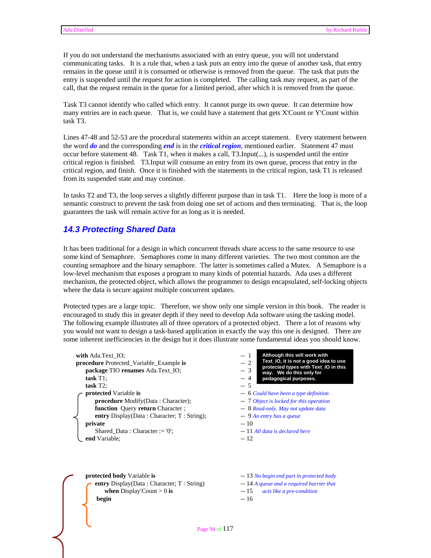If you do not understand the mechanisms associated with an entry queue, you will not understand communicating tasks. It is a rule that, when a task puts an entry into the queue of another task, that entry remains in the queue until it is consumed or otherwise is removed from the queue. The task that puts the entry is suspended until the request for action is completed. The calling task may request, as part of the call, that the request remain in the queue for a limited period, after which it is removed from the queue.

Task T3 cannot identify who called which entry. It cannot purge its own queue. It can determine how many entries are in each queue. That is, we could have a statement that gets X'Count or Y'Count within task T3.

Lines 47-48 and 52-53 are the procedural statements within an accept statement. Every statement between the word *do* and the corresponding *end* is in the *critical region*, mentioned earlier. Statement 47 must occur before statement 48. Task T1, when it makes a call, T3.Input(...), is suspended until the entire critical region is finished. T3.Input will consume an entry from its own queue, process that entry in the critical region, and finish. Once it is finished with the statements in the critical region, task T1 is released from its suspended state and may continue.

In tasks T2 and T3, the loop serves a slightly different purpose than in task T1. Here the loop is more of a semantic construct to prevent the task from doing one set of actions and then terminating. That is, the loop guarantees the task will remain active for as long as it is needed.

### *14.3 Protecting Shared Data*

It has been traditional for a design in which concurrent threads share access to the same resource to use some kind of Semaphore. Semaphores come in many different varieties. The two most common are the counting semaphore and the binary semaphore. The latter is sometimes called a Mutex. A Semaphore is a low-level mechanism that exposes a program to many kinds of potential hazards. Ada uses a different mechanism, the protected object, which allows the programmer to design encapsulated, self-locking objects where the data is secure against multiple concurrent updates.

Protected types are a large topic. Therefore, we show only one simple version in this book. The reader is encouraged to study this in greater depth if they need to develop Ada software using the tasking model. The following example illustrates all of three operators of a protected object. There a lot of reasons why you would not want to design a task-based application in exactly the way this one is designed. There are some inherent inefficiencies in the design but it does illustrate some fundamental ideas you should know.

**with** Ada.Text\_IO; -- 1 **procedure** Protected\_Variable\_Example **is** -- 2 **package** TIO **renames** Ada.Text\_IO; -- 3  $\textbf{task } T1$ ;  $-4$ **task** T2;  $-5$  **protected** Variable **is** -- 6 *Could have been a type definition* **procedure** Modify(Data : Character); -- 7 *Object is locked for this operation* **function** Query **return** Character ;  $\qquad \qquad -8$  *Read-only. May not update data* **entry** Display(Data : Character; T : String); -- 9 *An entry has a queue* **private**  $-10$ Shared\_Data : Character := '0'; -- 11 *All data is declared here* **end** Variable;  $-12$ 

**Although this will work with Text\_IO, it is not a good idea to use protected types with Text\_IO in this way. We do this only for pedagogical purposes.** 

- 
- 
- 

**protected body** Variable **is**  $-13$  *No begin end part in protected body* **entry** Display(Data : Character; T : String) -- 14 *A queue and a required barrier that*  **when** Display'Count > 0 **is**  $-15$  *acts like a pre-condition* **begin** -- 16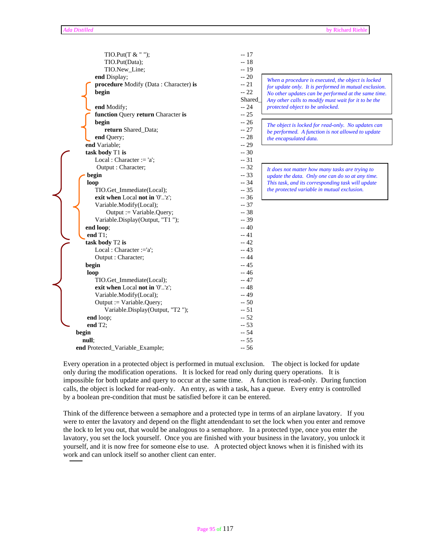| TIO.Put $(T & w'$ ");                 | $-17$  |                                                       |
|---------------------------------------|--------|-------------------------------------------------------|
| TIO.Put(Data);                        | $-18$  |                                                       |
| TIO.New_Line;                         | $-19$  |                                                       |
| end Display;                          | $-20$  | When a procedure is executed, the object is locked    |
| procedure Modify (Data: Character) is | $-21$  | for update only. It is performed in mutual exclusion. |
| begin                                 | $-22$  | No other updates can be performed at the same time.   |
|                                       | Shared | Any other calls to modify must wait for it to be the  |
| end Modify;                           | $-24$  | protected object to be unlocked.                      |
| function Query return Character is    | $-25$  |                                                       |
| begin                                 | $-26$  | The object is locked for read-only. No updates can    |
| return Shared_Data;                   | $-27$  | be performed. A function is not allowed to update     |
| end Query;                            | $-28$  | the encapsulated data.                                |
| end Variable;                         | $-29$  |                                                       |
| task body T1 is                       | $-30$  |                                                       |
| Local : Character := $'a$ ;           | $-31$  |                                                       |
| Output : Character;                   | $-32$  | It does not matter how many tasks are trying to       |
| begin                                 | $-33$  | update the data. Only one can do so at any time.      |
| loop                                  | $-34$  | This task, and its corresponding task will update     |
| TIO.Get_Immediate(Local);             | $-35$  | the protected variable in mutual exclusion.           |
| exit when Local not in '0''z';        | $-36$  |                                                       |
| Variable.Modify(Local);               | $-37$  |                                                       |
| Output := Variable.Query;             | $-38$  |                                                       |
| Variable.Display(Output, "T1");       | $-39$  |                                                       |
| end loop;                             | $-40$  |                                                       |
| end T1;                               | $-41$  |                                                       |
| task body T2 is                       | $-42$  |                                                       |
| Local : Character :='a';              | $-43$  |                                                       |
| Output : Character;                   | $-44$  |                                                       |
| begin                                 | $-45$  |                                                       |
| loop                                  | $-46$  |                                                       |
| TIO.Get_Immediate(Local);             | $-47$  |                                                       |
| exit when Local not in '0''z';        | $-48$  |                                                       |
| Variable.Modify(Local);               | $-49$  |                                                       |
| Output := Variable.Query;             | $-50$  |                                                       |
| Variable.Display(Output, "T2");       | $-51$  |                                                       |
| end loop;                             | $-52$  |                                                       |
| end $T2$ :                            | $-53$  |                                                       |
| begin                                 | $-54$  |                                                       |
| null;                                 | $-55$  |                                                       |
| end Protected_Variable_Example;       | $-56$  |                                                       |

Every operation in a protected object is performed in mutual exclusion. The object is locked for update only during the modification operations. It is locked for read only during query operations. It is impossible for both update and query to occur at the same time. A function is read-only. During function calls, the object is locked for read-only. An entry, as with a task, has a queue. Every entry is controlled by a boolean pre-condition that must be satisfied before it can be entered.

Think of the difference between a semaphore and a protected type in terms of an airplane lavatory. If you were to enter the lavatory and depend on the flight attendendant to set the lock when you enter and remove the lock to let you out, that would be analogous to a semaphore. In a protected type, once you enter the lavatory, you set the lock yourself. Once you are finished with your business in the lavatory, you unlock it yourself, and it is now free for someone else to use. A protected object knows when it is finished with its work and can unlock itself so another client can enter.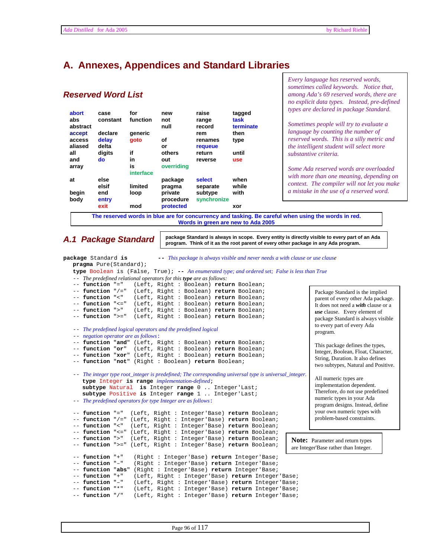## **A. Annexes, Appendices and Standard Libraries**

### *Reserved Word List*

| abort<br>abs<br>abstract | case<br>constant | for<br>function | new<br>not<br>null | raise<br>range<br>record | tagged<br>task<br>terminate |
|--------------------------|------------------|-----------------|--------------------|--------------------------|-----------------------------|
| accept                   | declare          | generic         |                    | rem                      | then                        |
| access                   | delay            | goto            | οf                 | renames                  | type                        |
| aliased                  | delta            |                 | or                 | requeue                  |                             |
| all                      | digits           | if              | others             | return                   | until                       |
| and                      | do               | in              | out                | reverse                  | use                         |
| array                    |                  | is<br>interface | overriding         |                          |                             |
| at                       | else             |                 | package            | select                   | when                        |
|                          | elsif            | limited         | pragma             | separate                 | while                       |
| begin                    | end              | loop            | private            | subtype                  | with                        |
| body                     | entry            |                 | procedure          | synchronize              |                             |
|                          | exit             | mod             | protected          |                          | xor                         |

*Every language has reserved words, sometimes called keywords. Notice that, among Ada's 69 reserved words, there are no explicit data types. Instead, pre-defined types are declared in package Standard.* 

*Sometimes people will try to evaluate a language by counting the number of reserved words. This is a silly metric and the intelligent student will select more substantive criteria.* 

*Some Ada reserved words are overloaded with more than one meaning, depending on context. The compiler will not let you make a mistake in the use of a reserved word.* 

**The reserved words in blue are for concurrency and tasking. Be careful when using the words in red. Words in green are new to Ada 2005**

## *A.1 Package Standard*

**package Standard is always in scope. Every entity is directly visible to every part of an Ada program. Think of it as the root parent of every other package in any Ada program.**

```
package Standard is -- This package is always visible and never needs a with clause or use clause
   pragma Pure(Standard); 
   type Boolean is (False, True); -- An enumerated type; and ordered set; False is less than True
    -- The predefined relational operators for this type are as follows:
    -- function "=" (Left, Right : Boolean) return Boolean; 
   -- function "/=" (Left, Right : Boolean) return Boolean;<br>-- function "<" (Left, Right : Boolean) return Boolean;
                         (Left, Right : Boolean) return Boolean;
    -- function "<=" (Left, Right : Boolean) return Boolean; 
    -- function ">" (Left, Right : Boolean) return Boolean; 
    -- function ">=" (Left, Right : Boolean) return Boolean; 
    -- The predefined logical operators and the predefined logical
    -- negation operator are as follows:
    -- function "and" (Left, Right : Boolean) return Boolean; 
    -- function "or" (Left, Right : Boolean) return Boolean; 
    -- function "xor" (Left, Right : Boolean) return Boolean; 
    -- function "not" (Right : Boolean) return Boolean; 
    -- The integer type root_integer is predefined; The corresponding universal type is universal_integer.
       type Integer is range implementation-defined; 
       subtype Natural is Integer range 0 .. Integer'Last; 
       subtype Positive is Integer range 1 .. Integer'Last; 
    -- The predefined operators for type Integer are as follows:
    -- function "=" (Left, Right : Integer'Base) return Boolean; 
    -- function "/=" (Left, Right : Integer'Base) return Boolean; 
    -- function "<" (Left, Right : Integer'Base) return Boolean; 
    -- function "<=" (Left, Right : Integer'Base) return Boolean; 
    -- function ">" (Left, Right : Integer'Base) return Boolean; 
    -- function ">=" (Left, Right : Integer'Base) return Boolean; 
    -- function "+" (Right : Integer'Base) return Integer'Base; 
                        (Right : Integer'Base) return Integer'Base;
    -- function "abs" (Right : Integer'Base) return Integer'Base; 
    -- function "+" (Left, Right : Integer'Base) return Integer'Base; 
                         (Left, Right : Integer'Base) return Integer'Base;
   -- function "*" (Left, Right : Integer'Base) return Integer'Base;<br>-- function "/" (Left, Right : Integer'Base) return Integer'Base;
                        (Left, Right : Integer'Base) return Integer'Base;
                                                                                           Package Standard is the implied 
                                                                                           parent of every other Ada package. 
                                                                                           It does not need a with clause or a 
                                                                                           use clause. Every element of 
                                                                                           package Standard is always visible 
                                                                                           to every part of every Ada 
                                                                                           program. 
                                                                                           This package defines the types, 
                                                                                           Integer, Boolean, Float, Character, 
                                                                                           String, Duration. It also defines 
                                                                                           two subtypes, Natural and Positive. 
                                                                                           All numeric types are 
                                                                                           implementation dependent. 
                                                                                           Therefore, do not use predefined 
                                                                                           numeric types in your Ada 
                                                                                           program designs. Instead, define 
                                                                                           your own numeric types with 
                                                                                           problem-based constraints. 
                                                                                   Note: Parameter and return types 
                                                                                   are Integer'Base rather than Integer.
```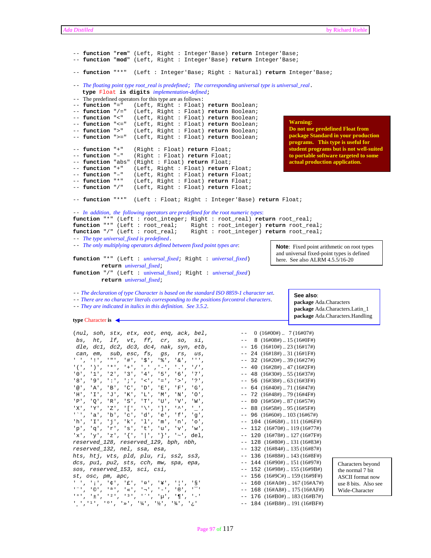-- **function** "**rem**" (Left, Right : Integer'Base) **return** Integer'Base; -- **function** "**mod**" (Left, Right : Integer'Base) **return** Integer'Base; -- **function** "\*\*" (Left : Integer'Base; Right : Natural) **return** Integer'Base; -- *The floating point type root\_real is predefined*; *The corresponding universal type is universal\_real*. **type** Float **is digits** *implementation-defined*; -- The predefined operators for this type are as follows: -- **function** "=" (Left, Right : Float) **return** Boolean;<br>-- **function** "/=" (Left, Right : Float) **return** Boolean; -- **function** "/=" (Left, Right : Float) **return** Boolean; -- **function** "<" (Left, Right : Float) **return** Boolean; -- **function** "<=" (Left, Right : Float) **return** Boolean;<br>-- **function** ">" (Left, Right : Float) **return** Boolean; (Left, Right : Float) **return** Boolean; -- **function** ">=" (Left, Right : Float) **return** Boolean; -- **function** "+" (Right : Float) **return** Float; (Right : Float) return Float; -- **function** "abs" (Right : Float) **return** Float;<br>-- **function** "+" (Left, Right : Float) **return**  -- **function** "+" (Left, Right : Float) **return** Float; -- **function** "–" (Left, Right : Float) **return** Float; -- **function** "\*" (Left, Right : Float) **return** Float;<br>-- **function** "/" (Left, Right : Float) **return** Float; (Left, Right : Float) **return** Float; -- **function** "\*\*" (Left : Float; Right : Integer'Base) **return** Float; -- *In addition, the following operators are predefined for the root numeric types*: **function** "\*" (Left : root\_integer; Right : root\_real) **return** root\_real;<br>**function** "\*" (Left : root\_real; Right : root\_integer) **return** root\_re **function** "\*" (Left : root\_real; Right : root\_integer) **return** root\_real;<br>**function** "/" (Left : root\_real; Right : root\_integer) **return** root\_real;  $Right : root_interest()$  **return** root\_real; -- *The type universal\_fixed is predefined.* -- *The only multiplying operators defined between fixed point types are*: **function** "\*" (Left : *universal\_fixed*; Right : *universal\_fixed*) **return** *universal\_fixed*; **function** "/" (Left : universal\_fixed; Right : *universal\_fixed*) **return** *universal\_fixed*; -- *The declaration of type Character is based on the standard ISO 8859-1 character set*. -- *There are no character literals corresponding to the positions forcontrol characters*. -- *They are indicated in italics in this definition. See 3.5.2*. **type** Character **is** (nul, soh, stx, etx, eot, enq, ack, bel, -- 0 (16#00#) .. 7 (16#07#) *bs, ht, lf, vt, ff, cr, so, si*, -- 8 (16#08#) .. 15 (16#0F#) *dle, dc1, dc2, dc3, dc4, nak, syn, etb,* -- 16 (16#10#)..23 (16#17#)<br> *can, em, sub, esc, fs, gs, rs, us,* -- 24 (16#18#)..31 (16#1F#) *can, em, sub, esc, fs, gs, rs, us,* ' ', '!', '"', '#', '\$', '%', '&', ''', -- 32 (16#20#) .. 39 (16#27#) '(', ')', '\*', '+', ',' ,'-', '.', '/', -- 40 (16#28#) .. 47 (16#2F#) '0', '1', '2', '3', '4', '5', '6', '7', -- 48 (16#30#) .. 55 (16#37#) '8', '9', ':', ';', '<', '=', '>', '?', -- 56 (16#38#) .. 63 (16#3F#) '@', 'A', 'B', 'C', 'D', 'E', 'F', 'G', -- 64 (16#40#) .. 71 (16#47#) 'H', 'I', 'J', 'K', 'L', 'M', 'N', 'O', 'P', 'Q', 'R', 'S', 'T', 'U', 'V', 'W', -- 80 (16#50#).. 87 (16#57#).<br>'X', 'Y', 'L', '\', ']', '^', '\_', -- - - 88 (16#58#).. 95 (16#5F#).  $'X'$ , 'Y', 'Z', '[', '\', ']', '^', '\_', '`', 'a', 'b', 'c', 'd', 'e', 'f', 'g', -- 96 (16#60#)...103 (16#67#) 'h', 'I', 'j', 'k', 'l', 'm', 'n', 'o', -- 104  $(16\#68\#) \dots 111 (16\#6F\#)$ 'p', 'q', 'r', 's', 't', 'u', 'v', 'w', -- 112  $(16#70#) \ldots 119 \cdot (16#77#)$ 'x', 'y', 'z', '{', '|', '}', '~', del, --- 120 (16#78#).. 127 (16#7F#) *reserved\_128, reserved\_129, bph, nbh,* -- 128 (16#80#)...131 (16#83#)<br> *reserved\_132, nel, ssa, esa,* -- 132 (16#84#)...135 (16#87#)  $reserved_132, nel, ssa, esa,$ *hts, htj, vts, pld, plu, ri, ss2, ss3,* -- 136 (16#88#) .. 143 (16#8F#) *dcs, pu1, pu2, sts, cch, mw, spa, epa,* -- 144 (16#90#) .. 151 (16#97#) *sos, reserved\_153, sci, csi,* -- 152 (16#98#) .. 155 (16#9B#) *st, osc, pm, apc,* -- 156 (16#9C#) .. 159 (16#9F#) ' ', '¡', '¢', '£', '¤', '¥', '¦', '§' -- 160 (16#A0#) .. 167 (16#A7#) '¨', '©', 'ª', '≪', '¬', '−', '®', ' ̄' −− 168 (16#A8#).. 175 (16#AF#) '°', '±', '²', '³', '´', 'µ', '¶', '·' -- 176 (16#B0#) .. 183 (16#B7#)  $\frac{1}{2}$ ,  $\frac{1}{2}$ ,  $\frac{1}{2}$ ,  $\frac{1}{2}$ ,  $\frac{1}{2}$ ,  $\frac{1}{2}$ ,  $\frac{1}{2}$ ,  $\frac{1}{2}$ ,  $\frac{1}{2}$   $\frac{1}{2}$   $\frac{1}{2}$   $\frac{1}{2}$   $\frac{1}{2}$   $\frac{1}{2}$   $\frac{1}{2}$   $\frac{1}{2}$   $\frac{1}{2}$   $\frac{1}{2}$   $\frac{1}{2}$   $\frac{1}{2}$   $\frac{1}{2}$   $\frac$ **Warning: Do not use predefined Float from package Standard in your production programs. This type is useful for student programs but is not well-suited to portable software targeted to some actual production application. See also**: **package** Ada.Characters **package** Ada.Characters.Latin\_1 **package** Ada.Characters.Handling **Note**: Fixed point arithmetic on root types and universal fixed-point types is defined here. See also ALRM 4.5.5/16-20 Characters beyond the normal 7 bit ASCII format now use 8 bits. Also see Wide-Character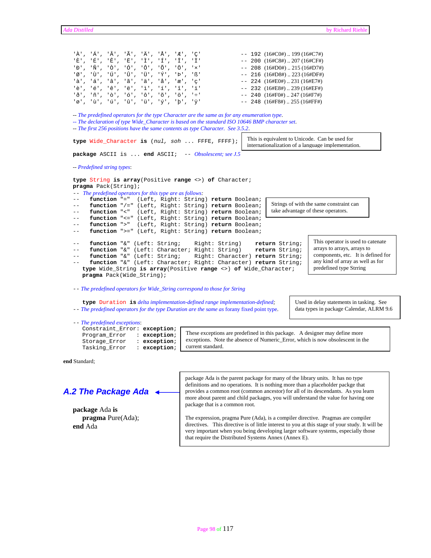| 「宜」, 「宜」, 「宜」, 「宜」, 「主」, 「壬」, 「全」, 「主」<br>'א' , 'Ñ' , 'Ò' , 'Ó' , 'Ô' , 'Õ' , 'Ö' , 'x'         |                                                    |                                          |
|-------------------------------------------------------------------------------------------------|----------------------------------------------------|------------------------------------------|
|                                                                                                 | $-- 200 (16\#C8\#)$ 207 (16#CF#)                   |                                          |
|                                                                                                 | $-- 208$ (16#D0#)  215 (16#D7#)                    |                                          |
| 'Ø', 'Ù', 'Ú', 'Û', 'Ü', 'Ý', 'Þ', 'ß'                                                          | $-- 216 (16\#D8\#)$ 223 (16#DF#)                   |                                          |
| 'à', 'á', 'â', 'ã', 'ä', 'å', 'æ', 'ç'                                                          | $--$ 224 (16#E0#) 231 (16#E7#)                     |                                          |
| 'è', 'é', 'ê', 'ë', 'ì', 'í', 'î', 'ï'                                                          | $--$ 232 (16#E8#)  239 (16#EF#)                    |                                          |
| 'ð', 'ñ', 'ò', 'ó', 'ô', 'õ', 'ö', '÷'                                                          | $-- 240 (16 \#F0 \#)$ 247 (16#F7#)                 |                                          |
| 'ø', 'ù', 'ú', 'û', 'ü', 'ý', 'þ', 'ÿ'                                                          | $-- 248$ (16#F8#)  255 (16#FF#)                    |                                          |
|                                                                                                 |                                                    |                                          |
| -- The predefined operators for the type Character are the same as for any enumeration type.    |                                                    |                                          |
| -- The declaration of type Wide_Character is based on the standard ISO 10646 BMP character set. |                                                    |                                          |
| -- The first 256 positions have the same contents as type Character. See 3.5.2.                 |                                                    |                                          |
|                                                                                                 |                                                    |                                          |
| type Wide_Character is (nul, soh  FFFE, FFFF);                                                  | This is equivalent to Unicode. Can be used for     |                                          |
|                                                                                                 | internationalization of a language implementation. |                                          |
| package ASCII is  end ASCII; -- Obsolescent; see J.5                                            |                                                    |                                          |
|                                                                                                 |                                                    |                                          |
| - Predefined string types:                                                                      |                                                    |                                          |
|                                                                                                 |                                                    |                                          |
| type String is array (Positive range <>) of Character;                                          |                                                    |                                          |
| pragma Pack(String);                                                                            |                                                    |                                          |
| -- The predefined operators for this type are as follows:                                       |                                                    |                                          |
| function "=" (Left, Right: String) return Boolean;<br>$- -$                                     |                                                    |                                          |
| function "/=" (Left, Right: String) return Boolean;<br>$- -$                                    |                                                    | Strings of with the same constraint can  |
| function "<" (Left, Right: String) return Boolean;<br>$- -$                                     |                                                    | take advantage of these operators.       |
| function "<=" (Left, Right: String) return Boolean;<br>$- -$                                    |                                                    |                                          |
| function ">" (Left, Right: String) return Boolean;<br>$- -$                                     |                                                    |                                          |
| function ">=" (Left, Right: String) return Boolean;<br>$- -$                                    |                                                    |                                          |
|                                                                                                 |                                                    | This operator is used to catenate        |
| function "&" (Left: String;<br>Right: String)<br>$=$ $-$                                        | return String;                                     |                                          |
| function "&" (Left: Character; Right: String)<br>$- -$                                          | return String;                                     | arrays to arrays, arrays to              |
| function "&" (Left: String;<br>$=$ $-$                                                          | Right: Character) return String;                   | components, etc. It is defined for       |
| function "&" (Left: Character; Right: Character) return String;<br>$- -$                        |                                                    | any kind of array as well as for         |
| type Wide_String is array(Positive range <>) of Wide_Character;                                 |                                                    | predefined type Strring                  |
| pragma Pack(Wide_String);                                                                       |                                                    |                                          |
|                                                                                                 |                                                    |                                          |
| -- The predefined operators for Wide_String correspond to those for String                      |                                                    |                                          |
|                                                                                                 |                                                    |                                          |
|                                                                                                 |                                                    | Used in delay statements in tasking. See |
| type Duration is delta implementation-defined range implementation-defined;                     |                                                    |                                          |
| -- The predefined operators for the type Duration are the same as for any fixed point type.     |                                                    | data types in package Calendar, ALRM 9.6 |
|                                                                                                 |                                                    |                                          |

```
end Standard;
```
### *A.2 The Package Ada*

 Program\_Error : **exception**; Storage\_Error : **exception**; Tasking\_Error : **exception**;

**package** Ada **is pragma** Pure(Ada); **end** Ada

package Ada is the parent package for many of the library units. It has no type definitions and no operations. It is nothing more than a placeholder packge that

These exceptions are predefined in this package. A designer may define more exceptions. Note the absence of Numeric\_Error, which is now obsolescent in the

provides a common root (common ancestor) for all of its descendants. As you learn more about parent and child packages, you will understand the value for having one package that is a common root.

The expression, pragma Pure (Ada), is a compiler directive. Pragmas are compiler directives. This directive is of little interest to you at this stage of your study. It will be very important when you being developing larger software systems, especially those that require the Distributed Systems Annex (Annex E).

current standard.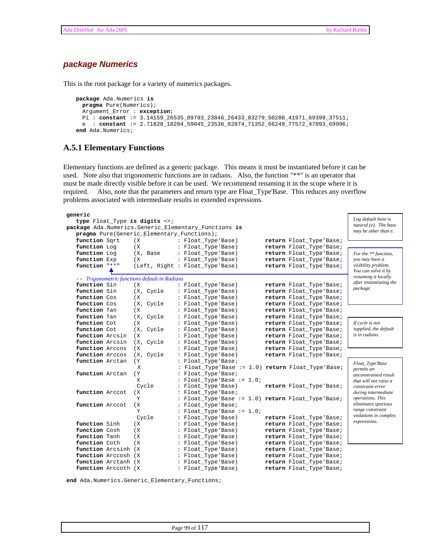### *package Numerics*

This is the root package for a variety of numerics packages.

```
package Ada.Numerics is
  pragma Pure(Numerics); 
  Argument_Error : exception; 
  Pi : constant := 3.14159_26535_89793_23846_26433_83279_50288_41971_69399_37511; 
  e : constant := 2.71828_18284_59045_23536_02874_71352_66249_77572_47093_69996; 
end Ada.Numerics;
```
#### **A.5.1 Elementary Functions**

Elementary functions are defined as a generic package. This means it must be instantiated before it can be used. Note also that trigonometric functions are in radians. Also, the function "\*\*" is an operator that must be made directly visible before it can be used. We recommend renaming it in the scope where it is required. Also, note that the parameters and return type are Float\_Type'Base. This reduces any overflow problems associated with intermediate results in extended expressions.

```
generic
   type Float_Type is digits <>; 
package Ada.Numerics.Generic_Elementary_Functions is
   pragma Pure(Generic Elementary Functions);
   function Sqrt (X : Float_Type'Base) return Float_Type'Base;<br>
function Log (X : Float_Type'Base) return Float_Type'Base;
   function Log (X : Float_Type'Base) return Float_Type'Base;<br>
function Log (X, Base : Float_Type'Base) return Float_Type'Base;<br>
function Exp (X : Float_Type'Base) return Float_Type'Base;
   function Log (X, Base : Float_Type'Base) return Float_Type'Base;<br>
function Exp (X : Float_Type'Base) return Float_Type'Base;
   function Exp (X : Float_Type'Base) return Float_Type'Base;<br>
function "**" (Left, Right : Float_Type'Base) return Float_Type'Base;
                **" (Left, Right : Float_Type'Base)
    -- Trigonometric functions default in Radians
                        function Sin (X : Float_Type'Base) return Float_Type'Base; 
   function Sin (X, Cycle : Float_Type'Base) return Float_Type'Base;<br>
function Cos (X : Float_Type'Base) return Float_Type'Base;
   function Cos (X : Float_Type'Base) return Float_Type'Base;<br>
function Cos (X, Cycle : Float_Type'Base) return Float_Type'Base;
                         function Cos (X, Cycle : Float_Type'Base) return Float_Type'Base; 
   function Tan (X : Float_Type'Base) return Float_Type'Base;<br>
function Tan (X, Cycle : Float_Type'Base) return Float_Type'Base;
                                                                           fullering Float_Type'Base;
   function Cot (X : Float_Type'Base) return Float_Type'Base; 
                                       Float_Type'Base) full return Float_Type'Base;<br>
filoat_Type'Base) return Float_Type'Base;<br>
filoat_Type'Base) return Float_Type'Base;<br>
filoat_Type'Base) return Float_Type'Base;
   function Arcsin (X : Float_Type'Base) return Float_Type'Base; 
   function Arcsin (X, Cycle : Float_Type'Base) return Float_Type'Base; 
   function Arccos (X : Float_Type'Base) return Float_Type'Base; 
   function Arccos (X, Cycle : Float_Type'Base) return Float_Type'Base;<br>
function Arctan (Y : Float_Type'Base;
    function Arctan (Y : Float_Type'Base;
 X : Float_Type'Base := 1.0) return Float_Type'Base; 
   function Arctan (Y : Float_Type'Base;
                          X : Float_Type'Base := 1.0;<br>Cycle : Float_Type'Base)
                                         Cycle : Float_Type'Base) return Float_Type'Base; 
   function Arccot (X)
 Y : Float_Type'Base := 1.0) return Float_Type'Base; 
    function Arccot (X : Float_Type'Base;
                          Y : Float_Type'Base := 1.0;<br>Cycle : Float_Type'Base)<br>X : Float_Type'Base)
                           Cycle : Float_Type'Base) return Float_Type'Base; 
   function Sinh (X : Float_Type'Base) return Float_Type'Base;<br>
function Cosh (X : Float_Type'Base) return Float_Type'Base;
   function Cosh (X : Float_Type'Base) return Float_Type'Base;<br>
function Tanh (X : Float_Type'Base) return Float_Type'Base;
                        function Tanh (X : Float_Type'Base) return Float_Type'Base; 
   function Coth (X : Float_Type'Base) return Float_Type'Base;<br>
function Arcsinh (X : Float_Type'Base) return Float_Type'Base;
   function Arcsinh (X : Float_Type'Base) return Float_Type'Base;<br>
function Arccosh (X : Float_Type'Base) return Float_Type'Base;
   function Arccosh (X : Float_Type'Base) return Float_Type'Base; 
   function Arctanh (X : Float_Type'Base) return Float_Type'Base; 
   function Arccoth (X : Float_Type'Base) return Float_Type'Base; 
                                                                                                              For the ** function, 
                                                                                                              you may have a 
                                                                                                              visibility problem. 
                                                                                                              You can solve it by 
                                                                                                              renaming it locally 
                                                                                                              after instantiating the 
                                                                                                              package. 
                                                                                                              If cycle is not 
                                                                                                              supplied, the default 
                                                                                                              is in radians. 
                                                                                                              Log default base is 
                                                                                                              natural (e). The base 
                                                                                                              may be other than e. 
                                                                                                              Float_Type'Base 
                                                                                                              permits an 
                                                                                                              unconstrained result 
                                                                                                              that will not raise a 
                                                                                                              constraint error 
                                                                                                              during intermediate 
                                                                                                              operations. This 
                                                                                                              eliminates spurious 
                                                                                                              range constraint 
                                                                                                              violations in complex 
                                                                                                              expressions.
```
**end** Ada.Numerics.Generic\_Elementary\_Functions;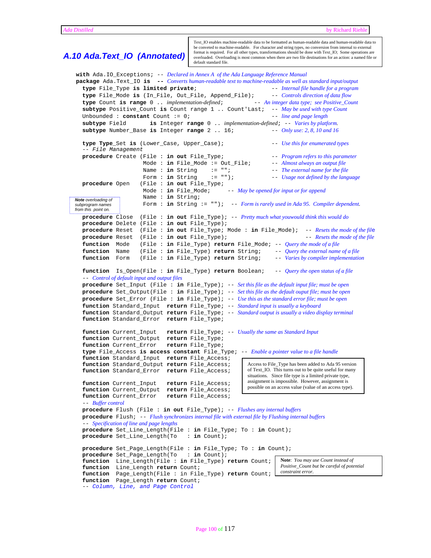#### *A.10 Ada.Text\_IO (Annotated)*  **with** Ada.IO\_Exceptions; -- *Declared in Annex A of the Ada Language Reference Manual* **package** Ada.Text\_IO **is --** *Converts human-readable text to machine-readable as well as standard input/output* **type** File\_Type **is limited private**;  $\begin{aligned} \textbf{type} \text{ File } \textit{module} \text{ } \textit{module} \text{ } \textit{for} \text{ } a \text{ } program \end{aligned}$ **type** File\_Mode **is** (In\_File, Out\_File, Append\_File); -- *Controls direction of data flow* **type** Count **is range** 0 .. *implementation-defined*; -- *An integer data type; see Positive\_Count* **subtype** Positive\_Count **is** Count range 1 .. Count'Last; -- *May be used with type Count* Unbounded : **constant** Count := 0; -- *line and page length* **subtype** Field **is** Integer **range** 0 .. *implementation-defined*; -- *Varies by platform.* **subtype** Number\_Base **is** Integer **range** 2 .. 16; -- *Only use: 2, 8, 10 and 16* **type Type**\_Set **is** (Lower\_Case, Upper\_Case); -- *Use this for enumerated types* -- *File Management* **procedure** Create (File : **in out** File\_Type; -- *Program refers to this parameter* Mode : in File\_Mode := Out\_File; -- *Almost always an output file* Name : **in** String := ""; -- *The external name for the file*<br>Form : **in** String := ""); -- *Usage not defined by the lang* -- *Usage not defined by the language* **procedure** Open (File : **in out** File\_Type; Mode : **in** File\_Mode; -- *May be opened for input or for append* Name : **in** String; Form : **in** String := ""); -- *Form is rarely used in Ada 95. Compiler dependent.* **procedure** Close (File : **in out** File\_Type); -- *Pretty much what youwould think this would do* **procedure** Delete (File : **in out** File\_Type); **procedure** Reset (File : **in out** File\_Type; Mode : **in** File\_Mode); -- *Resets the mode of the fil*e **procedure** Reset (File : **in out** File\_Type); -- *Resets the mode of the file*<br>**function** Mode (File : **in** File\_Type) **return** File\_Mode; -- *Query the mode of a file* **function** Mode (File : **in** File\_Type) **return** File\_Mode; -- *Query the mode of a file* **function** Name (File : **in** File\_Type) **return** String; -- *Query the external name of a file* **function** Form (File : **in** File\_Type) **return** String; -- *Varies by compiler implementation* **function** Is\_Open(File : **in** File\_Type) **return** Boolean; -- *Query the open status of a file* -- *Control of default input and output files* **procedure** Set\_Input (File : **in** File\_Type); -- *Set this file as the default input file; must be open* **procedure** Set\_Output(File : **in** File\_Type); -- *Set this file as the default ouput file; must be open* **procedure** Set\_Error (File : **in** File\_Type); -- *Use this as the standard error file; must be open* **function** Standard\_Input **return** File\_Type; -- *Standard input is usually a keyboard* **function** Standard\_Output **return** File\_Type; -- *Standard output is usually a video display terminal* **function** Standard\_Error **return** File\_Type; **function** Current\_Input **return** File\_Type; -- *Usually the same as Standard Input* **function** Current\_Output **return** File\_Type; **function** Current\_Error **return** File\_Type; **type** File\_Access **is access constant** File\_Type; -- *Enable a pointer value to a file handle* **function** Standard\_Input **return** File\_Access; **function** Standard\_Output **return** File\_Access; **function** Standard\_Error **return** File\_Access; **function** Current\_Input **return** File\_Access; **function** Current\_Output **return** File\_Access; **function** Current\_Error **return** File\_Access; -- *Buffer control* **procedure** Flush (File : **in out** File\_Type); -- *Flushes any internal buffers* **procedure** Flush; -- *Flush synchronizes internal file with external file by Flushing internal buffers* -- *Specification of line and page lengths* **procedure** Set\_Line\_Length(File : **in** File\_Type; To : **in** Count); **procedure** Set\_Line\_Length(To : **in** Count); **procedure** Set\_Page\_Length(File : **in** File\_Type; To : **in** Count); **procedure** Set\_Page\_Length(To : in Count); **function** Line\_Length(File : **in** File\_Type) **return** Count; **function** Line\_Length **return** Count; **function** Page\_Length(File : in File\_Type) **return** Count; **function** Page\_Length **return** Count; -- *Column, Line, and Page Control* Text\_IO enables machine-readable data to be formatted as human-readable data and human-readable data to be conveted to machine-readable. For character and string types, no conversion from internal to external format is required. For all other types, transformations should be done with Text IO; Some operations are overloaded. Overloading is most common when there are two file destinations for an action: a named file or default standard file. Access to File\_Type has been added to Ada 95 version of Text\_IO. This turns out to be quite useful for many situations. Since file type is a limited private type, assignment is impossible. However, assignment is possible on an access value (value of an access type). **Note**: *You may use Count instead of Positive\_Count but be careful of potential constraint error. Note overloading of subprogram names from this point on.*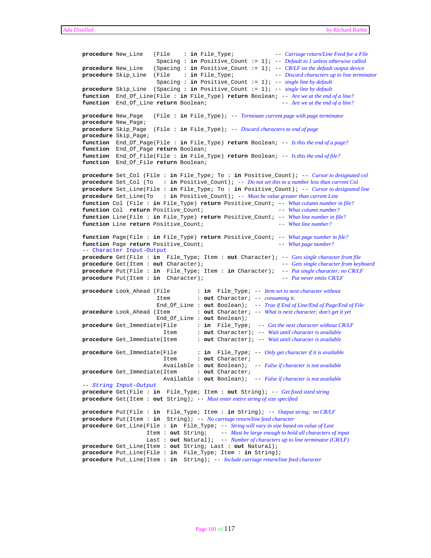```
procedure New_Line (File : in File_Type; -- Carriage return/Line Feed for a File 
                         Spacing : in Positive_Count := 1); -- Default to 1 unless otherwise called 
 procedure New_Line (Spacing : in Positive_Count := 1); -- CR/LF on the default output device
 procedure Skip_Line (File : in File_Type; -- Discard characters up to line terminator 
                         Spacing : in Positive_Count := 1); -- single line by default
 procedure Skip_Line (Spacing : in Positive_Count := 1); -- single line by default
 function End_Of_Line(File : in File_Type) return Boolean; -- Are we at the end of a line?
 function End Of Line return Boolean;
 procedure New_Page (File : in File_Type); -- Terminate current page with page terminator
 procedure New_Page; 
 procedure Skip_Page (File : in File_Type); -- Discard characters to end of page
 procedure Skip_Page; 
 function End_Of_Page(File : in File_Type) return Boolean; -- Is this the end of a page?
 function End_Of_Page return Boolean; 
 function End_Of_File(File : in File_Type) return Boolean; -- Is this the end of file?
 function End_Of_File return Boolean; 
 procedure Set_Col (File : in File_Type; To : in Positive_Count); -- Cursor to designated col
 procedure Set_Col (To : in Positive_Count); -- Do not set this to a number less than current Col
 procedure Set_Line(File : in File_Type; To : in Positive_Count); -- Cursor to designated line
 procedure Set_Line(To : in Positive_Count); -- Must be value greater than current Line
 function Col (File : in File_Type) return Positive_Count; -- What column number in file?
 function Col return Positive_Count; -- What column number?
 function Line(File : in File_Type) return Positive_Count; -- What line number in file? 
 function Line return Positive_Count; -- What line number?
 function Page(File : in File_Type) return Positive_Count; -- What page number in file? 
 function Page return Positive_Count; -- What page number?
   -- Character Input-Output
 procedure Get(File : in File_Type; Item : out Character); -- Gets single character from file
 procedure Get(Item : out Character); -- Gets single character from keyboard
 procedure Put(File : in File_Type; Item : in Character); -- Put single character; no CR/LF
 procedure Put(Item : in Character); -- Put never emits CR/LF
 procedure Look_Ahead (File : in File_Type; -- Item set to next character without
                          Item : out Character; -- consuming it. 
                          End_Of_Line : out Boolean); -- True if End of Line/End of Page/End of File
 procedure Look_Ahead (Item : out Character; -- What is next character; don't get it yet
                          End_Of_Line : out Boolean); 
 procedure Get_Immediate(File : in File_Type; -- Get the next character without CR/LF
                            Item : out Character); -- Wait until character is available
 procedure Get_Immediate(Item : out Character); -- Wait until character is available
 procedure Get_Immediate(File : in File_Type; -- Only get character if it is available<br>Item : out Character;
                                    : out Character;
                            Available : out Boolean); -- False if character is not available
 procedure Get_Immediate(Item
                            Available : out Boolean); -- False if character is not available
  -- String Input-Output
 procedure Get(File : in File_Type; Item : out String); -- Get fixed sized string
 procedure Get(Item : out String); -- Must enter entire string of size specified
 procedure Put(File : in File_Type; Item : in String); -- Output string; no CR/LF
 procedure Put(Item : in String); -- No carriage return/line feed character
 procedure Get_Line(File : in File_Type; -- String will vary in size based on value of Last
 Item : out String; -- Must be large enough to hold all characters of input
Last : out Natural); -- Number of characters up to line terminator (CR/LF)
 procedure Get_Line(Item : out String; Last : out Natural); 
 procedure Put_Line(File : in File_Type; Item : in String); 
 procedure Put_Line(Item : in String); -- Include carriage return/line feed character
```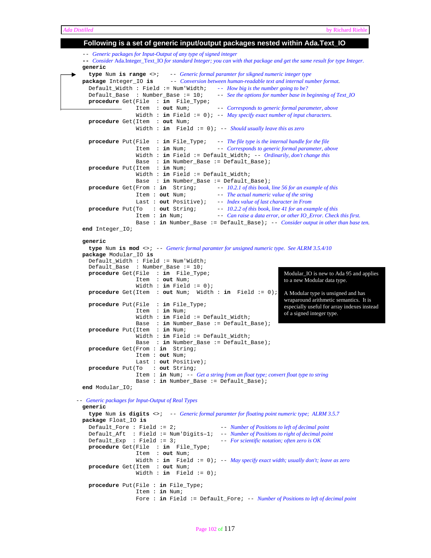```
 -- Generic packages for Input-Output of any type of signed integer
   -- Consider Ada.Integer_Text_IO for standard Integer; you can with that package and get the same result for type Integer.
  generic
   type Num is range <>; -- Generic formal paramter for sikgned numeric integer type
 package Integer_IO is -- Conversion between human-readable text and internal number format.
    Default_Width : Field := Num'Width; -- How big is the number going to be?
   Default Base : Number Base := 10; -- See the options for number base in beginning of Text 10
    procedure Get(File : in File_Type; 
                     Item : out Num; -- Corresponds to generic formal parameter, above
                    Width : in Field := 0); -- May specify exact number of input characters.
    procedure Get(Item : out Num; 
                     Width : in Field := 0); -- Should usually leave this as zero
    procedure Put(File : in File_Type; -- The file type is the internal handle for the file
                     Item : in Num; -- Corresponds to generic formal parameter, above
                     Width : in Field := Default_Width; -- Ordinarily, don't change this
                     Base : in Number_Base := Default_Base); 
    procedure Put(Item : in Num; 
                     Width : in Field := Default_Width; 
                     Base : in Number_Base := Default_Base); 
   procedure Get(From: in String; -- 10.2.1 of this book, line 56 for an example of this
                    Item : out Num; -- The actual numeric value of the string
                     Last : out Positive); -- Index value of last character in From
   procedure Put(To : out String; -- 10.2.2 of this book, line 41 for an example of this
                     Item : in Num; -- Can raise a data error, or other IO_Error. Check this first.
                     Base : in Number_Base := Default_Base); -- Consider output in other than base ten.
  end Integer_IO; 
 generic
     type Num is mod <>; -- Generic formal paramter for unsigned numeric type. See ALRM 3.5.4/10
 package Modular_IO is
    Default_Width : Field := Num'Width; 
    Default_Base : Number_Base := 10; 
    procedure Get(File : in File_Type; 
                     Item : out Num; 
                     Width : in Field := 0); 
    procedure Get(Item : out Num; Width : in Field := 0); 
    procedure Put(File : in File_Type; 
                     Item : in Num; 
                     Width : in Field := Default_Width; 
                     Base : in Number_Base := Default_Base); 
    procedure Put(Item : in Num; 
                     Width : in Field := Default_Width; 
                     Base : in Number_Base := Default_Base); 
    procedure Get(From : in String; 
                     Item : out Num; 
                     Last : out Positive); 
    procedure Put(To : out String; 
                     Item : in Num; -- Get a string from an float type; convert float type to string 
                     Base : in Number_Base := Default_Base); 
 end Modular_IO; 
-- Generic packages for Input-Output of Real Types
 generic
                                                                        Modular_IO is new to Ada 95 and applies 
                                                                        to a new Modular data type. 
                                                                        A Modular type is unsigned and has 
                                                                        wraparound arithmetic semantics. It is 
                                                                       especially useful for array indexes instead 
                                                                        of a signed integer type. 
  Following is a set of generic input/output packages nested within Ada.Text_IO
```

```
 type Num is digits <>; -- Generic formal paramter for floating point numeric type; ALRM 3.5.7
package Float_IO is
  Default_Fore : Field := 2; -- Number of Positions to left of decimal point
  Default_Aft : Field := Num'Digits–1; -- Number of Positions to right of decimal point
  Default_Exp : Field := 3; -- For scientific notation; often zero is OK
  procedure Get(File : in File_Type; 
                   Item : out Num; 
                   Width : in Field := 0); -- May specify exact width; usually don't; leave as zero
  procedure Get(Item : out Num; 
                  Width : in Field := 0); 
  procedure Put(File : in File_Type; 
                   Item : in Num; 
                   Fore : in Field := Default_Fore; -- Number of Positions to left of decimal point
```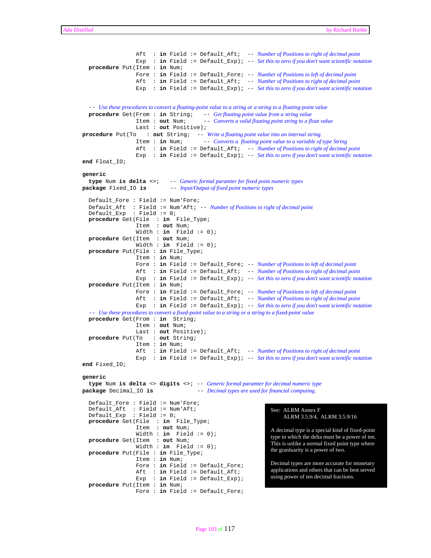```
 Aft : in Field := Default_Aft; -- Number of Positions to right of decimal point 
                    Exp : in Field := Default_Exp); -- Set this to zero if you don't want scientific notation 
   procedure Put(Item : in Num; 
                    Fore : in Field := Default_Fore; -- Number of Positions to left of decimal point 
                    Aft : in Field := Default_Aft; -- Number of Positions to right of decimal point 
                    Exp : in Field := Default_Exp); -- Set this to zero if you don't want scientific notation
   -- Use these procedures to convert a floating-point value to a string or a string to a floating-point value
   procedure Get(From : in String; -- Get floating point value from a string value
                    Item : out Num; -- Converts a valid floating point string to a float value
                    Last : out Positive); 
procedure Put(To : out String; -- Write a floating point value into an internal string
                    Item : in Num; -- Converts a floating point value to a variable of type String
                    Aft : in Field := Default_Aft; -- Number of Positions to right of decimal point 
                    Exp : in Field := Default_Exp); -- Set this to zero if you don't want scientific notation 
end Float_IO; 
generic
   type Num is delta <>; -- Generic formal paramter for fixed point numeric types
package Fixed_IO is -- Input/Output of fixed point numeric types
   Default_Fore : Field := Num'Fore; 
   Default_Aft : Field := Num'Aft; -- Number of Positions to right of decimal point 
   Default_Exp : Field := 0; 
   procedure Get(File : in File_Type; 
                    Item : out Num; 
                    Width : in Field := 0); 
   procedure Get(Item : out Num; 
                    Width : in Field := 0); 
   procedure Put(File : in File_Type; 
                    Item : in Num; 
                    Fore : in Field := Default_Fore; -- Number of Positions to left of decimal point 
                    Aft : in Field := Default_Aft; -- Number of Positions to right of decimal point 
                   Exp : in Field := Default_Exp); -- Set this to zero if you don't want scientific notation
   procedure Put(Item : in Num; 
                    Fore : in Field := Default_Fore; -- Number of Positions to left of decimal point 
                    Aft : in Field := Default_Aft; -- Number of Positions to right of decimal point 
                    Exp : in Field := Default_Exp); -- Set this to zero if you don't want scientific notation
   -- Use these procedures to convert a fixed-point value to a string or a string to a fixed-point value
   procedure Get(From : in String; 
                    Item : out Num; 
                    Last : out Positive); 
   procedure Put(To : out String; 
                    Item : in Num; 
                    Aft : in Field := Default_Aft; -- Number of Positions to right of decimal point 
                    Exp : in Field := Default_Exp); -- Set this to zero if you don't want scientific notation 
end Fixed_IO; 
generic
   type Num is delta <> digits <>; -- Generic formal paramter for decimal numeric type 
package Decimal_IO is -- Decimal types are used for financial computing. 
   Default_Fore : Field := Num'Fore; 
   Default_Aft : Field := Num'Aft; 
  Default Exp : Field := 0;
   procedure Get(File : in File_Type; 
                    Item : out Num; 
                   Width : \text{in} Field := 0);
   procedure Get(Item : out Num; 
                   Width : in Field := 0);
   procedure Put(File : in File_Type; 
                    Item : in Num; 
                    Fore : in Field := Default_Fore; 
                    Aft : in Field := Default_Aft; 
                    Exp : in Field := Default_Exp); 
   procedure Put(Item : in Num; 
                    Fore : in Field := Default_Fore; 
                                                                    See: ALRM Annex F 
                                                                          ALRM 3.5.9/4, ALRM 3.5.9/16 
                                                                    A decimal type is a special kind of fixed-point 
                                                                    type in which the delta must be a power of ten. 
                                                                    This is unlike a normal fixed point type where 
                                                                    the granluarity is a power of two. 
                                                                    Decimal types are more accurate for monetary 
                                                                    applications and others that can be best served 
                                                                    using power of ten decimal fractions.
```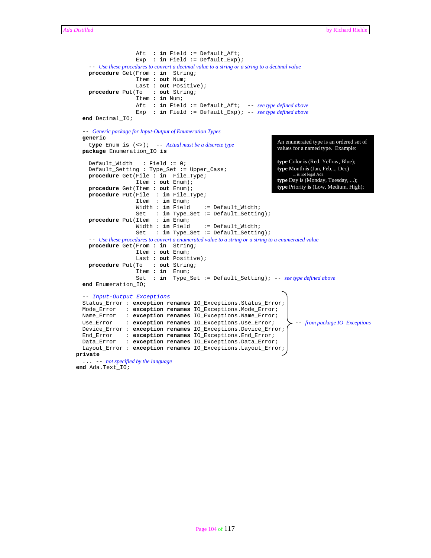```
 Aft : in Field := Default_Aft; 
                   Exp : in Field := Default_Exp);
     -- Use these procedures to convert a decimal value to a string or a string to a decimal value
     procedure Get(From : in String; 
                     Item : out Num; 
                    Last : out Positive); 
     procedure Put(To : out String; 
                     Item : in Num; 
                     Aft : in Field := Default_Aft; -- see type defined above
                     Exp : in Field := Default_Exp); -- see type defined above
  end Decimal_IO; 
   -- Generic package for Input-Output of Enumeration Types
  generic
     type Enum is (<>); -- Actual must be a discrete type 
  package Enumeration_IO is
     Default_Width : Field := 0; 
     Default_Setting : Type_Set := Upper_Case; 
     procedure Get(File : in File_Type; 
                     Item : out Enum); 
     procedure Get(Item : out Enum); 
     procedure Put(File : in File_Type; 
                    Item : in Enum; 
                   Width : in Field := Default_Width;
                    Set : in Type_Set := Default_Setting);
     procedure Put(Item : in Enum; 
                    Width : in Field := Default_Width;
                   Set : in Type_Set := Default_Setting);
     -- Use these procedures to convert a enumerated value to a string or a string to a enumerated value
     procedure Get(From : in String; 
                     Item : out Enum; 
                     Last : out Positive); 
     procedure Put(To : out String; 
                     Item : in Enum; 
                     Set : in Type_Set := Default_Setting); -- see type defined above
  end Enumeration_IO; 
   -- Input-Output Exceptions
  Status_Error : exception renames IO_Exceptions.Status_Error; 
  Mode_Error : exception renames IO_Exceptions.Mode_Error; 
  Name_Error : exception renames IO_Exceptions.Name_Error; 
 Use_Error : exception renames IO_Exceptions.Use_Error; > -- from package IO_Exceptions
  Device_Error : exception renames IO_Exceptions.Device_Error; 
  End_Error : exception renames IO_Exceptions.End_Error; 
  Data_Error : exception renames IO_Exceptions.Data_Error; 
  Layout_Error : exception renames IO_Exceptions.Layout_Error; 
private
   ... -- not specified by the language
                                                                    An enumerated type is an ordered set of 
                                                                    values for a named type. Example: 
                                                                    type Color is (Red, Yellow, Blue); 
                                                                    type Month is (Jan, Feb,.., Dec) ... is not legal Ada 
                                                                    type Day is (Monday, Tuesday, ...); 
                                                                    type Priority is (Low, Medium, High);
```

```
end Ada.Text_IO;
```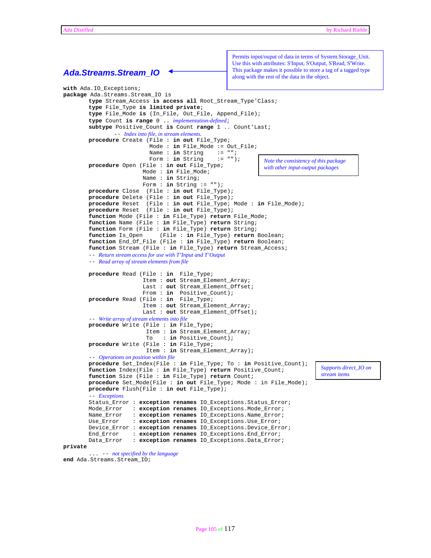```
Ada.Streams.Stream_IO 
with Ada.IO_Exceptions; 
package Ada.Streams.Stream_IO is 
        type Stream_Access is access all Root_Stream_Type'Class; 
        type File_Type is limited private; 
        type File_Mode is (In_File, Out_File, Append_File); 
        type Count is range 0 .. implementation-defined; 
        subtype Positive_Count is Count range 1 .. Count'Last; 
                  -- Index into file, in stream elements.
        procedure Create (File : in out File_Type; 
                            Mode : in File_Mode := Out_File;<br>Name : in String := "";
                            Name : in String := "";<br>Form : in String := "");
                            Form : in String
        procedure Open (File : in out File_Type; 
                           Mode : in File_Mode; 
                           Name : in String; 
                          Form : in String := "");
        procedure Close (File : in out File_Type); 
        procedure Delete (File : in out File_Type); 
        procedure Reset (File : in out File_Type; Mode : in File_Mode); 
        procedure Reset (File : in out File_Type); 
        function Mode (File : in File_Type) return File_Mode; 
        function Name (File : in File_Type) return String; 
        function Form (File : in File_Type) return String; 
        function Is_Open (File : in File_Type) return Boolean; 
        function End_Of_File (File : in File_Type) return Boolean; 
        function Stream (File : in File_Type) return Stream_Access; 
         -- Return stream access for use with T'Input and T'Output
         -- Read array of stream elements from file
        procedure Read (File : in File_Type; 
                           Item : out Stream_Element_Array; 
                           Last : out Stream_Element_Offset; 
                           From : in Positive_Count); 
        procedure Read (File : in File_Type; 
                           Item : out Stream_Element_Array; 
                           Last : out Stream_Element_Offset); 
         -- Write array of stream elements into file
        procedure Write (File : in File_Type; 
                            Item : in Stream_Element_Array; 
                            To : in Positive_Count); 
        procedure Write (File : in File_Type; 
                            Item : in Stream_Element_Array); 
         -- Operations on position within file
        procedure Set_Index(File : in File_Type; To : in Positive_Count); 
        function Index(File : in File_Type) return Positive_Count; 
        function Size (File : in File_Type) return Count; 
        procedure Set_Mode(File : in out File_Type; Mode : in File_Mode); 
        procedure Flush(File : in out File_Type); 
         -- Exceptions
         Status_Error : exception renames IO_Exceptions.Status_Error; 
         Mode_Error : exception renames IO_Exceptions.Mode_Error; 
         Name_Error : exception renames IO_Exceptions.Name_Error; 
         Use_Error : exception renames IO_Exceptions.Use_Error; 
         Device_Error : exception renames IO_Exceptions.Device_Error; 
         End_Error : exception renames IO_Exceptions.End_Error; 
         Data_Error : exception renames IO_Exceptions.Data_Error; 
private
                                                        Permits input/ouput of data in terms of System.Storage_Unit. 
                                                        Use this with attributes: S'Input, S'Output, S'Read, S'Write. 
                                                        This package makes it possible to store a tag of a tagged type 
                                                        along with the rest of the data in the object. 
                                                                   Note the consistency of this package 
                                                                   with other input-output packages 
                                                                                      Supports direct_IO on 
                                                                                     stream items
```

```
 ... -- not specified by the language
end Ada.Streams.Stream_IO;
```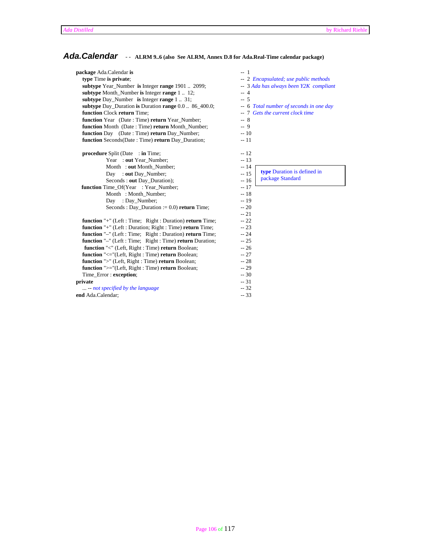### *Ada.Calendar* -- **ALRM 9..6 (also See ALRM, Annex D.8 for Ada.Real-Time calendar package)**

**package** Ada.Calendar **is**  $-1$ **type** Time **is private**;<br> **subtype** Year\_Number **is** Integer range 1901 .. 2099;<br>
-- 3 *Ada has always been Y2K compliant* subtype Year\_Number is Integer range 1901 .. 2099; **subtype Month\_Number <b>is** Integer **range** 1 .. 12; -- 4<br>**subtype** Dav Number **is** Integer **range** 1 .. 31; -- 5 **subtype** Day\_Number **is** Integer **range** 1 .. 31; **subtype** Day\_Duration **is** Duration **range** 0.0 .. 86\_400.0; -- 6 *Total number of seconds in one day* **function** Clock **return** Time;  $-7$  *Gets the current clock time* **function** Year (Date: Time) **return** Year\_Number; -- 8 **function** Month (Date: Time) **return** Month\_Number; -- 9 **function** Day (Date: Time) **return** Day\_Number; -- 10 **function** Seconds(Date : Time) **return** Day\_Duration; -- 11 **procedure** Split (Date : **in** Time;  $-12$ 

Year : **out** Year\_Number; -- 13 Month : **out** Month\_Number; -- 14<br>Day : **out** Day Number: -- 15 Day : **out** Day\_Number; Seconds : **out** Day\_Duration); -- 16 **function** Time\_Of(Year : Year\_Number; -- 17 Month : Month\_Number; -- 18 Day : Day\_Number; -- 19<br>Seconds : Dav Duration := 0.0) return Time; -- 20  $Seconds: Day\_Duration := 0.0$ ) **return** Time; -- 21

**function** "+" (Left : Time; Right : Duration) **return** Time; -- 22 **function** "+" (Left : Duration; Right : Time) **return** Time; -- 23 **function** "–" (Left : Time; Right : Duration) **return** Time; -- 24 **function** "–" (Left : Time; Right : Time) **return** Duration; -- 25<br>**function** "<" (Left, Right : Time) **return** Boolean; -- 26 **function** "<" (Left, Right : Time) **return** Boolean; **function** "<="(Left, Right : Time) **return** Boolean; -- 27 **function** ">" (Left, Right : Time) **return** Boolean; -- 28 **function** ">="(Left, Right : Time) **return** Boolean; -- 29 Time\_Error : **exception**; -- 30 **private**  $-31$ ... -- *not specified by the language* -- 32

**end** Ada.Calendar;  $-33$ 

**type** Duration is defined in package Standard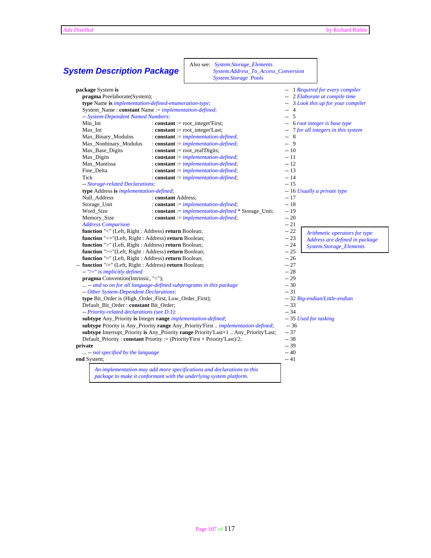$\overline{\phantom{a}}$ 

| <b>System Description Package</b>                                                                                                                                                                                                                                                                                                                                                                         | Also see: System.Storage_Elements<br>System.Address_To_Access_Conversion<br><b>System.Storage Pools</b>                                                                                                                                                                                                                                                                                                                                                                                     |                                                                                                                                                                                                                                                                                                                       |
|-----------------------------------------------------------------------------------------------------------------------------------------------------------------------------------------------------------------------------------------------------------------------------------------------------------------------------------------------------------------------------------------------------------|---------------------------------------------------------------------------------------------------------------------------------------------------------------------------------------------------------------------------------------------------------------------------------------------------------------------------------------------------------------------------------------------------------------------------------------------------------------------------------------------|-----------------------------------------------------------------------------------------------------------------------------------------------------------------------------------------------------------------------------------------------------------------------------------------------------------------------|
| package System is<br>pragma Preelaborate(System);<br><b>type</b> Name is <i>implementation-defined-enumeration-type</i> ;<br>-- System-Dependent Named Numbers:<br>Min_Int<br>Max_Int<br>Max_Binary_Modulus<br>Max_Nonbinary_Modulus<br>Max_Base_Digits<br>Max_Digits<br>Max Mantissa<br>Fine_Delta<br><b>Tick</b><br>-- Storage-related Declarations:<br>type Address is <i>implementation-defined</i> ; | System_Name: constant Name := <i>implementation-defined</i> ;<br>: constant := $root$ integer First;<br>: constant := $root$ integer Last;<br>$: constant := implementation\text{-}defined;$<br>$: constant := implementation\text{-}defined;$<br>: constant := $root$ real Digits;<br>$: constant := implementation\text{-}defined;$<br>$: constant := implementation\text{-}defined;$<br>$: constant := implementation\text{-}defined;$<br>$: constant := implementation\text{-}defined;$ | -- 1 Required for every compiler<br>-- 2 Elaborate at compile time<br>-- 3 Look this up for your compiler<br>$\overline{4}$<br>$-5$<br>-- 6 root integer is base type<br>-- 7 for all integers in this system<br>$-- 8$<br>$-9$<br>$-10$<br>$-11$<br>$-12$<br>$-13$<br>$-14$<br>$-15$<br>-- 16 Usually a private type |
| Null_Address<br>Storage_Unit<br>Word_Size<br>Memory Size<br><b>Address Comparison</b>                                                                                                                                                                                                                                                                                                                     | : constant Address;<br>$: constant := implementation\text{-}defined;$<br>: constant := <i>implementation-defined</i> * Storage_Unit;<br>$: constant := implementation\text{-}defined;$                                                                                                                                                                                                                                                                                                      | $-17$<br>$-18$<br>$-19$<br>$-20$<br>$-21$                                                                                                                                                                                                                                                                             |
| function "<" (Left, Right : Address) return Boolean;<br>function "<="(Left, Right: Address) return Boolean;<br>function ">" (Left, Right : Address) return Boolean;<br>function ">="(Left, Right : Address) return Boolean;<br>function "=" (Left, Right : Address) return Boolean;<br>-- function "/=" (Left, Right : Address) return Boolean;<br>$-$ "/=" is implicitly defined                         |                                                                                                                                                                                                                                                                                                                                                                                                                                                                                             | $-22$<br>Arithmetic operators for type<br>$-23$<br>Address are defined in package<br>$-24$<br>System.Storage_Elements<br>$-25$<br>$-26$<br>$-27$<br>$-28$                                                                                                                                                             |
| <b>pragma</b> Convention(Intrinsic, $\leq$ );<br>-- Other System-Dependent Declarations:<br>type Bit_Order is (High_Order_First, Low_Order_First);<br>Default_Bit_Order: constant Bit_Order;<br>-- Priority-related declarations (see D.1):                                                                                                                                                               | -- and so on for all language-defined subprograms in this package<br>subtype Any_Priority is Integer range <i>implementation-defined</i> ;<br>subtype Priority is Any_Priority range Any_Priority'First <i>implementation-defined</i> ;<br>subtype Interrupt_Priority is Any_Priority range Priority'Last+1  Any_Priority'Last;<br>Default_Priority: constant Priority:= (Priority'First + Priority'Last)/2;                                                                                | $-29$<br>$-30$<br>$-31$<br>-- 32 Big-endian/Little-endian<br>$-33$<br>$-34$<br>-- 35 Used for tasking<br>$-36$<br>$-37$<br>$-38$                                                                                                                                                                                      |
| private<br>$\ldots$ - not specified by the language<br>end System;                                                                                                                                                                                                                                                                                                                                        |                                                                                                                                                                                                                                                                                                                                                                                                                                                                                             | $-39$<br>$-40$<br>$-41$                                                                                                                                                                                                                                                                                               |
|                                                                                                                                                                                                                                                                                                                                                                                                           | An implementation may add more specifications and declarations to this<br>package to make it conformant with the underlying system platform.                                                                                                                                                                                                                                                                                                                                                |                                                                                                                                                                                                                                                                                                                       |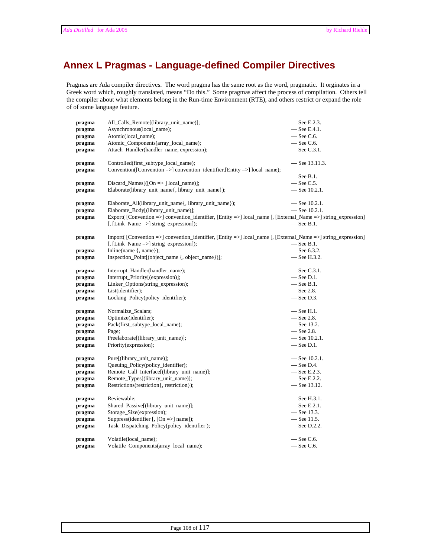# **Annex L Pragmas - Language-defined Compiler Directives**

Pragmas are Ada compiler directives. The word pragma has the same root as the word, pragmatic. It orginates in a Greek word which, roughly translated, means "Do this." Some pragmas affect the process of compilation. Others tell the compiler about what elements belong in the Run-time Environment (RTE), and others restrict or expand the role of of some language feature.

| pragma | All_Calls_Remote[(library_unit_name)];                                                                            | $-$ See E.2.3.      |
|--------|-------------------------------------------------------------------------------------------------------------------|---------------------|
| pragma | Asynchronous(local_name);                                                                                         | $\equiv$ See E.4.1. |
| pragma | Atomic(local_name);                                                                                               | $-$ See C.6.        |
| pragma | Atomic_Components(array_local_name);                                                                              | $-$ See C.6.        |
| pragma | Attach_Handler(handler_name, expression);                                                                         | $-$ See C.3.1.      |
| pragma | Controlled(first_subtype_local_name);                                                                             | $-$ See 13.11.3.    |
| pragma | Convention([Convention =>] convention_identifier,[Entity =>] local_name);                                         |                     |
|        |                                                                                                                   | $\sim$ See B.1.     |
| pragma | $Discard_Names[(On => ] local_name)];$                                                                            | $-$ See C.5.        |
| pragma | Elaborate(library_unit_name{, library_unit_name});                                                                | $-$ See 10.2.1.     |
| pragma | Elaborate_All(library_unit_name{, library_unit_name});                                                            | $-$ See 10.2.1.     |
|        | Elaborate Body[(library unit name)];                                                                              | $-$ See 10.2.1.     |
| pragma | $Export([Convention = >] convention_identifier, [Entity = >] local_name[, [External_name = >] string_expression]$ |                     |
| pragma | [, [Link_Name =>] string_expression]);                                                                            | $-$ See B.1.        |
|        |                                                                                                                   |                     |
| pragma | Import( [Convention =>] convention_identifier, [Entity =>] local_name [, [External_Name =>] string_expression]    |                     |
|        | [, [Link_Name =>] string_expression]);                                                                            | $-$ See B.1.        |
| pragma | Inline(name $\{$ , name $\}$ );                                                                                   | -See 6.3.2.         |
| pragma | Inspection_Point[(object_name {, object_name})];                                                                  | — See H.3.2.        |
|        |                                                                                                                   |                     |
| pragma | Interrupt_Handler(handler_name);                                                                                  | $-$ See C.3.1.      |
| pragma | Interrupt Priority[(expression)];                                                                                 | $-$ See D.1.        |
| pragma | Linker_Options(string_expression);                                                                                | $\equiv$ See B.1.   |
| pragma | List(identifier);                                                                                                 | $-$ See 2.8.        |
| pragma | Locking_Policy(policy_identifier);                                                                                | $-$ See D.3.        |
| pragma | Normalize_Scalars;                                                                                                | $-$ See H.1.        |
| pragma | Optimize(identifier);                                                                                             | $-$ See 2.8.        |
| pragma | Pack(first_subtype_local_name);                                                                                   | -See 13.2.          |
| pragma | Page;                                                                                                             | $-$ See 2.8.        |
| pragma | Preelaborate[(library_unit_name)];                                                                                | $-$ See 10.2.1.     |
| pragma | Priority(expression);                                                                                             | $-$ See D.1.        |
| pragma | Pure[(library_unit_name)];                                                                                        | $-$ See 10.2.1.     |
|        | Queuing Policy(policy identifier);                                                                                | $-$ See D.4.        |
| pragma | Remote_Call_Interface[(library_unit_name)];                                                                       | $-$ See E.2.3.      |
| pragma | Remote_Types[(library_unit_name)];                                                                                | $\sim$ See E.2.2.   |
| pragma | Restrictions(restriction{, restriction});                                                                         | $-$ See 13.12.      |
| pragma |                                                                                                                   |                     |
| pragma | Reviewable;                                                                                                       | $-$ See H.3.1.      |
| pragma | Shared_Passive[(library_unit_name)];                                                                              | $-$ See E.2.1.      |
| pragma | Storage_Size(expression);                                                                                         | $-$ See 13.3.       |
| pragma | Suppress(identifier $[$ , $[On => ]$ name]);                                                                      | $-$ See 11.5.       |
| pragma | Task_Dispatching_Policy(policy_identifier);                                                                       | -See D.2.2.         |
|        |                                                                                                                   | $-$ See C.6.        |
| pragma | Volatile(local_name);                                                                                             |                     |
| pragma | Volatile_Components(array_local_name);                                                                            | $-$ See C.6.        |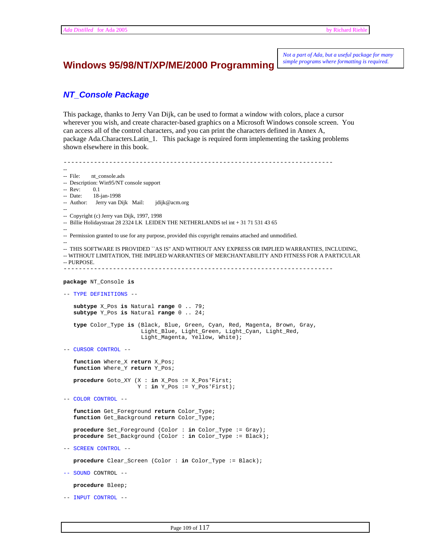# **Windows 95/98/NT/XP/ME/2000 Programming**

*Not a part of Ada, but a useful package for many simple programs where formatting is required.* 

## *NT\_Console Package*

This package, thanks to Jerry Van Dijk, can be used to format a window with colors, place a cursor wherever you wish, and create character-based graphics on a Microsoft Windows console screen. You can access all of the control characters, and you can print the characters defined in Annex A, package Ada.Characters.Latin\_1. This package is required form implementing the tasking problems shown elsewhere in this book.

-----------------------------------------------------------------------

```
-- 
-- File: nt_console.ads 
-- Description: Win95/NT console support 
-- Rev: 0.1 
-- Date: 18-jan-1998 
-- Author: Jerry van Dijk Mail: jdijk@acm.org 
-- 
-- Copyright (c) Jerry van Dijk, 1997, 1998 
-- Billie Holidaystraat 28 2324 LK LEIDEN THE NETHERLANDS tel int + 31 71 531 43 65 
-- 
-- Permission granted to use for any purpose, provided this copyright remains attached and unmodified. 
-- 
-- THIS SOFTWARE IS PROVIDED ``AS IS'' AND WITHOUT ANY EXPRESS OR IMPLIED WARRANTIES, INCLUDING, 
-- WITHOUT LIMITATION, THE IMPLIED WARRANTIES OF MERCHANTABILITY AND FITNESS FOR A PARTICULAR 
-- PURPOSE. 
                                    ----------------------------------------------------------------------- 
package NT_Console is
-- TYPE DEFINITIONS -- 
    subtype X_Pos is Natural range 0 .. 79; 
    subtype Y_Pos is Natural range 0 .. 24; 
    type Color_Type is (Black, Blue, Green, Cyan, Red, Magenta, Brown, Gray, 
                          Light_Blue, Light_Green, Light_Cyan, Light_Red,
                           Light_Magenta, Yellow, White); 
-- CURSOR CONTROL -- 
    function Where_X return X_Pos; 
    function Where_Y return Y_Pos; 
    procedure Goto_XY (X : in X_Pos := X_Pos'First; 
                          Y : in Y_Pos := Y_Pos'First); 
-- COLOR CONTROL -- function Get_Foreground return Color_Type; 
    function Get_Background return Color_Type; 
    procedure Set_Foreground (Color : in Color_Type := Gray); 
    procedure Set_Background (Color : in Color_Type := Black); 
-- SCREEN CONTROL -- 
    procedure Clear_Screen (Color : in Color_Type := Black); 
-- SOUND CONTROL -- 
    procedure Bleep;
```
-- INPUT CONTROL --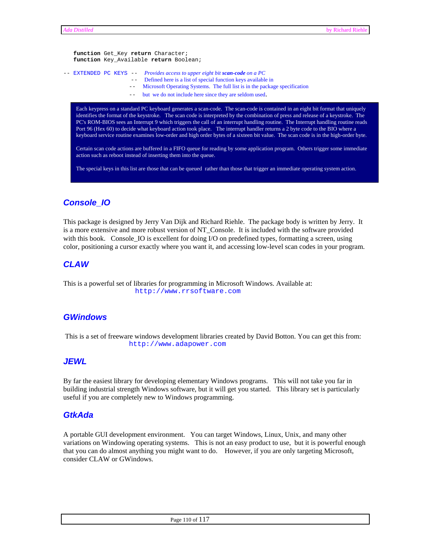**function** Get\_Key **return** Character; **function** Key\_Available **return** Boolean;

-- EXTENDED PC KEYS -- *Provides access to upper eight bit scan-code on a PC* -- Defined here is a list of special function keys available in -- Microsoft Operating Systems. The full list is in the package specification -- but we do not include here since they are seldom used.

Each keypress on a standard PC keyboard generates a scan-code. The scan-code is contained in an eight bit format that uniquely identifies the format of the keystroke. The scan code is interpreted by the combination of press and release of a keystroke. The PC's ROM-BIOS sees an Interrupt 9 which triggers the call of an interrupt handling routine. The Interrupt handling routine reads Port 96 (Hex 60) to decide what keyboard action took place. The interrupt handler returns a 2 byte code to the BIO where a keyboard service routine examines low-order and high order bytes of a sixteen bit value. The scan code is in the high-order byte.

Certain scan code actions are buffered in a FIFO queue for reading by some application program. Others trigger some immediate action such as reboot instead of inserting them into the queue.

The special keys in this list are those that can be queued rather than those that trigger an immediate operating system action.

# *Console\_IO*

This package is designed by Jerry Van Dijk and Richard Riehle. The package body is written by Jerry. It is a more extensive and more robust version of NT\_Console. It is included with the software provided with this book. Console\_IO is excellent for doing I/O on predefined types, formatting a screen, using color, positioning a cursor exactly where you want it, and accessing low-level scan codes in your program.

## *CLAW*

This is a powerful set of libraries for programming in Microsoft Windows. Available at: http://www.rrsoftware.com

## *GWindows*

 This is a set of freeware windows development libraries created by David Botton. You can get this from: http://www.adapower.com

## *JEWL*

By far the easiest library for developing elementary Windows programs. This will not take you far in building industrial strength Windows software, but it will get you started. This library set is particularly useful if you are completely new to Windows programming.

## *GtkAda*

A portable GUI development environment. You can target Windows, Linux, Unix, and many other variations on Windowing operating systems. This is not an easy product to use, but it is powerful enough that you can do almost anything you might want to do. However, if you are only targeting Microsoft, consider CLAW or GWindows.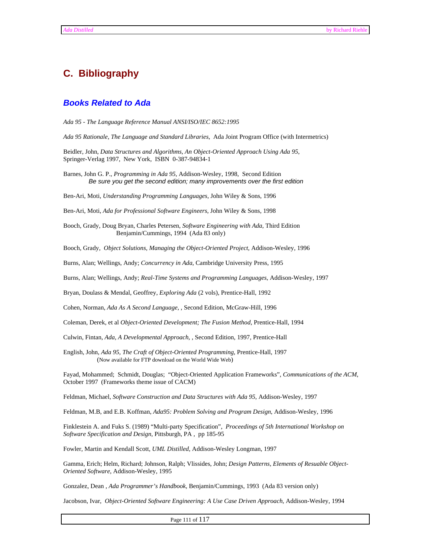# **C. Bibliography**

## *Books Related to Ada*

*Ada 95 - The Language Reference Manual ANSI/ISO/IEC 8652:1995*

*Ada 95 Rationale, The Language and Standard Libraries*, Ada Joint Program Office (with Intermetrics)

Beidler, John, *Data Structures and Algorithms, An Object-Oriented Approach Using Ada 95*, Springer-Verlag 1997, New York, ISBN 0-387-94834-1

Barnes, John G. P., *Programming in Ada 95*, Addison-Wesley, 1998, Second Edition *Be sure you get the second edition; many improvements over the first edition* 

Ben-Ari, Moti, *Understanding Programming Languages*, John Wiley & Sons, 1996

Ben-Ari, Moti, *Ada for Professional Software Engineers*, John Wiley & Sons, 1998

Booch, Grady, Doug Bryan, Charles Petersen, *Software Engineering with Ada*, Third Edition Benjamin/Cummings, 1994 (Ada 83 only)

Booch, Grady, *Object Solutions, Managing the Object-Oriented Project*, Addison-Wesley, 1996

Burns, Alan; Wellings, Andy; *Concurrency in Ada*, Cambridge University Press, 1995

Burns, Alan; Wellings, Andy; *Real-Time Systems and Programming Languages*, Addison-Wesley, 1997

Bryan, Doulass & Mendal, Geoffrey, *Exploring Ada* (2 vols), Prentice-Hall, 1992

Cohen, Norman, *Ada As A Second Language*, , Second Edition, McGraw-Hill, 1996

Coleman, Derek, et al *Object-Oriented Development; The Fusion Method*, Prentice-Hall, 1994

Culwin, Fintan, *Ada, A Developmental Approach*, , Second Edition, 1997, Prentice-Hall

English, John, *Ada 95, The Craft of Object-Oriented Programming*, Prentice-Hall, 1997 (Now available for FTP download on the World Wide Web)

Fayad, Mohammed; Schmidt, Douglas; "Object-Oriented Application Frameworks", *Communications of the ACM*, October 1997 (Frameworks theme issue of CACM)

Feldman, Michael, *Software Construction and Data Structures with Ada 95*, Addison-Wesley, 1997

Feldman, M.B, and E.B. Koffman, *Ada95: Problem Solving and Program Design*, Addison-Wesley, 1996

Finklestein A. and Fuks S. (1989) "Multi-party Specification", *Proceedings of 5th International Workshop on Software Specification and Design*, Pittsburgh, PA , pp 185-95

Fowler, Martin and Kendall Scott, *UML Distilled*, Addison-Wesley Longman, 1997

Gamma, Erich; Helm, Richard; Johnson, Ralph; Vlissides, John; *Design Patterns, Elements of Resuable Object-Oriented Software*, Addison-Wesley, 1995

Gonzalez, Dean , *Ada Programmer's Handbook*, Benjamin/Cummings, 1993 (Ada 83 version only)

Jacobson, Ivar, *Object-Oriented Software Engineering: A Use Case Driven Approach*, Addison-Wesley, 1994

Page 111 of 117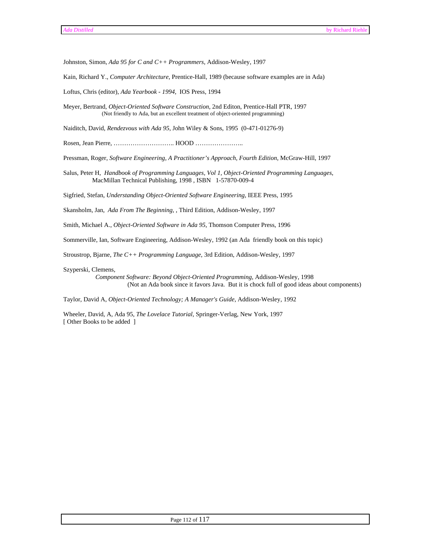Johnston, Simon, *Ada 95 for C and C++ Programmers*, Addison-Wesley, 1997

Kain, Richard Y., *Computer Architecture*, Prentice-Hall, 1989 (because software examples are in Ada)

Loftus, Chris (editor), *Ada Yearbook - 1994*, IOS Press, 1994

Meyer, Bertrand, *Object-Oriented Software Construction*, 2nd Editon, Prentice-Hall PTR, 1997 (Not friendly to Ada, but an excellent treatment of object-oriented programming)

Naiditch, David, *Rendezvous with Ada 95*, John Wiley & Sons, 1995 (0-471-01276-9)

Rosen, Jean Pierre, ……………………….. HOOD …………………..

Pressman, Roger, *Software Engineering, A Practitioner's Approach, Fourth Edition*, McGraw-Hill, 1997

Salus, Peter H, *Handbook of Programming Languages, Vol 1, Object-Oriented Programming Languages*, MacMillan Technical Publishing, 1998 , ISBN 1-57870-009-4

Sigfried, Stefan, *Understanding Object-Oriented Software Engineering*, IEEE Press, 1995

Skansholm, Jan, *Ada From The Beginning*, , Third Edition, Addison-Wesley, 1997

Smith, Michael A., *Object-Oriented Software in Ada 95*, Thomson Computer Press, 1996

Sommerville, Ian, Software Engineering, Addison-Wesley, 1992 (an Ada friendly book on this topic)

Stroustrop, Bjarne, *The C++ Programming Language*, 3rd Edition, Addison-Wesley, 1997

Szyperski, Clemens,

 *Component Software: Beyond Object-Oriented Programming*, Addison-Wesley, 1998 (Not an Ada book since it favors Java. But it is chock full of good ideas about components)

Taylor, David A, *Object-Oriented Technology; A Manager's Guide*, Addison-Wesley, 1992

Wheeler, David, A, Ada 95, *The Lovelace Tutorial*, Springer-Verlag, New York, 1997 [ Other Books to be added ]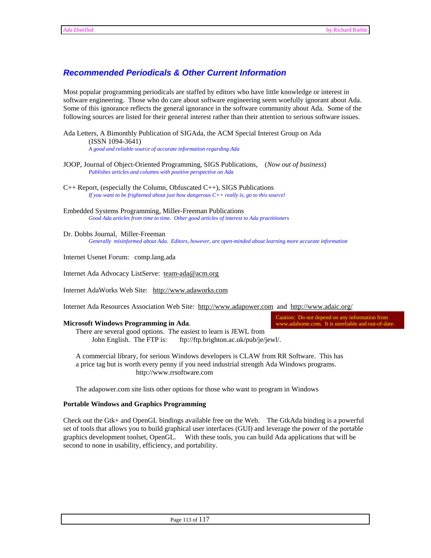# *Recommended Periodicals & Other Current Information*

Most popular programming periodicals are staffed by editors who have little knowledge or interest in software engineering. Those who do care about software engineering seem woefully ignorant about Ada. Some of this ignorance reflects the general ignorance in the software community about Ada. Some of the following sources are listed for their general interest rather than their attention to serious software issues.

- Ada Letters, A Bimonthly Publication of SIGAda, the ACM Special Interest Group on Ada (ISSN 1094-3641) *A good and reliable source of accurate information regarding Ada*
- JOOP, Journal of Object-Oriented Programming, SIGS Publications, (*Now out of business*) *Publishes articles and columns with positive perspective on Ada*
- $C_{++}$  Report, (especially the Column, Obfuscated  $C_{++}$ ), SIGS Publications *If you want to be frightened about just how dangerous C++ really is, go to this source!*
- Embedded Systems Programming, Miller-Freeman Publications *Good Ada articles from time to time. Other good articles of interest to Ada practitioners*
- Dr. Dobbs Journal, Miller-Freeman *Generally misinformed about Ada. Editors, however, are open-minded about learning more accurate information*

Internet Usenet Forum: comp.lang.ada

Internet Ada Advocacy ListServe: team-ada@acm.org

Internet AdaWorks Web Site: http://www.adaworks.com

Internet Ada Resources Association Web Site: http://www.adapower.com and http://www.adaic.org/

#### **Microsoft Windows Programming in Ada**.

Caution: Do not depend on any information from www.adahome.com. It is unreliable and out-of-date.

 There are several good options. The easiest to learn is JEWL from John English. The FTP is: ftp://ftp.brighton.ac.uk/pub/je/jewl/.

 A commercial library, for serious Windows developers is CLAW from RR Software. This has a price tag but is worth every penny if you need industrial strength Ada Windows programs. http://www.rrsoftware.com

The adapower.com site lists other options for those who want to program in Windows

#### **Portable Windows and Graphics Programming**

Check out the Gtk+ and OpenGL bindings available free on the Web. The GtkAda binding is a powerful set of tools that allows you to build graphical user interfaces (GUI) and leverage the power of the portable graphics development toolset, OpenGL. With these tools, you can build Ada applications that will be second to none in usability, efficiency, and portability.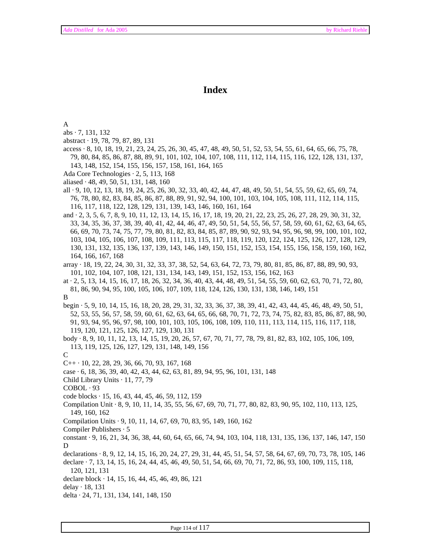### **Index**

A

 $abs \cdot 7, 131, 132$ 

abstract · 19, 78, 79, 87, 89, 131

access · 8, 10, 18, 19, 21, 23, 24, 25, 26, 30, 45, 47, 48, 49, 50, 51, 52, 53, 54, 55, 61, 64, 65, 66, 75, 78, 79, 80, 84, 85, 86, 87, 88, 89, 91, 101, 102, 104, 107, 108, 111, 112, 114, 115, 116, 122, 128, 131, 137, 143, 148, 152, 154, 155, 156, 157, 158, 161, 164, 165

Ada Core Technologies · 2, 5, 113, 168

aliased · 48, 49, 50, 51, 131, 148, 160

all · 9, 10, 12, 13, 18, 19, 24, 25, 26, 30, 32, 33, 40, 42, 44, 47, 48, 49, 50, 51, 54, 55, 59, 62, 65, 69, 74, 76, 78, 80, 82, 83, 84, 85, 86, 87, 88, 89, 91, 92, 94, 100, 101, 103, 104, 105, 108, 111, 112, 114, 115, 116, 117, 118, 122, 128, 129, 131, 139, 143, 146, 160, 161, 164

and · 2, 3, 5, 6, 7, 8, 9, 10, 11, 12, 13, 14, 15, 16, 17, 18, 19, 20, 21, 22, 23, 25, 26, 27, 28, 29, 30, 31, 32, 33, 34, 35, 36, 37, 38, 39, 40, 41, 42, 44, 46, 47, 49, 50, 51, 54, 55, 56, 57, 58, 59, 60, 61, 62, 63, 64, 65, 66, 69, 70, 73, 74, 75, 77, 79, 80, 81, 82, 83, 84, 85, 87, 89, 90, 92, 93, 94, 95, 96, 98, 99, 100, 101, 102, 103, 104, 105, 106, 107, 108, 109, 111, 113, 115, 117, 118, 119, 120, 122, 124, 125, 126, 127, 128, 129, 130, 131, 132, 135, 136, 137, 139, 143, 146, 149, 150, 151, 152, 153, 154, 155, 156, 158, 159, 160, 162, 164, 166, 167, 168

array · 18, 19, 22, 24, 30, 31, 32, 33, 37, 38, 52, 54, 63, 64, 72, 73, 79, 80, 81, 85, 86, 87, 88, 89, 90, 93, 101, 102, 104, 107, 108, 121, 131, 134, 143, 149, 151, 152, 153, 156, 162, 163

at · 2, 5, 13, 14, 15, 16, 17, 18, 26, 32, 34, 36, 40, 43, 44, 48, 49, 51, 54, 55, 59, 60, 62, 63, 70, 71, 72, 80, 81, 86, 90, 94, 95, 100, 105, 106, 107, 109, 118, 124, 126, 130, 131, 138, 146, 149, 151

B

begin · 5, 9, 10, 14, 15, 16, 18, 20, 28, 29, 31, 32, 33, 36, 37, 38, 39, 41, 42, 43, 44, 45, 46, 48, 49, 50, 51, 52, 53, 55, 56, 57, 58, 59, 60, 61, 62, 63, 64, 65, 66, 68, 70, 71, 72, 73, 74, 75, 82, 83, 85, 86, 87, 88, 90, 91, 93, 94, 95, 96, 97, 98, 100, 101, 103, 105, 106, 108, 109, 110, 111, 113, 114, 115, 116, 117, 118, 119, 120, 121, 125, 126, 127, 129, 130, 131

body · 8, 9, 10, 11, 12, 13, 14, 15, 19, 20, 26, 57, 67, 70, 71, 77, 78, 79, 81, 82, 83, 102, 105, 106, 109, 113, 119, 125, 126, 127, 129, 131, 148, 149, 156

 $\mathcal{C}$ 

 $C++ 10, 22, 28, 29, 36, 66, 70, 93, 167, 168$ 

case · 6, 18, 36, 39, 40, 42, 43, 44, 62, 63, 81, 89, 94, 95, 96, 101, 131, 148

Child Library Units · 11, 77, 79

 $COBOL \cdot 93$ 

code blocks · 15, 16, 43, 44, 45, 46, 59, 112, 159

Compilation Unit · 8, 9, 10, 11, 14, 35, 55, 56, 67, 69, 70, 71, 77, 80, 82, 83, 90, 95, 102, 110, 113, 125, 149, 160, 162

Compilation Units · 9, 10, 11, 14, 67, 69, 70, 83, 95, 149, 160, 162

Compiler Publishers · 5

constant · 9, 16, 21, 34, 36, 38, 44, 60, 64, 65, 66, 74, 94, 103, 104, 118, 131, 135, 136, 137, 146, 147, 150 D

declarations · 8, 9, 12, 14, 15, 16, 20, 24, 27, 29, 31, 44, 45, 51, 54, 57, 58, 64, 67, 69, 70, 73, 78, 105, 146 declare · 7, 13, 14, 15, 16, 24, 44, 45, 46, 49, 50, 51, 54, 66, 69, 70, 71, 72, 86, 93, 100, 109, 115, 118,

120, 121, 131

declare block · 14, 15, 16, 44, 45, 46, 49, 86, 121

delay · 18, 131

delta · 24, 71, 131, 134, 141, 148, 150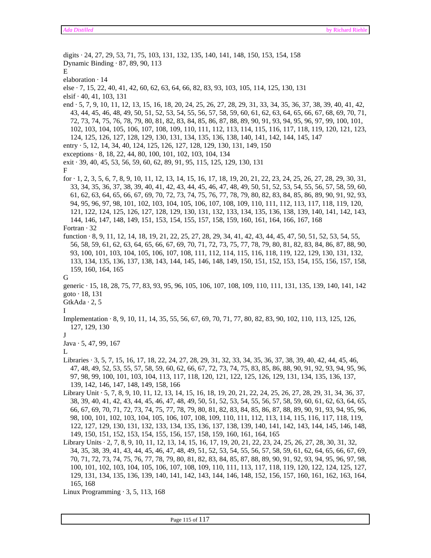digits · 24, 27, 29, 53, 71, 75, 103, 131, 132, 135, 140, 141, 148, 150, 153, 154, 158 Dynamic Binding · 87, 89, 90, 113 E elaboration · 14 else · 7, 15, 22, 40, 41, 42, 60, 62, 63, 64, 66, 82, 83, 93, 103, 105, 114, 125, 130, 131  $elsif \cdot 40, 41, 103, 131$ end · 5, 7, 9, 10, 11, 12, 13, 15, 16, 18, 20, 24, 25, 26, 27, 28, 29, 31, 33, 34, 35, 36, 37, 38, 39, 40, 41, 42, 43, 44, 45, 46, 48, 49, 50, 51, 52, 53, 54, 55, 56, 57, 58, 59, 60, 61, 62, 63, 64, 65, 66, 67, 68, 69, 70, 71, 72, 73, 74, 75, 76, 78, 79, 80, 81, 82, 83, 84, 85, 86, 87, 88, 89, 90, 91, 93, 94, 95, 96, 97, 99, 100, 101, 102, 103, 104, 105, 106, 107, 108, 109, 110, 111, 112, 113, 114, 115, 116, 117, 118, 119, 120, 121, 123, 124, 125, 126, 127, 128, 129, 130, 131, 134, 135, 136, 138, 140, 141, 142, 144, 145, 147 entry · 5, 12, 14, 34, 40, 124, 125, 126, 127, 128, 129, 130, 131, 149, 150 exceptions · 8, 18, 22, 44, 80, 100, 101, 102, 103, 104, 134 exit · 39, 40, 45, 53, 56, 59, 60, 62, 89, 91, 95, 115, 125, 129, 130, 131 F for · 1, 2, 3, 5, 6, 7, 8, 9, 10, 11, 12, 13, 14, 15, 16, 17, 18, 19, 20, 21, 22, 23, 24, 25, 26, 27, 28, 29, 30, 31, 33, 34, 35, 36, 37, 38, 39, 40, 41, 42, 43, 44, 45, 46, 47, 48, 49, 50, 51, 52, 53, 54, 55, 56, 57, 58, 59, 60, 61, 62, 63, 64, 65, 66, 67, 69, 70, 72, 73, 74, 75, 76, 77, 78, 79, 80, 82, 83, 84, 85, 86, 89, 90, 91, 92, 93, 94, 95, 96, 97, 98, 101, 102, 103, 104, 105, 106, 107, 108, 109, 110, 111, 112, 113, 117, 118, 119, 120, 121, 122, 124, 125, 126, 127, 128, 129, 130, 131, 132, 133, 134, 135, 136, 138, 139, 140, 141, 142, 143, 144, 146, 147, 148, 149, 151, 153, 154, 155, 157, 158, 159, 160, 161, 164, 166, 167, 168 Fortran · 32 function · 8, 9, 11, 12, 14, 18, 19, 21, 22, 25, 27, 28, 29, 34, 41, 42, 43, 44, 45, 47, 50, 51, 52, 53, 54, 55, 56, 58, 59, 61, 62, 63, 64, 65, 66, 67, 69, 70, 71, 72, 73, 75, 77, 78, 79, 80, 81, 82, 83, 84, 86, 87, 88, 90, 93, 100, 101, 103, 104, 105, 106, 107, 108, 111, 112, 114, 115, 116, 118, 119, 122, 129, 130, 131, 132, 133, 134, 135, 136, 137, 138, 143, 144, 145, 146, 148, 149, 150, 151, 152, 153, 154, 155, 156, 157, 158, 159, 160, 164, 165 G generic · 15, 18, 28, 75, 77, 83, 93, 95, 96, 105, 106, 107, 108, 109, 110, 111, 131, 135, 139, 140, 141, 142 goto · 18, 131 GtkAda · 2, 5 I Implementation · 8, 9, 10, 11, 14, 35, 55, 56, 67, 69, 70, 71, 77, 80, 82, 83, 90, 102, 110, 113, 125, 126, 127, 129, 130 J Java · 5, 47, 99, 167 L Libraries · 3, 5, 7, 15, 16, 17, 18, 22, 24, 27, 28, 29, 31, 32, 33, 34, 35, 36, 37, 38, 39, 40, 42, 44, 45, 46, 47, 48, 49, 52, 53, 55, 57, 58, 59, 60, 62, 66, 67, 72, 73, 74, 75, 83, 85, 86, 88, 90, 91, 92, 93, 94, 95, 96, 97, 98, 99, 100, 101, 103, 104, 113, 117, 118, 120, 121, 122, 125, 126, 129, 131, 134, 135, 136, 137, 139, 142, 146, 147, 148, 149, 158, 166 Library Unit · 5, 7, 8, 9, 10, 11, 12, 13, 14, 15, 16, 18, 19, 20, 21, 22, 24, 25, 26, 27, 28, 29, 31, 34, 36, 37, 38, 39, 40, 41, 42, 43, 44, 45, 46, 47, 48, 49, 50, 51, 52, 53, 54, 55, 56, 57, 58, 59, 60, 61, 62, 63, 64, 65, 66, 67, 69, 70, 71, 72, 73, 74, 75, 77, 78, 79, 80, 81, 82, 83, 84, 85, 86, 87, 88, 89, 90, 91, 93, 94, 95, 96, 98, 100, 101, 102, 103, 104, 105, 106, 107, 108, 109, 110, 111, 112, 113, 114, 115, 116, 117, 118, 119, 122, 127, 129, 130, 131, 132, 133, 134, 135, 136, 137, 138, 139, 140, 141, 142, 143, 144, 145, 146, 148, 149, 150, 151, 152, 153, 154, 155, 156, 157, 158, 159, 160, 161, 164, 165 Library Units · 2, 7, 8, 9, 10, 11, 12, 13, 14, 15, 16, 17, 19, 20, 21, 22, 23, 24, 25, 26, 27, 28, 30, 31, 32, 34, 35, 38, 39, 41, 43, 44, 45, 46, 47, 48, 49, 51, 52, 53, 54, 55, 56, 57, 58, 59, 61, 62, 64, 65, 66, 67, 69, 70, 71, 72, 73, 74, 75, 76, 77, 78, 79, 80, 81, 82, 83, 84, 85, 87, 88, 89, 90, 91, 92, 93, 94, 95, 96, 97, 98, 100, 101, 102, 103, 104, 105, 106, 107, 108, 109, 110, 111, 113, 117, 118, 119, 120, 122, 124, 125, 127, 129, 131, 134, 135, 136, 139, 140, 141, 142, 143, 144, 146, 148, 152, 156, 157, 160, 161, 162, 163, 164,

Linux Programming · 3, 5, 113, 168

<sup>165, 168</sup>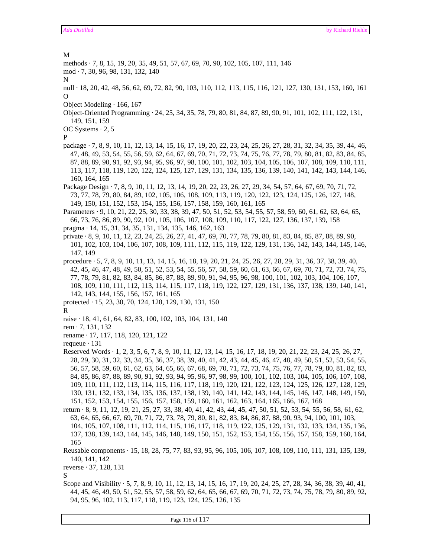M

- methods · 7, 8, 15, 19, 20, 35, 49, 51, 57, 67, 69, 70, 90, 102, 105, 107, 111, 146
- mod · 7, 30, 96, 98, 131, 132, 140

N

- null · 18, 20, 42, 48, 56, 62, 69, 72, 82, 90, 103, 110, 112, 113, 115, 116, 121, 127, 130, 131, 153, 160, 161 O
- Object Modeling · 166, 167
- Object-Oriented Programming · 24, 25, 34, 35, 78, 79, 80, 81, 84, 87, 89, 90, 91, 101, 102, 111, 122, 131, 149, 151, 159
- OC Systems · 2, 5

P

- package · 7, 8, 9, 10, 11, 12, 13, 14, 15, 16, 17, 19, 20, 22, 23, 24, 25, 26, 27, 28, 31, 32, 34, 35, 39, 44, 46, 47, 48, 49, 53, 54, 55, 56, 59, 62, 64, 67, 69, 70, 71, 72, 73, 74, 75, 76, 77, 78, 79, 80, 81, 82, 83, 84, 85, 87, 88, 89, 90, 91, 92, 93, 94, 95, 96, 97, 98, 100, 101, 102, 103, 104, 105, 106, 107, 108, 109, 110, 111, 113, 117, 118, 119, 120, 122, 124, 125, 127, 129, 131, 134, 135, 136, 139, 140, 141, 142, 143, 144, 146, 160, 164, 165
- Package Design · 7, 8, 9, 10, 11, 12, 13, 14, 19, 20, 22, 23, 26, 27, 29, 34, 54, 57, 64, 67, 69, 70, 71, 72, 73, 77, 78, 79, 80, 84, 89, 102, 105, 106, 108, 109, 113, 119, 120, 122, 123, 124, 125, 126, 127, 148, 149, 150, 151, 152, 153, 154, 155, 156, 157, 158, 159, 160, 161, 165
- Parameters · 9, 10, 21, 22, 25, 30, 33, 38, 39, 47, 50, 51, 52, 53, 54, 55, 57, 58, 59, 60, 61, 62, 63, 64, 65, 66, 73, 76, 86, 89, 90, 92, 101, 105, 106, 107, 108, 109, 110, 117, 122, 127, 136, 137, 139, 158
- pragma · 14, 15, 31, 34, 35, 131, 134, 135, 146, 162, 163
- private · 8, 9, 10, 11, 12, 23, 24, 25, 26, 27, 41, 47, 69, 70, 77, 78, 79, 80, 81, 83, 84, 85, 87, 88, 89, 90, 101, 102, 103, 104, 106, 107, 108, 109, 111, 112, 115, 119, 122, 129, 131, 136, 142, 143, 144, 145, 146, 147, 149
- procedure · 5, 7, 8, 9, 10, 11, 13, 14, 15, 16, 18, 19, 20, 21, 24, 25, 26, 27, 28, 29, 31, 36, 37, 38, 39, 40, 42, 45, 46, 47, 48, 49, 50, 51, 52, 53, 54, 55, 56, 57, 58, 59, 60, 61, 63, 66, 67, 69, 70, 71, 72, 73, 74, 75, 77, 78, 79, 81, 82, 83, 84, 85, 86, 87, 88, 89, 90, 91, 94, 95, 96, 98, 100, 101, 102, 103, 104, 106, 107, 108, 109, 110, 111, 112, 113, 114, 115, 117, 118, 119, 122, 127, 129, 131, 136, 137, 138, 139, 140, 141, 142, 143, 144, 155, 156, 157, 161, 165
- protected · 15, 23, 30, 70, 124, 128, 129, 130, 131, 150

R

- raise · 18, 41, 61, 64, 82, 83, 100, 102, 103, 104, 131, 140
- rem · 7, 131, 132
- rename · 17, 117, 118, 120, 121, 122
- requeue · 131
- Reserved Words · 1, 2, 3, 5, 6, 7, 8, 9, 10, 11, 12, 13, 14, 15, 16, 17, 18, 19, 20, 21, 22, 23, 24, 25, 26, 27, 28, 29, 30, 31, 32, 33, 34, 35, 36, 37, 38, 39, 40, 41, 42, 43, 44, 45, 46, 47, 48, 49, 50, 51, 52, 53, 54, 55, 56, 57, 58, 59, 60, 61, 62, 63, 64, 65, 66, 67, 68, 69, 70, 71, 72, 73, 74, 75, 76, 77, 78, 79, 80, 81, 82, 83, 84, 85, 86, 87, 88, 89, 90, 91, 92, 93, 94, 95, 96, 97, 98, 99, 100, 101, 102, 103, 104, 105, 106, 107, 108, 109, 110, 111, 112, 113, 114, 115, 116, 117, 118, 119, 120, 121, 122, 123, 124, 125, 126, 127, 128, 129, 130, 131, 132, 133, 134, 135, 136, 137, 138, 139, 140, 141, 142, 143, 144, 145, 146, 147, 148, 149, 150, 151, 152, 153, 154, 155, 156, 157, 158, 159, 160, 161, 162, 163, 164, 165, 166, 167, 168
- return · 8, 9, 11, 12, 19, 21, 25, 27, 33, 38, 40, 41, 42, 43, 44, 45, 47, 50, 51, 52, 53, 54, 55, 56, 58, 61, 62, 63, 64, 65, 66, 67, 69, 70, 71, 72, 73, 78, 79, 80, 81, 82, 83, 84, 86, 87, 88, 90, 93, 94, 100, 101, 103, 104, 105, 107, 108, 111, 112, 114, 115, 116, 117, 118, 119, 122, 125, 129, 131, 132, 133, 134, 135, 136, 137, 138, 139, 143, 144, 145, 146, 148, 149, 150, 151, 152, 153, 154, 155, 156, 157, 158, 159, 160, 164, 165
- Reusable components · 15, 18, 28, 75, 77, 83, 93, 95, 96, 105, 106, 107, 108, 109, 110, 111, 131, 135, 139, 140, 141, 142
- reverse · 37, 128, 131

S

Scope and Visibility · 5, 7, 8, 9, 10, 11, 12, 13, 14, 15, 16, 17, 19, 20, 24, 25, 27, 28, 34, 36, 38, 39, 40, 41, 44, 45, 46, 49, 50, 51, 52, 55, 57, 58, 59, 62, 64, 65, 66, 67, 69, 70, 71, 72, 73, 74, 75, 78, 79, 80, 89, 92, 94, 95, 96, 102, 113, 117, 118, 119, 123, 124, 125, 126, 135